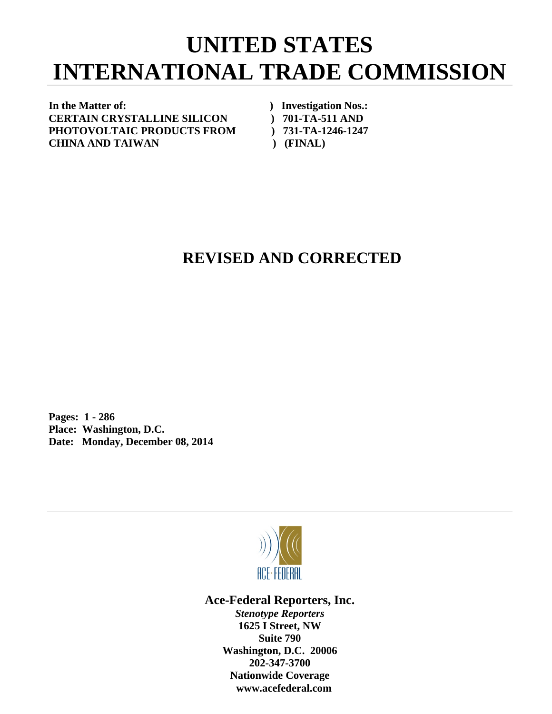## **UNITED STATES INTERNATIONAL TRADE COMMISSION**

In the Matter of: *In the Matter of: Physical physical physical physical physical physical physical physical physical physical physical physical physical physical physical physical physical physical physical physical* **CERTAIN CRYSTALLINE SILICON ) 701-TA-511 AND PHOTOVOLTAIC PRODUCTS FROM ) 731-TA-1246-1247 CHINA AND TAIWAN ) (FINAL)** 

## **REVISED AND CORRECTED**

**Pages: 1 - 286 Place: Washington, D.C. Date: Monday, December 08, 2014** 



**Ace-Federal Reporters, Inc.** 

*Stenotype Reporters*  **1625 I Street, NW Suite 790 Washington, D.C. 20006 202-347-3700 Nationwide Coverage www.acefederal.com**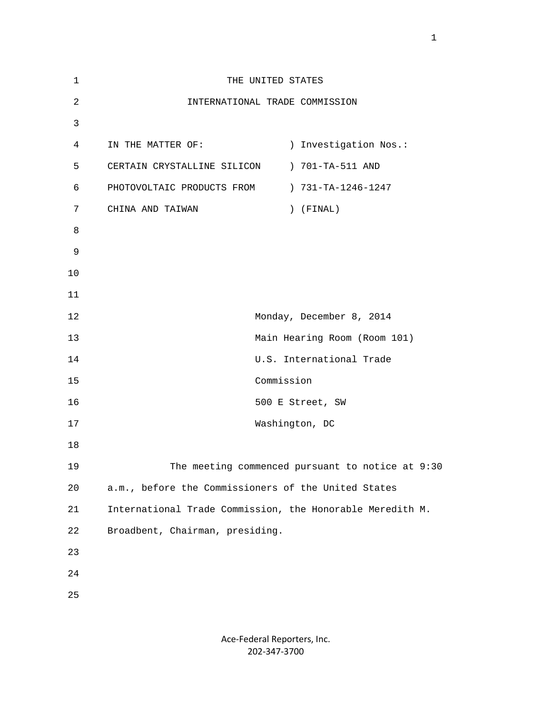| 1  | THE UNITED STATES                                         |
|----|-----------------------------------------------------------|
| 2  | INTERNATIONAL TRADE COMMISSION                            |
| 3  |                                                           |
| 4  | ) Investigation Nos.:<br>IN THE MATTER OF:                |
| 5  | ) 701-TA-511 AND<br>CERTAIN CRYSTALLINE SILICON           |
| 6  | ) 731-TA-1246-1247<br>PHOTOVOLTAIC PRODUCTS FROM          |
| 7  | CHINA AND TAIWAN<br>$)$ (FINAL)                           |
| 8  |                                                           |
| 9  |                                                           |
| 10 |                                                           |
| 11 |                                                           |
| 12 | Monday, December 8, 2014                                  |
| 13 | Main Hearing Room (Room 101)                              |
| 14 | U.S. International Trade                                  |
| 15 | Commission                                                |
| 16 | 500 E Street, SW                                          |
| 17 | Washington, DC                                            |
| 18 |                                                           |
| 19 | The meeting commenced pursuant to notice at 9:30          |
| 20 | a.m., before the Commissioners of the United States       |
| 21 | International Trade Commission, the Honorable Meredith M. |
| 22 | Broadbent, Chairman, presiding.                           |
| 23 |                                                           |
| 24 |                                                           |
| 25 |                                                           |
|    |                                                           |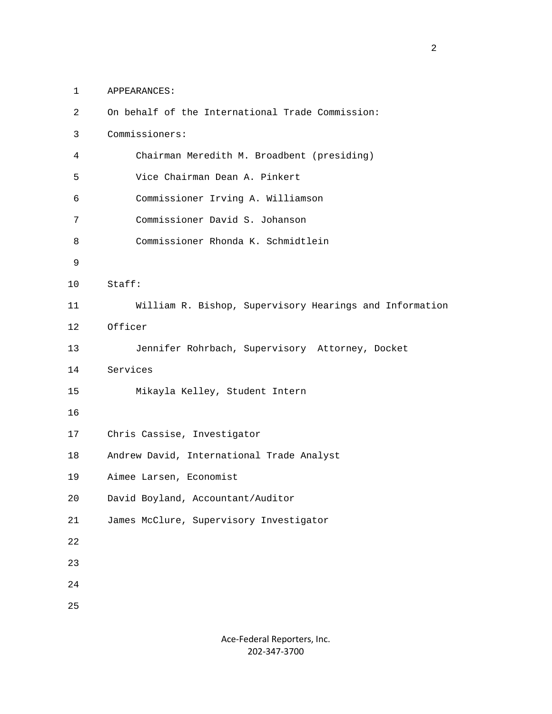1 APPEARANCES:

| $\overline{2}$ | On behalf of the International Trade Commission:        |
|----------------|---------------------------------------------------------|
| $\mathsf{3}$   | Commissioners:                                          |
| 4              | Chairman Meredith M. Broadbent (presiding)              |
| 5              | Vice Chairman Dean A. Pinkert                           |
| 6              | Commissioner Irving A. Williamson                       |
| 7              | Commissioner David S. Johanson                          |
| 8              | Commissioner Rhonda K. Schmidtlein                      |
| 9              |                                                         |
| 10             | Staff:                                                  |
| 11             | William R. Bishop, Supervisory Hearings and Information |
| 12             | Officer                                                 |
| 13             | Jennifer Rohrbach, Supervisory Attorney, Docket         |
| 14             | Services                                                |
| 15             | Mikayla Kelley, Student Intern                          |
| 16             |                                                         |
| 17             | Chris Cassise, Investigator                             |
| 18             | Andrew David, International Trade Analyst               |
| 19             | Aimee Larsen, Economist                                 |
| 20             | David Boyland, Accountant/Auditor                       |
| 21             | James McClure, Supervisory Investigator                 |
| $2\sqrt{2}$    |                                                         |
| 23             |                                                         |
| 24             |                                                         |
| 25             |                                                         |
|                |                                                         |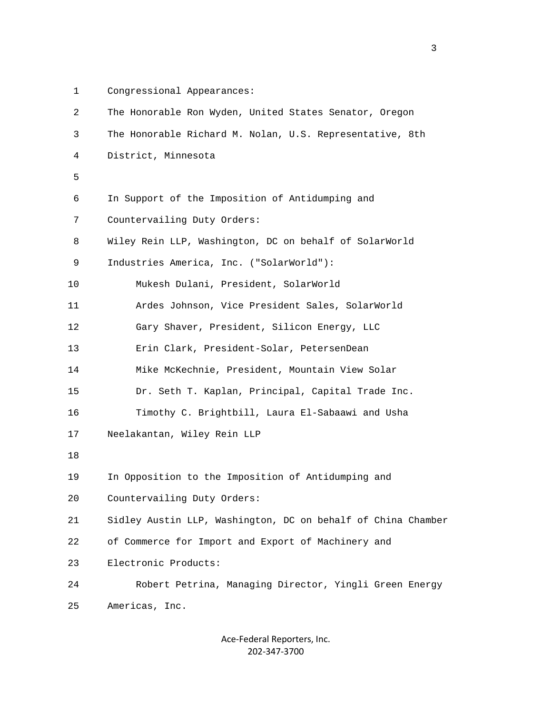- 
- 1 Congressional Appearances:

| 2  | The Honorable Ron Wyden, United States Senator, Oregon       |
|----|--------------------------------------------------------------|
| 3  | The Honorable Richard M. Nolan, U.S. Representative, 8th     |
| 4  | District, Minnesota                                          |
| 5  |                                                              |
| 6  | In Support of the Imposition of Antidumping and              |
| 7  | Countervailing Duty Orders:                                  |
| 8  | Wiley Rein LLP, Washington, DC on behalf of SolarWorld       |
| 9  | Industries America, Inc. ("SolarWorld"):                     |
| 10 | Mukesh Dulani, President, SolarWorld                         |
| 11 | Ardes Johnson, Vice President Sales, SolarWorld              |
| 12 | Gary Shaver, President, Silicon Energy, LLC                  |
| 13 | Erin Clark, President-Solar, PetersenDean                    |
| 14 | Mike McKechnie, President, Mountain View Solar               |
| 15 | Dr. Seth T. Kaplan, Principal, Capital Trade Inc.            |
| 16 | Timothy C. Brightbill, Laura El-Sabaawi and Usha             |
| 17 | Neelakantan, Wiley Rein LLP                                  |
| 18 |                                                              |
| 19 | In Opposition to the Imposition of Antidumping and           |
| 20 | Countervailing Duty Orders:                                  |
| 21 | Sidley Austin LLP, Washington, DC on behalf of China Chamber |
| 22 | of Commerce for Import and Export of Machinery and           |
| 23 | Electronic Products:                                         |
| 24 | Robert Petrina, Managing Director, Yingli Green Energy       |
| 25 | Americas, Inc.                                               |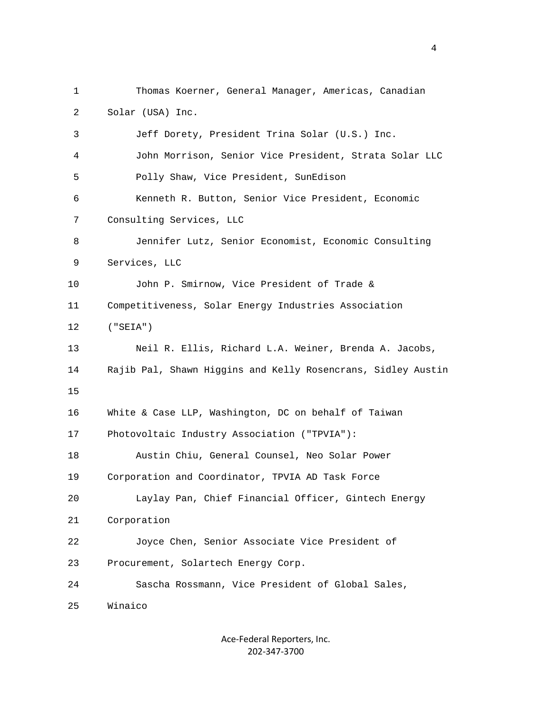1 Thomas Koerner, General Manager, Americas, Canadian 2 Solar (USA) Inc. 3 Jeff Dorety, President Trina Solar (U.S.) Inc. 4 John Morrison, Senior Vice President, Strata Solar LLC 5 Polly Shaw, Vice President, SunEdison 6 Kenneth R. Button, Senior Vice President, Economic 7 Consulting Services, LLC 8 Jennifer Lutz, Senior Economist, Economic Consulting 9 Services, LLC 10 John P. Smirnow, Vice President of Trade & 11 Competitiveness, Solar Energy Industries Association 12 ("SEIA") 13 Neil R. Ellis, Richard L.A. Weiner, Brenda A. Jacobs, 14 Rajib Pal, Shawn Higgins and Kelly Rosencrans, Sidley Austin 15 16 White & Case LLP, Washington, DC on behalf of Taiwan 17 Photovoltaic Industry Association ("TPVIA"): 18 Austin Chiu, General Counsel, Neo Solar Power 19 Corporation and Coordinator, TPVIA AD Task Force 20 Laylay Pan, Chief Financial Officer, Gintech Energy 21 Corporation 22 Joyce Chen, Senior Associate Vice President of 23 Procurement, Solartech Energy Corp. 24 Sascha Rossmann, Vice President of Global Sales, 25 Winaico

> Ace‐Federal Reporters, Inc. 202‐347‐3700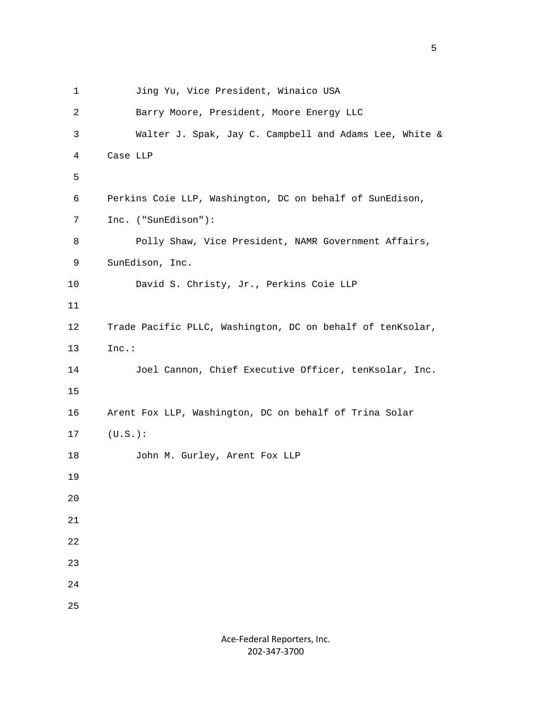```
1 Jing Yu, Vice President, Winaico USA
           2 Barry Moore, President, Moore Energy LLC 
           3 Walter J. Spak, Jay C. Campbell and Adams Lee, White & 
           4 Case LLP 
5<sub>5</sub> 6 Perkins Coie LLP, Washington, DC on behalf of SunEdison, 
           7 Inc. ("SunEdison"): 
          8 Polly Shaw, Vice President, NAMR Government Affairs,
           9 SunEdison, Inc. 
          10 David S. Christy, Jr., Perkins Coie LLP 
          11 
          12 Trade Pacific PLLC, Washington, DC on behalf of tenKsolar, 
          13 Inc.: 
          14 Joel Cannon, Chief Executive Officer, tenKsolar, Inc. 
          15 
          16 Arent Fox LLP, Washington, DC on behalf of Trina Solar 
          17 (U.S.): 
          18 John M. Gurley, Arent Fox LLP 
          19 
          20 
          21 
          22 
          23 
          24 
          25
```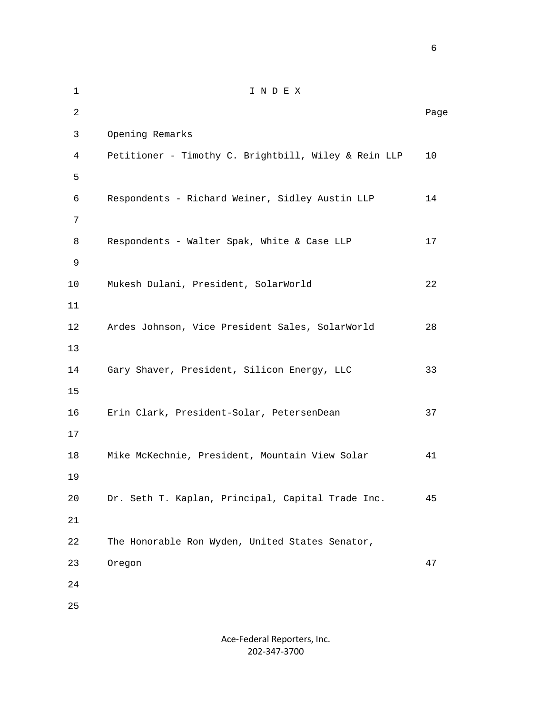1 I N D E X 2 **Page 12** Page 2 **Page 2** Page 2 Page 2 Page 2 Page 2 Page 2 Page 2 Page 2 Page 2 Page 2 Page 2 Page 2 Page 2 Page 2 Page 2 Page 2 Page 2 Page 2 Page 2 Page 2 Page 2 Page 2 Page 2 Page 2 Page 2 Page 2 Page 2 Page 2 Page 3 Opening Remarks 4 Petitioner - Timothy C. Brightbill, Wiley & Rein LLP 10  $5<sub>5</sub>$  6 Respondents - Richard Weiner, Sidley Austin LLP 14 7 8 Respondents - Walter Spak, White & Case LLP 17 9 10 Mukesh Dulani, President, SolarWorld 22 11 12 Ardes Johnson, Vice President Sales, SolarWorld 28 13 14 Gary Shaver, President, Silicon Energy, LLC 33 15 16 Erin Clark, President-Solar, PetersenDean 37 17 18 Mike McKechnie, President, Mountain View Solar 41 19 20 Dr. Seth T. Kaplan, Principal, Capital Trade Inc. 45 21 22 The Honorable Ron Wyden, United States Senator, 23 Oregon 47 24 25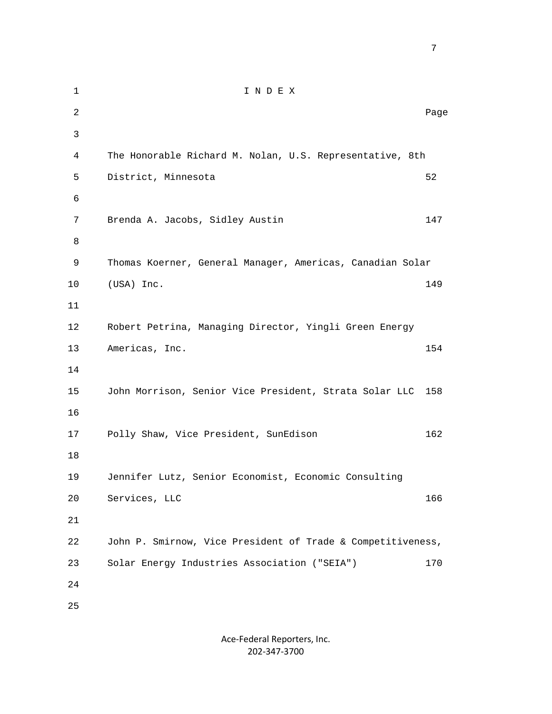1 I N D E X 2 **Page 12** Page 2 **Page 2** Page 2 Page 2 Page 2 Page 2 Page 2 Page 2 Page 2 Page 2 Page 2 Page 2 Page 2 Page 2 Page 2 Page 2 Page 2 Page 2 Page 2 Page 2 Page 2 Page 2 Page 2 Page 2 Page 2 Page 2 Page 2 Page 2 Page 2 Page 3 4 The Honorable Richard M. Nolan, U.S. Representative, 8th 5 District, Minnesota 52 6 7 Brenda A. Jacobs, Sidley Austin 147 8 9 Thomas Koerner, General Manager, Americas, Canadian Solar 10 (USA) Inc. 149 11 12 Robert Petrina, Managing Director, Yingli Green Energy 13 Americas, Inc. 154 14 15 John Morrison, Senior Vice President, Strata Solar LLC 158 16 17 Polly Shaw, Vice President, SunEdison 162 18 19 Jennifer Lutz, Senior Economist, Economic Consulting 20 Services, LLC 166 21 22 John P. Smirnow, Vice President of Trade & Competitiveness, 23 Solar Energy Industries Association ("SEIA") 170 24 25

<u>2003: The contract of the contract of the contract of the contract of the contract of the contract of the con</u>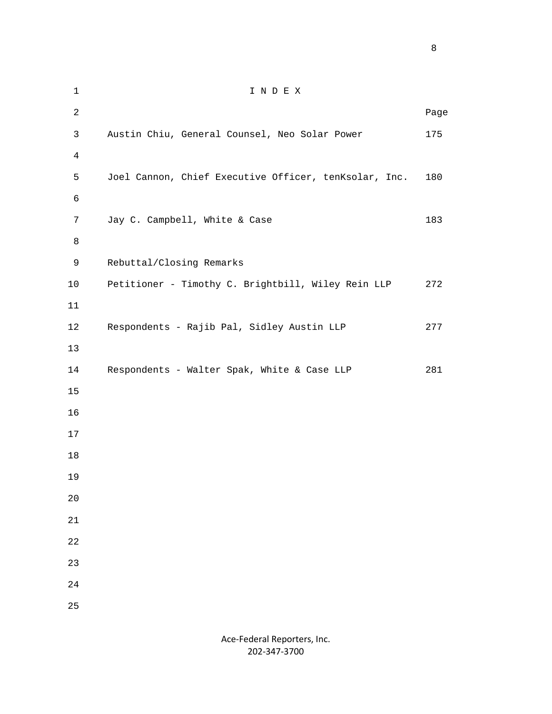1 I N D E X **Page 12** Page 2 **Page 2** Page 2 Page 2 Page 2 Page 2 Page 2 Page 2 Page 2 Page 2 Page 2 Page 2 Page 2 Page 2 Page 2 Page 2 Page 2 Page 2 Page 2 Page 2 Page 2 Page 2 Page 2 Page 2 Page 2 Page 2 Page 2 Page 2 Page 2 Page 3 Austin Chiu, General Counsel, Neo Solar Power 175 5 Joel Cannon, Chief Executive Officer, tenKsolar, Inc. 180 7 Jay C. Campbell, White & Case 183 9 Rebuttal/Closing Remarks 10 Petitioner - Timothy C. Brightbill, Wiley Rein LLP 272 12 Respondents - Rajib Pal, Sidley Austin LLP 277 14 Respondents - Walter Spak, White & Case LLP 281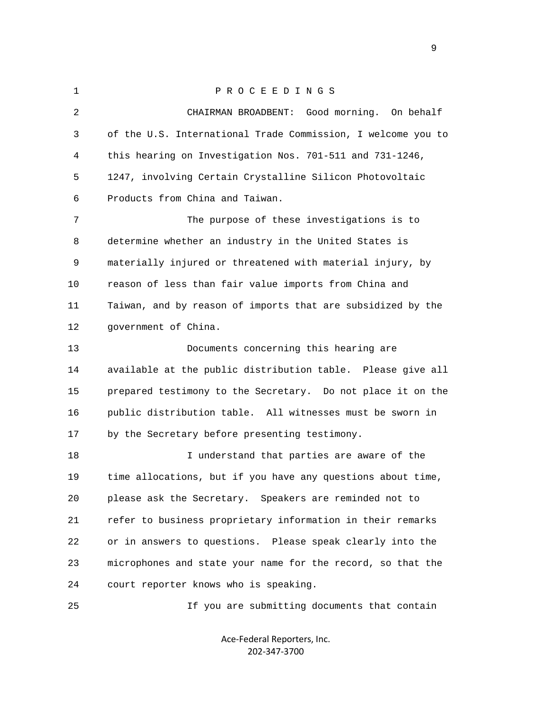1 P R O C E E D I N G S 2 CHAIRMAN BROADBENT: Good morning. On behalf 3 of the U.S. International Trade Commission, I welcome you to 4 this hearing on Investigation Nos. 701-511 and 731-1246, 5 1247, involving Certain Crystalline Silicon Photovoltaic 6 Products from China and Taiwan. 7 The purpose of these investigations is to 8 determine whether an industry in the United States is 9 materially injured or threatened with material injury, by 10 reason of less than fair value imports from China and 11 Taiwan, and by reason of imports that are subsidized by the 12 government of China. 13 Documents concerning this hearing are 14 available at the public distribution table. Please give all 15 prepared testimony to the Secretary. Do not place it on the 16 public distribution table. All witnesses must be sworn in 17 by the Secretary before presenting testimony. 18 I understand that parties are aware of the 19 time allocations, but if you have any questions about time, 20 please ask the Secretary. Speakers are reminded not to 21 refer to business proprietary information in their remarks 22 or in answers to questions. Please speak clearly into the 23 microphones and state your name for the record, so that the 24 court reporter knows who is speaking. 25 If you are submitting documents that contain

> Ace‐Federal Reporters, Inc. 202‐347‐3700

en de la provincia de la provincia de la provincia de la provincia de la provincia de la provincia de la provi<br>1900 : la provincia de la provincia de la provincia de la provincia de la provincia de la provincia de la prov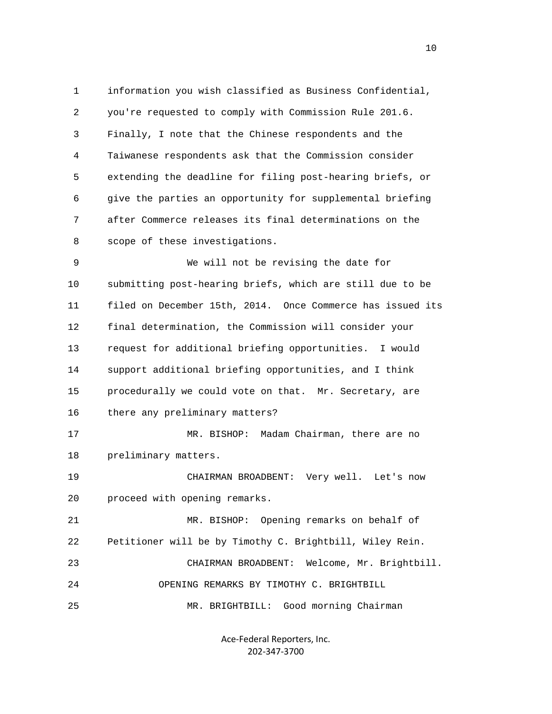1 information you wish classified as Business Confidential, 2 you're requested to comply with Commission Rule 201.6. 3 Finally, I note that the Chinese respondents and the 4 Taiwanese respondents ask that the Commission consider 5 extending the deadline for filing post-hearing briefs, or 6 give the parties an opportunity for supplemental briefing 7 after Commerce releases its final determinations on the 8 scope of these investigations.

 9 We will not be revising the date for 10 submitting post-hearing briefs, which are still due to be 11 filed on December 15th, 2014. Once Commerce has issued its 12 final determination, the Commission will consider your 13 request for additional briefing opportunities. I would 14 support additional briefing opportunities, and I think 15 procedurally we could vote on that. Mr. Secretary, are 16 there any preliminary matters?

 17 MR. BISHOP: Madam Chairman, there are no 18 preliminary matters.

 19 CHAIRMAN BROADBENT: Very well. Let's now 20 proceed with opening remarks.

 21 MR. BISHOP: Opening remarks on behalf of 22 Petitioner will be by Timothy C. Brightbill, Wiley Rein. 23 CHAIRMAN BROADBENT: Welcome, Mr. Brightbill. 24 OPENING REMARKS BY TIMOTHY C. BRIGHTBILL

25 MR. BRIGHTBILL: Good morning Chairman

Ace‐Federal Reporters, Inc. 202‐347‐3700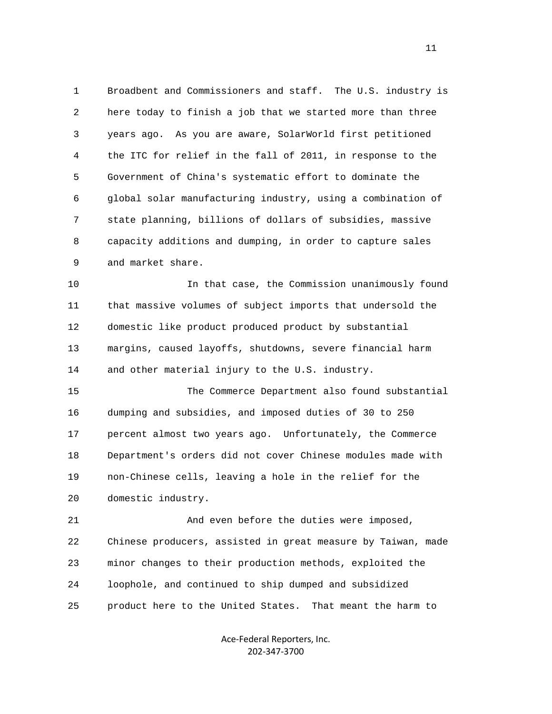1 Broadbent and Commissioners and staff. The U.S. industry is 2 here today to finish a job that we started more than three 3 years ago. As you are aware, SolarWorld first petitioned 4 the ITC for relief in the fall of 2011, in response to the 5 Government of China's systematic effort to dominate the 6 global solar manufacturing industry, using a combination of 7 state planning, billions of dollars of subsidies, massive 8 capacity additions and dumping, in order to capture sales 9 and market share.

 10 In that case, the Commission unanimously found 11 that massive volumes of subject imports that undersold the 12 domestic like product produced product by substantial 13 margins, caused layoffs, shutdowns, severe financial harm 14 and other material injury to the U.S. industry.

 15 The Commerce Department also found substantial 16 dumping and subsidies, and imposed duties of 30 to 250 17 percent almost two years ago. Unfortunately, the Commerce 18 Department's orders did not cover Chinese modules made with 19 non-Chinese cells, leaving a hole in the relief for the 20 domestic industry.

 21 And even before the duties were imposed, 22 Chinese producers, assisted in great measure by Taiwan, made 23 minor changes to their production methods, exploited the 24 loophole, and continued to ship dumped and subsidized 25 product here to the United States. That meant the harm to

> Ace‐Federal Reporters, Inc. 202‐347‐3700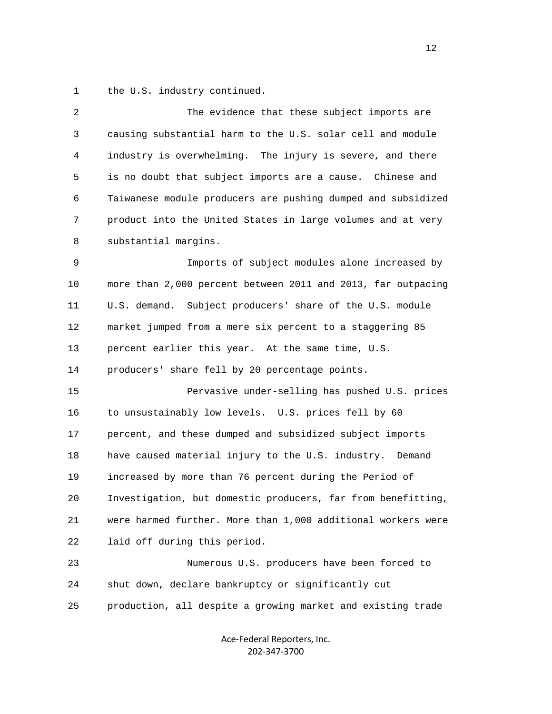1 the U.S. industry continued.

| 2  | The evidence that these subject imports are                  |
|----|--------------------------------------------------------------|
| 3  | causing substantial harm to the U.S. solar cell and module   |
| 4  | industry is overwhelming. The injury is severe, and there    |
| 5  | is no doubt that subject imports are a cause. Chinese and    |
| 6  | Taiwanese module producers are pushing dumped and subsidized |
| 7  | product into the United States in large volumes and at very  |
| 8  | substantial margins.                                         |
| 9  | Imports of subject modules alone increased by                |
| 10 | more than 2,000 percent between 2011 and 2013, far outpacing |
| 11 | Subject producers' share of the U.S. module<br>U.S. demand.  |
| 12 | market jumped from a mere six percent to a staggering 85     |
| 13 | percent earlier this year. At the same time, U.S.            |
| 14 | producers' share fell by 20 percentage points.               |
| 15 | Pervasive under-selling has pushed U.S. prices               |
| 16 | to unsustainably low levels. U.S. prices fell by 60          |
| 17 | percent, and these dumped and subsidized subject imports     |
| 18 | have caused material injury to the U.S. industry. Demand     |
| 19 | increased by more than 76 percent during the Period of       |
| 20 | Investigation, but domestic producers, far from benefitting, |
| 21 | were harmed further. More than 1,000 additional workers were |
| 22 | laid off during this period.                                 |
| 23 | Numerous U.S. producers have been forced to                  |
| 24 | shut down, declare bankruptcy or significantly cut           |
| 25 | production, all despite a growing market and existing trade  |
|    |                                                              |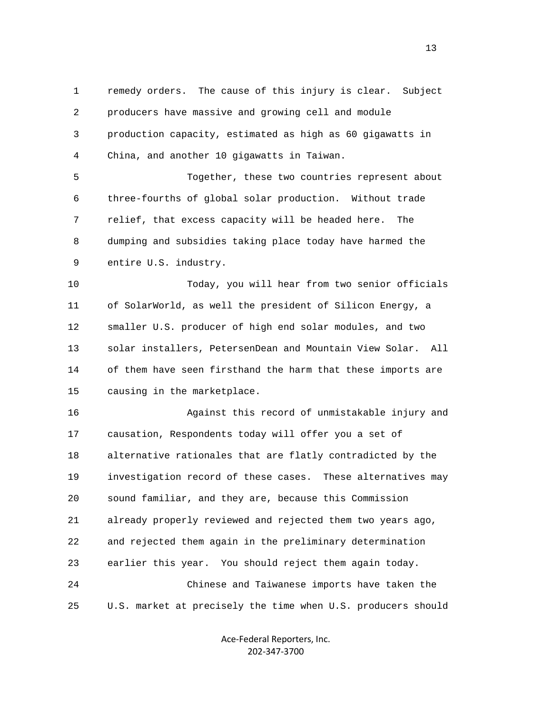1 remedy orders. The cause of this injury is clear. Subject 2 producers have massive and growing cell and module 3 production capacity, estimated as high as 60 gigawatts in 4 China, and another 10 gigawatts in Taiwan. 5 Together, these two countries represent about

 6 three-fourths of global solar production. Without trade 7 relief, that excess capacity will be headed here. The 8 dumping and subsidies taking place today have harmed the 9 entire U.S. industry.

 10 Today, you will hear from two senior officials 11 of SolarWorld, as well the president of Silicon Energy, a 12 smaller U.S. producer of high end solar modules, and two 13 solar installers, PetersenDean and Mountain View Solar. All 14 of them have seen firsthand the harm that these imports are 15 causing in the marketplace.

 16 Against this record of unmistakable injury and 17 causation, Respondents today will offer you a set of 18 alternative rationales that are flatly contradicted by the 19 investigation record of these cases. These alternatives may 20 sound familiar, and they are, because this Commission 21 already properly reviewed and rejected them two years ago, 22 and rejected them again in the preliminary determination 23 earlier this year. You should reject them again today. 24 Chinese and Taiwanese imports have taken the 25 U.S. market at precisely the time when U.S. producers should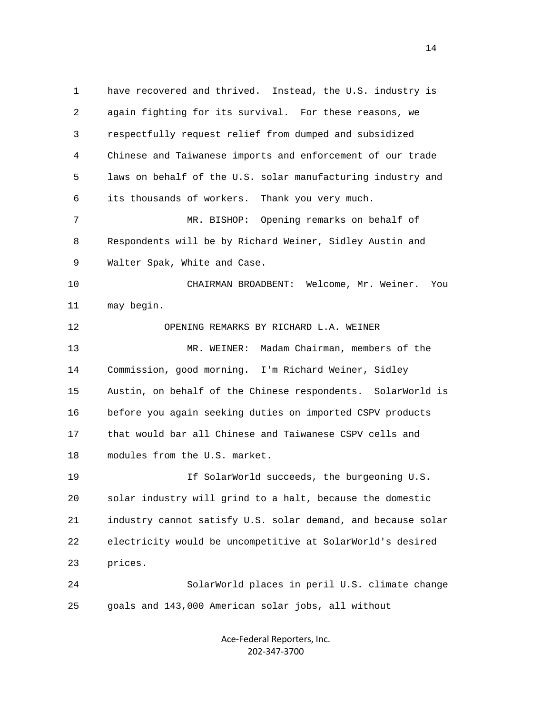1 have recovered and thrived. Instead, the U.S. industry is 2 again fighting for its survival. For these reasons, we 3 respectfully request relief from dumped and subsidized 4 Chinese and Taiwanese imports and enforcement of our trade 5 laws on behalf of the U.S. solar manufacturing industry and 6 its thousands of workers. Thank you very much. 7 MR. BISHOP: Opening remarks on behalf of 8 Respondents will be by Richard Weiner, Sidley Austin and 9 Walter Spak, White and Case. 10 CHAIRMAN BROADBENT: Welcome, Mr. Weiner. You 11 may begin. 12 OPENING REMARKS BY RICHARD L.A. WEINER 13 MR. WEINER: Madam Chairman, members of the 14 Commission, good morning. I'm Richard Weiner, Sidley 15 Austin, on behalf of the Chinese respondents. SolarWorld is 16 before you again seeking duties on imported CSPV products 17 that would bar all Chinese and Taiwanese CSPV cells and 18 modules from the U.S. market. 19 If SolarWorld succeeds, the burgeoning U.S. 20 solar industry will grind to a halt, because the domestic 21 industry cannot satisfy U.S. solar demand, and because solar 22 electricity would be uncompetitive at SolarWorld's desired 23 prices. 24 SolarWorld places in peril U.S. climate change 25 goals and 143,000 American solar jobs, all without

> Ace‐Federal Reporters, Inc. 202‐347‐3700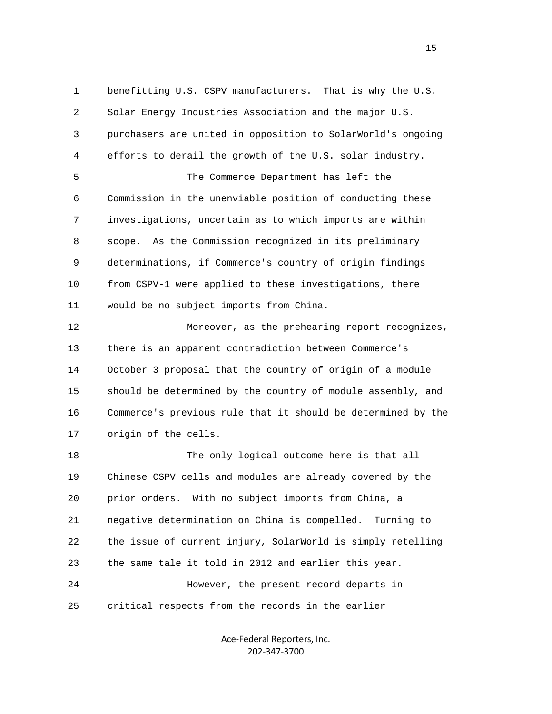1 benefitting U.S. CSPV manufacturers. That is why the U.S. 2 Solar Energy Industries Association and the major U.S. 3 purchasers are united in opposition to SolarWorld's ongoing 4 efforts to derail the growth of the U.S. solar industry. 5 The Commerce Department has left the 6 Commission in the unenviable position of conducting these 7 investigations, uncertain as to which imports are within 8 scope. As the Commission recognized in its preliminary 9 determinations, if Commerce's country of origin findings 10 from CSPV-1 were applied to these investigations, there 11 would be no subject imports from China. 12 Moreover, as the prehearing report recognizes, 13 there is an apparent contradiction between Commerce's 14 October 3 proposal that the country of origin of a module 15 should be determined by the country of module assembly, and 16 Commerce's previous rule that it should be determined by the 17 origin of the cells. 18 The only logical outcome here is that all 19 Chinese CSPV cells and modules are already covered by the 20 prior orders. With no subject imports from China, a 21 negative determination on China is compelled. Turning to 22 the issue of current injury, SolarWorld is simply retelling 23 the same tale it told in 2012 and earlier this year. 24 However, the present record departs in

25 critical respects from the records in the earlier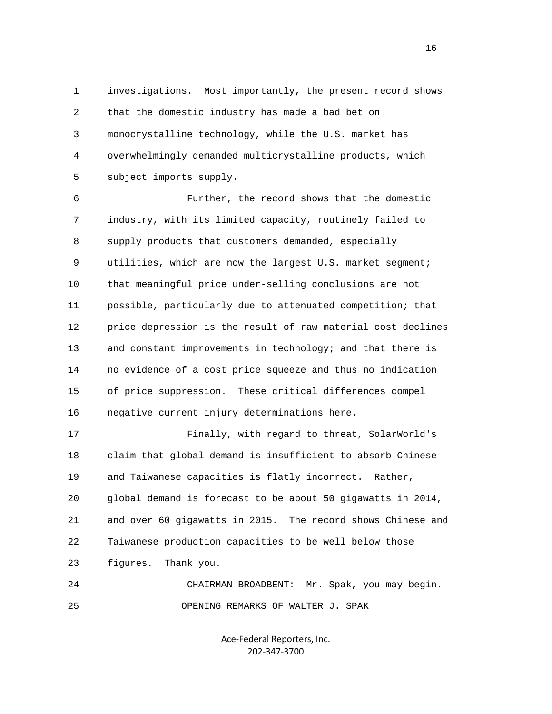1 investigations. Most importantly, the present record shows 2 that the domestic industry has made a bad bet on 3 monocrystalline technology, while the U.S. market has 4 overwhelmingly demanded multicrystalline products, which 5 subject imports supply.

 6 Further, the record shows that the domestic 7 industry, with its limited capacity, routinely failed to 8 supply products that customers demanded, especially 9 utilities, which are now the largest U.S. market segment; 10 that meaningful price under-selling conclusions are not 11 possible, particularly due to attenuated competition; that 12 price depression is the result of raw material cost declines 13 and constant improvements in technology; and that there is 14 no evidence of a cost price squeeze and thus no indication 15 of price suppression. These critical differences compel 16 negative current injury determinations here.

 17 Finally, with regard to threat, SolarWorld's 18 claim that global demand is insufficient to absorb Chinese 19 and Taiwanese capacities is flatly incorrect. Rather, 20 global demand is forecast to be about 50 gigawatts in 2014, 21 and over 60 gigawatts in 2015. The record shows Chinese and 22 Taiwanese production capacities to be well below those 23 figures. Thank you. 24 CHAIRMAN BROADBENT: Mr. Spak, you may begin.

25 OPENING REMARKS OF WALTER J. SPAK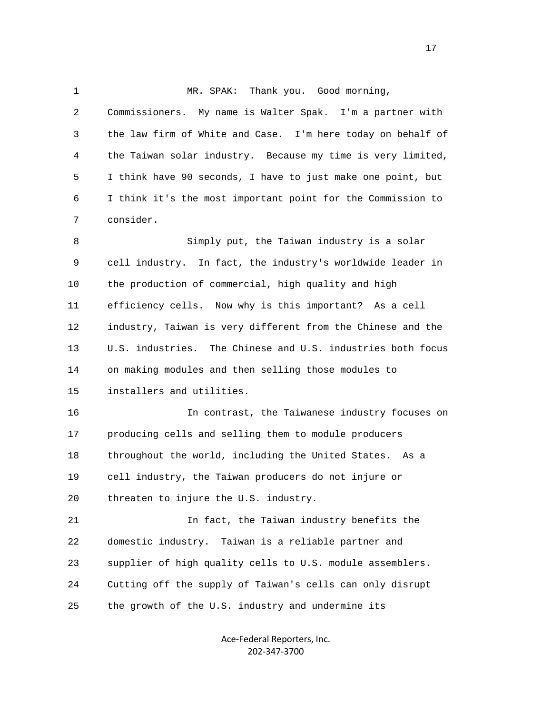## 1 MR. SPAK: Thank you. Good morning,

 2 Commissioners. My name is Walter Spak. I'm a partner with 3 the law firm of White and Case. I'm here today on behalf of 4 the Taiwan solar industry. Because my time is very limited, 5 I think have 90 seconds, I have to just make one point, but 6 I think it's the most important point for the Commission to 7 consider. 8 Simply put, the Taiwan industry is a solar 9 cell industry. In fact, the industry's worldwide leader in 10 the production of commercial, high quality and high 11 efficiency cells. Now why is this important? As a cell 12 industry, Taiwan is very different from the Chinese and the 13 U.S. industries. The Chinese and U.S. industries both focus 14 on making modules and then selling those modules to 15 installers and utilities. 16 In contrast, the Taiwanese industry focuses on 17 producing cells and selling them to module producers 18 throughout the world, including the United States. As a 19 cell industry, the Taiwan producers do not injure or 20 threaten to injure the U.S. industry. 21 In fact, the Taiwan industry benefits the 22 domestic industry. Taiwan is a reliable partner and 23 supplier of high quality cells to U.S. module assemblers. 24 Cutting off the supply of Taiwan's cells can only disrupt 25 the growth of the U.S. industry and undermine its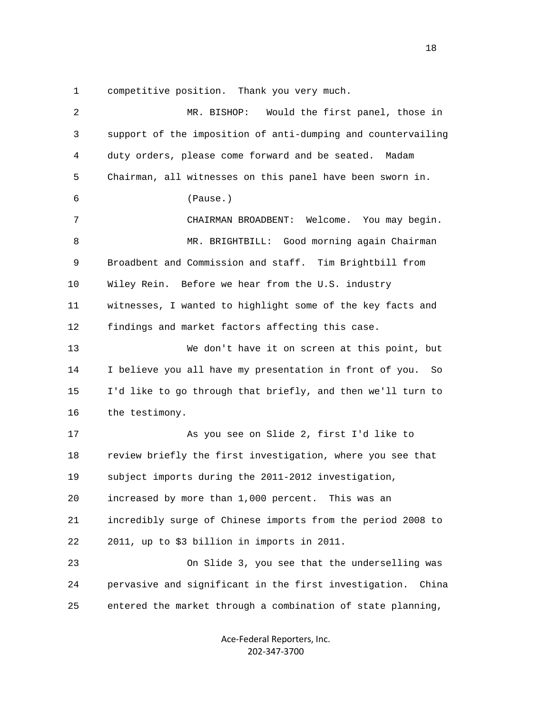1 competitive position. Thank you very much.

| $\overline{2}$ | Would the first panel, those in<br>MR. BISHOP:                 |
|----------------|----------------------------------------------------------------|
| 3              | support of the imposition of anti-dumping and countervailing   |
| 4              | duty orders, please come forward and be seated.<br>Madam       |
| 5              | Chairman, all witnesses on this panel have been sworn in.      |
| 6              | (Pause.)                                                       |
| 7              | CHAIRMAN BROADBENT: Welcome. You may begin.                    |
| 8              | MR. BRIGHTBILL: Good morning again Chairman                    |
| 9              | Broadbent and Commission and staff. Tim Brightbill from        |
| 10             | Wiley Rein. Before we hear from the U.S. industry              |
| 11             | witnesses, I wanted to highlight some of the key facts and     |
| 12             | findings and market factors affecting this case.               |
| 13             | We don't have it on screen at this point, but                  |
| 14             | I believe you all have my presentation in front of you.<br>So  |
| 15             | I'd like to go through that briefly, and then we'll turn to    |
| 16             | the testimony.                                                 |
| 17             | As you see on Slide 2, first I'd like to                       |
| 18             | review briefly the first investigation, where you see that     |
| 19             | subject imports during the 2011-2012 investigation,            |
| 20             | increased by more than 1,000 percent.<br>This was an           |
| 21             | incredibly surge of Chinese imports from the period 2008 to    |
| 22             | 2011, up to \$3 billion in imports in 2011.                    |
| 23             | On Slide 3, you see that the underselling was                  |
| 24             | pervasive and significant in the first investigation.<br>China |
| 25             | entered the market through a combination of state planning,    |

Ace‐Federal Reporters, Inc. 202‐347‐3700

n 18 ann an 18 an t-Iomraid ann an 18 an t-Iomraid ann an 18 an t-Iomraid ann an 18 an t-Iomraid ann an 18 an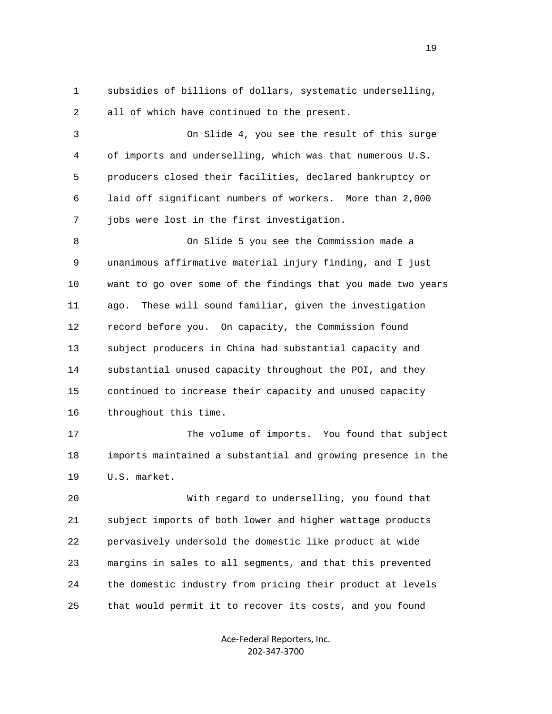1 subsidies of billions of dollars, systematic underselling, 2 all of which have continued to the present.

 3 On Slide 4, you see the result of this surge 4 of imports and underselling, which was that numerous U.S. 5 producers closed their facilities, declared bankruptcy or 6 laid off significant numbers of workers. More than 2,000 7 jobs were lost in the first investigation.

 8 On Slide 5 you see the Commission made a 9 unanimous affirmative material injury finding, and I just 10 want to go over some of the findings that you made two years 11 ago. These will sound familiar, given the investigation 12 record before you. On capacity, the Commission found 13 subject producers in China had substantial capacity and 14 substantial unused capacity throughout the POI, and they 15 continued to increase their capacity and unused capacity 16 throughout this time.

 17 The volume of imports. You found that subject 18 imports maintained a substantial and growing presence in the 19 U.S. market.

 20 With regard to underselling, you found that 21 subject imports of both lower and higher wattage products 22 pervasively undersold the domestic like product at wide 23 margins in sales to all segments, and that this prevented 24 the domestic industry from pricing their product at levels 25 that would permit it to recover its costs, and you found

> Ace‐Federal Reporters, Inc. 202‐347‐3700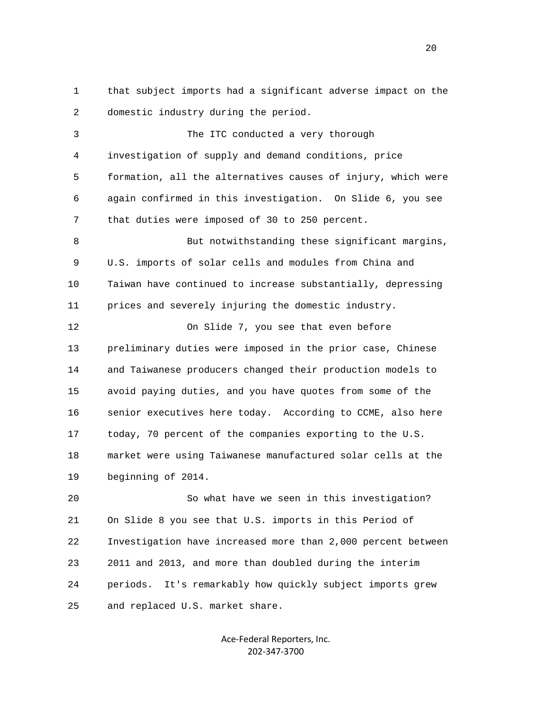1 that subject imports had a significant adverse impact on the 2 domestic industry during the period.

 3 The ITC conducted a very thorough 4 investigation of supply and demand conditions, price 5 formation, all the alternatives causes of injury, which were 6 again confirmed in this investigation. On Slide 6, you see 7 that duties were imposed of 30 to 250 percent. 8 But notwithstanding these significant margins, 9 U.S. imports of solar cells and modules from China and 10 Taiwan have continued to increase substantially, depressing 11 prices and severely injuring the domestic industry. 12 On Slide 7, you see that even before 13 preliminary duties were imposed in the prior case, Chinese 14 and Taiwanese producers changed their production models to 15 avoid paying duties, and you have quotes from some of the 16 senior executives here today. According to CCME, also here 17 today, 70 percent of the companies exporting to the U.S.

 18 market were using Taiwanese manufactured solar cells at the 19 beginning of 2014.

 20 So what have we seen in this investigation? 21 On Slide 8 you see that U.S. imports in this Period of 22 Investigation have increased more than 2,000 percent between 23 2011 and 2013, and more than doubled during the interim 24 periods. It's remarkably how quickly subject imports grew 25 and replaced U.S. market share.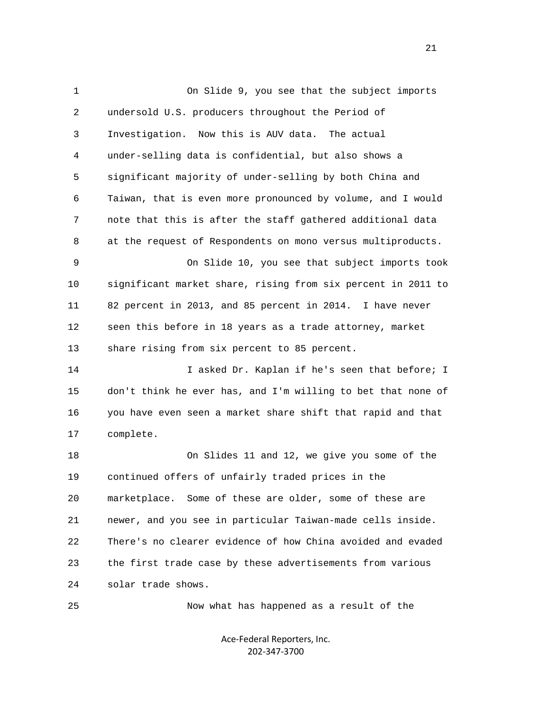1 On Slide 9, you see that the subject imports 2 undersold U.S. producers throughout the Period of 3 Investigation. Now this is AUV data. The actual 4 under-selling data is confidential, but also shows a 5 significant majority of under-selling by both China and 6 Taiwan, that is even more pronounced by volume, and I would 7 note that this is after the staff gathered additional data 8 at the request of Respondents on mono versus multiproducts. 9 On Slide 10, you see that subject imports took 10 significant market share, rising from six percent in 2011 to 11 82 percent in 2013, and 85 percent in 2014. I have never 12 seen this before in 18 years as a trade attorney, market 13 share rising from six percent to 85 percent. 14 I asked Dr. Kaplan if he's seen that before; I 15 don't think he ever has, and I'm willing to bet that none of 16 you have even seen a market share shift that rapid and that 17 complete. 18 On Slides 11 and 12, we give you some of the 19 continued offers of unfairly traded prices in the 20 marketplace. Some of these are older, some of these are 21 newer, and you see in particular Taiwan-made cells inside. 22 There's no clearer evidence of how China avoided and evaded 23 the first trade case by these advertisements from various 24 solar trade shows. 25 Now what has happened as a result of the

> Ace‐Federal Reporters, Inc. 202‐347‐3700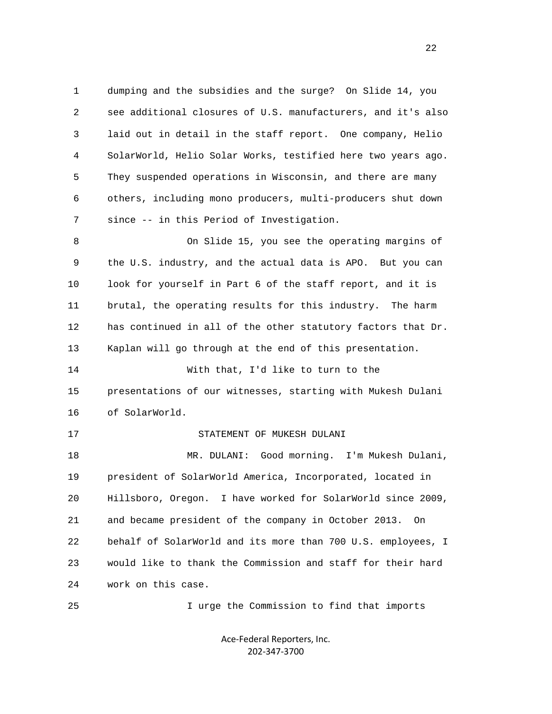1 dumping and the subsidies and the surge? On Slide 14, you 2 see additional closures of U.S. manufacturers, and it's also 3 laid out in detail in the staff report. One company, Helio 4 SolarWorld, Helio Solar Works, testified here two years ago. 5 They suspended operations in Wisconsin, and there are many 6 others, including mono producers, multi-producers shut down 7 since -- in this Period of Investigation. 8 On Slide 15, you see the operating margins of 9 the U.S. industry, and the actual data is APO. But you can 10 look for yourself in Part 6 of the staff report, and it is 11 brutal, the operating results for this industry. The harm 12 has continued in all of the other statutory factors that Dr. 13 Kaplan will go through at the end of this presentation. 14 With that, I'd like to turn to the 15 presentations of our witnesses, starting with Mukesh Dulani 16 of SolarWorld. 17 STATEMENT OF MUKESH DULANI 18 MR. DULANI: Good morning. I'm Mukesh Dulani, 19 president of SolarWorld America, Incorporated, located in 20 Hillsboro, Oregon. I have worked for SolarWorld since 2009, 21 and became president of the company in October 2013. On 22 behalf of SolarWorld and its more than 700 U.S. employees, I 23 would like to thank the Commission and staff for their hard 24 work on this case.

> Ace‐Federal Reporters, Inc. 202‐347‐3700

25 I urge the Commission to find that imports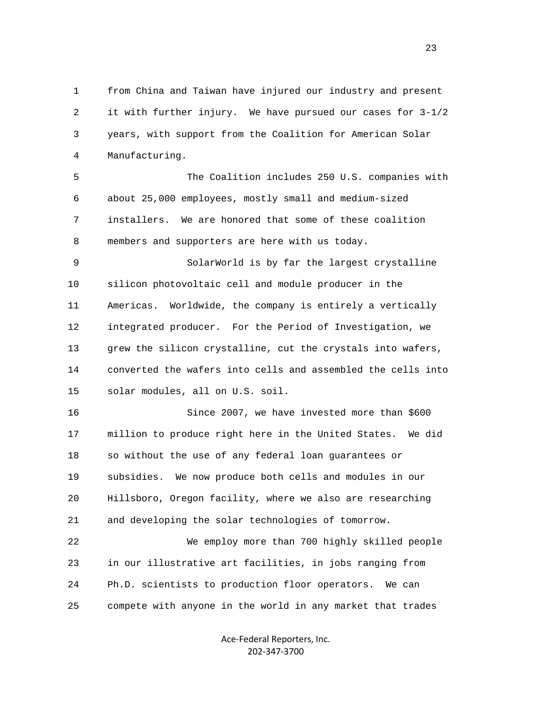1 from China and Taiwan have injured our industry and present 2 it with further injury. We have pursued our cases for 3-1/2 3 years, with support from the Coalition for American Solar 4 Manufacturing.

 5 The Coalition includes 250 U.S. companies with 6 about 25,000 employees, mostly small and medium-sized 7 installers. We are honored that some of these coalition 8 members and supporters are here with us today.

 9 SolarWorld is by far the largest crystalline 10 silicon photovoltaic cell and module producer in the 11 Americas. Worldwide, the company is entirely a vertically 12 integrated producer. For the Period of Investigation, we 13 grew the silicon crystalline, cut the crystals into wafers, 14 converted the wafers into cells and assembled the cells into 15 solar modules, all on U.S. soil.

 16 Since 2007, we have invested more than \$600 17 million to produce right here in the United States. We did 18 so without the use of any federal loan guarantees or 19 subsidies. We now produce both cells and modules in our 20 Hillsboro, Oregon facility, where we also are researching 21 and developing the solar technologies of tomorrow.

 22 We employ more than 700 highly skilled people 23 in our illustrative art facilities, in jobs ranging from 24 Ph.D. scientists to production floor operators. We can 25 compete with anyone in the world in any market that trades

> Ace‐Federal Reporters, Inc. 202‐347‐3700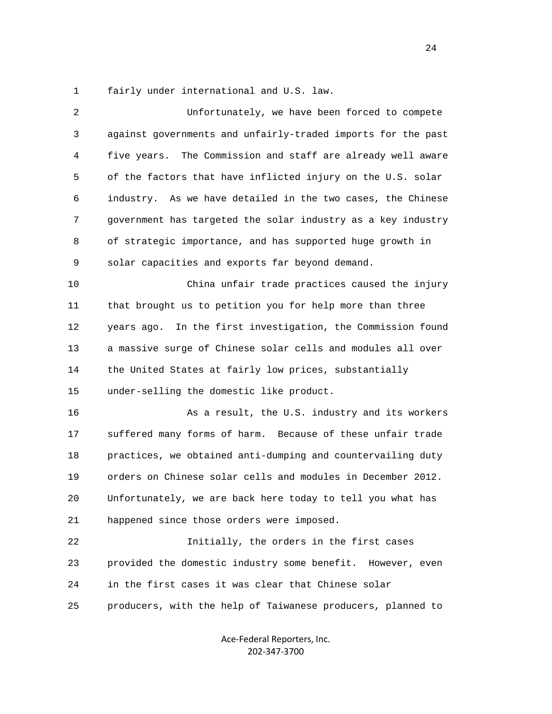1 fairly under international and U.S. law.

| $\overline{2}$ | Unfortunately, we have been forced to compete                  |
|----------------|----------------------------------------------------------------|
| 3              | against governments and unfairly-traded imports for the past   |
| 4              | The Commission and staff are already well aware<br>five years. |
| 5              | of the factors that have inflicted injury on the U.S. solar    |
| 6              | industry. As we have detailed in the two cases, the Chinese    |
| 7              | government has targeted the solar industry as a key industry   |
| 8              | of strategic importance, and has supported huge growth in      |
| 9              | solar capacities and exports far beyond demand.                |
| 10             | China unfair trade practices caused the injury                 |
| 11             | that brought us to petition you for help more than three       |
| 12             | In the first investigation, the Commission found<br>years ago. |
| 13             | a massive surge of Chinese solar cells and modules all over    |
| 14             | the United States at fairly low prices, substantially          |
| 15             | under-selling the domestic like product.                       |
| 16             | As a result, the U.S. industry and its workers                 |
| 17             | suffered many forms of harm. Because of these unfair trade     |
| 18             | practices, we obtained anti-dumping and countervailing duty    |
| 19             | orders on Chinese solar cells and modules in December 2012.    |
| 20             | Unfortunately, we are back here today to tell you what has     |
| 21             | happened since those orders were imposed.                      |
| 22             | Initially, the orders in the first cases                       |
| 23             | provided the domestic industry some benefit. However, even     |
| 24             | in the first cases it was clear that Chinese solar             |
| 25             | producers, with the help of Taiwanese producers, planned to    |
|                |                                                                |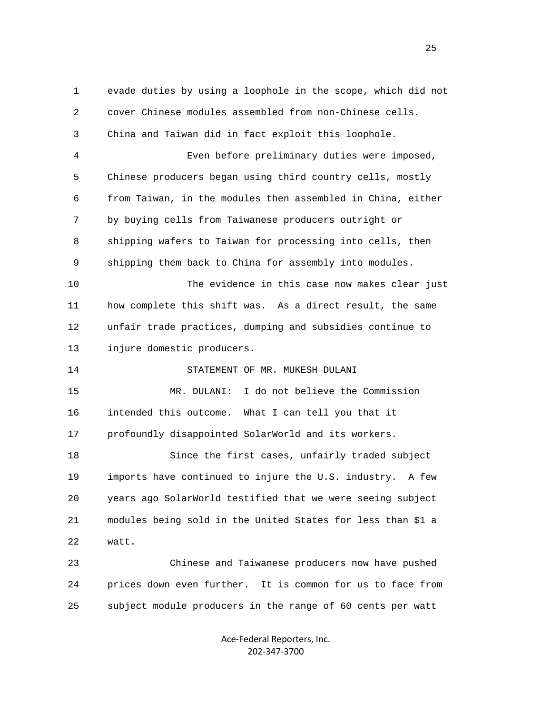1 evade duties by using a loophole in the scope, which did not 2 cover Chinese modules assembled from non-Chinese cells. 3 China and Taiwan did in fact exploit this loophole. 4 Even before preliminary duties were imposed, 5 Chinese producers began using third country cells, mostly 6 from Taiwan, in the modules then assembled in China, either 7 by buying cells from Taiwanese producers outright or 8 shipping wafers to Taiwan for processing into cells, then 9 shipping them back to China for assembly into modules. 10 The evidence in this case now makes clear just 11 how complete this shift was. As a direct result, the same 12 unfair trade practices, dumping and subsidies continue to 13 injure domestic producers. 14 STATEMENT OF MR. MUKESH DULANI 15 MR. DULANI: I do not believe the Commission 16 intended this outcome. What I can tell you that it 17 profoundly disappointed SolarWorld and its workers. 18 Since the first cases, unfairly traded subject 19 imports have continued to injure the U.S. industry. A few 20 years ago SolarWorld testified that we were seeing subject 21 modules being sold in the United States for less than \$1 a 22 watt. 23 Chinese and Taiwanese producers now have pushed 24 prices down even further. It is common for us to face from 25 subject module producers in the range of 60 cents per watt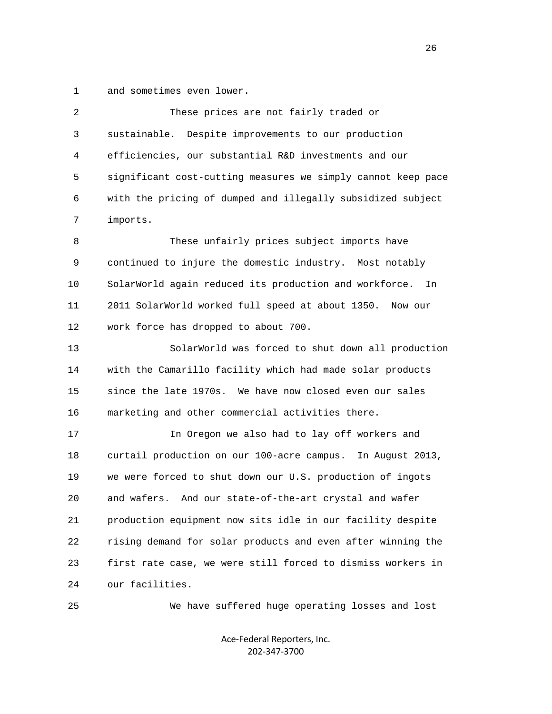1 and sometimes even lower.

| $\overline{2}$ | These prices are not fairly traded or                        |
|----------------|--------------------------------------------------------------|
| 3              | sustainable.<br>Despite improvements to our production       |
| 4              | efficiencies, our substantial R&D investments and our        |
| 5              | significant cost-cutting measures we simply cannot keep pace |
| 6              | with the pricing of dumped and illegally subsidized subject  |
| 7              | imports.                                                     |
| 8              | These unfairly prices subject imports have                   |
| 9              | continued to injure the domestic industry. Most notably      |
| 10             | SolarWorld again reduced its production and workforce.<br>In |
| 11             | 2011 SolarWorld worked full speed at about 1350.<br>Now our  |
| 12             | work force has dropped to about 700.                         |
| 13             | SolarWorld was forced to shut down all production            |
| 14             | with the Camarillo facility which had made solar products    |
| 15             | since the late 1970s. We have now closed even our sales      |
| 16             | marketing and other commercial activities there.             |
| 17             | In Oregon we also had to lay off workers and                 |
| 18             | curtail production on our 100-acre campus. In August 2013,   |
| 19             | we were forced to shut down our U.S. production of ingots    |
| 20             | And our state-of-the-art crystal and wafer<br>and wafers.    |
| 21             | production equipment now sits idle in our facility despite   |
| 22             | rising demand for solar products and even after winning the  |
| 23             | first rate case, we were still forced to dismiss workers in  |
| 24             | our facilities.                                              |
| 25             | We have suffered huge operating losses and lost              |

Ace‐Federal Reporters, Inc. 202‐347‐3700

<u>26</u>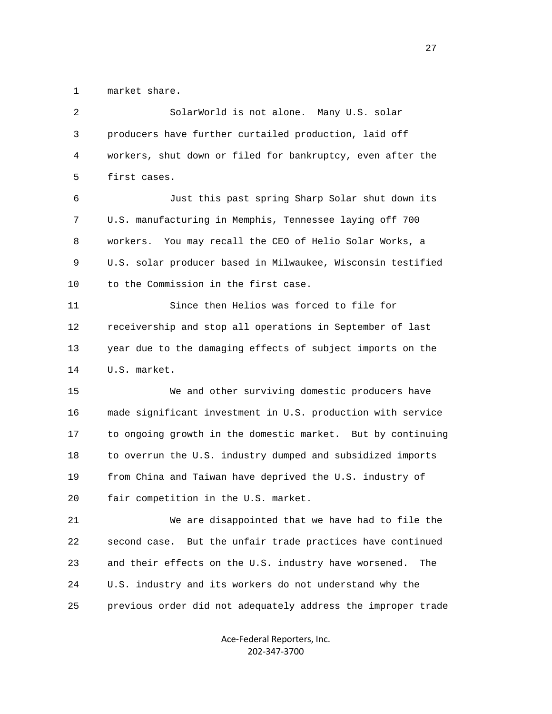1 market share.

| 2  | SolarWorld is not alone. Many U.S. solar                      |
|----|---------------------------------------------------------------|
| 3  | producers have further curtailed production, laid off         |
| 4  | workers, shut down or filed for bankruptcy, even after the    |
| 5  | first cases.                                                  |
| 6  | Just this past spring Sharp Solar shut down its               |
| 7  | U.S. manufacturing in Memphis, Tennessee laying off 700       |
| 8  | workers.<br>You may recall the CEO of Helio Solar Works, a    |
| 9  | U.S. solar producer based in Milwaukee, Wisconsin testified   |
| 10 | to the Commission in the first case.                          |
| 11 | Since then Helios was forced to file for                      |
| 12 | receivership and stop all operations in September of last     |
| 13 | year due to the damaging effects of subject imports on the    |
| 14 | U.S. market.                                                  |
| 15 | We and other surviving domestic producers have                |
| 16 | made significant investment in U.S. production with service   |
| 17 | to ongoing growth in the domestic market. But by continuing   |
| 18 | to overrun the U.S. industry dumped and subsidized imports    |
| 19 | from China and Taiwan have deprived the U.S. industry of      |
| 20 | fair competition in the U.S. market.                          |
| 21 | We are disappointed that we have had to file the              |
| 22 | But the unfair trade practices have continued<br>second case. |
| 23 | and their effects on the U.S. industry have worsened.<br>The  |
| 24 | U.S. industry and its workers do not understand why the       |
| 25 | previous order did not adequately address the improper trade  |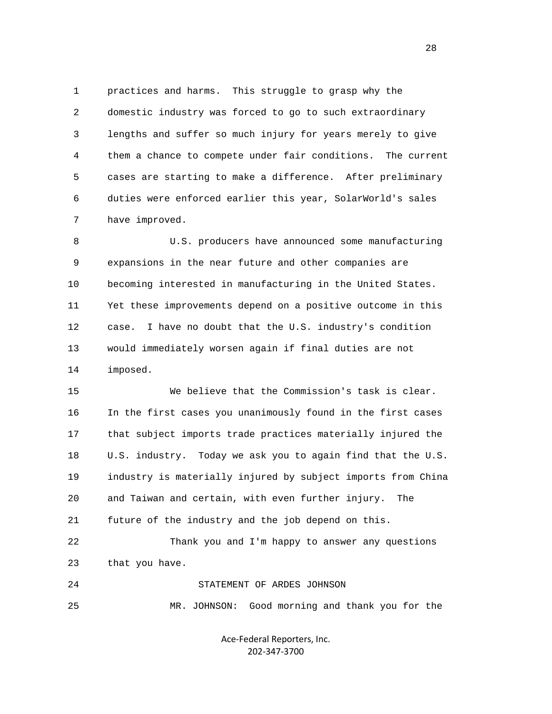1 practices and harms. This struggle to grasp why the 2 domestic industry was forced to go to such extraordinary 3 lengths and suffer so much injury for years merely to give 4 them a chance to compete under fair conditions. The current 5 cases are starting to make a difference. After preliminary 6 duties were enforced earlier this year, SolarWorld's sales 7 have improved.

 8 U.S. producers have announced some manufacturing 9 expansions in the near future and other companies are 10 becoming interested in manufacturing in the United States. 11 Yet these improvements depend on a positive outcome in this 12 case. I have no doubt that the U.S. industry's condition 13 would immediately worsen again if final duties are not 14 imposed.

 15 We believe that the Commission's task is clear. 16 In the first cases you unanimously found in the first cases 17 that subject imports trade practices materially injured the 18 U.S. industry. Today we ask you to again find that the U.S. 19 industry is materially injured by subject imports from China 20 and Taiwan and certain, with even further injury. The 21 future of the industry and the job depend on this.

 22 Thank you and I'm happy to answer any questions 23 that you have.

24 STATEMENT OF ARDES JOHNSON

25 MR. JOHNSON: Good morning and thank you for the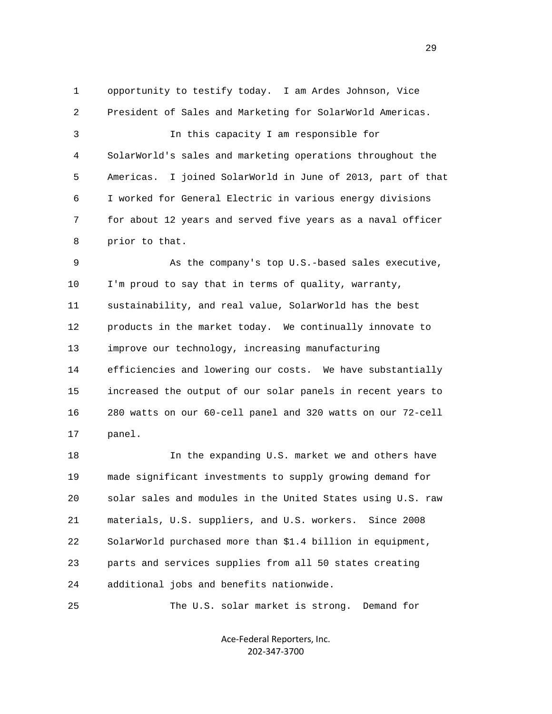1 opportunity to testify today. I am Ardes Johnson, Vice 2 President of Sales and Marketing for SolarWorld Americas. 3 In this capacity I am responsible for 4 SolarWorld's sales and marketing operations throughout the 5 Americas. I joined SolarWorld in June of 2013, part of that 6 I worked for General Electric in various energy divisions 7 for about 12 years and served five years as a naval officer 8 prior to that.

 9 As the company's top U.S.-based sales executive, 10 I'm proud to say that in terms of quality, warranty, 11 sustainability, and real value, SolarWorld has the best 12 products in the market today. We continually innovate to 13 improve our technology, increasing manufacturing 14 efficiencies and lowering our costs. We have substantially 15 increased the output of our solar panels in recent years to 16 280 watts on our 60-cell panel and 320 watts on our 72-cell 17 panel.

 18 In the expanding U.S. market we and others have 19 made significant investments to supply growing demand for 20 solar sales and modules in the United States using U.S. raw 21 materials, U.S. suppliers, and U.S. workers. Since 2008 22 SolarWorld purchased more than \$1.4 billion in equipment, 23 parts and services supplies from all 50 states creating 24 additional jobs and benefits nationwide.

25 The U.S. solar market is strong. Demand for

Ace‐Federal Reporters, Inc. 202‐347‐3700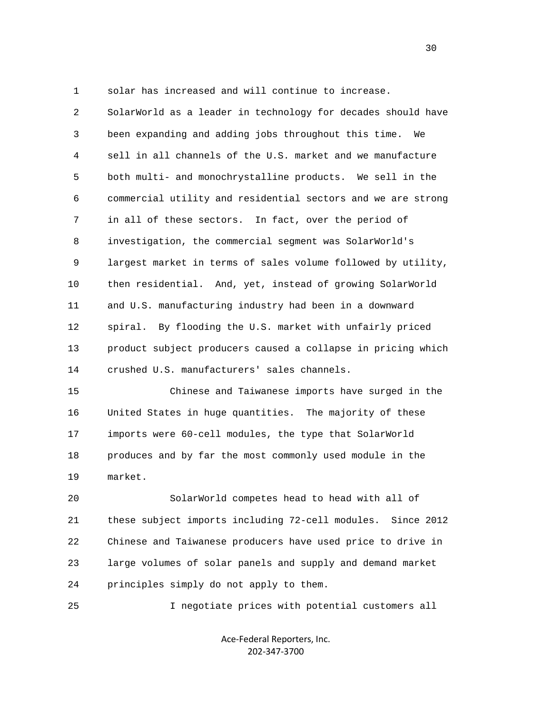1 solar has increased and will continue to increase.

 2 SolarWorld as a leader in technology for decades should have 3 been expanding and adding jobs throughout this time. We 4 sell in all channels of the U.S. market and we manufacture 5 both multi- and monochrystalline products. We sell in the 6 commercial utility and residential sectors and we are strong 7 in all of these sectors. In fact, over the period of 8 investigation, the commercial segment was SolarWorld's 9 largest market in terms of sales volume followed by utility, 10 then residential. And, yet, instead of growing SolarWorld 11 and U.S. manufacturing industry had been in a downward 12 spiral. By flooding the U.S. market with unfairly priced 13 product subject producers caused a collapse in pricing which 14 crushed U.S. manufacturers' sales channels.

 15 Chinese and Taiwanese imports have surged in the 16 United States in huge quantities. The majority of these 17 imports were 60-cell modules, the type that SolarWorld 18 produces and by far the most commonly used module in the 19 market.

 20 SolarWorld competes head to head with all of 21 these subject imports including 72-cell modules. Since 2012 22 Chinese and Taiwanese producers have used price to drive in 23 large volumes of solar panels and supply and demand market 24 principles simply do not apply to them.

25 I negotiate prices with potential customers all

Ace‐Federal Reporters, Inc. 202‐347‐3700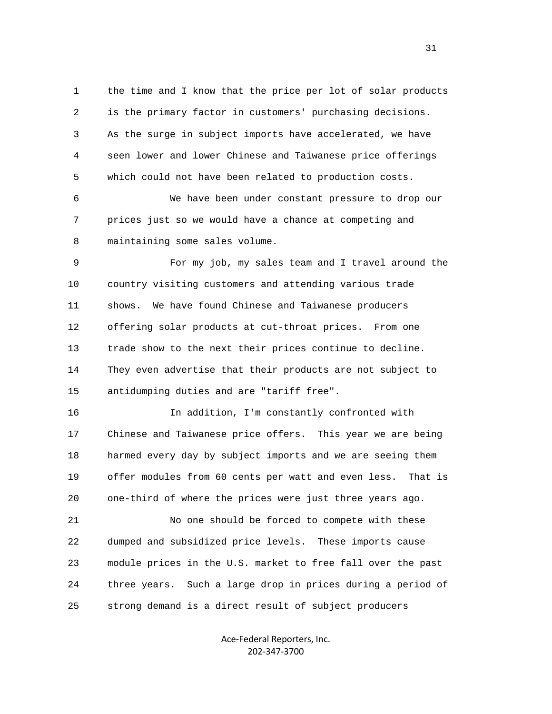1 the time and I know that the price per lot of solar products 2 is the primary factor in customers' purchasing decisions. 3 As the surge in subject imports have accelerated, we have 4 seen lower and lower Chinese and Taiwanese price offerings 5 which could not have been related to production costs.

 6 We have been under constant pressure to drop our 7 prices just so we would have a chance at competing and 8 maintaining some sales volume.

 9 For my job, my sales team and I travel around the 10 country visiting customers and attending various trade 11 shows. We have found Chinese and Taiwanese producers 12 offering solar products at cut-throat prices. From one 13 trade show to the next their prices continue to decline. 14 They even advertise that their products are not subject to 15 antidumping duties and are "tariff free".

 16 In addition, I'm constantly confronted with 17 Chinese and Taiwanese price offers. This year we are being 18 harmed every day by subject imports and we are seeing them 19 offer modules from 60 cents per watt and even less. That is 20 one-third of where the prices were just three years ago.

 21 No one should be forced to compete with these 22 dumped and subsidized price levels. These imports cause 23 module prices in the U.S. market to free fall over the past 24 three years. Such a large drop in prices during a period of 25 strong demand is a direct result of subject producers

> Ace‐Federal Reporters, Inc. 202‐347‐3700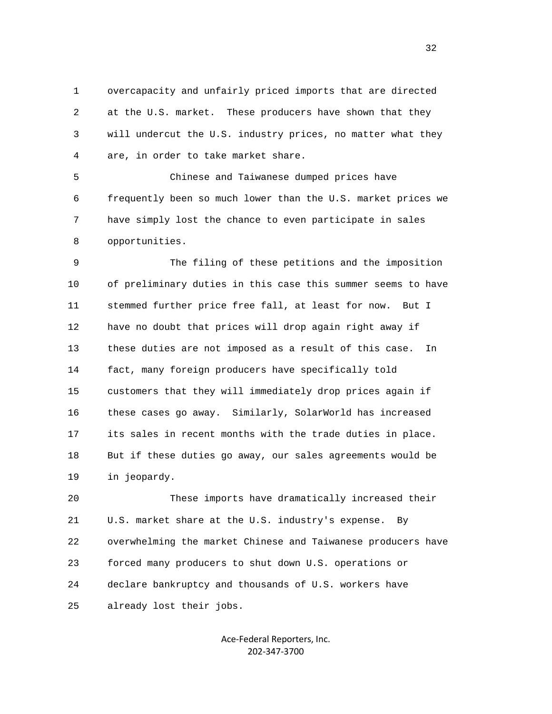1 overcapacity and unfairly priced imports that are directed 2 at the U.S. market. These producers have shown that they 3 will undercut the U.S. industry prices, no matter what they 4 are, in order to take market share.

 5 Chinese and Taiwanese dumped prices have 6 frequently been so much lower than the U.S. market prices we 7 have simply lost the chance to even participate in sales 8 opportunities.

 9 The filing of these petitions and the imposition 10 of preliminary duties in this case this summer seems to have 11 stemmed further price free fall, at least for now. But I 12 have no doubt that prices will drop again right away if 13 these duties are not imposed as a result of this case. In 14 fact, many foreign producers have specifically told 15 customers that they will immediately drop prices again if 16 these cases go away. Similarly, SolarWorld has increased 17 its sales in recent months with the trade duties in place. 18 But if these duties go away, our sales agreements would be 19 in jeopardy.

 20 These imports have dramatically increased their 21 U.S. market share at the U.S. industry's expense. By 22 overwhelming the market Chinese and Taiwanese producers have 23 forced many producers to shut down U.S. operations or 24 declare bankruptcy and thousands of U.S. workers have 25 already lost their jobs.

> Ace‐Federal Reporters, Inc. 202‐347‐3700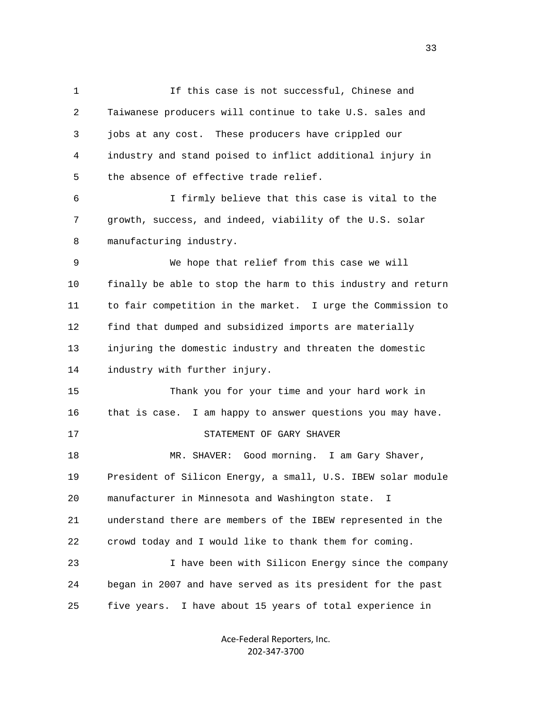1 If this case is not successful, Chinese and 2 Taiwanese producers will continue to take U.S. sales and 3 jobs at any cost. These producers have crippled our 4 industry and stand poised to inflict additional injury in 5 the absence of effective trade relief. 6 I firmly believe that this case is vital to the 7 growth, success, and indeed, viability of the U.S. solar 8 manufacturing industry. 9 We hope that relief from this case we will 10 finally be able to stop the harm to this industry and return 11 to fair competition in the market. I urge the Commission to 12 find that dumped and subsidized imports are materially 13 injuring the domestic industry and threaten the domestic 14 industry with further injury. 15 Thank you for your time and your hard work in 16 that is case. I am happy to answer questions you may have. 17 STATEMENT OF GARY SHAVER 18 MR. SHAVER: Good morning. I am Gary Shaver, 19 President of Silicon Energy, a small, U.S. IBEW solar module 20 manufacturer in Minnesota and Washington state. I 21 understand there are members of the IBEW represented in the 22 crowd today and I would like to thank them for coming. 23 I have been with Silicon Energy since the company 24 began in 2007 and have served as its president for the past 25 five years. I have about 15 years of total experience in

> Ace‐Federal Reporters, Inc. 202‐347‐3700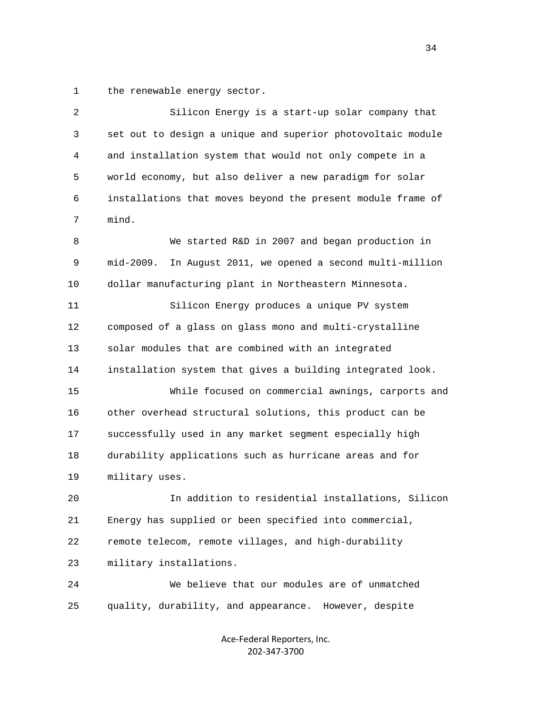1 the renewable energy sector.

| $\overline{c}$ | Silicon Energy is a start-up solar company that               |
|----------------|---------------------------------------------------------------|
| 3              | set out to design a unique and superior photovoltaic module   |
| 4              | and installation system that would not only compete in a      |
| 5              | world economy, but also deliver a new paradigm for solar      |
| 6              | installations that moves beyond the present module frame of   |
| 7              | mind.                                                         |
| 8              | We started R&D in 2007 and began production in                |
| 9              | mid-2009.<br>In August 2011, we opened a second multi-million |
| 10             | dollar manufacturing plant in Northeastern Minnesota.         |
| 11             | Silicon Energy produces a unique PV system                    |
| 12             | composed of a glass on glass mono and multi-crystalline       |
| 13             | solar modules that are combined with an integrated            |
| 14             | installation system that gives a building integrated look.    |
| 15             | While focused on commercial awnings, carports and             |
| 16             | other overhead structural solutions, this product can be      |
| 17             | successfully used in any market segment especially high       |
| 18             | durability applications such as hurricane areas and for       |
| 19             | military uses.                                                |
| 20             | In addition to residential installations, Silicon             |
| 21             | Energy has supplied or been specified into commercial,        |
| 22             | remote telecom, remote villages, and high-durability          |
| 23             | military installations.                                       |
| 24             | We believe that our modules are of unmatched                  |
| 25             | quality, durability, and appearance. However, despite         |
|                |                                                               |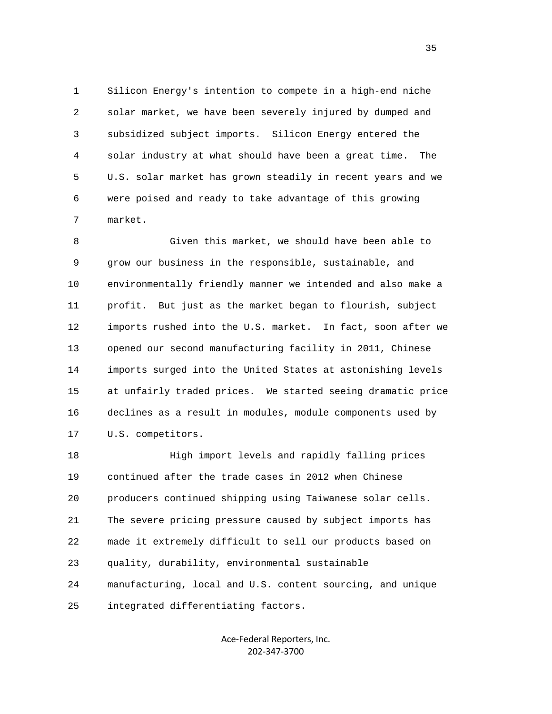1 Silicon Energy's intention to compete in a high-end niche 2 solar market, we have been severely injured by dumped and 3 subsidized subject imports. Silicon Energy entered the 4 solar industry at what should have been a great time. The 5 U.S. solar market has grown steadily in recent years and we 6 were poised and ready to take advantage of this growing 7 market.

 8 Given this market, we should have been able to 9 grow our business in the responsible, sustainable, and 10 environmentally friendly manner we intended and also make a 11 profit. But just as the market began to flourish, subject 12 imports rushed into the U.S. market. In fact, soon after we 13 opened our second manufacturing facility in 2011, Chinese 14 imports surged into the United States at astonishing levels 15 at unfairly traded prices. We started seeing dramatic price 16 declines as a result in modules, module components used by 17 U.S. competitors.

 18 High import levels and rapidly falling prices 19 continued after the trade cases in 2012 when Chinese 20 producers continued shipping using Taiwanese solar cells. 21 The severe pricing pressure caused by subject imports has 22 made it extremely difficult to sell our products based on 23 quality, durability, environmental sustainable 24 manufacturing, local and U.S. content sourcing, and unique 25 integrated differentiating factors.

> Ace‐Federal Reporters, Inc. 202‐347‐3700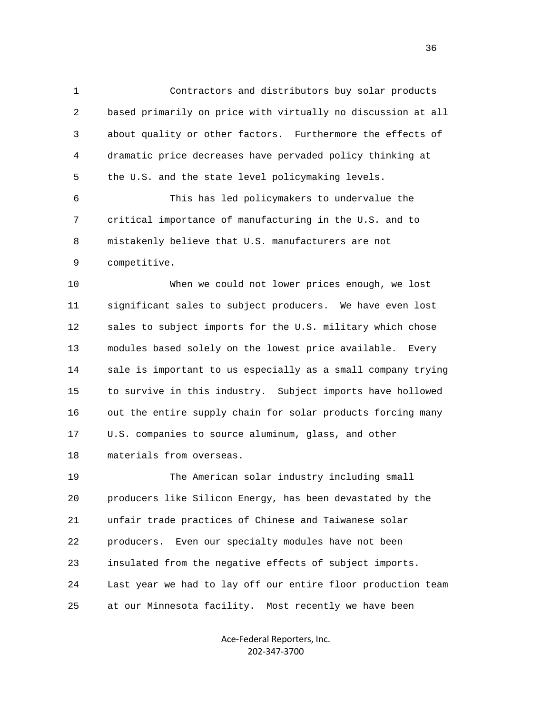1 Contractors and distributors buy solar products 2 based primarily on price with virtually no discussion at all 3 about quality or other factors. Furthermore the effects of 4 dramatic price decreases have pervaded policy thinking at 5 the U.S. and the state level policymaking levels. 6 This has led policymakers to undervalue the 7 critical importance of manufacturing in the U.S. and to 8 mistakenly believe that U.S. manufacturers are not 9 competitive.

 10 When we could not lower prices enough, we lost 11 significant sales to subject producers. We have even lost 12 sales to subject imports for the U.S. military which chose 13 modules based solely on the lowest price available. Every 14 sale is important to us especially as a small company trying 15 to survive in this industry. Subject imports have hollowed 16 out the entire supply chain for solar products forcing many 17 U.S. companies to source aluminum, glass, and other 18 materials from overseas.

 19 The American solar industry including small 20 producers like Silicon Energy, has been devastated by the 21 unfair trade practices of Chinese and Taiwanese solar 22 producers. Even our specialty modules have not been 23 insulated from the negative effects of subject imports. 24 Last year we had to lay off our entire floor production team 25 at our Minnesota facility. Most recently we have been

> Ace‐Federal Reporters, Inc. 202‐347‐3700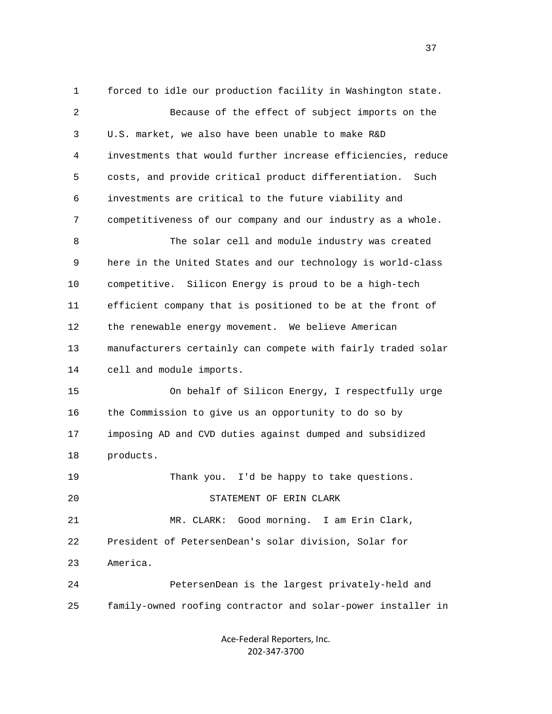1 forced to idle our production facility in Washington state. 2 Because of the effect of subject imports on the 3 U.S. market, we also have been unable to make R&D 4 investments that would further increase efficiencies, reduce 5 costs, and provide critical product differentiation. Such 6 investments are critical to the future viability and 7 competitiveness of our company and our industry as a whole. 8 The solar cell and module industry was created 9 here in the United States and our technology is world-class 10 competitive. Silicon Energy is proud to be a high-tech 11 efficient company that is positioned to be at the front of 12 the renewable energy movement. We believe American 13 manufacturers certainly can compete with fairly traded solar 14 cell and module imports. 15 On behalf of Silicon Energy, I respectfully urge 16 the Commission to give us an opportunity to do so by 17 imposing AD and CVD duties against dumped and subsidized 18 products. 19 Thank you. I'd be happy to take questions. 20 STATEMENT OF ERIN CLARK 21 MR. CLARK: Good morning. I am Erin Clark, 22 President of PetersenDean's solar division, Solar for 23 America. 24 PetersenDean is the largest privately-held and 25 family-owned roofing contractor and solar-power installer in

> Ace‐Federal Reporters, Inc. 202‐347‐3700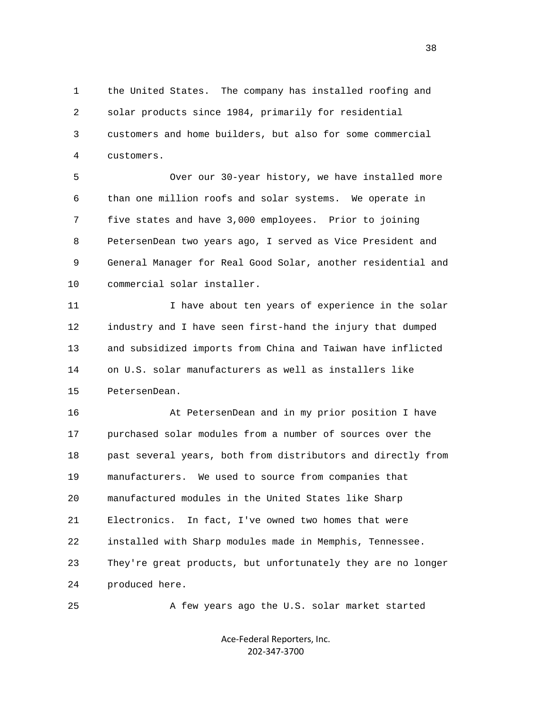1 the United States. The company has installed roofing and 2 solar products since 1984, primarily for residential 3 customers and home builders, but also for some commercial 4 customers.

 5 Over our 30-year history, we have installed more 6 than one million roofs and solar systems. We operate in 7 five states and have 3,000 employees. Prior to joining 8 PetersenDean two years ago, I served as Vice President and 9 General Manager for Real Good Solar, another residential and 10 commercial solar installer.

11 11 I have about ten years of experience in the solar 12 industry and I have seen first-hand the injury that dumped 13 and subsidized imports from China and Taiwan have inflicted 14 on U.S. solar manufacturers as well as installers like 15 PetersenDean.

 16 At PetersenDean and in my prior position I have 17 purchased solar modules from a number of sources over the 18 past several years, both from distributors and directly from 19 manufacturers. We used to source from companies that 20 manufactured modules in the United States like Sharp 21 Electronics. In fact, I've owned two homes that were 22 installed with Sharp modules made in Memphis, Tennessee. 23 They're great products, but unfortunately they are no longer 24 produced here.

25 A few years ago the U.S. solar market started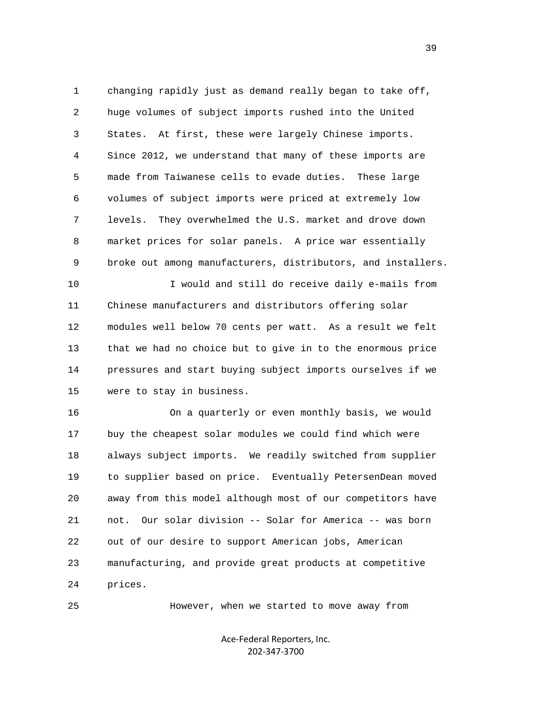1 changing rapidly just as demand really began to take off, 2 huge volumes of subject imports rushed into the United 3 States. At first, these were largely Chinese imports. 4 Since 2012, we understand that many of these imports are 5 made from Taiwanese cells to evade duties. These large 6 volumes of subject imports were priced at extremely low 7 levels. They overwhelmed the U.S. market and drove down 8 market prices for solar panels. A price war essentially 9 broke out among manufacturers, distributors, and installers.

 10 I would and still do receive daily e-mails from 11 Chinese manufacturers and distributors offering solar 12 modules well below 70 cents per watt. As a result we felt 13 that we had no choice but to give in to the enormous price 14 pressures and start buying subject imports ourselves if we 15 were to stay in business.

 16 On a quarterly or even monthly basis, we would 17 buy the cheapest solar modules we could find which were 18 always subject imports. We readily switched from supplier 19 to supplier based on price. Eventually PetersenDean moved 20 away from this model although most of our competitors have 21 not. Our solar division -- Solar for America -- was born 22 out of our desire to support American jobs, American 23 manufacturing, and provide great products at competitive 24 prices.

25 However, when we started to move away from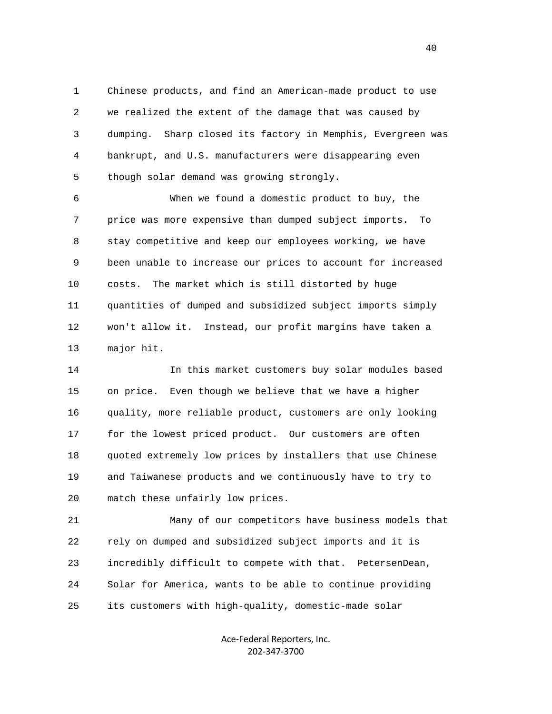1 Chinese products, and find an American-made product to use 2 we realized the extent of the damage that was caused by 3 dumping. Sharp closed its factory in Memphis, Evergreen was 4 bankrupt, and U.S. manufacturers were disappearing even 5 though solar demand was growing strongly.

 6 When we found a domestic product to buy, the 7 price was more expensive than dumped subject imports. To 8 stay competitive and keep our employees working, we have 9 been unable to increase our prices to account for increased 10 costs. The market which is still distorted by huge 11 quantities of dumped and subsidized subject imports simply 12 won't allow it. Instead, our profit margins have taken a 13 major hit.

 14 In this market customers buy solar modules based 15 on price. Even though we believe that we have a higher 16 quality, more reliable product, customers are only looking 17 for the lowest priced product. Our customers are often 18 quoted extremely low prices by installers that use Chinese 19 and Taiwanese products and we continuously have to try to 20 match these unfairly low prices.

 21 Many of our competitors have business models that 22 rely on dumped and subsidized subject imports and it is 23 incredibly difficult to compete with that. PetersenDean, 24 Solar for America, wants to be able to continue providing 25 its customers with high-quality, domestic-made solar

> Ace‐Federal Reporters, Inc. 202‐347‐3700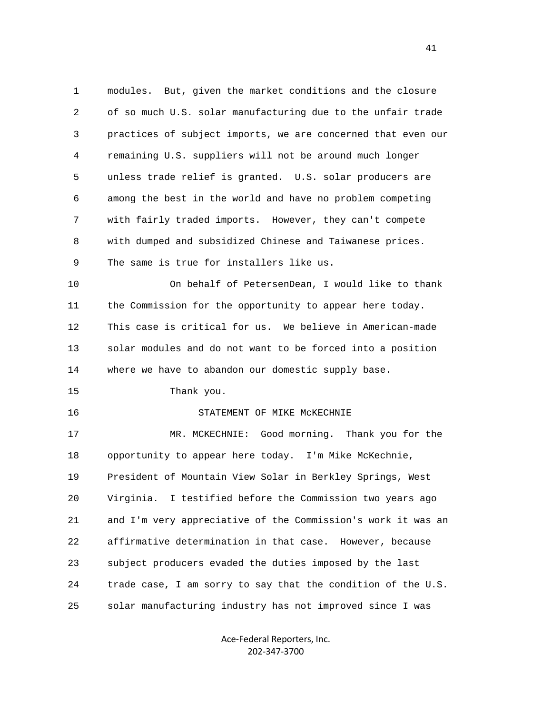1 modules. But, given the market conditions and the closure 2 of so much U.S. solar manufacturing due to the unfair trade 3 practices of subject imports, we are concerned that even our 4 remaining U.S. suppliers will not be around much longer 5 unless trade relief is granted. U.S. solar producers are 6 among the best in the world and have no problem competing 7 with fairly traded imports. However, they can't compete 8 with dumped and subsidized Chinese and Taiwanese prices. 9 The same is true for installers like us. 10 On behalf of PetersenDean, I would like to thank 11 the Commission for the opportunity to appear here today. 12 This case is critical for us. We believe in American-made 13 solar modules and do not want to be forced into a position 14 where we have to abandon our domestic supply base. 15 Thank you. 16 STATEMENT OF MIKE McKECHNIE 17 MR. MCKECHNIE: Good morning. Thank you for the 18 opportunity to appear here today. I'm Mike McKechnie, 19 President of Mountain View Solar in Berkley Springs, West 20 Virginia. I testified before the Commission two years ago 21 and I'm very appreciative of the Commission's work it was an 22 affirmative determination in that case. However, because 23 subject producers evaded the duties imposed by the last 24 trade case, I am sorry to say that the condition of the U.S. 25 solar manufacturing industry has not improved since I was

> Ace‐Federal Reporters, Inc. 202‐347‐3700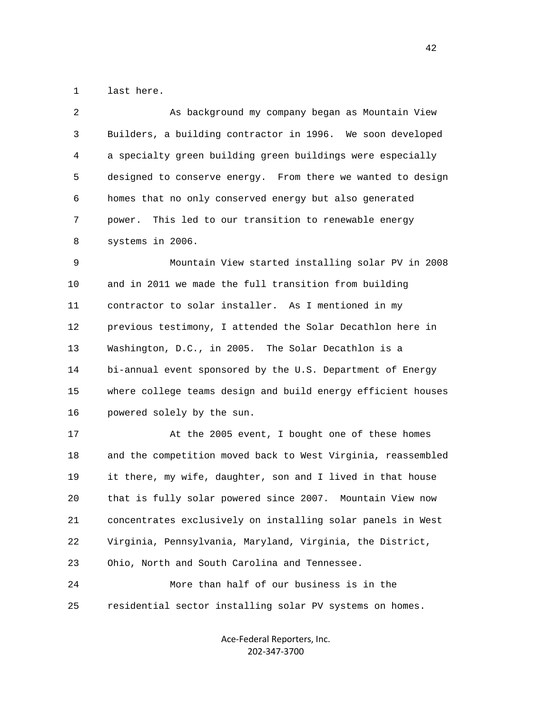1 last here.

| $\overline{2}$ | As background my company began as Mountain View              |
|----------------|--------------------------------------------------------------|
| 3              | Builders, a building contractor in 1996. We soon developed   |
| 4              | a specialty green building green buildings were especially   |
| 5              | designed to conserve energy. From there we wanted to design  |
| 6              | homes that no only conserved energy but also generated       |
| 7              | This led to our transition to renewable energy<br>power.     |
| 8              | systems in 2006.                                             |
| 9              | Mountain View started installing solar PV in 2008            |
| 10             | and in 2011 we made the full transition from building        |
| 11             | contractor to solar installer. As I mentioned in my          |
| 12             | previous testimony, I attended the Solar Decathlon here in   |
| 13             | Washington, D.C., in 2005. The Solar Decathlon is a          |
| 14             | bi-annual event sponsored by the U.S. Department of Energy   |
| 15             | where college teams design and build energy efficient houses |
| 16             | powered solely by the sun.                                   |
| 17             | At the 2005 event, I bought one of these homes               |
| 18             | and the competition moved back to West Virginia, reassembled |
| 19             | it there, my wife, daughter, son and I lived in that house   |
| 20             | that is fully solar powered since 2007. Mountain View now    |
| 21             | concentrates exclusively on installing solar panels in West  |
| 22             | Virginia, Pennsylvania, Maryland, Virginia, the District,    |
| 23             | Ohio, North and South Carolina and Tennessee.                |
| 24             | More than half of our business is in the                     |
| 25             | residential sector installing solar PV systems on homes.     |

Ace‐Federal Reporters, Inc. 202‐347‐3700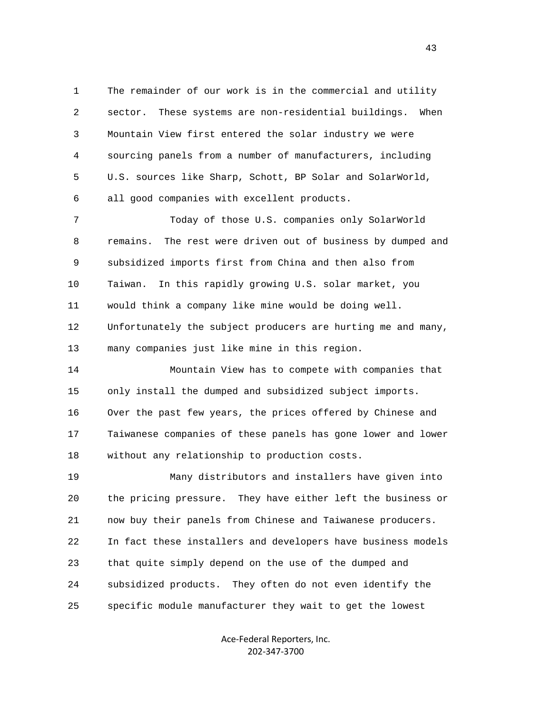1 The remainder of our work is in the commercial and utility 2 sector. These systems are non-residential buildings. When 3 Mountain View first entered the solar industry we were 4 sourcing panels from a number of manufacturers, including 5 U.S. sources like Sharp, Schott, BP Solar and SolarWorld, 6 all good companies with excellent products.

 7 Today of those U.S. companies only SolarWorld 8 remains. The rest were driven out of business by dumped and 9 subsidized imports first from China and then also from 10 Taiwan. In this rapidly growing U.S. solar market, you 11 would think a company like mine would be doing well. 12 Unfortunately the subject producers are hurting me and many, 13 many companies just like mine in this region.

 14 Mountain View has to compete with companies that 15 only install the dumped and subsidized subject imports. 16 Over the past few years, the prices offered by Chinese and 17 Taiwanese companies of these panels has gone lower and lower 18 without any relationship to production costs.

 19 Many distributors and installers have given into 20 the pricing pressure. They have either left the business or 21 now buy their panels from Chinese and Taiwanese producers. 22 In fact these installers and developers have business models 23 that quite simply depend on the use of the dumped and 24 subsidized products. They often do not even identify the 25 specific module manufacturer they wait to get the lowest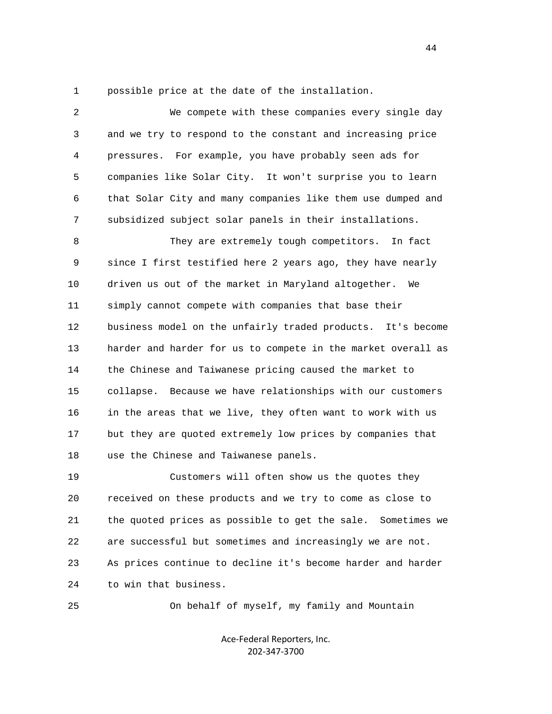1 possible price at the date of the installation.

| 2  | We compete with these companies every single day              |
|----|---------------------------------------------------------------|
| 3  | and we try to respond to the constant and increasing price    |
| 4  | For example, you have probably seen ads for<br>pressures.     |
| 5  | companies like Solar City. It won't surprise you to learn     |
| 6  | that Solar City and many companies like them use dumped and   |
| 7  | subsidized subject solar panels in their installations.       |
| 8  | They are extremely tough competitors. In fact                 |
| 9  | since I first testified here 2 years ago, they have nearly    |
| 10 | driven us out of the market in Maryland altogether. We        |
| 11 | simply cannot compete with companies that base their          |
| 12 | business model on the unfairly traded products. It's become   |
| 13 | harder and harder for us to compete in the market overall as  |
| 14 | the Chinese and Taiwanese pricing caused the market to        |
| 15 | Because we have relationships with our customers<br>collapse. |
| 16 | in the areas that we live, they often want to work with us    |
| 17 | but they are quoted extremely low prices by companies that    |
| 18 | use the Chinese and Taiwanese panels.                         |
| 19 | Customers will often show us the quotes they                  |
| 20 | received on these products and we try to come as close to     |
| 21 | the quoted prices as possible to get the sale. Sometimes we   |
| 22 | are successful but sometimes and increasingly we are not.     |
| 23 | As prices continue to decline it's become harder and harder   |
| 24 | to win that business.                                         |

25 On behalf of myself, my family and Mountain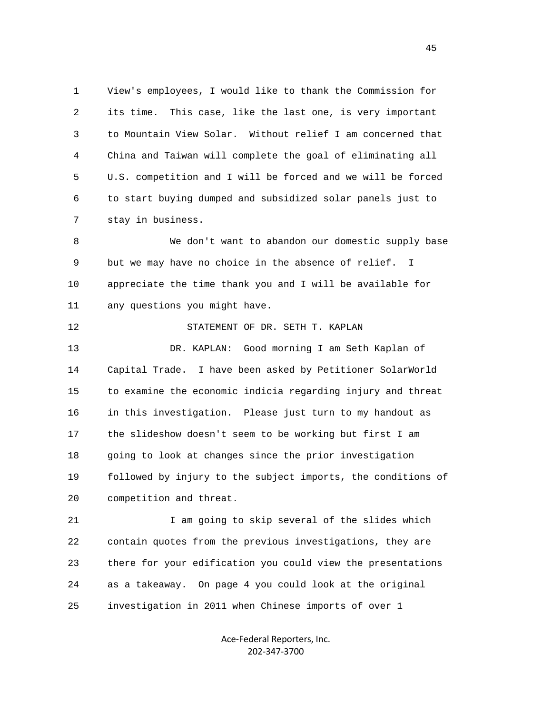1 View's employees, I would like to thank the Commission for 2 its time. This case, like the last one, is very important 3 to Mountain View Solar. Without relief I am concerned that 4 China and Taiwan will complete the goal of eliminating all 5 U.S. competition and I will be forced and we will be forced 6 to start buying dumped and subsidized solar panels just to 7 stay in business.

 8 We don't want to abandon our domestic supply base 9 but we may have no choice in the absence of relief. I 10 appreciate the time thank you and I will be available for 11 any questions you might have.

 12 STATEMENT OF DR. SETH T. KAPLAN 13 DR. KAPLAN: Good morning I am Seth Kaplan of 14 Capital Trade. I have been asked by Petitioner SolarWorld 15 to examine the economic indicia regarding injury and threat 16 in this investigation. Please just turn to my handout as 17 the slideshow doesn't seem to be working but first I am 18 going to look at changes since the prior investigation 19 followed by injury to the subject imports, the conditions of 20 competition and threat.

 21 I am going to skip several of the slides which 22 contain quotes from the previous investigations, they are 23 there for your edification you could view the presentations 24 as a takeaway. On page 4 you could look at the original 25 investigation in 2011 when Chinese imports of over 1

> Ace‐Federal Reporters, Inc. 202‐347‐3700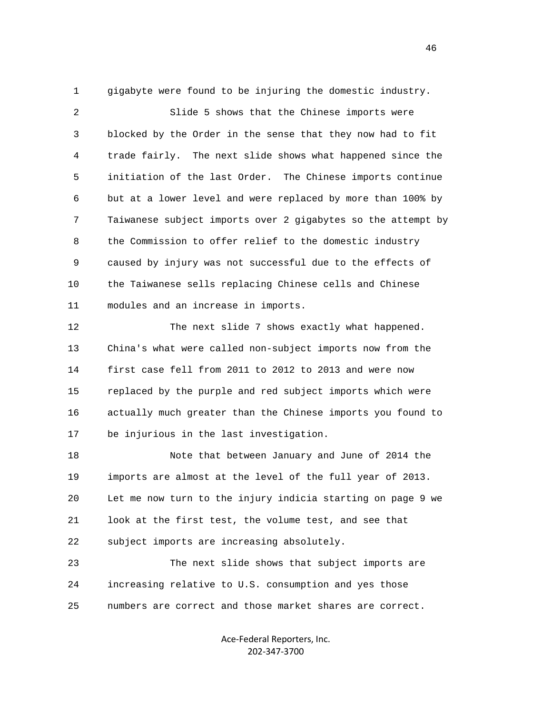1 gigabyte were found to be injuring the domestic industry.

 2 Slide 5 shows that the Chinese imports were 3 blocked by the Order in the sense that they now had to fit 4 trade fairly. The next slide shows what happened since the 5 initiation of the last Order. The Chinese imports continue 6 but at a lower level and were replaced by more than 100% by 7 Taiwanese subject imports over 2 gigabytes so the attempt by 8 the Commission to offer relief to the domestic industry 9 caused by injury was not successful due to the effects of 10 the Taiwanese sells replacing Chinese cells and Chinese 11 modules and an increase in imports.

 12 The next slide 7 shows exactly what happened. 13 China's what were called non-subject imports now from the 14 first case fell from 2011 to 2012 to 2013 and were now 15 replaced by the purple and red subject imports which were 16 actually much greater than the Chinese imports you found to 17 be injurious in the last investigation.

 18 Note that between January and June of 2014 the 19 imports are almost at the level of the full year of 2013. 20 Let me now turn to the injury indicia starting on page 9 we 21 look at the first test, the volume test, and see that 22 subject imports are increasing absolutely.

 23 The next slide shows that subject imports are 24 increasing relative to U.S. consumption and yes those 25 numbers are correct and those market shares are correct.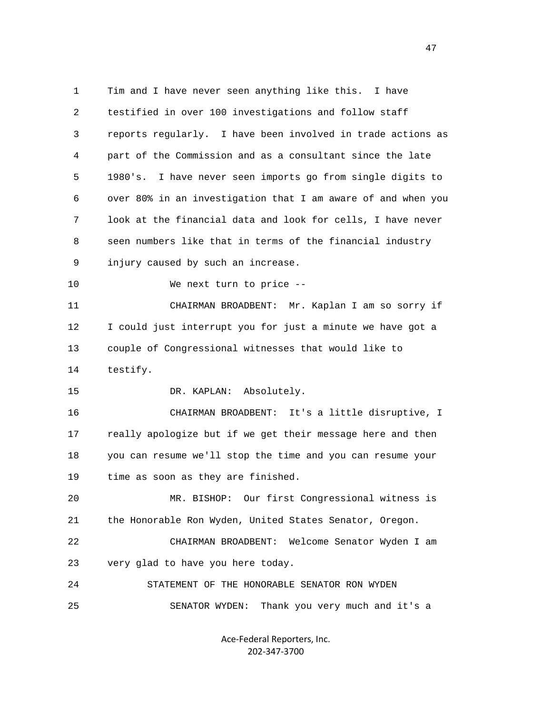1 Tim and I have never seen anything like this. I have 2 testified in over 100 investigations and follow staff 3 reports regularly. I have been involved in trade actions as 4 part of the Commission and as a consultant since the late 5 1980's. I have never seen imports go from single digits to 6 over 80% in an investigation that I am aware of and when you 7 look at the financial data and look for cells, I have never 8 seen numbers like that in terms of the financial industry 9 injury caused by such an increase. 10 We next turn to price -- 11 CHAIRMAN BROADBENT: Mr. Kaplan I am so sorry if 12 I could just interrupt you for just a minute we have got a 13 couple of Congressional witnesses that would like to 14 testify. 15 DR. KAPLAN: Absolutely. 16 CHAIRMAN BROADBENT: It's a little disruptive, I 17 really apologize but if we get their message here and then 18 you can resume we'll stop the time and you can resume your 19 time as soon as they are finished. 20 MR. BISHOP: Our first Congressional witness is 21 the Honorable Ron Wyden, United States Senator, Oregon. 22 CHAIRMAN BROADBENT: Welcome Senator Wyden I am 23 very glad to have you here today. 24 STATEMENT OF THE HONORABLE SENATOR RON WYDEN 25 SENATOR WYDEN: Thank you very much and it's a

> Ace‐Federal Reporters, Inc. 202‐347‐3700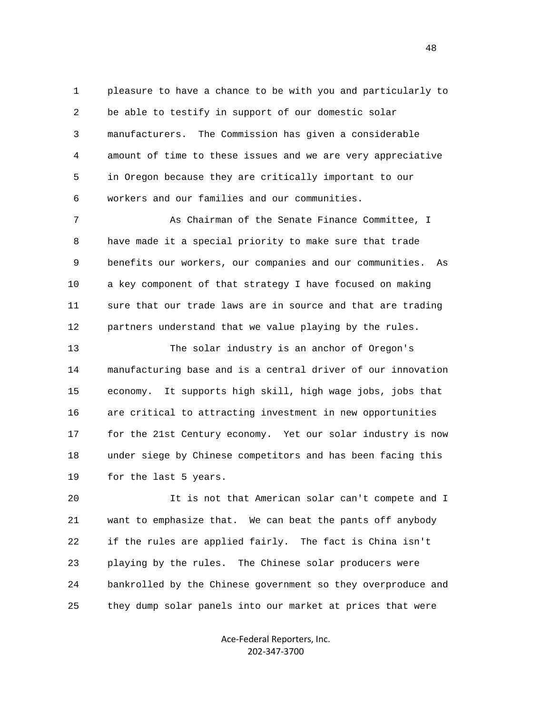1 pleasure to have a chance to be with you and particularly to 2 be able to testify in support of our domestic solar 3 manufacturers. The Commission has given a considerable 4 amount of time to these issues and we are very appreciative 5 in Oregon because they are critically important to our 6 workers and our families and our communities.

7 As Chairman of the Senate Finance Committee, I 8 have made it a special priority to make sure that trade 9 benefits our workers, our companies and our communities. As 10 a key component of that strategy I have focused on making 11 sure that our trade laws are in source and that are trading 12 partners understand that we value playing by the rules.

 13 The solar industry is an anchor of Oregon's 14 manufacturing base and is a central driver of our innovation 15 economy. It supports high skill, high wage jobs, jobs that 16 are critical to attracting investment in new opportunities 17 for the 21st Century economy. Yet our solar industry is now 18 under siege by Chinese competitors and has been facing this 19 for the last 5 years.

 20 It is not that American solar can't compete and I 21 want to emphasize that. We can beat the pants off anybody 22 if the rules are applied fairly. The fact is China isn't 23 playing by the rules. The Chinese solar producers were 24 bankrolled by the Chinese government so they overproduce and 25 they dump solar panels into our market at prices that were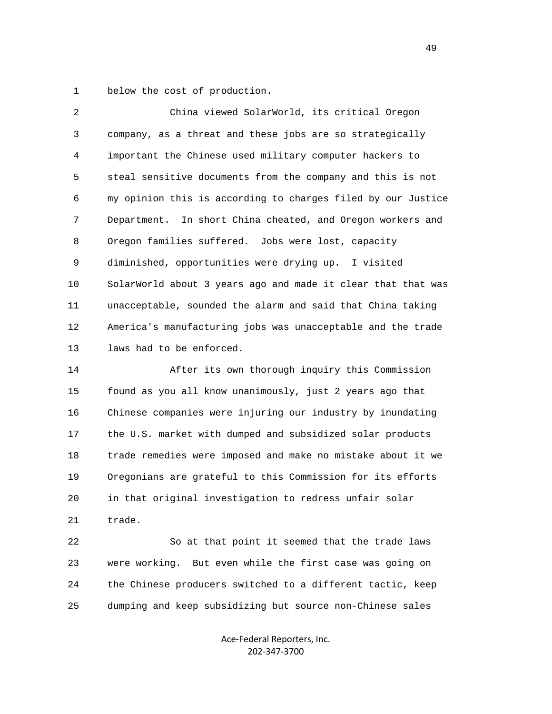1 below the cost of production.

| $\overline{2}$    | China viewed SolarWorld, its critical Oregon                 |
|-------------------|--------------------------------------------------------------|
| $\mathsf{3}$      | company, as a threat and these jobs are so strategically     |
| 4                 | important the Chinese used military computer hackers to      |
| 5                 | steal sensitive documents from the company and this is not   |
| 6                 | my opinion this is according to charges filed by our Justice |
| 7                 | Department. In short China cheated, and Oregon workers and   |
| 8                 | Oregon families suffered. Jobs were lost, capacity           |
| 9                 | diminished, opportunities were drying up. I visited          |
| 10                | SolarWorld about 3 years ago and made it clear that that was |
| 11                | unacceptable, sounded the alarm and said that China taking   |
| $12 \overline{ }$ | America's manufacturing jobs was unacceptable and the trade  |
| 13                | laws had to be enforced.                                     |
| 14                | After its own thorough inquiry this Commission               |
| 15                | found as you all know unanimously, just 2 years ago that     |
| 16                | Chinese companies were injuring our industry by inundating   |
| 17                | the U.S. market with dumped and subsidized solar products    |

 18 trade remedies were imposed and make no mistake about it we 19 Oregonians are grateful to this Commission for its efforts 20 in that original investigation to redress unfair solar 21 trade.

 22 So at that point it seemed that the trade laws 23 were working. But even while the first case was going on 24 the Chinese producers switched to a different tactic, keep 25 dumping and keep subsidizing but source non-Chinese sales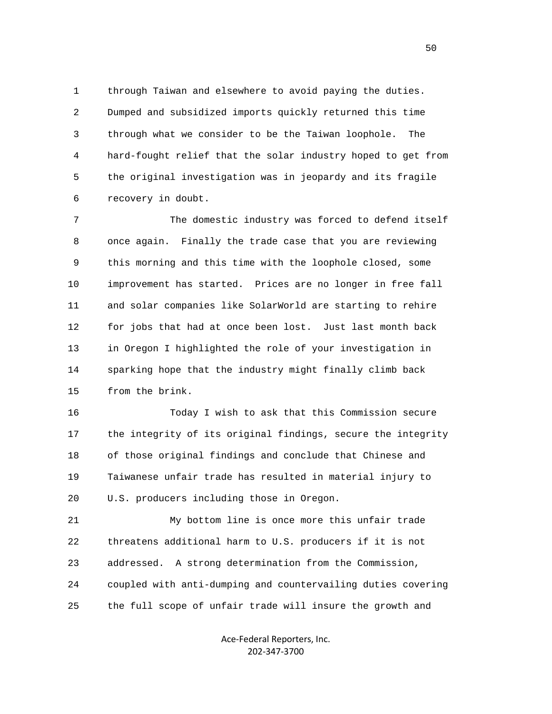1 through Taiwan and elsewhere to avoid paying the duties. 2 Dumped and subsidized imports quickly returned this time 3 through what we consider to be the Taiwan loophole. The 4 hard-fought relief that the solar industry hoped to get from 5 the original investigation was in jeopardy and its fragile 6 recovery in doubt.

 7 The domestic industry was forced to defend itself 8 once again. Finally the trade case that you are reviewing 9 this morning and this time with the loophole closed, some 10 improvement has started. Prices are no longer in free fall 11 and solar companies like SolarWorld are starting to rehire 12 for jobs that had at once been lost. Just last month back 13 in Oregon I highlighted the role of your investigation in 14 sparking hope that the industry might finally climb back 15 from the brink.

 16 Today I wish to ask that this Commission secure 17 the integrity of its original findings, secure the integrity 18 of those original findings and conclude that Chinese and 19 Taiwanese unfair trade has resulted in material injury to 20 U.S. producers including those in Oregon.

 21 My bottom line is once more this unfair trade 22 threatens additional harm to U.S. producers if it is not 23 addressed. A strong determination from the Commission, 24 coupled with anti-dumping and countervailing duties covering 25 the full scope of unfair trade will insure the growth and

> Ace‐Federal Reporters, Inc. 202‐347‐3700

 $50<sub>50</sub>$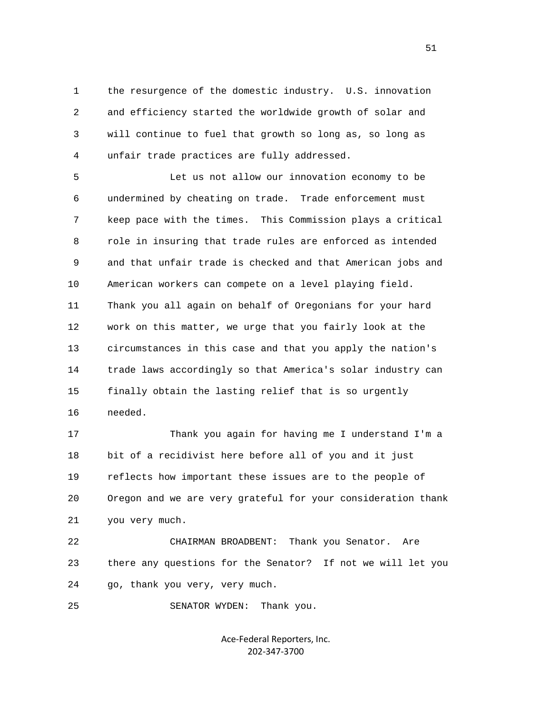1 the resurgence of the domestic industry. U.S. innovation 2 and efficiency started the worldwide growth of solar and 3 will continue to fuel that growth so long as, so long as 4 unfair trade practices are fully addressed.

 5 Let us not allow our innovation economy to be 6 undermined by cheating on trade. Trade enforcement must 7 keep pace with the times. This Commission plays a critical 8 role in insuring that trade rules are enforced as intended 9 and that unfair trade is checked and that American jobs and 10 American workers can compete on a level playing field. 11 Thank you all again on behalf of Oregonians for your hard 12 work on this matter, we urge that you fairly look at the 13 circumstances in this case and that you apply the nation's 14 trade laws accordingly so that America's solar industry can 15 finally obtain the lasting relief that is so urgently 16 needed.

 17 Thank you again for having me I understand I'm a 18 bit of a recidivist here before all of you and it just 19 reflects how important these issues are to the people of 20 Oregon and we are very grateful for your consideration thank 21 you very much.

 22 CHAIRMAN BROADBENT: Thank you Senator. Are 23 there any questions for the Senator? If not we will let you 24 go, thank you very, very much.

25 SENATOR WYDEN: Thank you.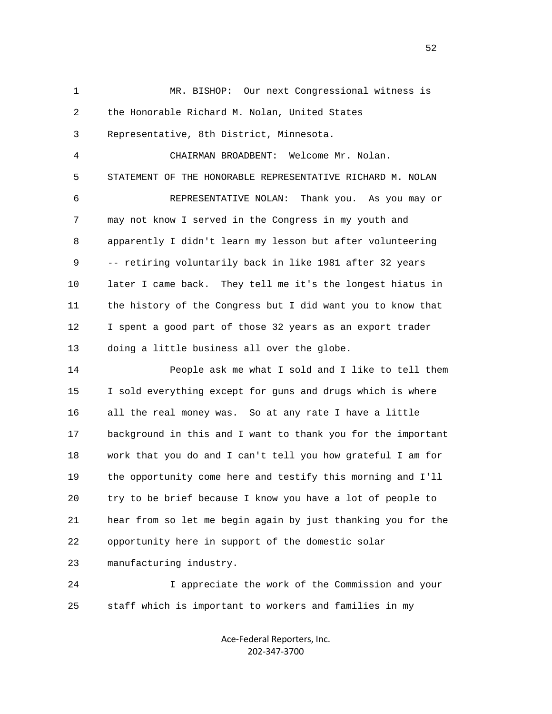1 MR. BISHOP: Our next Congressional witness is 2 the Honorable Richard M. Nolan, United States 3 Representative, 8th District, Minnesota. 4 CHAIRMAN BROADBENT: Welcome Mr. Nolan. 5 STATEMENT OF THE HONORABLE REPRESENTATIVE RICHARD M. NOLAN 6 REPRESENTATIVE NOLAN: Thank you. As you may or 7 may not know I served in the Congress in my youth and 8 apparently I didn't learn my lesson but after volunteering 9 -- retiring voluntarily back in like 1981 after 32 years 10 later I came back. They tell me it's the longest hiatus in 11 the history of the Congress but I did want you to know that 12 I spent a good part of those 32 years as an export trader 13 doing a little business all over the globe. 14 People ask me what I sold and I like to tell them

 15 I sold everything except for guns and drugs which is where 16 all the real money was. So at any rate I have a little 17 background in this and I want to thank you for the important 18 work that you do and I can't tell you how grateful I am for 19 the opportunity come here and testify this morning and I'll 20 try to be brief because I know you have a lot of people to 21 hear from so let me begin again by just thanking you for the 22 opportunity here in support of the domestic solar 23 manufacturing industry.

 24 I appreciate the work of the Commission and your 25 staff which is important to workers and families in my

> Ace‐Federal Reporters, Inc. 202‐347‐3700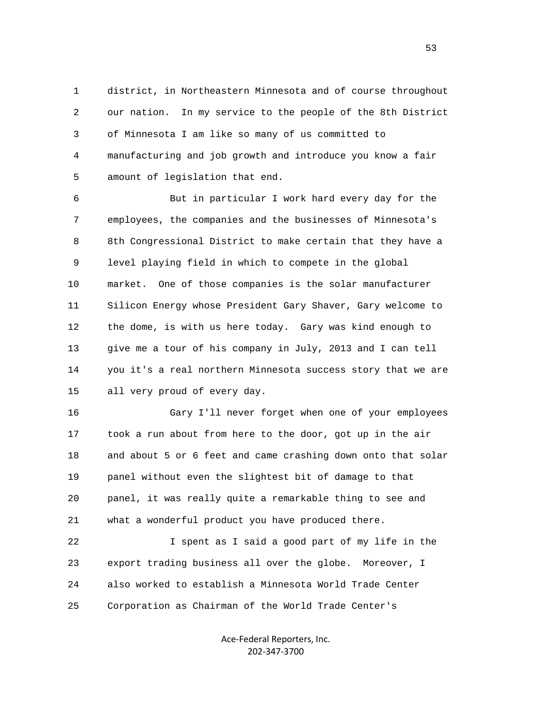1 district, in Northeastern Minnesota and of course throughout 2 our nation. In my service to the people of the 8th District 3 of Minnesota I am like so many of us committed to 4 manufacturing and job growth and introduce you know a fair 5 amount of legislation that end.

 6 But in particular I work hard every day for the 7 employees, the companies and the businesses of Minnesota's 8 8th Congressional District to make certain that they have a 9 level playing field in which to compete in the global 10 market. One of those companies is the solar manufacturer 11 Silicon Energy whose President Gary Shaver, Gary welcome to 12 the dome, is with us here today. Gary was kind enough to 13 give me a tour of his company in July, 2013 and I can tell 14 you it's a real northern Minnesota success story that we are 15 all very proud of every day.

 16 Gary I'll never forget when one of your employees 17 took a run about from here to the door, got up in the air 18 and about 5 or 6 feet and came crashing down onto that solar 19 panel without even the slightest bit of damage to that 20 panel, it was really quite a remarkable thing to see and 21 what a wonderful product you have produced there.

 22 I spent as I said a good part of my life in the 23 export trading business all over the globe. Moreover, I 24 also worked to establish a Minnesota World Trade Center 25 Corporation as Chairman of the World Trade Center's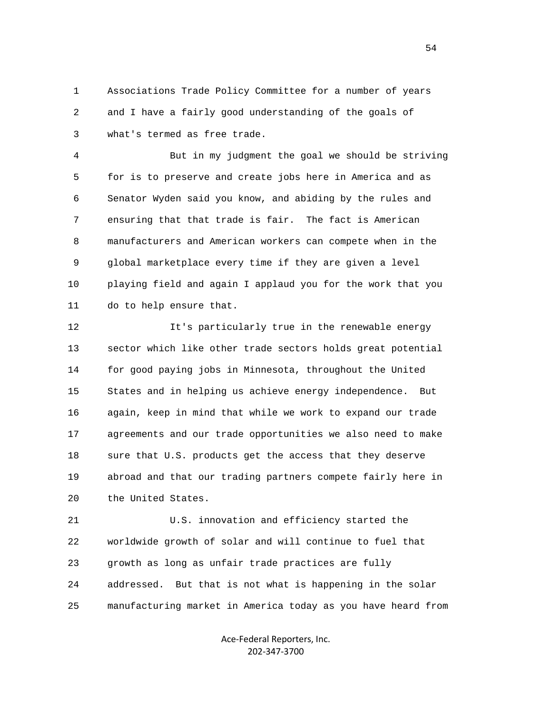1 Associations Trade Policy Committee for a number of years 2 and I have a fairly good understanding of the goals of 3 what's termed as free trade.

 4 But in my judgment the goal we should be striving 5 for is to preserve and create jobs here in America and as 6 Senator Wyden said you know, and abiding by the rules and 7 ensuring that that trade is fair. The fact is American 8 manufacturers and American workers can compete when in the 9 global marketplace every time if they are given a level 10 playing field and again I applaud you for the work that you 11 do to help ensure that.

 12 It's particularly true in the renewable energy 13 sector which like other trade sectors holds great potential 14 for good paying jobs in Minnesota, throughout the United 15 States and in helping us achieve energy independence. But 16 again, keep in mind that while we work to expand our trade 17 agreements and our trade opportunities we also need to make 18 sure that U.S. products get the access that they deserve 19 abroad and that our trading partners compete fairly here in 20 the United States.

 21 U.S. innovation and efficiency started the 22 worldwide growth of solar and will continue to fuel that 23 growth as long as unfair trade practices are fully 24 addressed. But that is not what is happening in the solar 25 manufacturing market in America today as you have heard from

> Ace‐Federal Reporters, Inc. 202‐347‐3700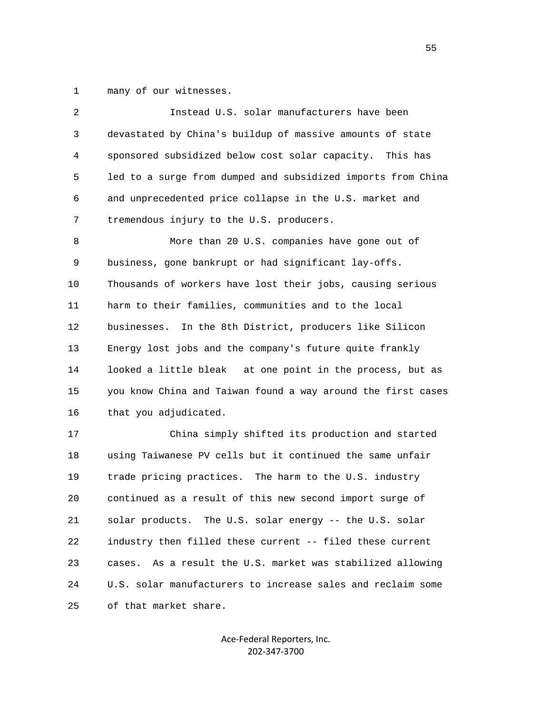1 many of our witnesses.

| 2  | Instead U.S. solar manufacturers have been                    |
|----|---------------------------------------------------------------|
| 3  | devastated by China's buildup of massive amounts of state     |
| 4  | sponsored subsidized below cost solar capacity. This has      |
| 5  | led to a surge from dumped and subsidized imports from China  |
| 6  | and unprecedented price collapse in the U.S. market and       |
| 7  | tremendous injury to the U.S. producers.                      |
| 8  | More than 20 U.S. companies have gone out of                  |
| 9  | business, gone bankrupt or had significant lay-offs.          |
| 10 | Thousands of workers have lost their jobs, causing serious    |
| 11 | harm to their families, communities and to the local          |
| 12 | In the 8th District, producers like Silicon<br>businesses.    |
| 13 | Energy lost jobs and the company's future quite frankly       |
| 14 | looked a little bleak at one point in the process, but as     |
| 15 | you know China and Taiwan found a way around the first cases  |
| 16 | that you adjudicated.                                         |
| 17 | China simply shifted its production and started               |
| 18 | using Taiwanese PV cells but it continued the same unfair     |
| 19 | trade pricing practices. The harm to the U.S. industry        |
| 20 | continued as a result of this new second import surge of      |
| 21 | solar products. The U.S. solar energy -- the U.S. solar       |
| 22 | industry then filled these current -- filed these current     |
| 23 | As a result the U.S. market was stabilized allowing<br>cases. |
| 24 | U.S. solar manufacturers to increase sales and reclaim some   |
| 25 | of that market share.                                         |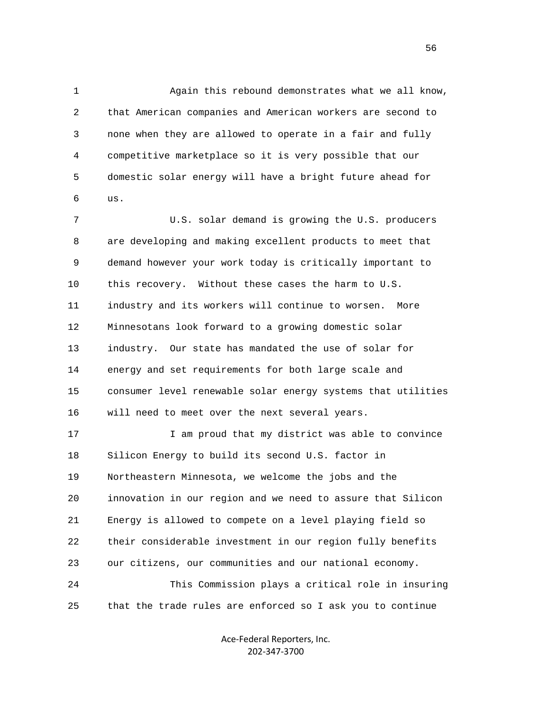1 Again this rebound demonstrates what we all know, 2 that American companies and American workers are second to 3 none when they are allowed to operate in a fair and fully 4 competitive marketplace so it is very possible that our 5 domestic solar energy will have a bright future ahead for 6 us.

 7 U.S. solar demand is growing the U.S. producers 8 are developing and making excellent products to meet that 9 demand however your work today is critically important to 10 this recovery. Without these cases the harm to U.S. 11 industry and its workers will continue to worsen. More 12 Minnesotans look forward to a growing domestic solar 13 industry. Our state has mandated the use of solar for 14 energy and set requirements for both large scale and 15 consumer level renewable solar energy systems that utilities 16 will need to meet over the next several years.

17 17 I am proud that my district was able to convince 18 Silicon Energy to build its second U.S. factor in 19 Northeastern Minnesota, we welcome the jobs and the 20 innovation in our region and we need to assure that Silicon 21 Energy is allowed to compete on a level playing field so 22 their considerable investment in our region fully benefits 23 our citizens, our communities and our national economy. 24 This Commission plays a critical role in insuring 25 that the trade rules are enforced so I ask you to continue

> Ace‐Federal Reporters, Inc. 202‐347‐3700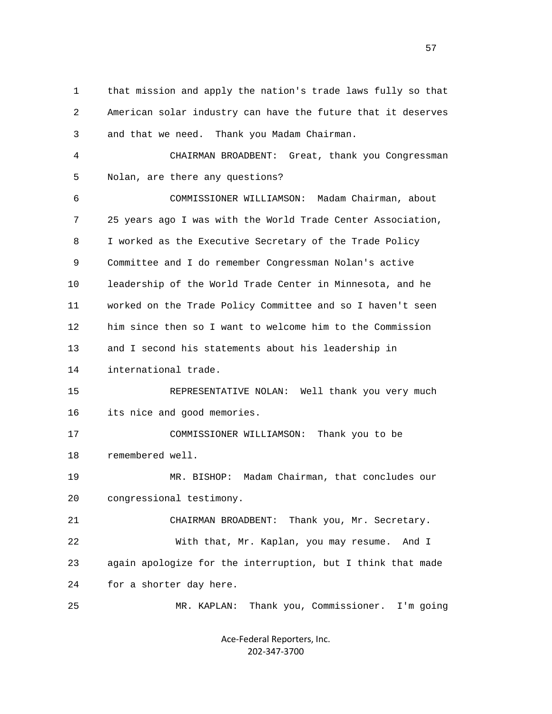1 that mission and apply the nation's trade laws fully so that 2 American solar industry can have the future that it deserves 3 and that we need. Thank you Madam Chairman. 4 CHAIRMAN BROADBENT: Great, thank you Congressman 5 Nolan, are there any questions? 6 COMMISSIONER WILLIAMSON: Madam Chairman, about 7 25 years ago I was with the World Trade Center Association, 8 I worked as the Executive Secretary of the Trade Policy 9 Committee and I do remember Congressman Nolan's active 10 leadership of the World Trade Center in Minnesota, and he 11 worked on the Trade Policy Committee and so I haven't seen 12 him since then so I want to welcome him to the Commission 13 and I second his statements about his leadership in 14 international trade. 15 REPRESENTATIVE NOLAN: Well thank you very much 16 its nice and good memories. 17 COMMISSIONER WILLIAMSON: Thank you to be 18 remembered well. 19 MR. BISHOP: Madam Chairman, that concludes our 20 congressional testimony. 21 CHAIRMAN BROADBENT: Thank you, Mr. Secretary. 22 With that, Mr. Kaplan, you may resume. And I 23 again apologize for the interruption, but I think that made 24 for a shorter day here. 25 MR. KAPLAN: Thank you, Commissioner. I'm going

> Ace‐Federal Reporters, Inc. 202‐347‐3700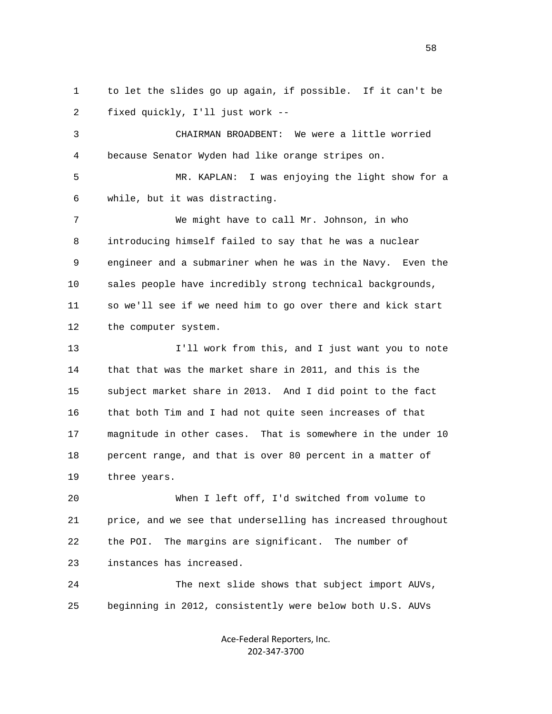1 to let the slides go up again, if possible. If it can't be 2 fixed quickly, I'll just work --

 3 CHAIRMAN BROADBENT: We were a little worried 4 because Senator Wyden had like orange stripes on.

 5 MR. KAPLAN: I was enjoying the light show for a 6 while, but it was distracting.

 7 We might have to call Mr. Johnson, in who 8 introducing himself failed to say that he was a nuclear 9 engineer and a submariner when he was in the Navy. Even the 10 sales people have incredibly strong technical backgrounds, 11 so we'll see if we need him to go over there and kick start 12 the computer system.

 13 I'll work from this, and I just want you to note 14 that that was the market share in 2011, and this is the 15 subject market share in 2013. And I did point to the fact 16 that both Tim and I had not quite seen increases of that 17 magnitude in other cases. That is somewhere in the under 10 18 percent range, and that is over 80 percent in a matter of 19 three years.

 20 When I left off, I'd switched from volume to 21 price, and we see that underselling has increased throughout 22 the POI. The margins are significant. The number of 23 instances has increased.

 24 The next slide shows that subject import AUVs, 25 beginning in 2012, consistently were below both U.S. AUVs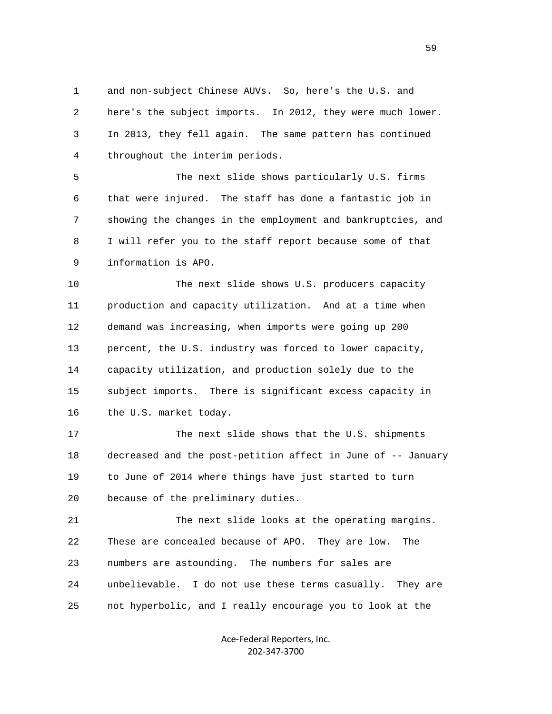1 and non-subject Chinese AUVs. So, here's the U.S. and 2 here's the subject imports. In 2012, they were much lower. 3 In 2013, they fell again. The same pattern has continued 4 throughout the interim periods.

 5 The next slide shows particularly U.S. firms 6 that were injured. The staff has done a fantastic job in 7 showing the changes in the employment and bankruptcies, and 8 I will refer you to the staff report because some of that 9 information is APO.

 10 The next slide shows U.S. producers capacity 11 production and capacity utilization. And at a time when 12 demand was increasing, when imports were going up 200 13 percent, the U.S. industry was forced to lower capacity, 14 capacity utilization, and production solely due to the 15 subject imports. There is significant excess capacity in 16 the U.S. market today.

 17 The next slide shows that the U.S. shipments 18 decreased and the post-petition affect in June of -- January 19 to June of 2014 where things have just started to turn 20 because of the preliminary duties.

 21 The next slide looks at the operating margins. 22 These are concealed because of APO. They are low. The 23 numbers are astounding. The numbers for sales are 24 unbelievable. I do not use these terms casually. They are 25 not hyperbolic, and I really encourage you to look at the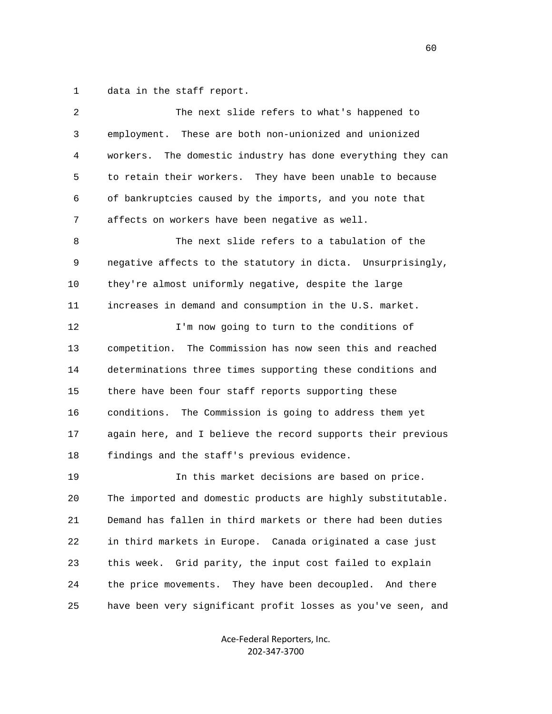1 data in the staff report.

| 2            | The next slide refers to what's happened to                    |
|--------------|----------------------------------------------------------------|
| $\mathsf{3}$ | employment. These are both non-unionized and unionized         |
| 4            | The domestic industry has done everything they can<br>workers. |
| 5            | to retain their workers. They have been unable to because      |
| 6            | of bankruptcies caused by the imports, and you note that       |
| 7            | affects on workers have been negative as well.                 |
| 8            | The next slide refers to a tabulation of the                   |
| 9            | negative affects to the statutory in dicta. Unsurprisingly,    |
| 10           | they're almost uniformly negative, despite the large           |
| 11           | increases in demand and consumption in the U.S. market.        |
| 12           | I'm now going to turn to the conditions of                     |
| 13           | The Commission has now seen this and reached<br>competition.   |
| 14           | determinations three times supporting these conditions and     |
| 15           | there have been four staff reports supporting these            |
| 16           | conditions. The Commission is going to address them yet        |
| 17           | again here, and I believe the record supports their previous   |
| 18           | findings and the staff's previous evidence.                    |
| 19           | In this market decisions are based on price.                   |
| 20           | The imported and domestic products are highly substitutable.   |
| 21           | Demand has fallen in third markets or there had been duties    |
| 22           | in third markets in Europe. Canada originated a case just      |
| 23           | Grid parity, the input cost failed to explain<br>this week.    |
| 24           | the price movements. They have been decoupled. And there       |
| 25           | have been very significant profit losses as you've seen, and   |

Ace‐Federal Reporters, Inc. 202‐347‐3700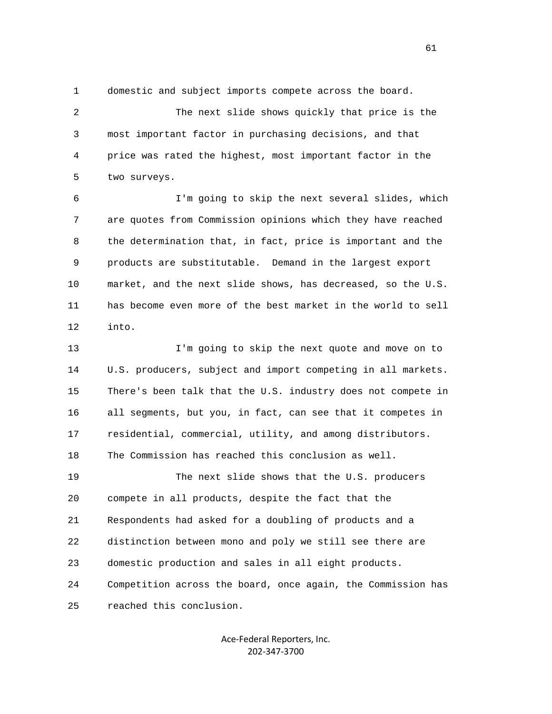1 domestic and subject imports compete across the board.

 2 The next slide shows quickly that price is the 3 most important factor in purchasing decisions, and that 4 price was rated the highest, most important factor in the 5 two surveys.

 6 I'm going to skip the next several slides, which 7 are quotes from Commission opinions which they have reached 8 the determination that, in fact, price is important and the 9 products are substitutable. Demand in the largest export 10 market, and the next slide shows, has decreased, so the U.S. 11 has become even more of the best market in the world to sell 12 into.

 13 I'm going to skip the next quote and move on to 14 U.S. producers, subject and import competing in all markets. 15 There's been talk that the U.S. industry does not compete in 16 all segments, but you, in fact, can see that it competes in 17 residential, commercial, utility, and among distributors. 18 The Commission has reached this conclusion as well. 19 The next slide shows that the U.S. producers 20 compete in all products, despite the fact that the 21 Respondents had asked for a doubling of products and a 22 distinction between mono and poly we still see there are 23 domestic production and sales in all eight products. 24 Competition across the board, once again, the Commission has 25 reached this conclusion.

> Ace‐Federal Reporters, Inc. 202‐347‐3700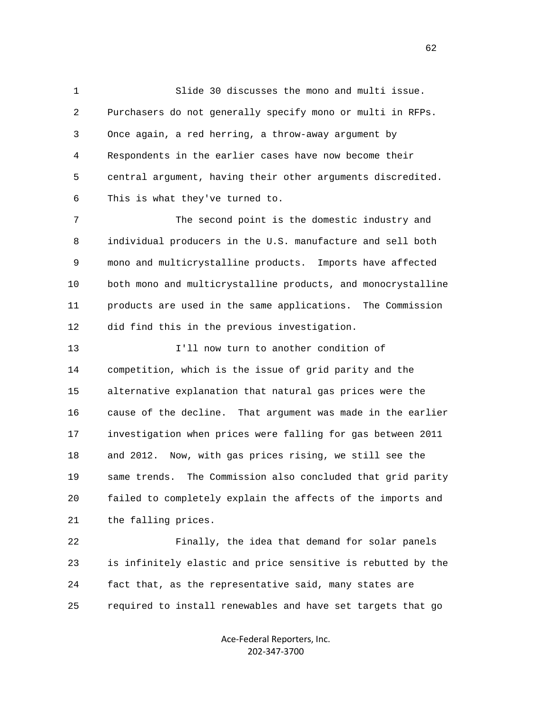1 Slide 30 discusses the mono and multi issue. 2 Purchasers do not generally specify mono or multi in RFPs. 3 Once again, a red herring, a throw-away argument by 4 Respondents in the earlier cases have now become their 5 central argument, having their other arguments discredited. 6 This is what they've turned to.

 7 The second point is the domestic industry and 8 individual producers in the U.S. manufacture and sell both 9 mono and multicrystalline products. Imports have affected 10 both mono and multicrystalline products, and monocrystalline 11 products are used in the same applications. The Commission 12 did find this in the previous investigation.

 13 I'll now turn to another condition of 14 competition, which is the issue of grid parity and the 15 alternative explanation that natural gas prices were the 16 cause of the decline. That argument was made in the earlier 17 investigation when prices were falling for gas between 2011 18 and 2012. Now, with gas prices rising, we still see the 19 same trends. The Commission also concluded that grid parity 20 failed to completely explain the affects of the imports and 21 the falling prices.

 22 Finally, the idea that demand for solar panels 23 is infinitely elastic and price sensitive is rebutted by the 24 fact that, as the representative said, many states are 25 required to install renewables and have set targets that go

> Ace‐Federal Reporters, Inc. 202‐347‐3700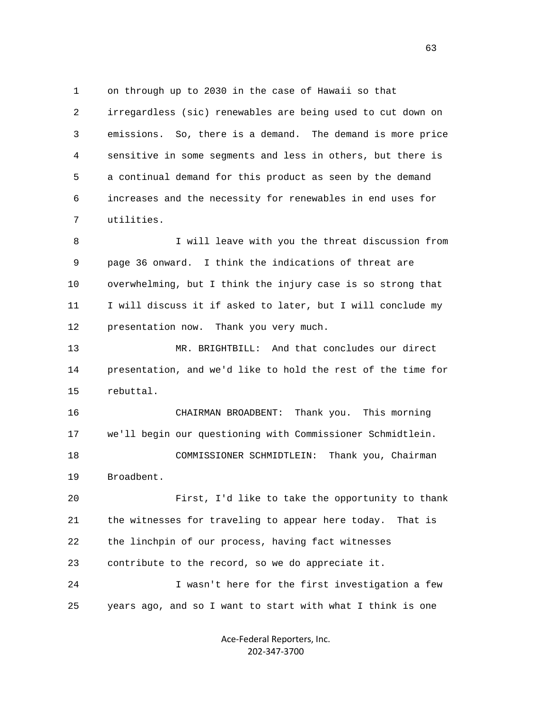1 on through up to 2030 in the case of Hawaii so that 2 irregardless (sic) renewables are being used to cut down on 3 emissions. So, there is a demand. The demand is more price 4 sensitive in some segments and less in others, but there is 5 a continual demand for this product as seen by the demand 6 increases and the necessity for renewables in end uses for 7 utilities.

8 I will leave with you the threat discussion from 9 page 36 onward. I think the indications of threat are 10 overwhelming, but I think the injury case is so strong that 11 I will discuss it if asked to later, but I will conclude my 12 presentation now. Thank you very much.

 13 MR. BRIGHTBILL: And that concludes our direct 14 presentation, and we'd like to hold the rest of the time for 15 rebuttal.

 16 CHAIRMAN BROADBENT: Thank you. This morning 17 we'll begin our questioning with Commissioner Schmidtlein. 18 COMMISSIONER SCHMIDTLEIN: Thank you, Chairman 19 Broadbent.

 20 First, I'd like to take the opportunity to thank 21 the witnesses for traveling to appear here today. That is 22 the linchpin of our process, having fact witnesses 23 contribute to the record, so we do appreciate it. 24 I wasn't here for the first investigation a few

25 years ago, and so I want to start with what I think is one

Ace‐Federal Reporters, Inc. 202‐347‐3700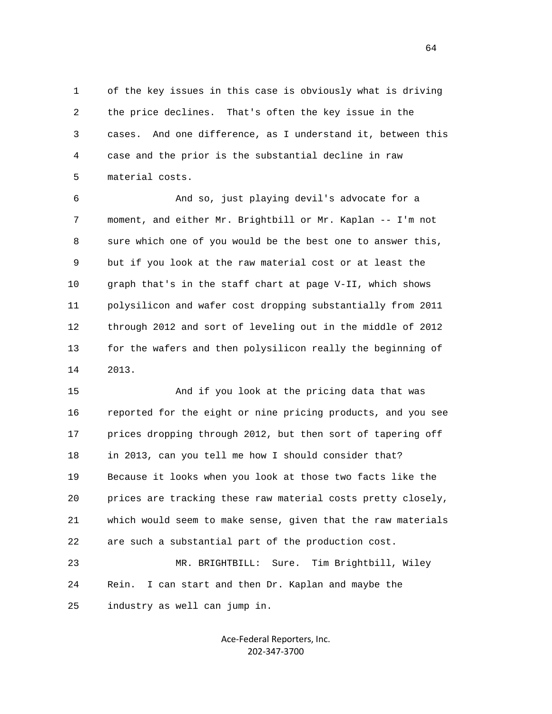1 of the key issues in this case is obviously what is driving 2 the price declines. That's often the key issue in the 3 cases. And one difference, as I understand it, between this 4 case and the prior is the substantial decline in raw 5 material costs.

 6 And so, just playing devil's advocate for a 7 moment, and either Mr. Brightbill or Mr. Kaplan -- I'm not 8 sure which one of you would be the best one to answer this, 9 but if you look at the raw material cost or at least the 10 graph that's in the staff chart at page V-II, which shows 11 polysilicon and wafer cost dropping substantially from 2011 12 through 2012 and sort of leveling out in the middle of 2012 13 for the wafers and then polysilicon really the beginning of 14 2013.

 15 And if you look at the pricing data that was 16 reported for the eight or nine pricing products, and you see 17 prices dropping through 2012, but then sort of tapering off 18 in 2013, can you tell me how I should consider that? 19 Because it looks when you look at those two facts like the 20 prices are tracking these raw material costs pretty closely, 21 which would seem to make sense, given that the raw materials 22 are such a substantial part of the production cost.

 23 MR. BRIGHTBILL: Sure. Tim Brightbill, Wiley 24 Rein. I can start and then Dr. Kaplan and maybe the 25 industry as well can jump in.

> Ace‐Federal Reporters, Inc. 202‐347‐3700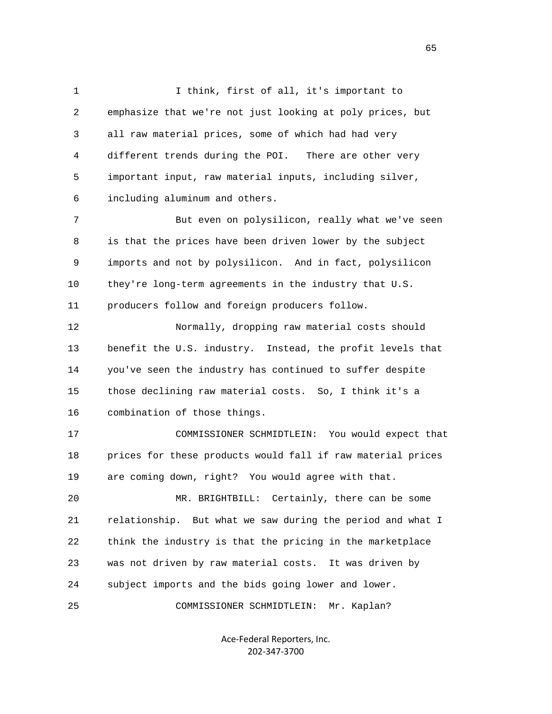1 I think, first of all, it's important to 2 emphasize that we're not just looking at poly prices, but 3 all raw material prices, some of which had had very 4 different trends during the POI. There are other very 5 important input, raw material inputs, including silver, 6 including aluminum and others.

 7 But even on polysilicon, really what we've seen 8 is that the prices have been driven lower by the subject 9 imports and not by polysilicon. And in fact, polysilicon 10 they're long-term agreements in the industry that U.S. 11 producers follow and foreign producers follow.

 12 Normally, dropping raw material costs should 13 benefit the U.S. industry. Instead, the profit levels that 14 you've seen the industry has continued to suffer despite 15 those declining raw material costs. So, I think it's a 16 combination of those things.

 17 COMMISSIONER SCHMIDTLEIN: You would expect that 18 prices for these products would fall if raw material prices 19 are coming down, right? You would agree with that.

 20 MR. BRIGHTBILL: Certainly, there can be some 21 relationship. But what we saw during the period and what I 22 think the industry is that the pricing in the marketplace 23 was not driven by raw material costs. It was driven by 24 subject imports and the bids going lower and lower.

25 COMMISSIONER SCHMIDTLEIN: Mr. Kaplan?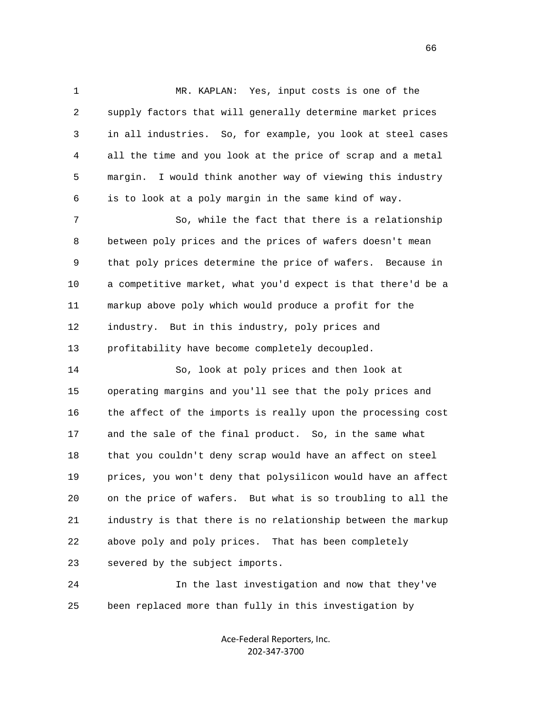1 MR. KAPLAN: Yes, input costs is one of the 2 supply factors that will generally determine market prices 3 in all industries. So, for example, you look at steel cases 4 all the time and you look at the price of scrap and a metal 5 margin. I would think another way of viewing this industry 6 is to look at a poly margin in the same kind of way.

 7 So, while the fact that there is a relationship 8 between poly prices and the prices of wafers doesn't mean 9 that poly prices determine the price of wafers. Because in 10 a competitive market, what you'd expect is that there'd be a 11 markup above poly which would produce a profit for the 12 industry. But in this industry, poly prices and 13 profitability have become completely decoupled.

 14 So, look at poly prices and then look at 15 operating margins and you'll see that the poly prices and 16 the affect of the imports is really upon the processing cost 17 and the sale of the final product. So, in the same what 18 that you couldn't deny scrap would have an affect on steel 19 prices, you won't deny that polysilicon would have an affect 20 on the price of wafers. But what is so troubling to all the 21 industry is that there is no relationship between the markup 22 above poly and poly prices. That has been completely 23 severed by the subject imports.

 24 In the last investigation and now that they've 25 been replaced more than fully in this investigation by

> Ace‐Federal Reporters, Inc. 202‐347‐3700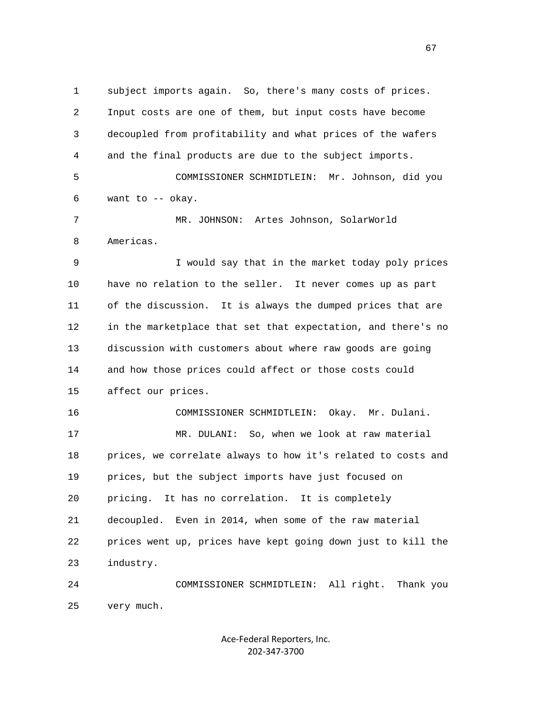1 subject imports again. So, there's many costs of prices. 2 Input costs are one of them, but input costs have become 3 decoupled from profitability and what prices of the wafers 4 and the final products are due to the subject imports. 5 COMMISSIONER SCHMIDTLEIN: Mr. Johnson, did you 6 want to -- okay. 7 MR. JOHNSON: Artes Johnson, SolarWorld 8 Americas. 9 I would say that in the market today poly prices 10 have no relation to the seller. It never comes up as part 11 of the discussion. It is always the dumped prices that are 12 in the marketplace that set that expectation, and there's no 13 discussion with customers about where raw goods are going 14 and how those prices could affect or those costs could 15 affect our prices. 16 COMMISSIONER SCHMIDTLEIN: Okay. Mr. Dulani. 17 MR. DULANI: So, when we look at raw material 18 prices, we correlate always to how it's related to costs and 19 prices, but the subject imports have just focused on 20 pricing. It has no correlation. It is completely 21 decoupled. Even in 2014, when some of the raw material 22 prices went up, prices have kept going down just to kill the 23 industry. 24 COMMISSIONER SCHMIDTLEIN: All right. Thank you 25 very much.

> Ace‐Federal Reporters, Inc. 202‐347‐3700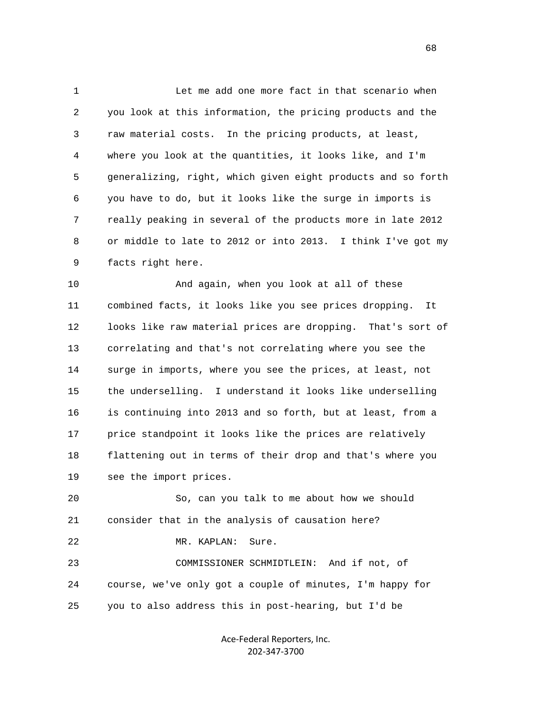1 Let me add one more fact in that scenario when 2 you look at this information, the pricing products and the 3 raw material costs. In the pricing products, at least, 4 where you look at the quantities, it looks like, and I'm 5 generalizing, right, which given eight products and so forth 6 you have to do, but it looks like the surge in imports is 7 really peaking in several of the products more in late 2012 8 or middle to late to 2012 or into 2013. I think I've got my 9 facts right here.

 10 And again, when you look at all of these 11 combined facts, it looks like you see prices dropping. It 12 looks like raw material prices are dropping. That's sort of 13 correlating and that's not correlating where you see the 14 surge in imports, where you see the prices, at least, not 15 the underselling. I understand it looks like underselling 16 is continuing into 2013 and so forth, but at least, from a 17 price standpoint it looks like the prices are relatively 18 flattening out in terms of their drop and that's where you 19 see the import prices.

 20 So, can you talk to me about how we should 21 consider that in the analysis of causation here? 22 MR. KAPLAN: Sure. 23 COMMISSIONER SCHMIDTLEIN: And if not, of 24 course, we've only got a couple of minutes, I'm happy for 25 you to also address this in post-hearing, but I'd be

> Ace‐Federal Reporters, Inc. 202‐347‐3700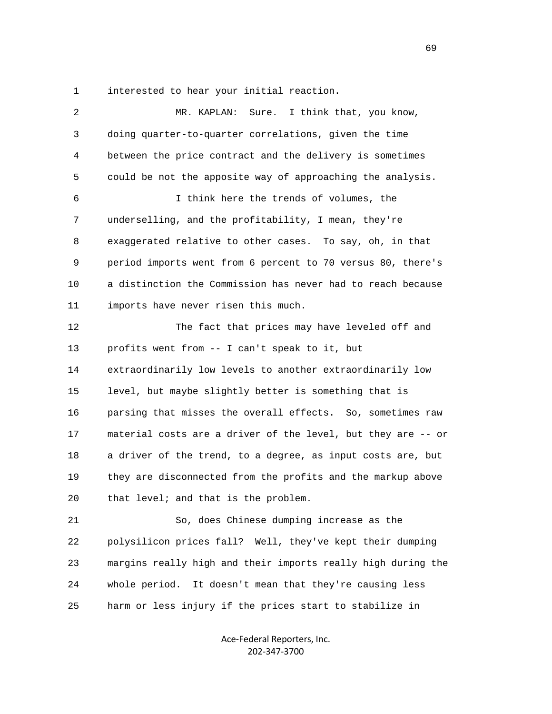1 interested to hear your initial reaction.

 2 MR. KAPLAN: Sure. I think that, you know, 3 doing quarter-to-quarter correlations, given the time 4 between the price contract and the delivery is sometimes 5 could be not the apposite way of approaching the analysis. 6 I think here the trends of volumes, the 7 underselling, and the profitability, I mean, they're 8 exaggerated relative to other cases. To say, oh, in that 9 period imports went from 6 percent to 70 versus 80, there's 10 a distinction the Commission has never had to reach because 11 imports have never risen this much. 12 The fact that prices may have leveled off and 13 profits went from -- I can't speak to it, but 14 extraordinarily low levels to another extraordinarily low 15 level, but maybe slightly better is something that is 16 parsing that misses the overall effects. So, sometimes raw 17 material costs are a driver of the level, but they are -- or 18 a driver of the trend, to a degree, as input costs are, but 19 they are disconnected from the profits and the markup above 20 that level; and that is the problem. 21 So, does Chinese dumping increase as the 22 polysilicon prices fall? Well, they've kept their dumping 23 margins really high and their imports really high during the 24 whole period. It doesn't mean that they're causing less 25 harm or less injury if the prices start to stabilize in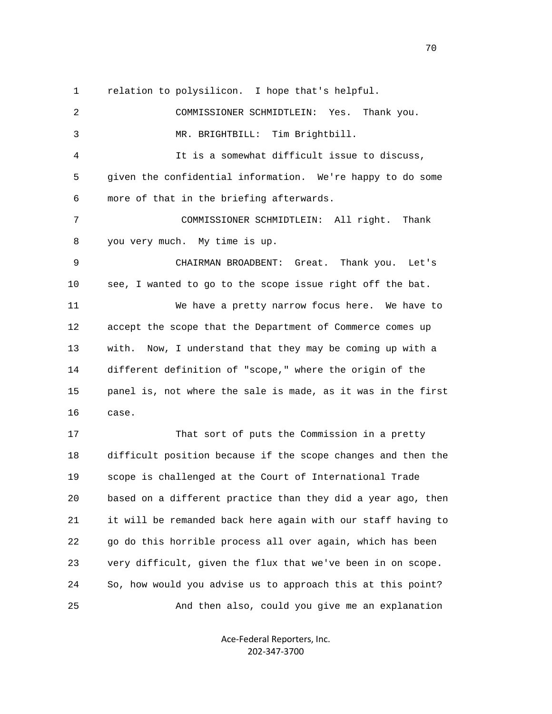1 relation to polysilicon. I hope that's helpful.

 2 COMMISSIONER SCHMIDTLEIN: Yes. Thank you. 3 MR. BRIGHTBILL: Tim Brightbill. 4 It is a somewhat difficult issue to discuss, 5 given the confidential information. We're happy to do some 6 more of that in the briefing afterwards. 7 COMMISSIONER SCHMIDTLEIN: All right. Thank 8 you very much. My time is up. 9 CHAIRMAN BROADBENT: Great. Thank you. Let's 10 see, I wanted to go to the scope issue right off the bat. 11 We have a pretty narrow focus here. We have to 12 accept the scope that the Department of Commerce comes up 13 with. Now, I understand that they may be coming up with a 14 different definition of "scope," where the origin of the 15 panel is, not where the sale is made, as it was in the first 16 case. 17 That sort of puts the Commission in a pretty 18 difficult position because if the scope changes and then the 19 scope is challenged at the Court of International Trade 20 based on a different practice than they did a year ago, then 21 it will be remanded back here again with our staff having to

 22 go do this horrible process all over again, which has been 23 very difficult, given the flux that we've been in on scope. 24 So, how would you advise us to approach this at this point? 25 And then also, could you give me an explanation

> Ace‐Federal Reporters, Inc. 202‐347‐3700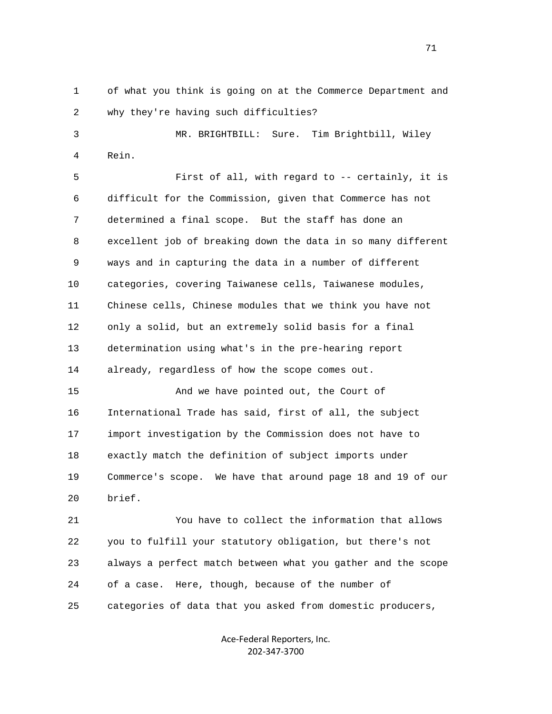1 of what you think is going on at the Commerce Department and 2 why they're having such difficulties?

 3 MR. BRIGHTBILL: Sure. Tim Brightbill, Wiley 4 Rein.

 5 First of all, with regard to -- certainly, it is 6 difficult for the Commission, given that Commerce has not 7 determined a final scope. But the staff has done an 8 excellent job of breaking down the data in so many different 9 ways and in capturing the data in a number of different 10 categories, covering Taiwanese cells, Taiwanese modules, 11 Chinese cells, Chinese modules that we think you have not 12 only a solid, but an extremely solid basis for a final 13 determination using what's in the pre-hearing report 14 already, regardless of how the scope comes out.

 15 And we have pointed out, the Court of 16 International Trade has said, first of all, the subject 17 import investigation by the Commission does not have to 18 exactly match the definition of subject imports under 19 Commerce's scope. We have that around page 18 and 19 of our 20 brief.

 21 You have to collect the information that allows 22 you to fulfill your statutory obligation, but there's not 23 always a perfect match between what you gather and the scope 24 of a case. Here, though, because of the number of 25 categories of data that you asked from domestic producers,

> Ace‐Federal Reporters, Inc. 202‐347‐3700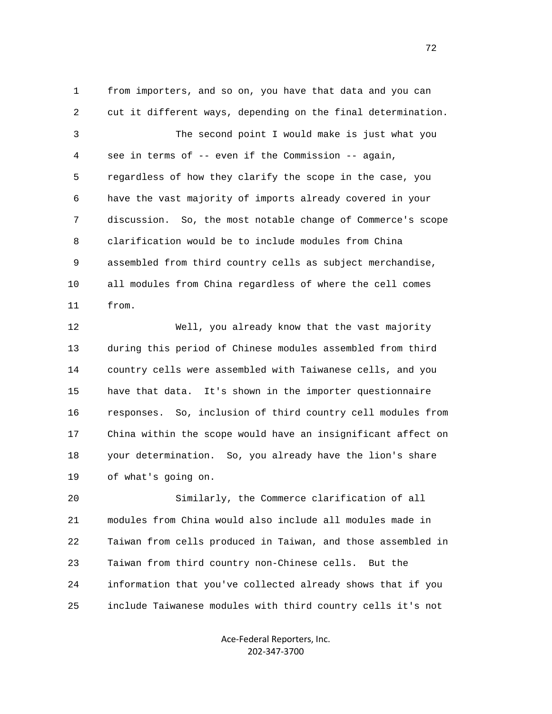1 from importers, and so on, you have that data and you can 2 cut it different ways, depending on the final determination. 3 The second point I would make is just what you 4 see in terms of -- even if the Commission -- again, 5 regardless of how they clarify the scope in the case, you 6 have the vast majority of imports already covered in your 7 discussion. So, the most notable change of Commerce's scope 8 clarification would be to include modules from China 9 assembled from third country cells as subject merchandise, 10 all modules from China regardless of where the cell comes 11 from.

 12 Well, you already know that the vast majority 13 during this period of Chinese modules assembled from third 14 country cells were assembled with Taiwanese cells, and you 15 have that data. It's shown in the importer questionnaire 16 responses. So, inclusion of third country cell modules from 17 China within the scope would have an insignificant affect on 18 your determination. So, you already have the lion's share 19 of what's going on.

 20 Similarly, the Commerce clarification of all 21 modules from China would also include all modules made in 22 Taiwan from cells produced in Taiwan, and those assembled in 23 Taiwan from third country non-Chinese cells. But the 24 information that you've collected already shows that if you 25 include Taiwanese modules with third country cells it's not

> Ace‐Federal Reporters, Inc. 202‐347‐3700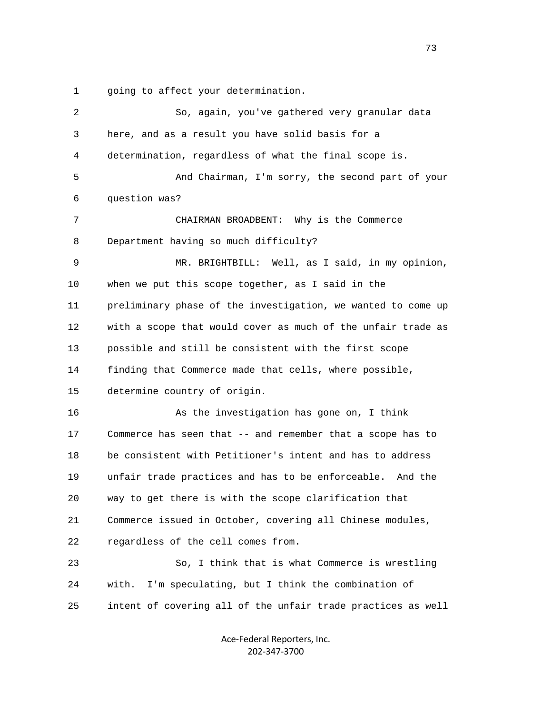1 going to affect your determination.

| $\overline{2}$ | So, again, you've gathered very granular data                |
|----------------|--------------------------------------------------------------|
| 3              | here, and as a result you have solid basis for a             |
| 4              | determination, regardless of what the final scope is.        |
| 5              | And Chairman, I'm sorry, the second part of your             |
| 6              | question was?                                                |
| 7              | CHAIRMAN BROADBENT: Why is the Commerce                      |
| 8              | Department having so much difficulty?                        |
| 9              | MR. BRIGHTBILL: Well, as I said, in my opinion,              |
| 10             | when we put this scope together, as I said in the            |
| 11             | preliminary phase of the investigation, we wanted to come up |
| 12             | with a scope that would cover as much of the unfair trade as |
| 13             | possible and still be consistent with the first scope        |
| 14             | finding that Commerce made that cells, where possible,       |
| 15             | determine country of origin.                                 |
| 16             | As the investigation has gone on, I think                    |
| 17             | Commerce has seen that -- and remember that a scope has to   |
| 18             | be consistent with Petitioner's intent and has to address    |
| 19             | unfair trade practices and has to be enforceable. And the    |
| 20             | way to get there is with the scope clarification that        |
| 21             | Commerce issued in October, covering all Chinese modules,    |
| 22             | regardless of the cell comes from.                           |
| 23             | So, I think that is what Commerce is wrestling               |
| 24             | I'm speculating, but I think the combination of<br>with.     |
| 25             | intent of covering all of the unfair trade practices as well |
|                |                                                              |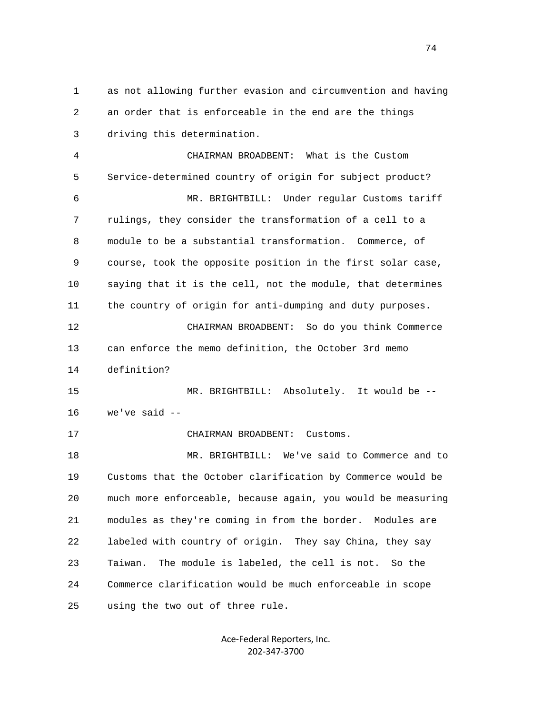1 as not allowing further evasion and circumvention and having 2 an order that is enforceable in the end are the things 3 driving this determination. 4 CHAIRMAN BROADBENT: What is the Custom

 5 Service-determined country of origin for subject product? 6 MR. BRIGHTBILL: Under regular Customs tariff 7 rulings, they consider the transformation of a cell to a 8 module to be a substantial transformation. Commerce, of 9 course, took the opposite position in the first solar case, 10 saying that it is the cell, not the module, that determines 11 the country of origin for anti-dumping and duty purposes.

 12 CHAIRMAN BROADBENT: So do you think Commerce 13 can enforce the memo definition, the October 3rd memo 14 definition?

 15 MR. BRIGHTBILL: Absolutely. It would be -- 16 we've said --

17 CHAIRMAN BROADBENT: Customs.

 18 MR. BRIGHTBILL: We've said to Commerce and to 19 Customs that the October clarification by Commerce would be 20 much more enforceable, because again, you would be measuring 21 modules as they're coming in from the border. Modules are 22 labeled with country of origin. They say China, they say 23 Taiwan. The module is labeled, the cell is not. So the 24 Commerce clarification would be much enforceable in scope 25 using the two out of three rule.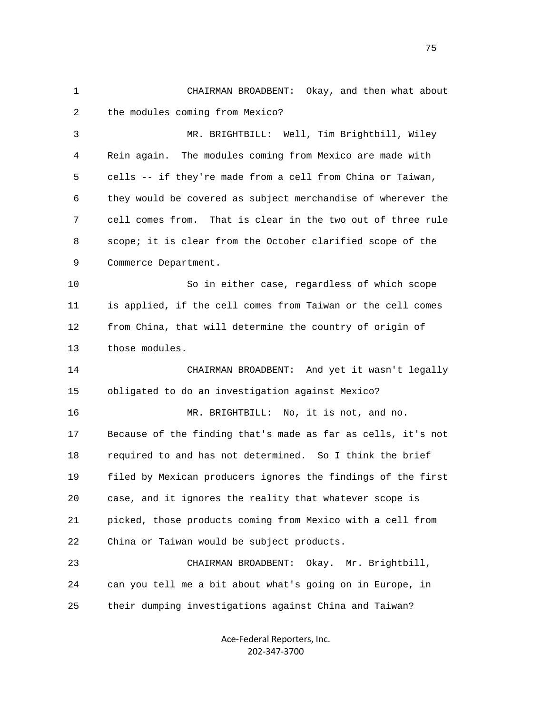1 CHAIRMAN BROADBENT: Okay, and then what about 2 the modules coming from Mexico?

 3 MR. BRIGHTBILL: Well, Tim Brightbill, Wiley 4 Rein again. The modules coming from Mexico are made with 5 cells -- if they're made from a cell from China or Taiwan, 6 they would be covered as subject merchandise of wherever the 7 cell comes from. That is clear in the two out of three rule 8 scope; it is clear from the October clarified scope of the 9 Commerce Department.

 10 So in either case, regardless of which scope 11 is applied, if the cell comes from Taiwan or the cell comes 12 from China, that will determine the country of origin of 13 those modules.

 14 CHAIRMAN BROADBENT: And yet it wasn't legally 15 obligated to do an investigation against Mexico? 16 MR. BRIGHTBILL: No, it is not, and no.

 17 Because of the finding that's made as far as cells, it's not 18 required to and has not determined. So I think the brief 19 filed by Mexican producers ignores the findings of the first 20 case, and it ignores the reality that whatever scope is 21 picked, those products coming from Mexico with a cell from 22 China or Taiwan would be subject products.

 23 CHAIRMAN BROADBENT: Okay. Mr. Brightbill, 24 can you tell me a bit about what's going on in Europe, in 25 their dumping investigations against China and Taiwan?

> Ace‐Federal Reporters, Inc. 202‐347‐3700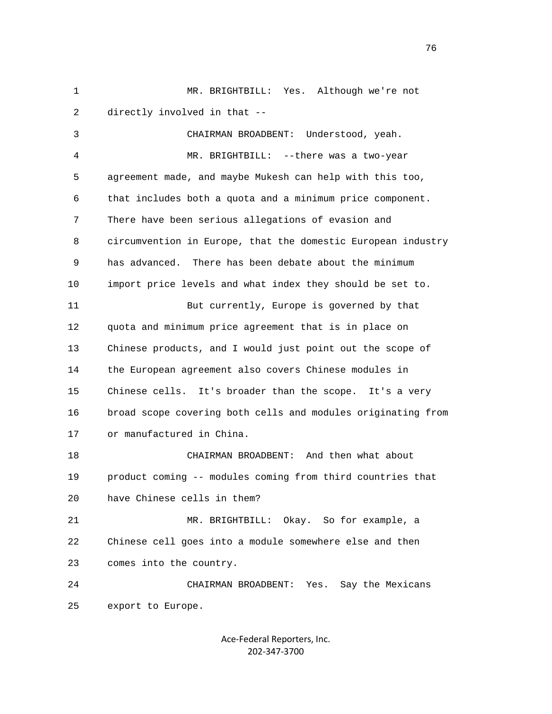2 directly involved in that -- 3 CHAIRMAN BROADBENT: Understood, yeah. 4 MR. BRIGHTBILL: --there was a two-year 5 agreement made, and maybe Mukesh can help with this too, 6 that includes both a quota and a minimum price component. 7 There have been serious allegations of evasion and 8 circumvention in Europe, that the domestic European industry 9 has advanced. There has been debate about the minimum 10 import price levels and what index they should be set to. 11 But currently, Europe is governed by that 12 quota and minimum price agreement that is in place on 13 Chinese products, and I would just point out the scope of 14 the European agreement also covers Chinese modules in 15 Chinese cells. It's broader than the scope. It's a very 16 broad scope covering both cells and modules originating from

1 MR. BRIGHTBILL: Yes. Although we're not

17 or manufactured in China.

 18 CHAIRMAN BROADBENT: And then what about 19 product coming -- modules coming from third countries that 20 have Chinese cells in them?

 21 MR. BRIGHTBILL: Okay. So for example, a 22 Chinese cell goes into a module somewhere else and then 23 comes into the country.

 24 CHAIRMAN BROADBENT: Yes. Say the Mexicans 25 export to Europe.

> Ace‐Federal Reporters, Inc. 202‐347‐3700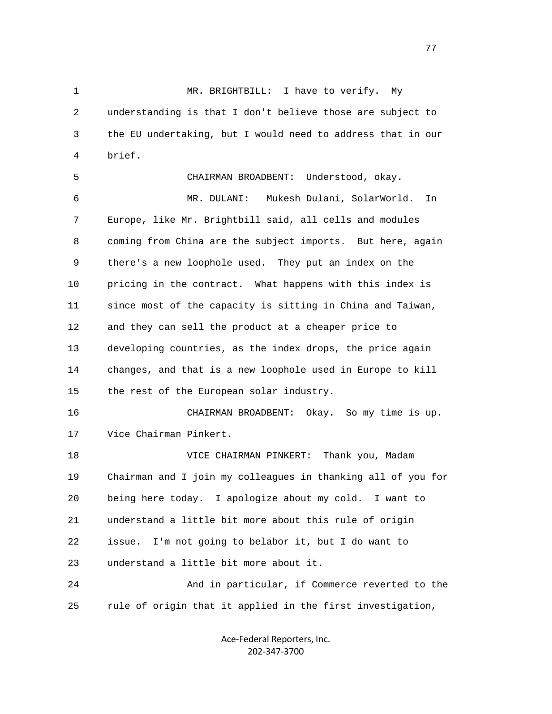1 MR. BRIGHTBILL: I have to verify. My 2 understanding is that I don't believe those are subject to 3 the EU undertaking, but I would need to address that in our 4 brief.

 5 CHAIRMAN BROADBENT: Understood, okay. 6 MR. DULANI: Mukesh Dulani, SolarWorld. In 7 Europe, like Mr. Brightbill said, all cells and modules 8 coming from China are the subject imports. But here, again 9 there's a new loophole used. They put an index on the 10 pricing in the contract. What happens with this index is 11 since most of the capacity is sitting in China and Taiwan, 12 and they can sell the product at a cheaper price to 13 developing countries, as the index drops, the price again 14 changes, and that is a new loophole used in Europe to kill 15 the rest of the European solar industry. 16 CHAIRMAN BROADBENT: Okay. So my time is up. 17 Vice Chairman Pinkert. 18 VICE CHAIRMAN PINKERT: Thank you, Madam

 19 Chairman and I join my colleagues in thanking all of you for 20 being here today. I apologize about my cold. I want to 21 understand a little bit more about this rule of origin 22 issue. I'm not going to belabor it, but I do want to 23 understand a little bit more about it. 24 And in particular, if Commerce reverted to the

25 rule of origin that it applied in the first investigation,

Ace‐Federal Reporters, Inc. 202‐347‐3700

na na matsay na matsay na matsay na matsay na matsay na matsay na matsay na matsay na matsay na matsay na mats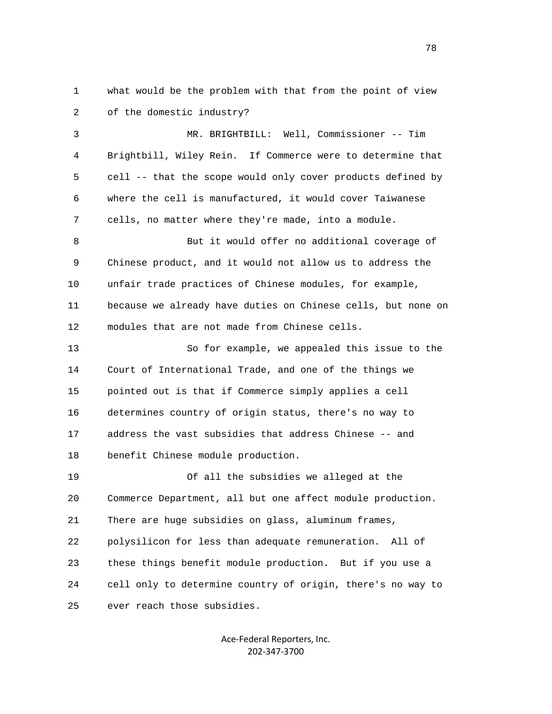1 what would be the problem with that from the point of view 2 of the domestic industry?

 3 MR. BRIGHTBILL: Well, Commissioner -- Tim 4 Brightbill, Wiley Rein. If Commerce were to determine that 5 cell -- that the scope would only cover products defined by 6 where the cell is manufactured, it would cover Taiwanese 7 cells, no matter where they're made, into a module.

 8 But it would offer no additional coverage of 9 Chinese product, and it would not allow us to address the 10 unfair trade practices of Chinese modules, for example, 11 because we already have duties on Chinese cells, but none on 12 modules that are not made from Chinese cells.

 13 So for example, we appealed this issue to the 14 Court of International Trade, and one of the things we 15 pointed out is that if Commerce simply applies a cell 16 determines country of origin status, there's no way to 17 address the vast subsidies that address Chinese -- and 18 benefit Chinese module production.

 19 Of all the subsidies we alleged at the 20 Commerce Department, all but one affect module production. 21 There are huge subsidies on glass, aluminum frames, 22 polysilicon for less than adequate remuneration. All of 23 these things benefit module production. But if you use a 24 cell only to determine country of origin, there's no way to 25 ever reach those subsidies.

> Ace‐Federal Reporters, Inc. 202‐347‐3700

n and the state of the state of the state of the state of the state of the state of the state of the state of the state of the state of the state of the state of the state of the state of the state of the state of the stat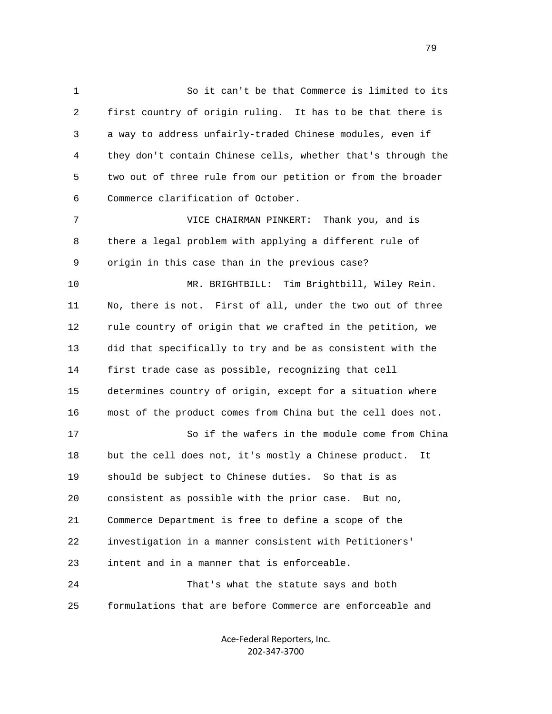1 So it can't be that Commerce is limited to its 2 first country of origin ruling. It has to be that there is 3 a way to address unfairly-traded Chinese modules, even if 4 they don't contain Chinese cells, whether that's through the 5 two out of three rule from our petition or from the broader 6 Commerce clarification of October. 7 VICE CHAIRMAN PINKERT: Thank you, and is 8 there a legal problem with applying a different rule of 9 origin in this case than in the previous case? 10 MR. BRIGHTBILL: Tim Brightbill, Wiley Rein. 11 No, there is not. First of all, under the two out of three 12 rule country of origin that we crafted in the petition, we 13 did that specifically to try and be as consistent with the 14 first trade case as possible, recognizing that cell 15 determines country of origin, except for a situation where 16 most of the product comes from China but the cell does not. 17 So if the wafers in the module come from China 18 but the cell does not, it's mostly a Chinese product. It 19 should be subject to Chinese duties. So that is as 20 consistent as possible with the prior case. But no, 21 Commerce Department is free to define a scope of the 22 investigation in a manner consistent with Petitioners' 23 intent and in a manner that is enforceable. 24 That's what the statute says and both 25 formulations that are before Commerce are enforceable and

> Ace‐Federal Reporters, Inc. 202‐347‐3700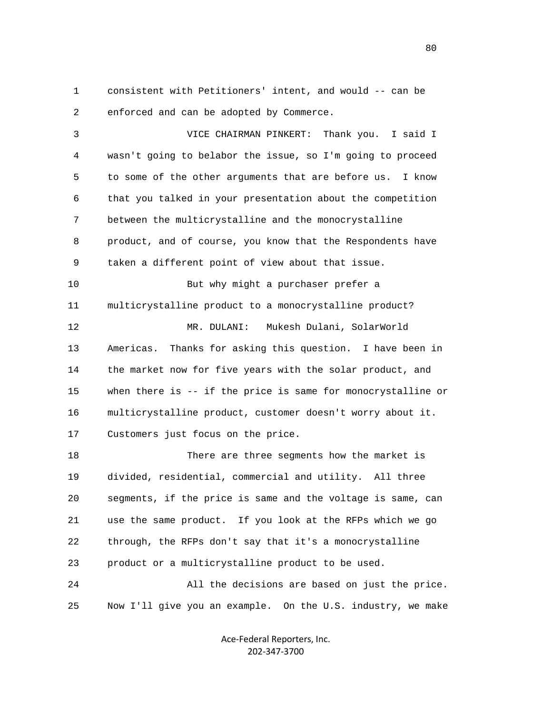1 consistent with Petitioners' intent, and would -- can be 2 enforced and can be adopted by Commerce.

 3 VICE CHAIRMAN PINKERT: Thank you. I said I 4 wasn't going to belabor the issue, so I'm going to proceed 5 to some of the other arguments that are before us. I know 6 that you talked in your presentation about the competition 7 between the multicrystalline and the monocrystalline 8 product, and of course, you know that the Respondents have 9 taken a different point of view about that issue. 10 But why might a purchaser prefer a 11 multicrystalline product to a monocrystalline product? 12 MR. DULANI: Mukesh Dulani, SolarWorld 13 Americas. Thanks for asking this question. I have been in 14 the market now for five years with the solar product, and 15 when there is -- if the price is same for monocrystalline or 16 multicrystalline product, customer doesn't worry about it. 17 Customers just focus on the price. 18 There are three segments how the market is

 19 divided, residential, commercial and utility. All three 20 segments, if the price is same and the voltage is same, can 21 use the same product. If you look at the RFPs which we go 22 through, the RFPs don't say that it's a monocrystalline 23 product or a multicrystalline product to be used. 24 All the decisions are based on just the price.

25 Now I'll give you an example. On the U.S. industry, we make

Ace‐Federal Reporters, Inc. 202‐347‐3700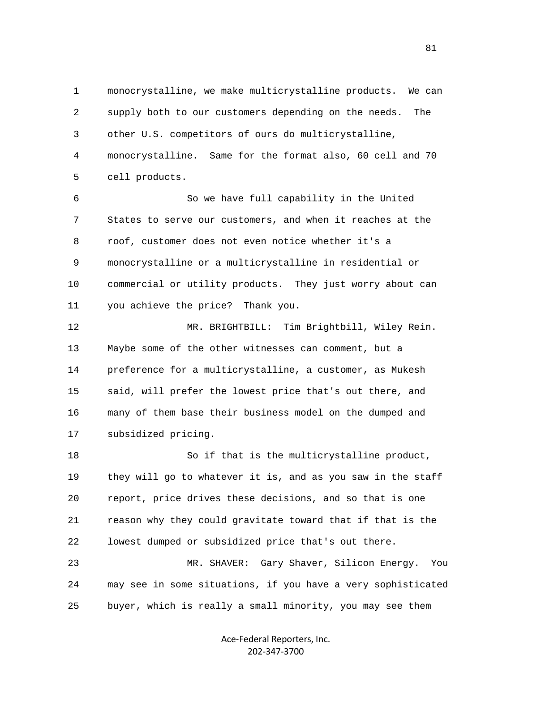1 monocrystalline, we make multicrystalline products. We can 2 supply both to our customers depending on the needs. The 3 other U.S. competitors of ours do multicrystalline, 4 monocrystalline. Same for the format also, 60 cell and 70 5 cell products.

 6 So we have full capability in the United 7 States to serve our customers, and when it reaches at the 8 roof, customer does not even notice whether it's a 9 monocrystalline or a multicrystalline in residential or 10 commercial or utility products. They just worry about can 11 you achieve the price? Thank you.

 12 MR. BRIGHTBILL: Tim Brightbill, Wiley Rein. 13 Maybe some of the other witnesses can comment, but a 14 preference for a multicrystalline, a customer, as Mukesh 15 said, will prefer the lowest price that's out there, and 16 many of them base their business model on the dumped and 17 subsidized pricing.

 18 So if that is the multicrystalline product, 19 they will go to whatever it is, and as you saw in the staff 20 report, price drives these decisions, and so that is one 21 reason why they could gravitate toward that if that is the 22 lowest dumped or subsidized price that's out there.

 23 MR. SHAVER: Gary Shaver, Silicon Energy. You 24 may see in some situations, if you have a very sophisticated 25 buyer, which is really a small minority, you may see them

> Ace‐Federal Reporters, Inc. 202‐347‐3700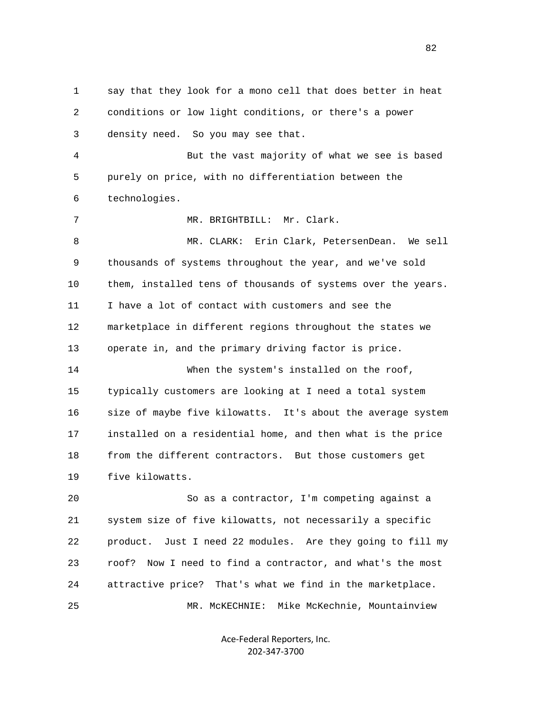1 say that they look for a mono cell that does better in heat 2 conditions or low light conditions, or there's a power 3 density need. So you may see that. 4 But the vast majority of what we see is based 5 purely on price, with no differentiation between the 6 technologies. 7 MR. BRIGHTBILL: Mr. Clark. 8 MR. CLARK: Erin Clark, PetersenDean. We sell 9 thousands of systems throughout the year, and we've sold 10 them, installed tens of thousands of systems over the years. 11 I have a lot of contact with customers and see the 12 marketplace in different regions throughout the states we 13 operate in, and the primary driving factor is price. 14 When the system's installed on the roof, 15 typically customers are looking at I need a total system 16 size of maybe five kilowatts. It's about the average system 17 installed on a residential home, and then what is the price 18 from the different contractors. But those customers get 19 five kilowatts. 20 So as a contractor, I'm competing against a 21 system size of five kilowatts, not necessarily a specific 22 product. Just I need 22 modules. Are they going to fill my 23 roof? Now I need to find a contractor, and what's the most 24 attractive price? That's what we find in the marketplace. 25 MR. McKECHNIE: Mike McKechnie, Mountainview

> Ace‐Federal Reporters, Inc. 202‐347‐3700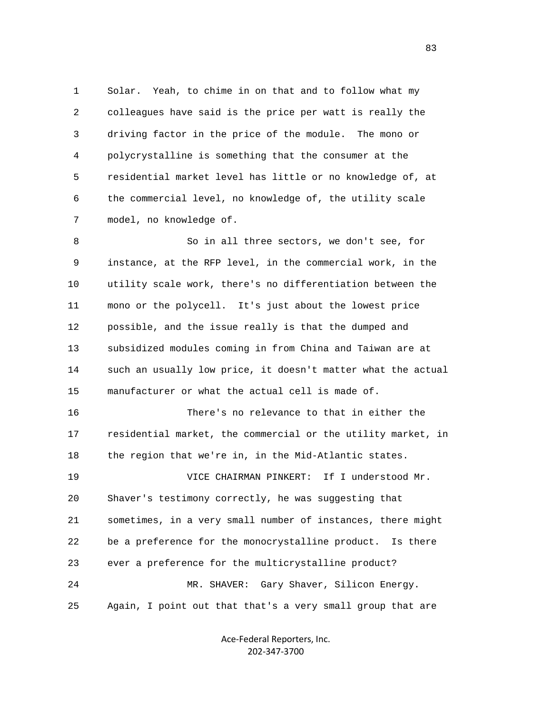1 Solar. Yeah, to chime in on that and to follow what my 2 colleagues have said is the price per watt is really the 3 driving factor in the price of the module. The mono or 4 polycrystalline is something that the consumer at the 5 residential market level has little or no knowledge of, at 6 the commercial level, no knowledge of, the utility scale 7 model, no knowledge of.

 8 So in all three sectors, we don't see, for 9 instance, at the RFP level, in the commercial work, in the 10 utility scale work, there's no differentiation between the 11 mono or the polycell. It's just about the lowest price 12 possible, and the issue really is that the dumped and 13 subsidized modules coming in from China and Taiwan are at 14 such an usually low price, it doesn't matter what the actual 15 manufacturer or what the actual cell is made of. 16 There's no relevance to that in either the

 17 residential market, the commercial or the utility market, in 18 the region that we're in, in the Mid-Atlantic states. 19 VICE CHAIRMAN PINKERT: If I understood Mr. 20 Shaver's testimony correctly, he was suggesting that 21 sometimes, in a very small number of instances, there might 22 be a preference for the monocrystalline product. Is there 23 ever a preference for the multicrystalline product? 24 MR. SHAVER: Gary Shaver, Silicon Energy. 25 Again, I point out that that's a very small group that are

> Ace‐Federal Reporters, Inc. 202‐347‐3700

<u>83</u>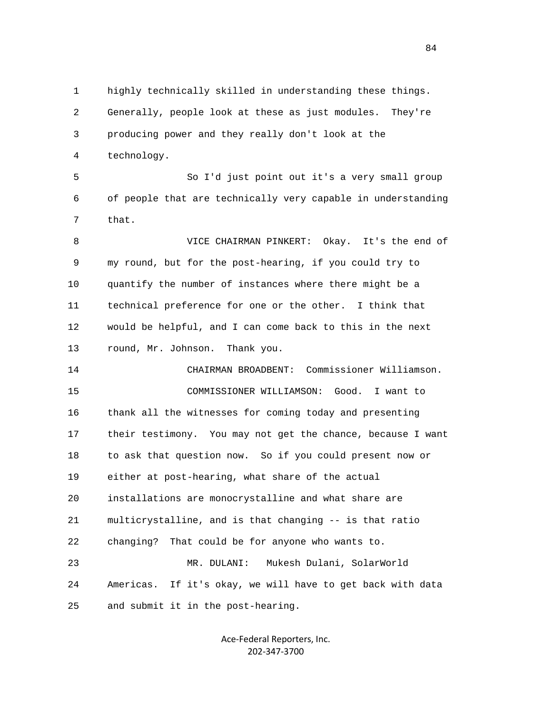1 highly technically skilled in understanding these things. 2 Generally, people look at these as just modules. They're 3 producing power and they really don't look at the 4 technology. 5 So I'd just point out it's a very small group 6 of people that are technically very capable in understanding 7 that. 8 VICE CHAIRMAN PINKERT: Okay. It's the end of 9 my round, but for the post-hearing, if you could try to 10 quantify the number of instances where there might be a 11 technical preference for one or the other. I think that 12 would be helpful, and I can come back to this in the next 13 round, Mr. Johnson. Thank you. 14 CHAIRMAN BROADBENT: Commissioner Williamson. 15 COMMISSIONER WILLIAMSON: Good. I want to 16 thank all the witnesses for coming today and presenting 17 their testimony. You may not get the chance, because I want

 23 MR. DULANI: Mukesh Dulani, SolarWorld 24 Americas. If it's okay, we will have to get back with data 25 and submit it in the post-hearing.

18 to ask that question now. So if you could present now or

19 either at post-hearing, what share of the actual

22 changing? That could be for anyone who wants to.

20 installations are monocrystalline and what share are

21 multicrystalline, and is that changing -- is that ratio

Ace‐Federal Reporters, Inc. 202‐347‐3700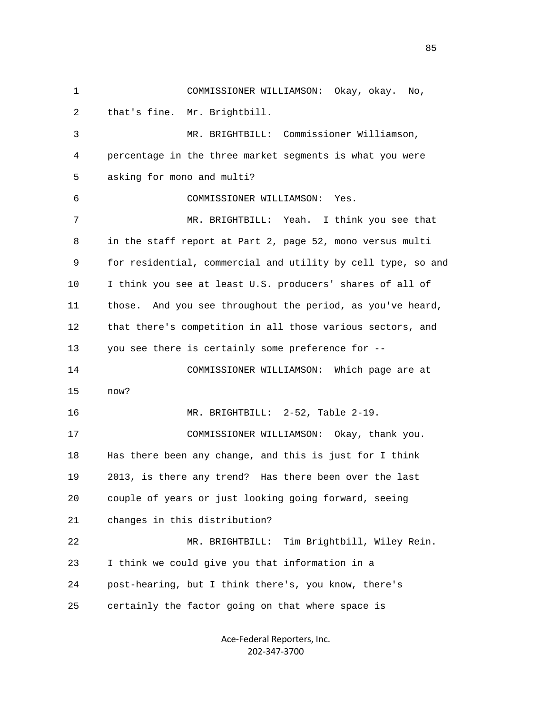1 COMMISSIONER WILLIAMSON: Okay, okay. No, 2 that's fine. Mr. Brightbill. 3 MR. BRIGHTBILL: Commissioner Williamson, 4 percentage in the three market segments is what you were 5 asking for mono and multi? 6 COMMISSIONER WILLIAMSON: Yes. 7 MR. BRIGHTBILL: Yeah. I think you see that 8 in the staff report at Part 2, page 52, mono versus multi 9 for residential, commercial and utility by cell type, so and 10 I think you see at least U.S. producers' shares of all of 11 those. And you see throughout the period, as you've heard, 12 that there's competition in all those various sectors, and 13 you see there is certainly some preference for -- 14 COMMISSIONER WILLIAMSON: Which page are at 15 now? 16 MR. BRIGHTBILL: 2-52, Table 2-19. 17 COMMISSIONER WILLIAMSON: Okay, thank you. 18 Has there been any change, and this is just for I think 19 2013, is there any trend? Has there been over the last 20 couple of years or just looking going forward, seeing 21 changes in this distribution? 22 MR. BRIGHTBILL: Tim Brightbill, Wiley Rein. 23 I think we could give you that information in a 24 post-hearing, but I think there's, you know, there's 25 certainly the factor going on that where space is

> Ace‐Federal Reporters, Inc. 202‐347‐3700

<u>85</u>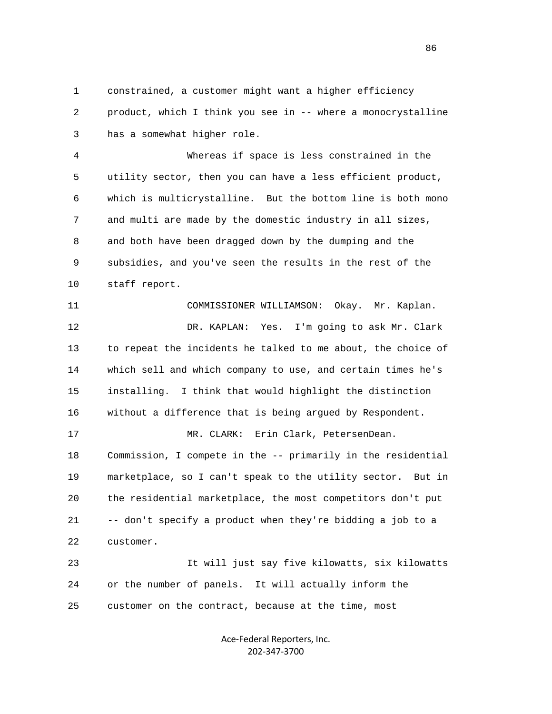1 constrained, a customer might want a higher efficiency 2 product, which I think you see in -- where a monocrystalline 3 has a somewhat higher role.

 4 Whereas if space is less constrained in the 5 utility sector, then you can have a less efficient product, 6 which is multicrystalline. But the bottom line is both mono 7 and multi are made by the domestic industry in all sizes, 8 and both have been dragged down by the dumping and the 9 subsidies, and you've seen the results in the rest of the 10 staff report.

 11 COMMISSIONER WILLIAMSON: Okay. Mr. Kaplan. 12 DR. KAPLAN: Yes. I'm going to ask Mr. Clark 13 to repeat the incidents he talked to me about, the choice of 14 which sell and which company to use, and certain times he's 15 installing. I think that would highlight the distinction 16 without a difference that is being argued by Respondent. 17 MR. CLARK: Erin Clark, PetersenDean. 18 Commission, I compete in the -- primarily in the residential 19 marketplace, so I can't speak to the utility sector. But in 20 the residential marketplace, the most competitors don't put 21 -- don't specify a product when they're bidding a job to a 22 customer. 23 It will just say five kilowatts, six kilowatts

 24 or the number of panels. It will actually inform the 25 customer on the contract, because at the time, most

> Ace‐Federal Reporters, Inc. 202‐347‐3700

<u>86 and 2001 and 2002 and 2003 and 2003 and 2003 and 2003 and 2003 and 2003 and 2003 and 2003 and 2003 and 200</u>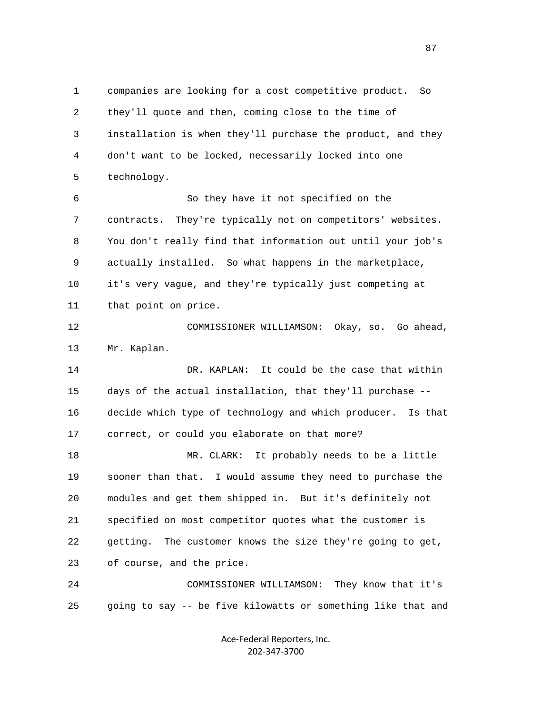1 companies are looking for a cost competitive product. So 2 they'll quote and then, coming close to the time of 3 installation is when they'll purchase the product, and they 4 don't want to be locked, necessarily locked into one 5 technology. 6 So they have it not specified on the 7 contracts. They're typically not on competitors' websites. 8 You don't really find that information out until your job's 9 actually installed. So what happens in the marketplace, 10 it's very vague, and they're typically just competing at 11 that point on price. 12 COMMISSIONER WILLIAMSON: Okay, so. Go ahead, 13 Mr. Kaplan. 14 DR. KAPLAN: It could be the case that within 15 days of the actual installation, that they'll purchase -- 16 decide which type of technology and which producer. Is that 17 correct, or could you elaborate on that more? 18 MR. CLARK: It probably needs to be a little 19 sooner than that. I would assume they need to purchase the 20 modules and get them shipped in. But it's definitely not 21 specified on most competitor quotes what the customer is 22 getting. The customer knows the size they're going to get, 23 of course, and the price. 24 COMMISSIONER WILLIAMSON: They know that it's 25 going to say -- be five kilowatts or something like that and

> Ace‐Federal Reporters, Inc. 202‐347‐3700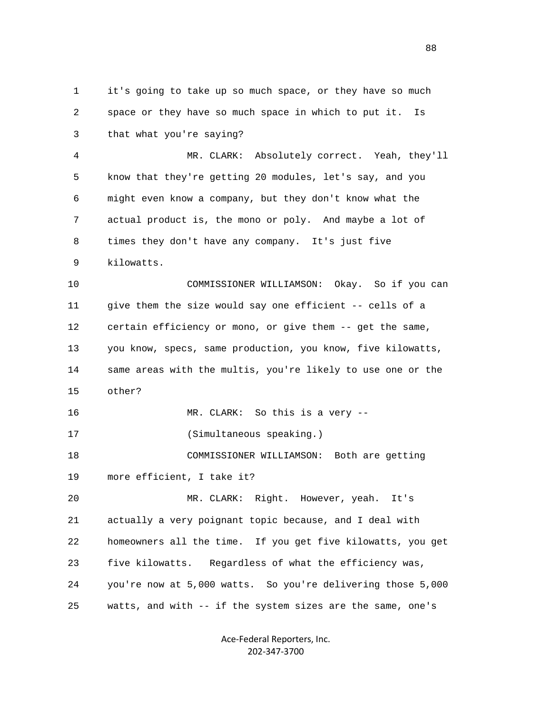1 it's going to take up so much space, or they have so much 2 space or they have so much space in which to put it. Is 3 that what you're saying? 4 MR. CLARK: Absolutely correct. Yeah, they'll 5 know that they're getting 20 modules, let's say, and you 6 might even know a company, but they don't know what the 7 actual product is, the mono or poly. And maybe a lot of 8 times they don't have any company. It's just five 9 kilowatts. 10 COMMISSIONER WILLIAMSON: Okay. So if you can 11 give them the size would say one efficient -- cells of a 12 certain efficiency or mono, or give them -- get the same, 13 you know, specs, same production, you know, five kilowatts, 14 same areas with the multis, you're likely to use one or the 15 other? 16 MR. CLARK: So this is a very -- 17 (Simultaneous speaking.) 18 COMMISSIONER WILLIAMSON: Both are getting 19 more efficient, I take it? 20 MR. CLARK: Right. However, yeah. It's 21 actually a very poignant topic because, and I deal with 22 homeowners all the time. If you get five kilowatts, you get 23 five kilowatts. Regardless of what the efficiency was, 24 you're now at 5,000 watts. So you're delivering those 5,000 25 watts, and with -- if the system sizes are the same, one's

> Ace‐Federal Reporters, Inc. 202‐347‐3700

en and the state of the state of the state of the state of the state of the state of the state of the state of the state of the state of the state of the state of the state of the state of the state of the state of the sta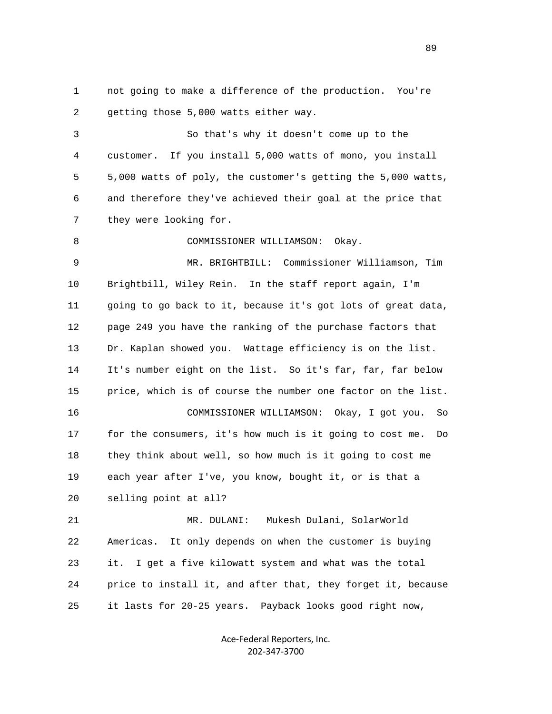1 not going to make a difference of the production. You're 2 getting those 5,000 watts either way.

 3 So that's why it doesn't come up to the 4 customer. If you install 5,000 watts of mono, you install 5 5,000 watts of poly, the customer's getting the 5,000 watts, 6 and therefore they've achieved their goal at the price that 7 they were looking for.

8 COMMISSIONER WILLIAMSON: Okay.

 9 MR. BRIGHTBILL: Commissioner Williamson, Tim 10 Brightbill, Wiley Rein. In the staff report again, I'm 11 going to go back to it, because it's got lots of great data, 12 page 249 you have the ranking of the purchase factors that 13 Dr. Kaplan showed you. Wattage efficiency is on the list. 14 It's number eight on the list. So it's far, far, far below 15 price, which is of course the number one factor on the list. 16 COMMISSIONER WILLIAMSON: Okay, I got you. So 17 for the consumers, it's how much is it going to cost me. Do 18 they think about well, so how much is it going to cost me 19 each year after I've, you know, bought it, or is that a 20 selling point at all?

 21 MR. DULANI: Mukesh Dulani, SolarWorld 22 Americas. It only depends on when the customer is buying 23 it. I get a five kilowatt system and what was the total 24 price to install it, and after that, they forget it, because 25 it lasts for 20-25 years. Payback looks good right now,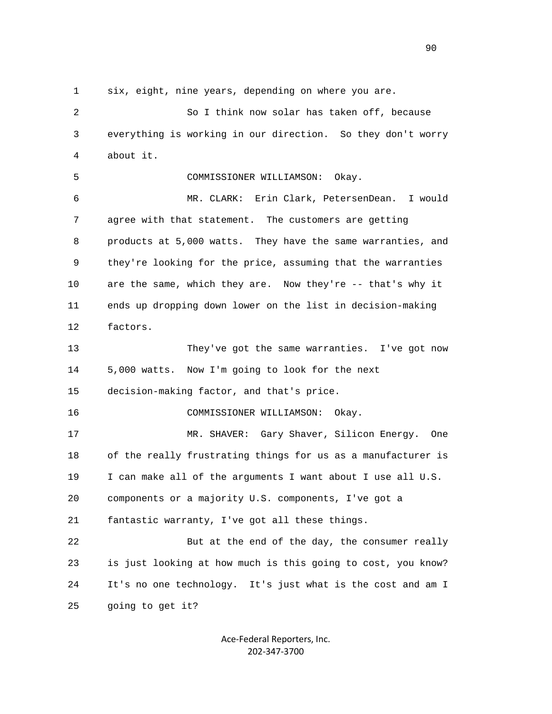1 six, eight, nine years, depending on where you are.

 2 So I think now solar has taken off, because 3 everything is working in our direction. So they don't worry 4 about it. 5 COMMISSIONER WILLIAMSON: Okay. 6 MR. CLARK: Erin Clark, PetersenDean. I would 7 agree with that statement. The customers are getting 8 products at 5,000 watts. They have the same warranties, and 9 they're looking for the price, assuming that the warranties 10 are the same, which they are. Now they're -- that's why it 11 ends up dropping down lower on the list in decision-making 12 factors. 13 They've got the same warranties. I've got now 14 5,000 watts. Now I'm going to look for the next 15 decision-making factor, and that's price. 16 COMMISSIONER WILLIAMSON: Okay. 17 MR. SHAVER: Gary Shaver, Silicon Energy. One 18 of the really frustrating things for us as a manufacturer is 19 I can make all of the arguments I want about I use all U.S. 20 components or a majority U.S. components, I've got a 21 fantastic warranty, I've got all these things. 22 But at the end of the day, the consumer really 23 is just looking at how much is this going to cost, you know? 24 It's no one technology. It's just what is the cost and am I 25 going to get it?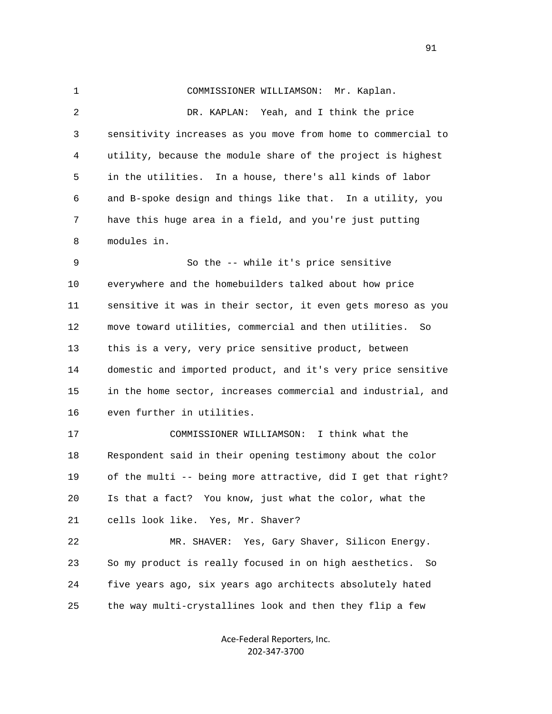1 COMMISSIONER WILLIAMSON: Mr. Kaplan. 2 DR. KAPLAN: Yeah, and I think the price 3 sensitivity increases as you move from home to commercial to 4 utility, because the module share of the project is highest 5 in the utilities. In a house, there's all kinds of labor 6 and B-spoke design and things like that. In a utility, you 7 have this huge area in a field, and you're just putting 8 modules in. 9 So the -- while it's price sensitive 10 everywhere and the homebuilders talked about how price 11 sensitive it was in their sector, it even gets moreso as you 12 move toward utilities, commercial and then utilities. So 13 this is a very, very price sensitive product, between 14 domestic and imported product, and it's very price sensitive 15 in the home sector, increases commercial and industrial, and 16 even further in utilities. 17 COMMISSIONER WILLIAMSON: I think what the 18 Respondent said in their opening testimony about the color 19 of the multi -- being more attractive, did I get that right? 20 Is that a fact? You know, just what the color, what the 21 cells look like. Yes, Mr. Shaver? 22 MR. SHAVER: Yes, Gary Shaver, Silicon Energy. 23 So my product is really focused in on high aesthetics. So 24 five years ago, six years ago architects absolutely hated 25 the way multi-crystallines look and then they flip a few

> Ace‐Federal Reporters, Inc. 202‐347‐3700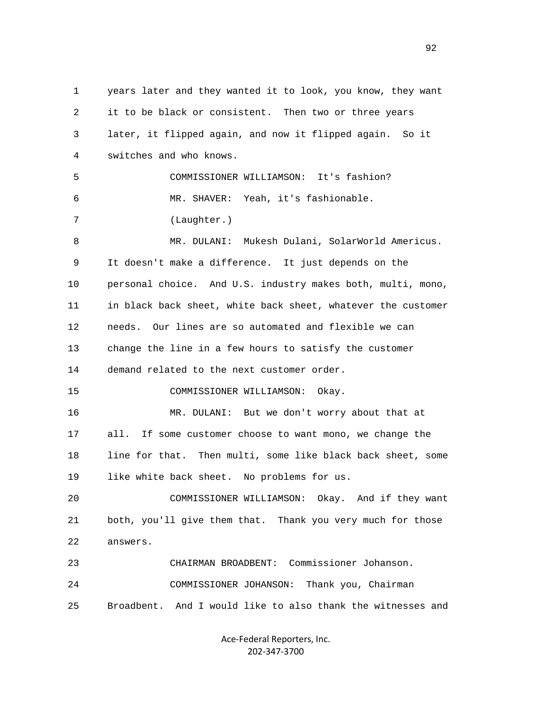1 years later and they wanted it to look, you know, they want 2 it to be black or consistent. Then two or three years 3 later, it flipped again, and now it flipped again. So it 4 switches and who knows. 5 COMMISSIONER WILLIAMSON: It's fashion? 6 MR. SHAVER: Yeah, it's fashionable. 7 (Laughter.) 8 MR. DULANI: Mukesh Dulani, SolarWorld Americus. 9 It doesn't make a difference. It just depends on the 10 personal choice. And U.S. industry makes both, multi, mono, 11 in black back sheet, white back sheet, whatever the customer 12 needs. Our lines are so automated and flexible we can 13 change the line in a few hours to satisfy the customer 14 demand related to the next customer order. 15 COMMISSIONER WILLIAMSON: Okay. 16 MR. DULANI: But we don't worry about that at 17 all. If some customer choose to want mono, we change the 18 line for that. Then multi, some like black back sheet, some 19 like white back sheet. No problems for us. 20 COMMISSIONER WILLIAMSON: Okay. And if they want 21 both, you'll give them that. Thank you very much for those 22 answers. 23 CHAIRMAN BROADBENT: Commissioner Johanson. 24 COMMISSIONER JOHANSON: Thank you, Chairman 25 Broadbent. And I would like to also thank the witnesses and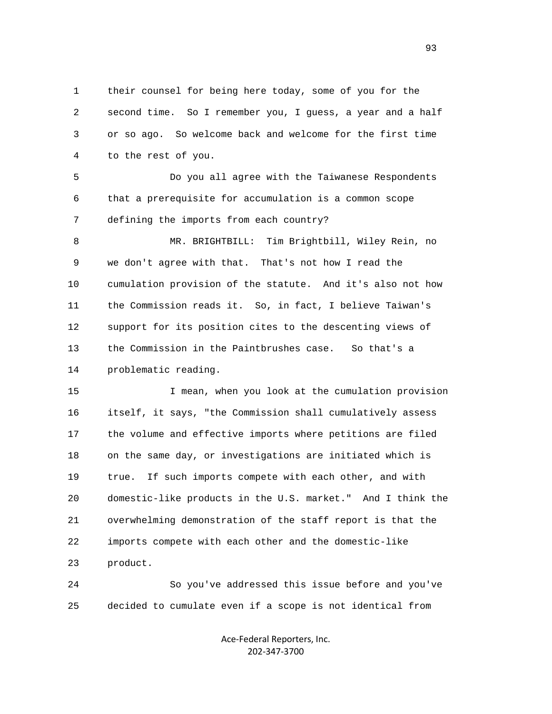1 their counsel for being here today, some of you for the 2 second time. So I remember you, I guess, a year and a half 3 or so ago. So welcome back and welcome for the first time 4 to the rest of you.

 5 Do you all agree with the Taiwanese Respondents 6 that a prerequisite for accumulation is a common scope 7 defining the imports from each country?

 8 MR. BRIGHTBILL: Tim Brightbill, Wiley Rein, no 9 we don't agree with that. That's not how I read the 10 cumulation provision of the statute. And it's also not how 11 the Commission reads it. So, in fact, I believe Taiwan's 12 support for its position cites to the descenting views of 13 the Commission in the Paintbrushes case. So that's a 14 problematic reading.

 15 I mean, when you look at the cumulation provision 16 itself, it says, "the Commission shall cumulatively assess 17 the volume and effective imports where petitions are filed 18 on the same day, or investigations are initiated which is 19 true. If such imports compete with each other, and with 20 domestic-like products in the U.S. market." And I think the 21 overwhelming demonstration of the staff report is that the 22 imports compete with each other and the domestic-like 23 product.

 24 So you've addressed this issue before and you've 25 decided to cumulate even if a scope is not identical from

> Ace‐Federal Reporters, Inc. 202‐347‐3700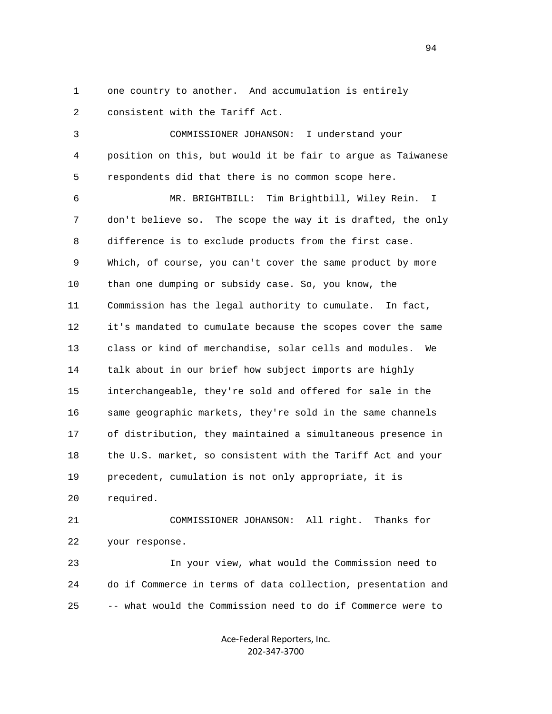1 one country to another. And accumulation is entirely 2 consistent with the Tariff Act.

 3 COMMISSIONER JOHANSON: I understand your 4 position on this, but would it be fair to argue as Taiwanese 5 respondents did that there is no common scope here.

 6 MR. BRIGHTBILL: Tim Brightbill, Wiley Rein. I 7 don't believe so. The scope the way it is drafted, the only 8 difference is to exclude products from the first case. 9 Which, of course, you can't cover the same product by more 10 than one dumping or subsidy case. So, you know, the 11 Commission has the legal authority to cumulate. In fact, 12 it's mandated to cumulate because the scopes cover the same 13 class or kind of merchandise, solar cells and modules. We 14 talk about in our brief how subject imports are highly 15 interchangeable, they're sold and offered for sale in the 16 same geographic markets, they're sold in the same channels 17 of distribution, they maintained a simultaneous presence in 18 the U.S. market, so consistent with the Tariff Act and your 19 precedent, cumulation is not only appropriate, it is 20 required.

 21 COMMISSIONER JOHANSON: All right. Thanks for 22 your response.

 23 In your view, what would the Commission need to 24 do if Commerce in terms of data collection, presentation and 25 -- what would the Commission need to do if Commerce were to

> Ace‐Federal Reporters, Inc. 202‐347‐3700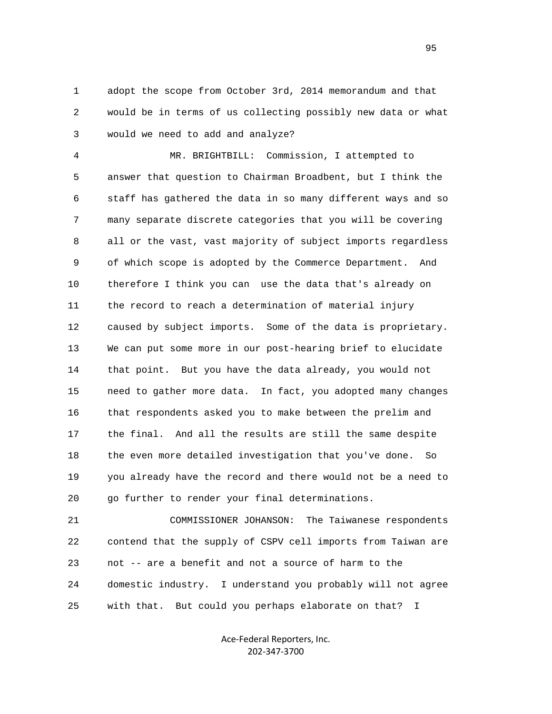1 adopt the scope from October 3rd, 2014 memorandum and that 2 would be in terms of us collecting possibly new data or what 3 would we need to add and analyze?

 4 MR. BRIGHTBILL: Commission, I attempted to 5 answer that question to Chairman Broadbent, but I think the 6 staff has gathered the data in so many different ways and so 7 many separate discrete categories that you will be covering 8 all or the vast, vast majority of subject imports regardless 9 of which scope is adopted by the Commerce Department. And 10 therefore I think you can use the data that's already on 11 the record to reach a determination of material injury 12 caused by subject imports. Some of the data is proprietary. 13 We can put some more in our post-hearing brief to elucidate 14 that point. But you have the data already, you would not 15 need to gather more data. In fact, you adopted many changes 16 that respondents asked you to make between the prelim and 17 the final. And all the results are still the same despite 18 the even more detailed investigation that you've done. So 19 you already have the record and there would not be a need to 20 go further to render your final determinations.

 21 COMMISSIONER JOHANSON: The Taiwanese respondents 22 contend that the supply of CSPV cell imports from Taiwan are 23 not -- are a benefit and not a source of harm to the 24 domestic industry. I understand you probably will not agree 25 with that. But could you perhaps elaborate on that? I

> Ace‐Federal Reporters, Inc. 202‐347‐3700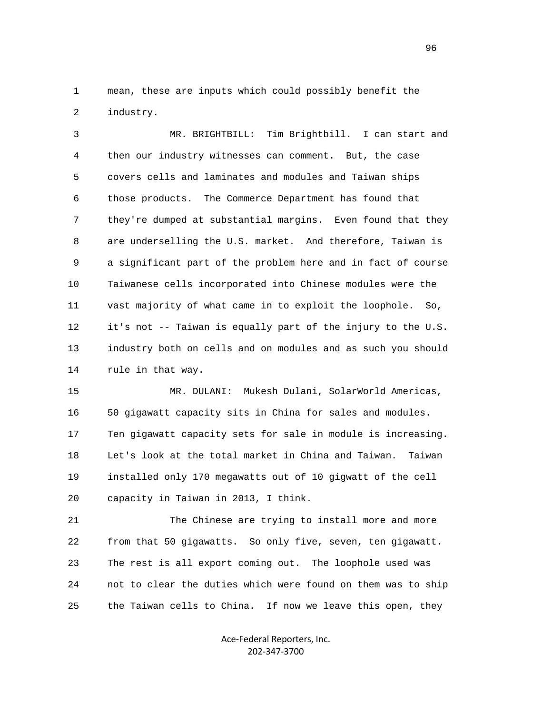1 mean, these are inputs which could possibly benefit the 2 industry.

 3 MR. BRIGHTBILL: Tim Brightbill. I can start and 4 then our industry witnesses can comment. But, the case 5 covers cells and laminates and modules and Taiwan ships 6 those products. The Commerce Department has found that 7 they're dumped at substantial margins. Even found that they 8 are underselling the U.S. market. And therefore, Taiwan is 9 a significant part of the problem here and in fact of course 10 Taiwanese cells incorporated into Chinese modules were the 11 vast majority of what came in to exploit the loophole. So, 12 it's not -- Taiwan is equally part of the injury to the U.S. 13 industry both on cells and on modules and as such you should 14 rule in that way.

 15 MR. DULANI: Mukesh Dulani, SolarWorld Americas, 16 50 gigawatt capacity sits in China for sales and modules. 17 Ten gigawatt capacity sets for sale in module is increasing. 18 Let's look at the total market in China and Taiwan. Taiwan 19 installed only 170 megawatts out of 10 gigwatt of the cell 20 capacity in Taiwan in 2013, I think.

 21 The Chinese are trying to install more and more 22 from that 50 gigawatts. So only five, seven, ten gigawatt. 23 The rest is all export coming out. The loophole used was 24 not to clear the duties which were found on them was to ship 25 the Taiwan cells to China. If now we leave this open, they

> Ace‐Federal Reporters, Inc. 202‐347‐3700

<u>96</u>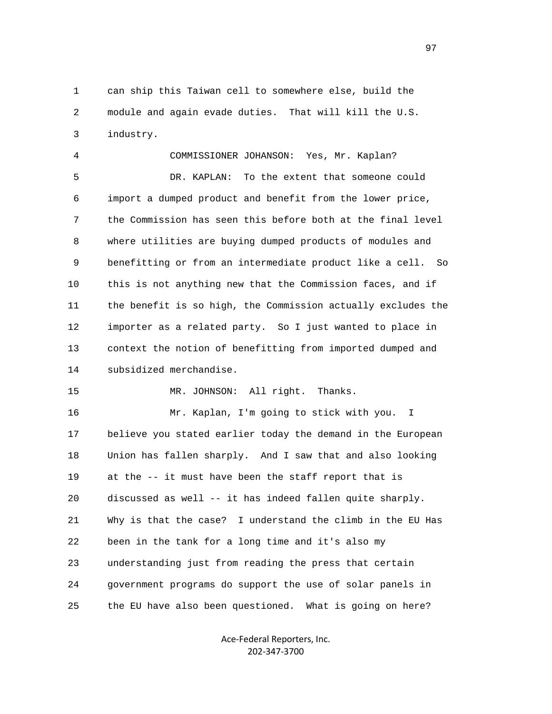1 can ship this Taiwan cell to somewhere else, build the 2 module and again evade duties. That will kill the U.S. 3 industry.

 4 COMMISSIONER JOHANSON: Yes, Mr. Kaplan? 5 DR. KAPLAN: To the extent that someone could 6 import a dumped product and benefit from the lower price, 7 the Commission has seen this before both at the final level 8 where utilities are buying dumped products of modules and 9 benefitting or from an intermediate product like a cell. So 10 this is not anything new that the Commission faces, and if 11 the benefit is so high, the Commission actually excludes the 12 importer as a related party. So I just wanted to place in 13 context the notion of benefitting from imported dumped and 14 subsidized merchandise. 15 MR. JOHNSON: All right. Thanks. 16 Mr. Kaplan, I'm going to stick with you. I 17 believe you stated earlier today the demand in the European 18 Union has fallen sharply. And I saw that and also looking 19 at the -- it must have been the staff report that is 20 discussed as well -- it has indeed fallen quite sharply. 21 Why is that the case? I understand the climb in the EU Has 22 been in the tank for a long time and it's also my 23 understanding just from reading the press that certain

> Ace‐Federal Reporters, Inc. 202‐347‐3700

24 government programs do support the use of solar panels in

25 the EU have also been questioned. What is going on here?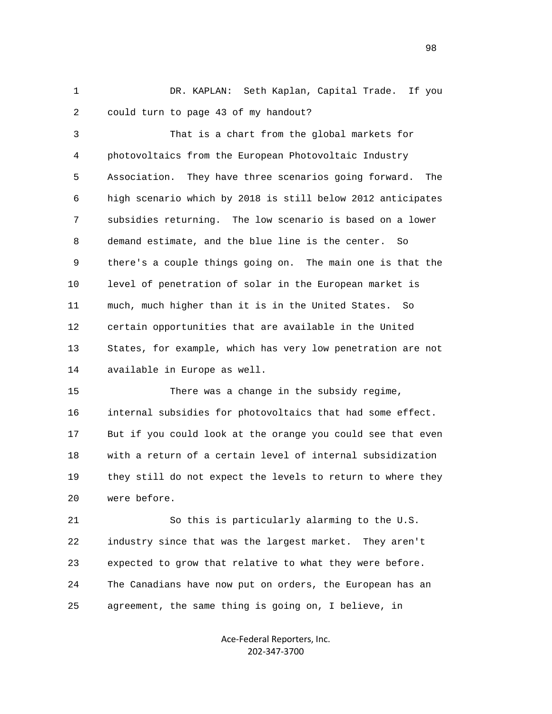1 DR. KAPLAN: Seth Kaplan, Capital Trade. If you 2 could turn to page 43 of my handout?

 3 That is a chart from the global markets for 4 photovoltaics from the European Photovoltaic Industry 5 Association. They have three scenarios going forward. The 6 high scenario which by 2018 is still below 2012 anticipates 7 subsidies returning. The low scenario is based on a lower 8 demand estimate, and the blue line is the center. So 9 there's a couple things going on. The main one is that the 10 level of penetration of solar in the European market is 11 much, much higher than it is in the United States. So 12 certain opportunities that are available in the United 13 States, for example, which has very low penetration are not 14 available in Europe as well.

 15 There was a change in the subsidy regime, 16 internal subsidies for photovoltaics that had some effect. 17 But if you could look at the orange you could see that even 18 with a return of a certain level of internal subsidization 19 they still do not expect the levels to return to where they 20 were before.

 21 So this is particularly alarming to the U.S. 22 industry since that was the largest market. They aren't 23 expected to grow that relative to what they were before. 24 The Canadians have now put on orders, the European has an 25 agreement, the same thing is going on, I believe, in

> Ace‐Federal Reporters, Inc. 202‐347‐3700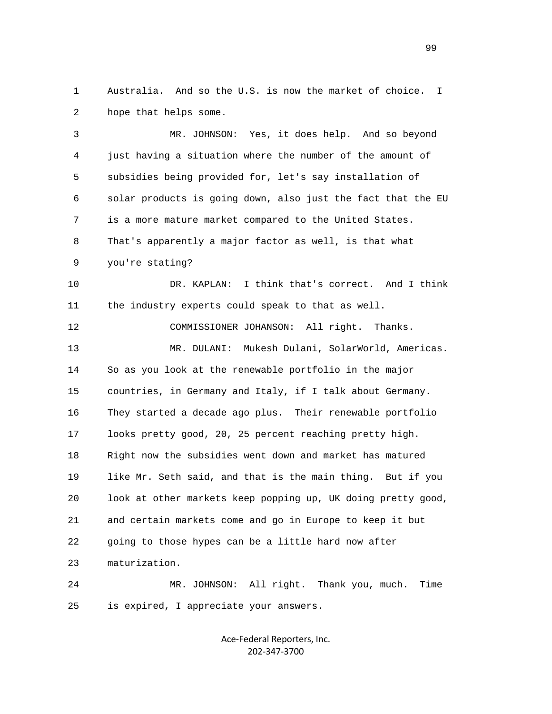1 Australia. And so the U.S. is now the market of choice. I 2 hope that helps some.

 3 MR. JOHNSON: Yes, it does help. And so beyond 4 just having a situation where the number of the amount of 5 subsidies being provided for, let's say installation of 6 solar products is going down, also just the fact that the EU 7 is a more mature market compared to the United States. 8 That's apparently a major factor as well, is that what 9 you're stating?

 10 DR. KAPLAN: I think that's correct. And I think 11 the industry experts could speak to that as well.

 12 COMMISSIONER JOHANSON: All right. Thanks. 13 MR. DULANI: Mukesh Dulani, SolarWorld, Americas. 14 So as you look at the renewable portfolio in the major 15 countries, in Germany and Italy, if I talk about Germany. 16 They started a decade ago plus. Their renewable portfolio 17 looks pretty good, 20, 25 percent reaching pretty high. 18 Right now the subsidies went down and market has matured 19 like Mr. Seth said, and that is the main thing. But if you 20 look at other markets keep popping up, UK doing pretty good, 21 and certain markets come and go in Europe to keep it but 22 going to those hypes can be a little hard now after 23 maturization.

 24 MR. JOHNSON: All right. Thank you, much. Time 25 is expired, I appreciate your answers.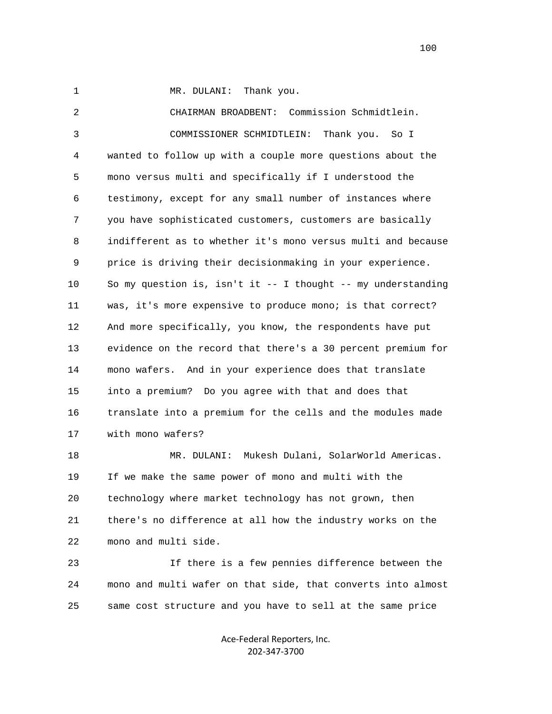1 MR. DULANI: Thank you.

 2 CHAIRMAN BROADBENT: Commission Schmidtlein. 3 COMMISSIONER SCHMIDTLEIN: Thank you. So I 4 wanted to follow up with a couple more questions about the 5 mono versus multi and specifically if I understood the 6 testimony, except for any small number of instances where 7 you have sophisticated customers, customers are basically 8 indifferent as to whether it's mono versus multi and because 9 price is driving their decisionmaking in your experience. 10 So my question is, isn't it -- I thought -- my understanding 11 was, it's more expensive to produce mono; is that correct? 12 And more specifically, you know, the respondents have put 13 evidence on the record that there's a 30 percent premium for 14 mono wafers. And in your experience does that translate 15 into a premium? Do you agree with that and does that 16 translate into a premium for the cells and the modules made 17 with mono wafers? 18 MR. DULANI: Mukesh Dulani, SolarWorld Americas. 19 If we make the same power of mono and multi with the 20 technology where market technology has not grown, then 21 there's no difference at all how the industry works on the 22 mono and multi side. 23 If there is a few pennies difference between the 24 mono and multi wafer on that side, that converts into almost 25 same cost structure and you have to sell at the same price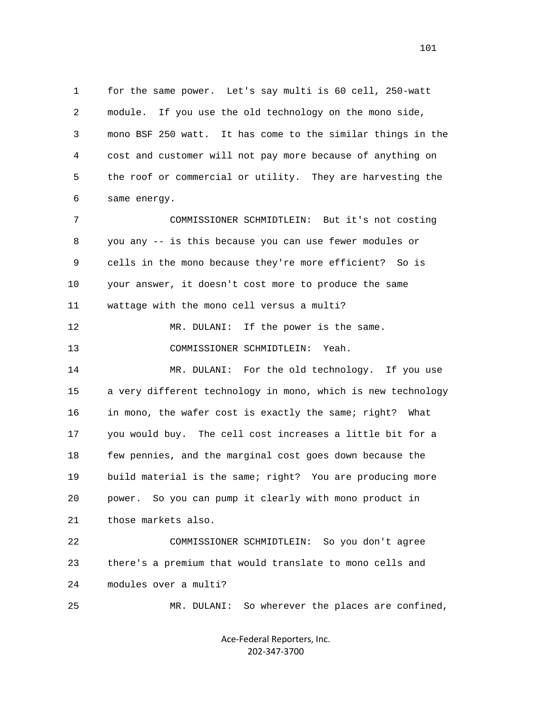1 for the same power. Let's say multi is 60 cell, 250-watt 2 module. If you use the old technology on the mono side, 3 mono BSF 250 watt. It has come to the similar things in the 4 cost and customer will not pay more because of anything on 5 the roof or commercial or utility. They are harvesting the 6 same energy. 7 COMMISSIONER SCHMIDTLEIN: But it's not costing 8 you any -- is this because you can use fewer modules or 9 cells in the mono because they're more efficient? So is 10 your answer, it doesn't cost more to produce the same 11 wattage with the mono cell versus a multi? 12 MR. DULANI: If the power is the same. 13 COMMISSIONER SCHMIDTLEIN: Yeah. 14 MR. DULANI: For the old technology. If you use 15 a very different technology in mono, which is new technology 16 in mono, the wafer cost is exactly the same; right? What 17 you would buy. The cell cost increases a little bit for a 18 few pennies, and the marginal cost goes down because the 19 build material is the same; right? You are producing more 20 power. So you can pump it clearly with mono product in 21 those markets also. 22 COMMISSIONER SCHMIDTLEIN: So you don't agree 23 there's a premium that would translate to mono cells and

24 modules over a multi?

25 MR. DULANI: So wherever the places are confined,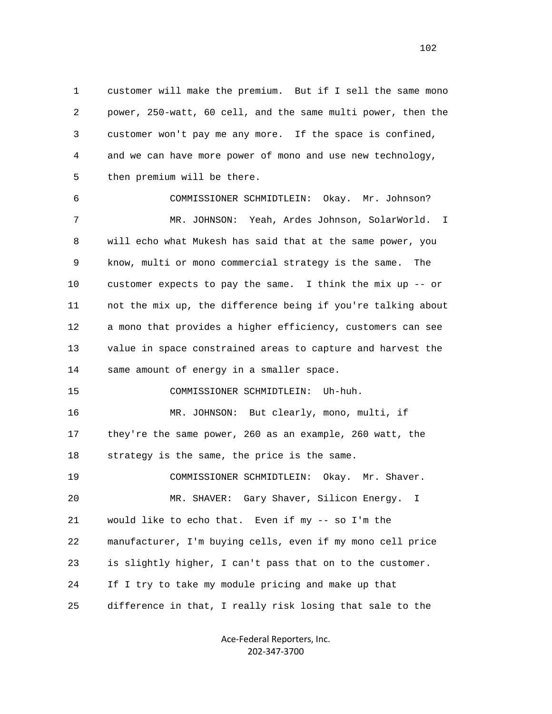1 customer will make the premium. But if I sell the same mono 2 power, 250-watt, 60 cell, and the same multi power, then the 3 customer won't pay me any more. If the space is confined, 4 and we can have more power of mono and use new technology, 5 then premium will be there.

 6 COMMISSIONER SCHMIDTLEIN: Okay. Mr. Johnson? 7 MR. JOHNSON: Yeah, Ardes Johnson, SolarWorld. I 8 will echo what Mukesh has said that at the same power, you 9 know, multi or mono commercial strategy is the same. The 10 customer expects to pay the same. I think the mix up -- or 11 not the mix up, the difference being if you're talking about 12 a mono that provides a higher efficiency, customers can see 13 value in space constrained areas to capture and harvest the 14 same amount of energy in a smaller space. 15 COMMISSIONER SCHMIDTLEIN: Uh-huh. 16 MR. JOHNSON: But clearly, mono, multi, if 17 they're the same power, 260 as an example, 260 watt, the 18 strategy is the same, the price is the same. 19 COMMISSIONER SCHMIDTLEIN: Okay. Mr. Shaver. 20 MR. SHAVER: Gary Shaver, Silicon Energy. I 21 would like to echo that. Even if my -- so I'm the 22 manufacturer, I'm buying cells, even if my mono cell price 23 is slightly higher, I can't pass that on to the customer. 24 If I try to take my module pricing and make up that

> Ace‐Federal Reporters, Inc. 202‐347‐3700

25 difference in that, I really risk losing that sale to the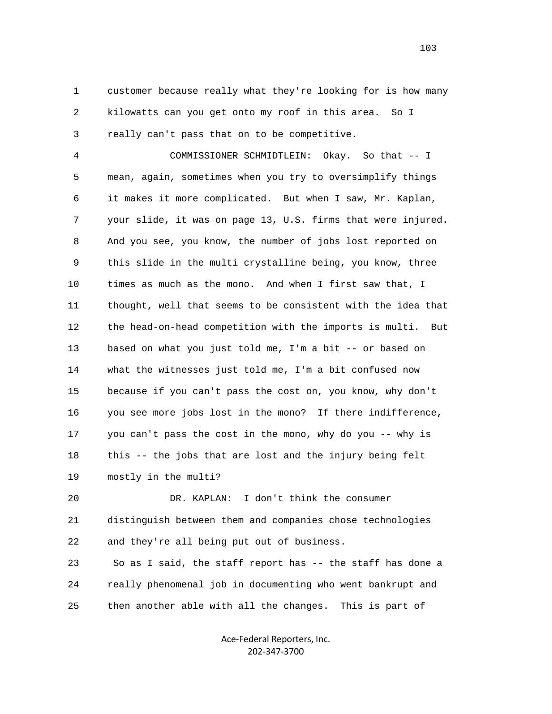1 customer because really what they're looking for is how many 2 kilowatts can you get onto my roof in this area. So I 3 really can't pass that on to be competitive.

 4 COMMISSIONER SCHMIDTLEIN: Okay. So that -- I 5 mean, again, sometimes when you try to oversimplify things 6 it makes it more complicated. But when I saw, Mr. Kaplan, 7 your slide, it was on page 13, U.S. firms that were injured. 8 And you see, you know, the number of jobs lost reported on 9 this slide in the multi crystalline being, you know, three 10 times as much as the mono. And when I first saw that, I 11 thought, well that seems to be consistent with the idea that 12 the head-on-head competition with the imports is multi. But 13 based on what you just told me, I'm a bit -- or based on 14 what the witnesses just told me, I'm a bit confused now 15 because if you can't pass the cost on, you know, why don't 16 you see more jobs lost in the mono? If there indifference, 17 you can't pass the cost in the mono, why do you -- why is 18 this -- the jobs that are lost and the injury being felt 19 mostly in the multi?

 20 DR. KAPLAN: I don't think the consumer 21 distinguish between them and companies chose technologies 22 and they're all being put out of business.

 23 So as I said, the staff report has -- the staff has done a 24 really phenomenal job in documenting who went bankrupt and 25 then another able with all the changes. This is part of

> Ace‐Federal Reporters, Inc. 202‐347‐3700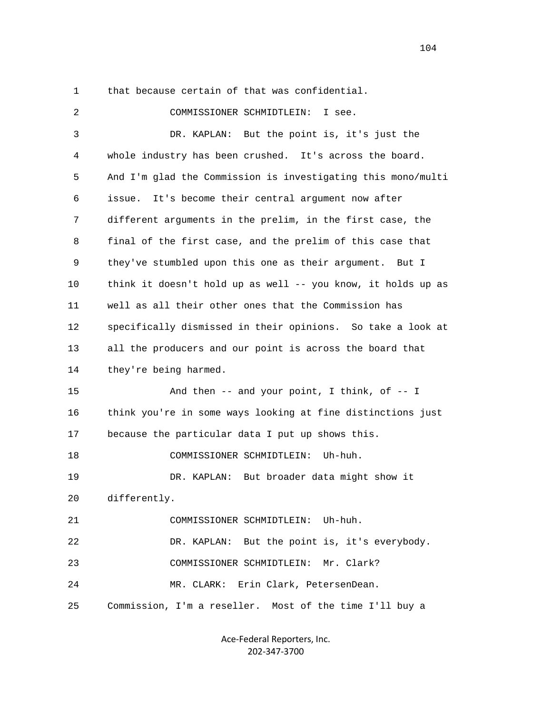1 that because certain of that was confidential.

 2 COMMISSIONER SCHMIDTLEIN: I see. 3 DR. KAPLAN: But the point is, it's just the 4 whole industry has been crushed. It's across the board. 5 And I'm glad the Commission is investigating this mono/multi 6 issue. It's become their central argument now after 7 different arguments in the prelim, in the first case, the 8 final of the first case, and the prelim of this case that 9 they've stumbled upon this one as their argument. But I 10 think it doesn't hold up as well -- you know, it holds up as 11 well as all their other ones that the Commission has 12 specifically dismissed in their opinions. So take a look at 13 all the producers and our point is across the board that 14 they're being harmed. 15 And then -- and your point, I think, of -- I 16 think you're in some ways looking at fine distinctions just 17 because the particular data I put up shows this. 18 COMMISSIONER SCHMIDTLEIN: Uh-huh. 19 DR. KAPLAN: But broader data might show it 20 differently. 21 COMMISSIONER SCHMIDTLEIN: Uh-huh. 22 DR. KAPLAN: But the point is, it's everybody. 23 COMMISSIONER SCHMIDTLEIN: Mr. Clark? 24 MR. CLARK: Erin Clark, PetersenDean. 25 Commission, I'm a reseller. Most of the time I'll buy a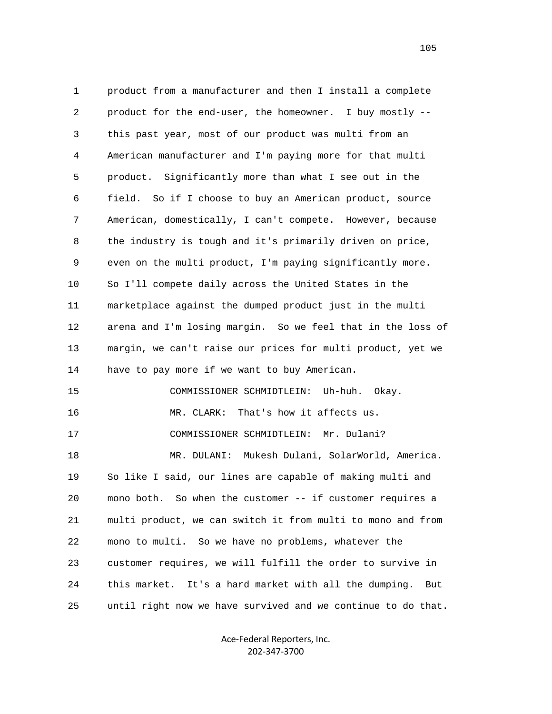1 product from a manufacturer and then I install a complete 2 product for the end-user, the homeowner. I buy mostly -- 3 this past year, most of our product was multi from an 4 American manufacturer and I'm paying more for that multi 5 product. Significantly more than what I see out in the 6 field. So if I choose to buy an American product, source 7 American, domestically, I can't compete. However, because 8 the industry is tough and it's primarily driven on price, 9 even on the multi product, I'm paying significantly more. 10 So I'll compete daily across the United States in the 11 marketplace against the dumped product just in the multi 12 arena and I'm losing margin. So we feel that in the loss of 13 margin, we can't raise our prices for multi product, yet we 14 have to pay more if we want to buy American. 15 COMMISSIONER SCHMIDTLEIN: Uh-huh. Okay. 16 MR. CLARK: That's how it affects us. 17 COMMISSIONER SCHMIDTLEIN: Mr. Dulani? 18 MR. DULANI: Mukesh Dulani, SolarWorld, America. 19 So like I said, our lines are capable of making multi and 20 mono both. So when the customer -- if customer requires a 21 multi product, we can switch it from multi to mono and from 22 mono to multi. So we have no problems, whatever the 23 customer requires, we will fulfill the order to survive in 24 this market. It's a hard market with all the dumping. But 25 until right now we have survived and we continue to do that.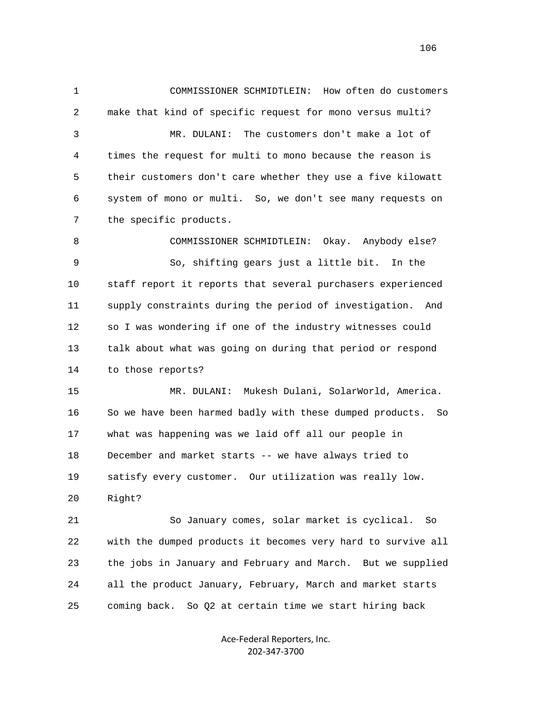1 COMMISSIONER SCHMIDTLEIN: How often do customers 2 make that kind of specific request for mono versus multi? 3 MR. DULANI: The customers don't make a lot of 4 times the request for multi to mono because the reason is 5 their customers don't care whether they use a five kilowatt 6 system of mono or multi. So, we don't see many requests on 7 the specific products. 8 COMMISSIONER SCHMIDTLEIN: Okay. Anybody else? 9 So, shifting gears just a little bit. In the 10 staff report it reports that several purchasers experienced 11 supply constraints during the period of investigation. And 12 so I was wondering if one of the industry witnesses could 13 talk about what was going on during that period or respond 14 to those reports? 15 MR. DULANI: Mukesh Dulani, SolarWorld, America. 16 So we have been harmed badly with these dumped products. So 17 what was happening was we laid off all our people in

18 December and market starts -- we have always tried to

19 satisfy every customer. Our utilization was really low.

20 Right?

 21 So January comes, solar market is cyclical. So 22 with the dumped products it becomes very hard to survive all 23 the jobs in January and February and March. But we supplied 24 all the product January, February, March and market starts 25 coming back. So Q2 at certain time we start hiring back

> Ace‐Federal Reporters, Inc. 202‐347‐3700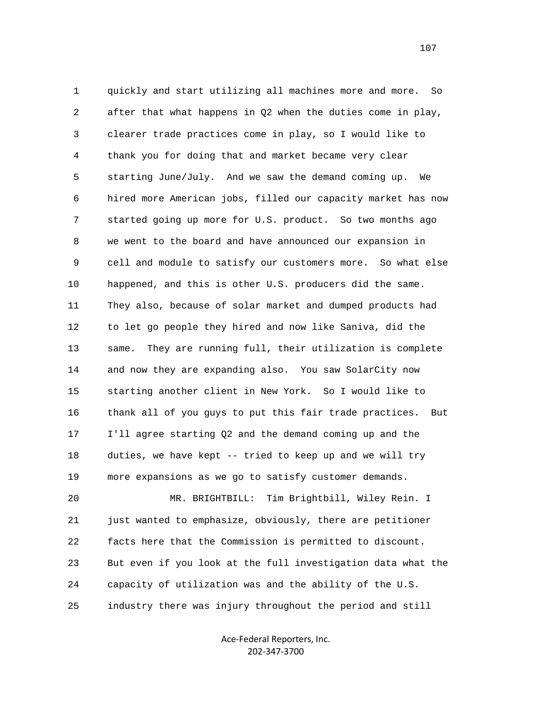1 quickly and start utilizing all machines more and more. So 2 after that what happens in Q2 when the duties come in play, 3 clearer trade practices come in play, so I would like to 4 thank you for doing that and market became very clear 5 starting June/July. And we saw the demand coming up. We 6 hired more American jobs, filled our capacity market has now 7 started going up more for U.S. product. So two months ago 8 we went to the board and have announced our expansion in 9 cell and module to satisfy our customers more. So what else 10 happened, and this is other U.S. producers did the same. 11 They also, because of solar market and dumped products had 12 to let go people they hired and now like Saniva, did the 13 same. They are running full, their utilization is complete 14 and now they are expanding also. You saw SolarCity now 15 starting another client in New York. So I would like to 16 thank all of you guys to put this fair trade practices. But 17 I'll agree starting Q2 and the demand coming up and the 18 duties, we have kept -- tried to keep up and we will try 19 more expansions as we go to satisfy customer demands. 20 MR. BRIGHTBILL: Tim Brightbill, Wiley Rein. I

 21 just wanted to emphasize, obviously, there are petitioner 22 facts here that the Commission is permitted to discount. 23 But even if you look at the full investigation data what the 24 capacity of utilization was and the ability of the U.S. 25 industry there was injury throughout the period and still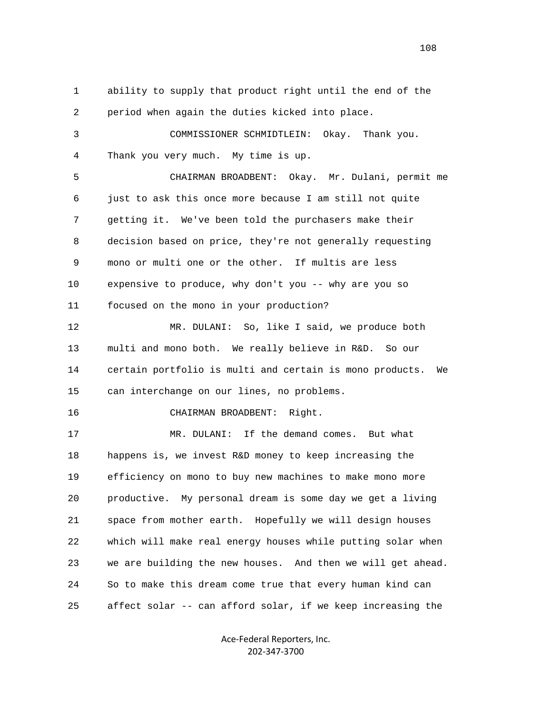1 ability to supply that product right until the end of the 2 period when again the duties kicked into place. 3 COMMISSIONER SCHMIDTLEIN: Okay. Thank you. 4 Thank you very much. My time is up. 5 CHAIRMAN BROADBENT: Okay. Mr. Dulani, permit me 6 just to ask this once more because I am still not quite 7 getting it. We've been told the purchasers make their 8 decision based on price, they're not generally requesting 9 mono or multi one or the other. If multis are less 10 expensive to produce, why don't you -- why are you so 11 focused on the mono in your production? 12 MR. DULANI: So, like I said, we produce both 13 multi and mono both. We really believe in R&D. So our 14 certain portfolio is multi and certain is mono products. We 15 can interchange on our lines, no problems. 16 CHAIRMAN BROADBENT: Right. 17 MR. DULANI: If the demand comes. But what 18 happens is, we invest R&D money to keep increasing the 19 efficiency on mono to buy new machines to make mono more 20 productive. My personal dream is some day we get a living 21 space from mother earth. Hopefully we will design houses 22 which will make real energy houses while putting solar when 23 we are building the new houses. And then we will get ahead.

> Ace‐Federal Reporters, Inc. 202‐347‐3700

24 So to make this dream come true that every human kind can

25 affect solar -- can afford solar, if we keep increasing the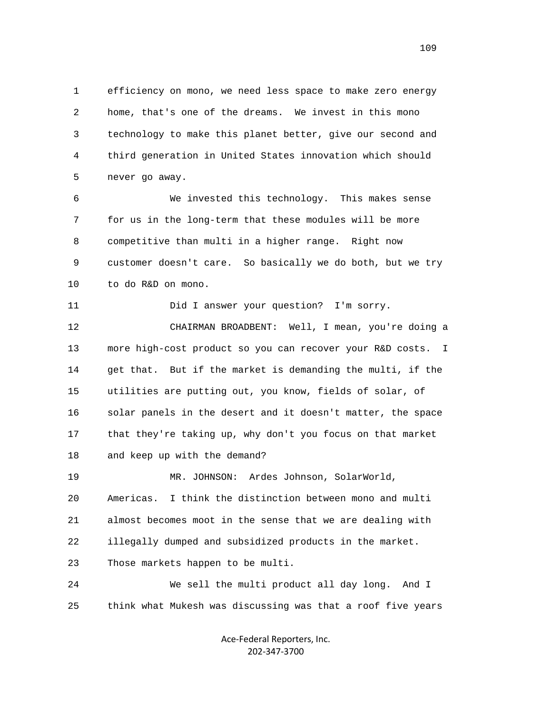1 efficiency on mono, we need less space to make zero energy 2 home, that's one of the dreams. We invest in this mono 3 technology to make this planet better, give our second and 4 third generation in United States innovation which should 5 never go away.

 6 We invested this technology. This makes sense 7 for us in the long-term that these modules will be more 8 competitive than multi in a higher range. Right now 9 customer doesn't care. So basically we do both, but we try 10 to do R&D on mono.

 11 Did I answer your question? I'm sorry. 12 CHAIRMAN BROADBENT: Well, I mean, you're doing a 13 more high-cost product so you can recover your R&D costs. I 14 get that. But if the market is demanding the multi, if the 15 utilities are putting out, you know, fields of solar, of 16 solar panels in the desert and it doesn't matter, the space 17 that they're taking up, why don't you focus on that market 18 and keep up with the demand?

 19 MR. JOHNSON: Ardes Johnson, SolarWorld, 20 Americas. I think the distinction between mono and multi 21 almost becomes moot in the sense that we are dealing with 22 illegally dumped and subsidized products in the market. 23 Those markets happen to be multi.

 24 We sell the multi product all day long. And I 25 think what Mukesh was discussing was that a roof five years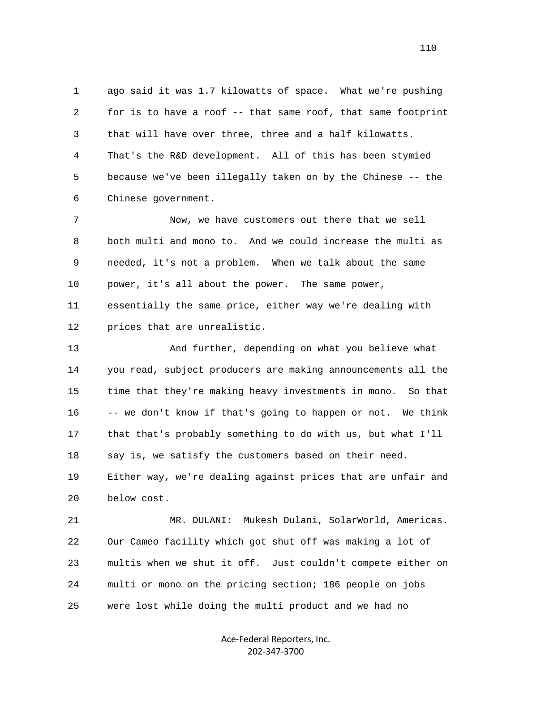1 ago said it was 1.7 kilowatts of space. What we're pushing 2 for is to have a roof -- that same roof, that same footprint 3 that will have over three, three and a half kilowatts. 4 That's the R&D development. All of this has been stymied 5 because we've been illegally taken on by the Chinese -- the 6 Chinese government.

 7 Now, we have customers out there that we sell 8 both multi and mono to. And we could increase the multi as 9 needed, it's not a problem. When we talk about the same 10 power, it's all about the power. The same power, 11 essentially the same price, either way we're dealing with 12 prices that are unrealistic.

 13 And further, depending on what you believe what 14 you read, subject producers are making announcements all the 15 time that they're making heavy investments in mono. So that 16 -- we don't know if that's going to happen or not. We think 17 that that's probably something to do with us, but what I'll 18 say is, we satisfy the customers based on their need. 19 Either way, we're dealing against prices that are unfair and 20 below cost.

 21 MR. DULANI: Mukesh Dulani, SolarWorld, Americas. 22 Our Cameo facility which got shut off was making a lot of 23 multis when we shut it off. Just couldn't compete either on 24 multi or mono on the pricing section; 186 people on jobs 25 were lost while doing the multi product and we had no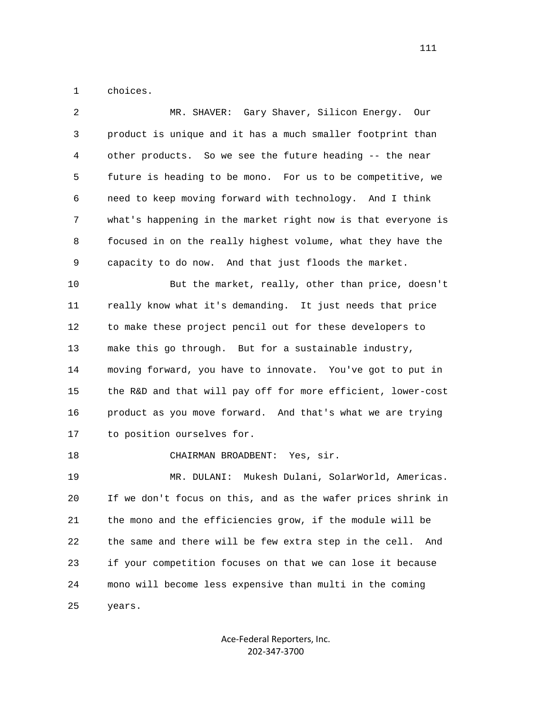1 choices.

| 2  | MR. SHAVER: Gary Shaver, Silicon Energy. Our                  |
|----|---------------------------------------------------------------|
| 3  | product is unique and it has a much smaller footprint than    |
| 4  | other products. So we see the future heading -- the near      |
| 5  | future is heading to be mono. For us to be competitive, we    |
| 6  | need to keep moving forward with technology. And I think      |
| 7  | what's happening in the market right now is that everyone is  |
| 8  | focused in on the really highest volume, what they have the   |
| 9  | capacity to do now. And that just floods the market.          |
| 10 | But the market, really, other than price, doesn't             |
| 11 | really know what it's demanding. It just needs that price     |
| 12 | to make these project pencil out for these developers to      |
| 13 | make this go through. But for a sustainable industry,         |
| 14 | moving forward, you have to innovate. You've got to put in    |
| 15 | the R&D and that will pay off for more efficient, lower-cost  |
| 16 | product as you move forward. And that's what we are trying    |
| 17 | to position ourselves for.                                    |
| 18 | CHAIRMAN BROADBENT: Yes, sir.                                 |
| 19 | MR. DULANI: Mukesh Dulani, SolarWorld, Americas.              |
| 20 | If we don't focus on this, and as the wafer prices shrink in  |
| 21 | the mono and the efficiencies grow, if the module will be     |
| 22 | the same and there will be few extra step in the cell.<br>And |
| 23 | if your competition focuses on that we can lose it because    |
| 24 | mono will become less expensive than multi in the coming      |
| 25 | years.                                                        |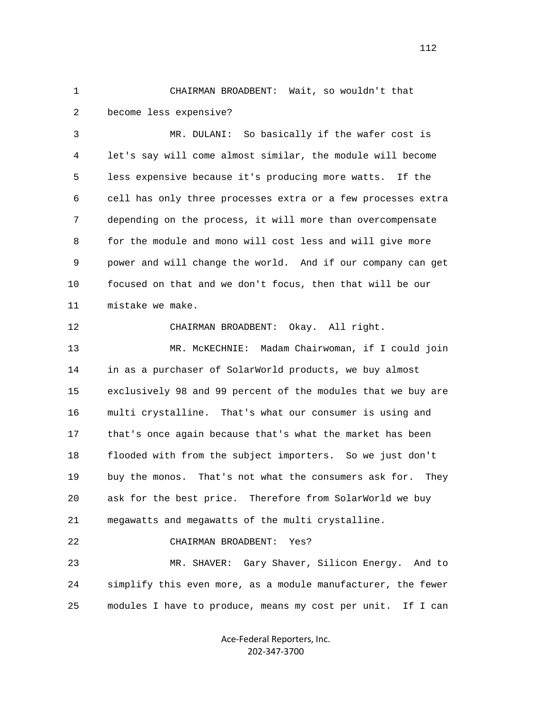1 CHAIRMAN BROADBENT: Wait, so wouldn't that 2 become less expensive?

 3 MR. DULANI: So basically if the wafer cost is 4 let's say will come almost similar, the module will become 5 less expensive because it's producing more watts. If the 6 cell has only three processes extra or a few processes extra 7 depending on the process, it will more than overcompensate 8 for the module and mono will cost less and will give more 9 power and will change the world. And if our company can get 10 focused on that and we don't focus, then that will be our 11 mistake we make.

12 CHAIRMAN BROADBENT: Okay. All right.

 13 MR. McKECHNIE: Madam Chairwoman, if I could join 14 in as a purchaser of SolarWorld products, we buy almost 15 exclusively 98 and 99 percent of the modules that we buy are 16 multi crystalline. That's what our consumer is using and 17 that's once again because that's what the market has been 18 flooded with from the subject importers. So we just don't 19 buy the monos. That's not what the consumers ask for. They 20 ask for the best price. Therefore from SolarWorld we buy 21 megawatts and megawatts of the multi crystalline.

22 CHAIRMAN BROADBENT: Yes?

 23 MR. SHAVER: Gary Shaver, Silicon Energy. And to 24 simplify this even more, as a module manufacturer, the fewer 25 modules I have to produce, means my cost per unit. If I can

> Ace‐Federal Reporters, Inc. 202‐347‐3700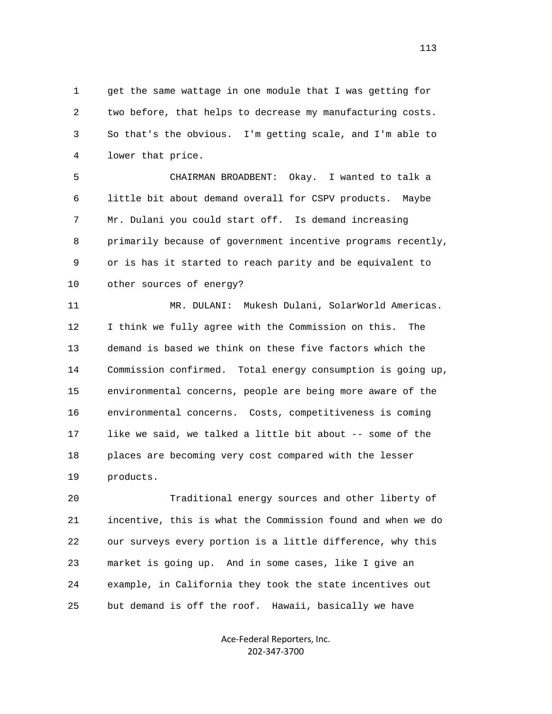1 get the same wattage in one module that I was getting for 2 two before, that helps to decrease my manufacturing costs. 3 So that's the obvious. I'm getting scale, and I'm able to 4 lower that price.

 5 CHAIRMAN BROADBENT: Okay. I wanted to talk a 6 little bit about demand overall for CSPV products. Maybe 7 Mr. Dulani you could start off. Is demand increasing 8 primarily because of government incentive programs recently, 9 or is has it started to reach parity and be equivalent to 10 other sources of energy?

 11 MR. DULANI: Mukesh Dulani, SolarWorld Americas. 12 I think we fully agree with the Commission on this. The 13 demand is based we think on these five factors which the 14 Commission confirmed. Total energy consumption is going up, 15 environmental concerns, people are being more aware of the 16 environmental concerns. Costs, competitiveness is coming 17 like we said, we talked a little bit about -- some of the 18 places are becoming very cost compared with the lesser 19 products.

 20 Traditional energy sources and other liberty of 21 incentive, this is what the Commission found and when we do 22 our surveys every portion is a little difference, why this 23 market is going up. And in some cases, like I give an 24 example, in California they took the state incentives out 25 but demand is off the roof. Hawaii, basically we have

> Ace‐Federal Reporters, Inc. 202‐347‐3700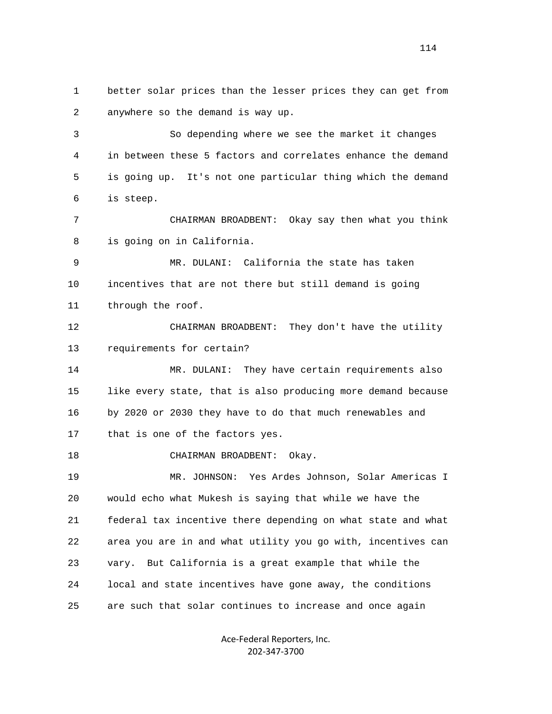1 better solar prices than the lesser prices they can get from 2 anywhere so the demand is way up.

 3 So depending where we see the market it changes 4 in between these 5 factors and correlates enhance the demand 5 is going up. It's not one particular thing which the demand 6 is steep.

 7 CHAIRMAN BROADBENT: Okay say then what you think 8 is going on in California.

 9 MR. DULANI: California the state has taken 10 incentives that are not there but still demand is going 11 through the roof.

 12 CHAIRMAN BROADBENT: They don't have the utility 13 requirements for certain?

 14 MR. DULANI: They have certain requirements also 15 like every state, that is also producing more demand because 16 by 2020 or 2030 they have to do that much renewables and 17 that is one of the factors yes.

18 CHAIRMAN BROADBENT: Okay.

 19 MR. JOHNSON: Yes Ardes Johnson, Solar Americas I 20 would echo what Mukesh is saying that while we have the 21 federal tax incentive there depending on what state and what 22 area you are in and what utility you go with, incentives can 23 vary. But California is a great example that while the 24 local and state incentives have gone away, the conditions 25 are such that solar continues to increase and once again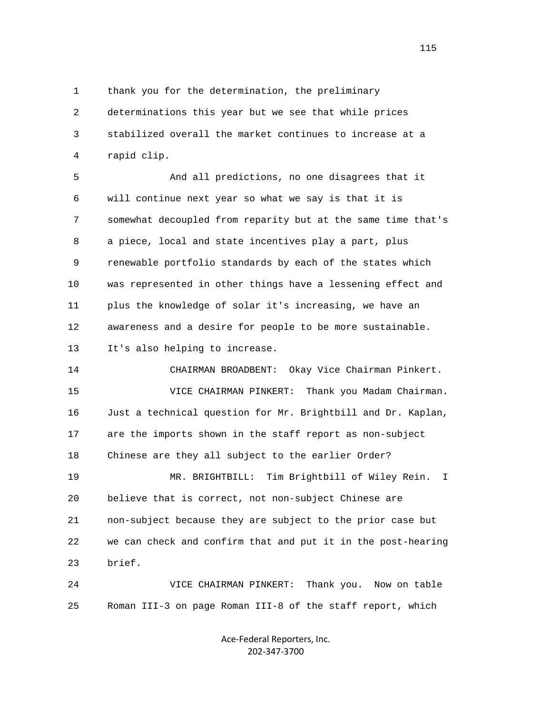1 thank you for the determination, the preliminary

 2 determinations this year but we see that while prices 3 stabilized overall the market continues to increase at a 4 rapid clip.

 5 And all predictions, no one disagrees that it 6 will continue next year so what we say is that it is 7 somewhat decoupled from reparity but at the same time that's 8 a piece, local and state incentives play a part, plus 9 renewable portfolio standards by each of the states which 10 was represented in other things have a lessening effect and 11 plus the knowledge of solar it's increasing, we have an 12 awareness and a desire for people to be more sustainable. 13 It's also helping to increase.

 14 CHAIRMAN BROADBENT: Okay Vice Chairman Pinkert. 15 VICE CHAIRMAN PINKERT: Thank you Madam Chairman. 16 Just a technical question for Mr. Brightbill and Dr. Kaplan, 17 are the imports shown in the staff report as non-subject 18 Chinese are they all subject to the earlier Order? 19 MR. BRIGHTBILL: Tim Brightbill of Wiley Rein. I 20 believe that is correct, not non-subject Chinese are 21 non-subject because they are subject to the prior case but 22 we can check and confirm that and put it in the post-hearing 23 brief.

 24 VICE CHAIRMAN PINKERT: Thank you. Now on table 25 Roman III-3 on page Roman III-8 of the staff report, which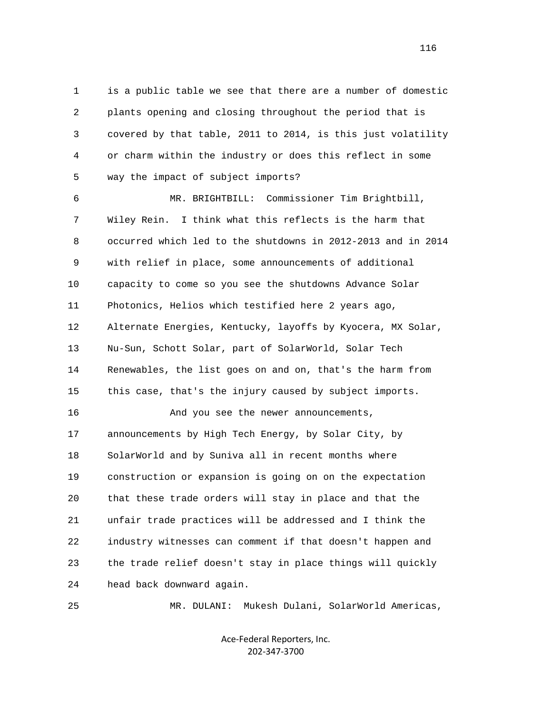1 is a public table we see that there are a number of domestic 2 plants opening and closing throughout the period that is 3 covered by that table, 2011 to 2014, is this just volatility 4 or charm within the industry or does this reflect in some 5 way the impact of subject imports?

 6 MR. BRIGHTBILL: Commissioner Tim Brightbill, 7 Wiley Rein. I think what this reflects is the harm that 8 occurred which led to the shutdowns in 2012-2013 and in 2014 9 with relief in place, some announcements of additional 10 capacity to come so you see the shutdowns Advance Solar 11 Photonics, Helios which testified here 2 years ago, 12 Alternate Energies, Kentucky, layoffs by Kyocera, MX Solar, 13 Nu-Sun, Schott Solar, part of SolarWorld, Solar Tech 14 Renewables, the list goes on and on, that's the harm from 15 this case, that's the injury caused by subject imports. 16 And you see the newer announcements, 17 announcements by High Tech Energy, by Solar City, by 18 SolarWorld and by Suniva all in recent months where 19 construction or expansion is going on on the expectation 20 that these trade orders will stay in place and that the 21 unfair trade practices will be addressed and I think the 22 industry witnesses can comment if that doesn't happen and 23 the trade relief doesn't stay in place things will quickly 24 head back downward again.

25 MR. DULANI: Mukesh Dulani, SolarWorld Americas,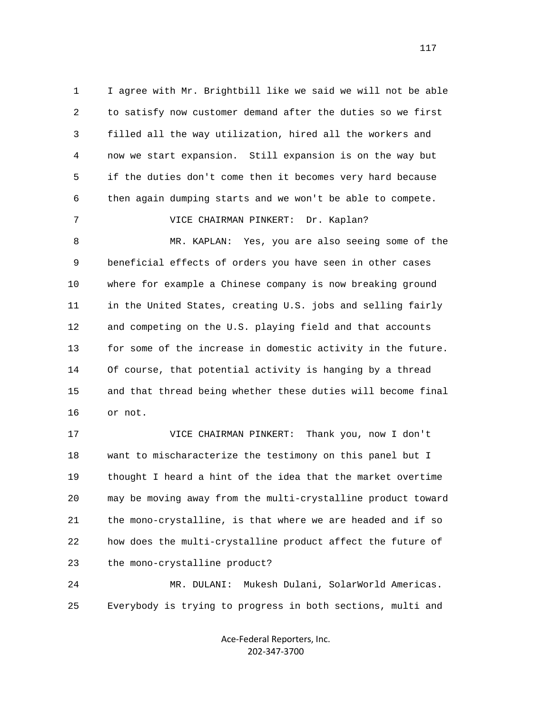1 I agree with Mr. Brightbill like we said we will not be able 2 to satisfy now customer demand after the duties so we first 3 filled all the way utilization, hired all the workers and 4 now we start expansion. Still expansion is on the way but 5 if the duties don't come then it becomes very hard because 6 then again dumping starts and we won't be able to compete. 7 VICE CHAIRMAN PINKERT: Dr. Kaplan? 8 MR. KAPLAN: Yes, you are also seeing some of the 9 beneficial effects of orders you have seen in other cases 10 where for example a Chinese company is now breaking ground 11 in the United States, creating U.S. jobs and selling fairly 12 and competing on the U.S. playing field and that accounts 13 for some of the increase in domestic activity in the future. 14 Of course, that potential activity is hanging by a thread

 15 and that thread being whether these duties will become final 16 or not.

 17 VICE CHAIRMAN PINKERT: Thank you, now I don't 18 want to mischaracterize the testimony on this panel but I 19 thought I heard a hint of the idea that the market overtime 20 may be moving away from the multi-crystalline product toward 21 the mono-crystalline, is that where we are headed and if so 22 how does the multi-crystalline product affect the future of 23 the mono-crystalline product?

 24 MR. DULANI: Mukesh Dulani, SolarWorld Americas. 25 Everybody is trying to progress in both sections, multi and

> Ace‐Federal Reporters, Inc. 202‐347‐3700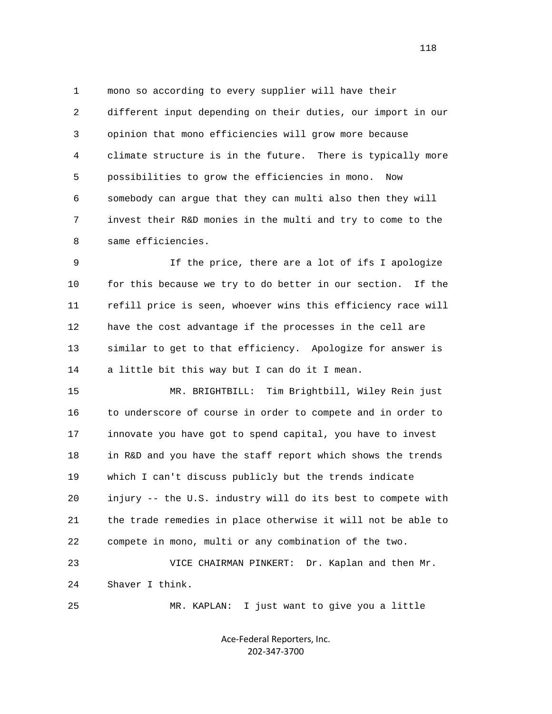1 mono so according to every supplier will have their 2 different input depending on their duties, our import in our 3 opinion that mono efficiencies will grow more because 4 climate structure is in the future. There is typically more 5 possibilities to grow the efficiencies in mono. Now 6 somebody can argue that they can multi also then they will 7 invest their R&D monies in the multi and try to come to the 8 same efficiencies.

 9 If the price, there are a lot of ifs I apologize 10 for this because we try to do better in our section. If the 11 refill price is seen, whoever wins this efficiency race will 12 have the cost advantage if the processes in the cell are 13 similar to get to that efficiency. Apologize for answer is 14 a little bit this way but I can do it I mean.

 15 MR. BRIGHTBILL: Tim Brightbill, Wiley Rein just 16 to underscore of course in order to compete and in order to 17 innovate you have got to spend capital, you have to invest 18 in R&D and you have the staff report which shows the trends 19 which I can't discuss publicly but the trends indicate 20 injury -- the U.S. industry will do its best to compete with 21 the trade remedies in place otherwise it will not be able to 22 compete in mono, multi or any combination of the two.

 23 VICE CHAIRMAN PINKERT: Dr. Kaplan and then Mr. 24 Shaver I think.

25 MR. KAPLAN: I just want to give you a little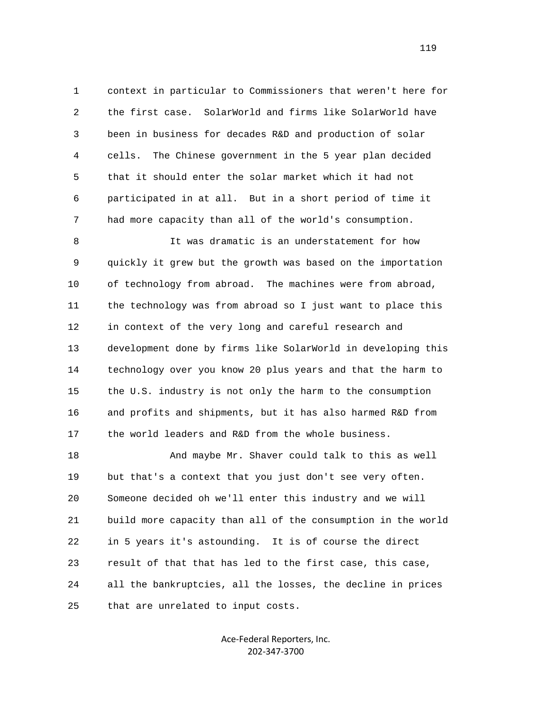1 context in particular to Commissioners that weren't here for 2 the first case. SolarWorld and firms like SolarWorld have 3 been in business for decades R&D and production of solar 4 cells. The Chinese government in the 5 year plan decided 5 that it should enter the solar market which it had not 6 participated in at all. But in a short period of time it 7 had more capacity than all of the world's consumption.

 8 It was dramatic is an understatement for how 9 quickly it grew but the growth was based on the importation 10 of technology from abroad. The machines were from abroad, 11 the technology was from abroad so I just want to place this 12 in context of the very long and careful research and 13 development done by firms like SolarWorld in developing this 14 technology over you know 20 plus years and that the harm to 15 the U.S. industry is not only the harm to the consumption 16 and profits and shipments, but it has also harmed R&D from 17 the world leaders and R&D from the whole business.

 18 And maybe Mr. Shaver could talk to this as well 19 but that's a context that you just don't see very often. 20 Someone decided oh we'll enter this industry and we will 21 build more capacity than all of the consumption in the world 22 in 5 years it's astounding. It is of course the direct 23 result of that that has led to the first case, this case, 24 all the bankruptcies, all the losses, the decline in prices 25 that are unrelated to input costs.

> Ace‐Federal Reporters, Inc. 202‐347‐3700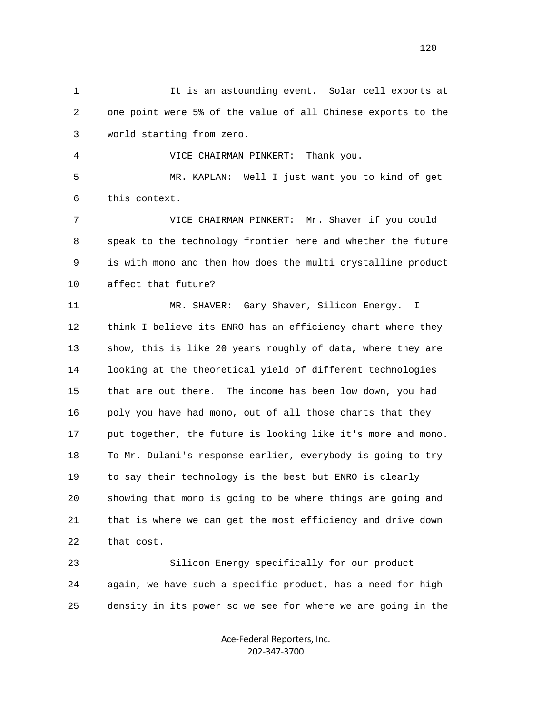1 It is an astounding event. Solar cell exports at 2 one point were 5% of the value of all Chinese exports to the 3 world starting from zero.

4 VICE CHAIRMAN PINKERT: Thank you.

 5 MR. KAPLAN: Well I just want you to kind of get 6 this context.

 7 VICE CHAIRMAN PINKERT: Mr. Shaver if you could 8 speak to the technology frontier here and whether the future 9 is with mono and then how does the multi crystalline product 10 affect that future?

 11 MR. SHAVER: Gary Shaver, Silicon Energy. I 12 think I believe its ENRO has an efficiency chart where they 13 show, this is like 20 years roughly of data, where they are 14 looking at the theoretical yield of different technologies 15 that are out there. The income has been low down, you had 16 poly you have had mono, out of all those charts that they 17 put together, the future is looking like it's more and mono. 18 To Mr. Dulani's response earlier, everybody is going to try 19 to say their technology is the best but ENRO is clearly 20 showing that mono is going to be where things are going and 21 that is where we can get the most efficiency and drive down 22 that cost.

 23 Silicon Energy specifically for our product 24 again, we have such a specific product, has a need for high 25 density in its power so we see for where we are going in the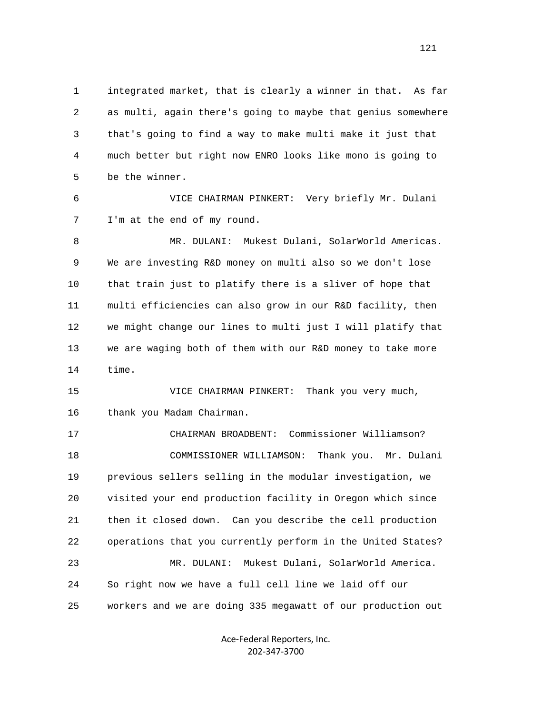1 integrated market, that is clearly a winner in that. As far 2 as multi, again there's going to maybe that genius somewhere 3 that's going to find a way to make multi make it just that 4 much better but right now ENRO looks like mono is going to 5 be the winner.

 6 VICE CHAIRMAN PINKERT: Very briefly Mr. Dulani 7 I'm at the end of my round.

 8 MR. DULANI: Mukest Dulani, SolarWorld Americas. 9 We are investing R&D money on multi also so we don't lose 10 that train just to platify there is a sliver of hope that 11 multi efficiencies can also grow in our R&D facility, then 12 we might change our lines to multi just I will platify that 13 we are waging both of them with our R&D money to take more 14 time.

 15 VICE CHAIRMAN PINKERT: Thank you very much, 16 thank you Madam Chairman.

 17 CHAIRMAN BROADBENT: Commissioner Williamson? 18 COMMISSIONER WILLIAMSON: Thank you. Mr. Dulani 19 previous sellers selling in the modular investigation, we 20 visited your end production facility in Oregon which since 21 then it closed down. Can you describe the cell production 22 operations that you currently perform in the United States? 23 MR. DULANI: Mukest Dulani, SolarWorld America. 24 So right now we have a full cell line we laid off our 25 workers and we are doing 335 megawatt of our production out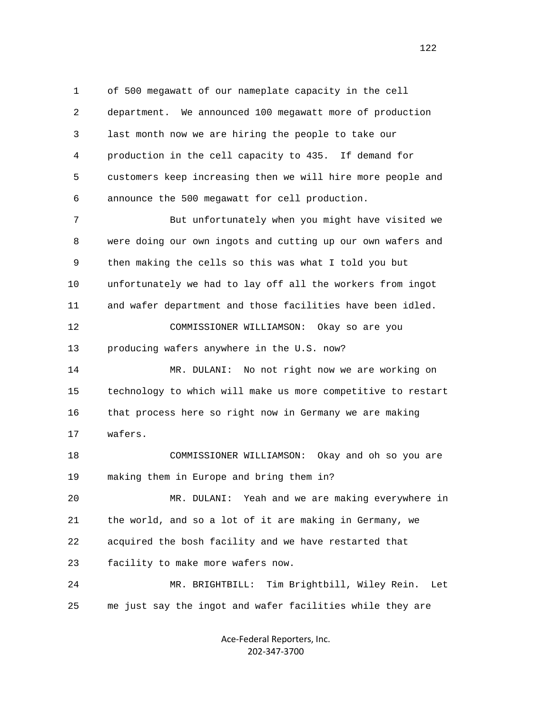1 of 500 megawatt of our nameplate capacity in the cell 2 department. We announced 100 megawatt more of production 3 last month now we are hiring the people to take our 4 production in the cell capacity to 435. If demand for 5 customers keep increasing then we will hire more people and 6 announce the 500 megawatt for cell production.

 7 But unfortunately when you might have visited we 8 were doing our own ingots and cutting up our own wafers and 9 then making the cells so this was what I told you but 10 unfortunately we had to lay off all the workers from ingot 11 and wafer department and those facilities have been idled.

 12 COMMISSIONER WILLIAMSON: Okay so are you 13 producing wafers anywhere in the U.S. now?

 14 MR. DULANI: No not right now we are working on 15 technology to which will make us more competitive to restart 16 that process here so right now in Germany we are making 17 wafers.

 18 COMMISSIONER WILLIAMSON: Okay and oh so you are 19 making them in Europe and bring them in?

 20 MR. DULANI: Yeah and we are making everywhere in 21 the world, and so a lot of it are making in Germany, we 22 acquired the bosh facility and we have restarted that 23 facility to make more wafers now.

 24 MR. BRIGHTBILL: Tim Brightbill, Wiley Rein. Let 25 me just say the ingot and wafer facilities while they are

> Ace‐Federal Reporters, Inc. 202‐347‐3700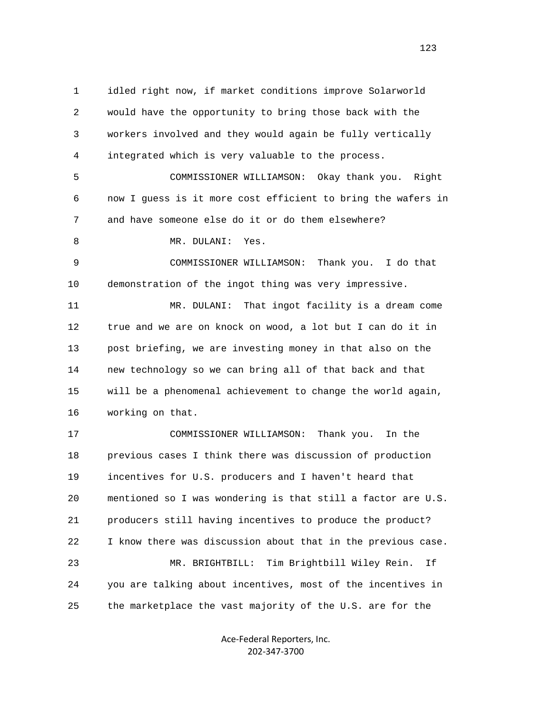1 idled right now, if market conditions improve Solarworld 2 would have the opportunity to bring those back with the 3 workers involved and they would again be fully vertically 4 integrated which is very valuable to the process.

 5 COMMISSIONER WILLIAMSON: Okay thank you. Right 6 now I guess is it more cost efficient to bring the wafers in 7 and have someone else do it or do them elsewhere?

8 MR. DULANI: Yes.

 9 COMMISSIONER WILLIAMSON: Thank you. I do that 10 demonstration of the ingot thing was very impressive.

 11 MR. DULANI: That ingot facility is a dream come 12 true and we are on knock on wood, a lot but I can do it in 13 post briefing, we are investing money in that also on the 14 new technology so we can bring all of that back and that 15 will be a phenomenal achievement to change the world again, 16 working on that.

 17 COMMISSIONER WILLIAMSON: Thank you. In the 18 previous cases I think there was discussion of production 19 incentives for U.S. producers and I haven't heard that 20 mentioned so I was wondering is that still a factor are U.S. 21 producers still having incentives to produce the product? 22 I know there was discussion about that in the previous case. 23 MR. BRIGHTBILL: Tim Brightbill Wiley Rein. If 24 you are talking about incentives, most of the incentives in 25 the marketplace the vast majority of the U.S. are for the

> Ace‐Federal Reporters, Inc. 202‐347‐3700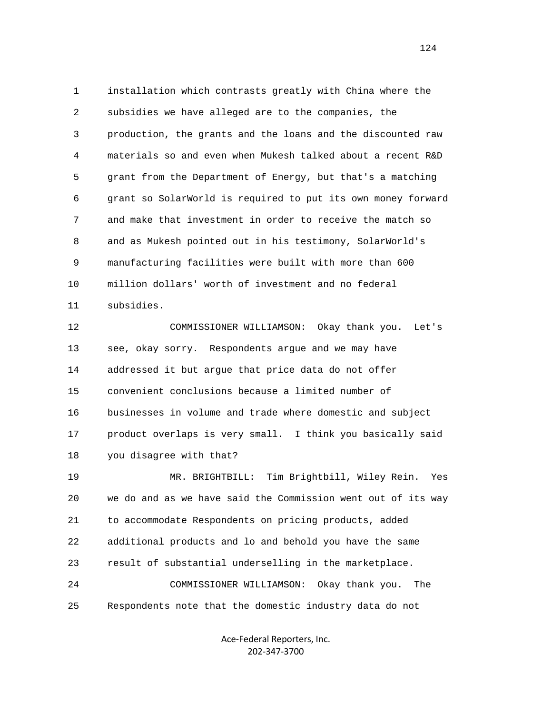1 installation which contrasts greatly with China where the 2 subsidies we have alleged are to the companies, the 3 production, the grants and the loans and the discounted raw 4 materials so and even when Mukesh talked about a recent R&D 5 grant from the Department of Energy, but that's a matching 6 grant so SolarWorld is required to put its own money forward 7 and make that investment in order to receive the match so 8 and as Mukesh pointed out in his testimony, SolarWorld's 9 manufacturing facilities were built with more than 600 10 million dollars' worth of investment and no federal 11 subsidies.

 12 COMMISSIONER WILLIAMSON: Okay thank you. Let's 13 see, okay sorry. Respondents argue and we may have 14 addressed it but argue that price data do not offer 15 convenient conclusions because a limited number of 16 businesses in volume and trade where domestic and subject 17 product overlaps is very small. I think you basically said 18 you disagree with that?

 19 MR. BRIGHTBILL: Tim Brightbill, Wiley Rein. Yes 20 we do and as we have said the Commission went out of its way 21 to accommodate Respondents on pricing products, added 22 additional products and lo and behold you have the same 23 result of substantial underselling in the marketplace. 24 COMMISSIONER WILLIAMSON: Okay thank you. The 25 Respondents note that the domestic industry data do not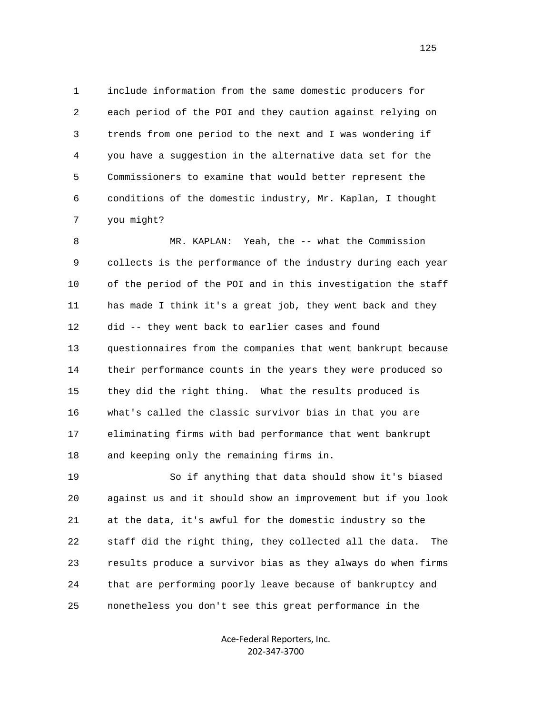1 include information from the same domestic producers for 2 each period of the POI and they caution against relying on 3 trends from one period to the next and I was wondering if 4 you have a suggestion in the alternative data set for the 5 Commissioners to examine that would better represent the 6 conditions of the domestic industry, Mr. Kaplan, I thought 7 you might?

 8 MR. KAPLAN: Yeah, the -- what the Commission 9 collects is the performance of the industry during each year 10 of the period of the POI and in this investigation the staff 11 has made I think it's a great job, they went back and they 12 did -- they went back to earlier cases and found 13 questionnaires from the companies that went bankrupt because 14 their performance counts in the years they were produced so 15 they did the right thing. What the results produced is 16 what's called the classic survivor bias in that you are 17 eliminating firms with bad performance that went bankrupt 18 and keeping only the remaining firms in.

 19 So if anything that data should show it's biased 20 against us and it should show an improvement but if you look 21 at the data, it's awful for the domestic industry so the 22 staff did the right thing, they collected all the data. The 23 results produce a survivor bias as they always do when firms 24 that are performing poorly leave because of bankruptcy and 25 nonetheless you don't see this great performance in the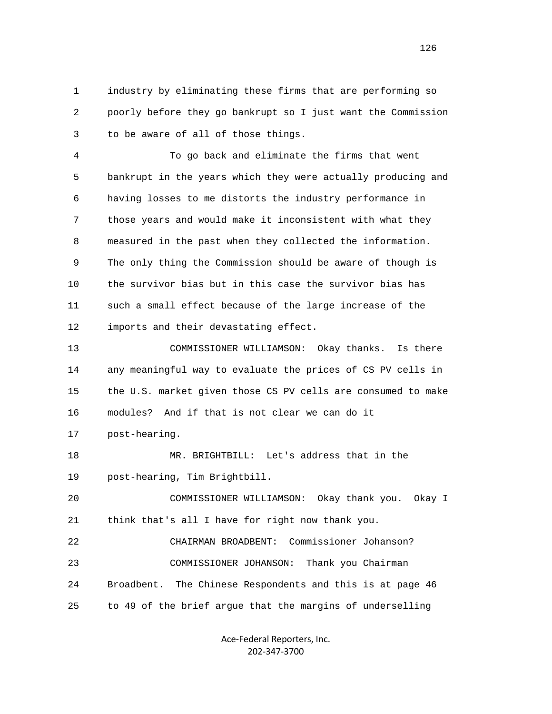1 industry by eliminating these firms that are performing so 2 poorly before they go bankrupt so I just want the Commission 3 to be aware of all of those things.

 4 To go back and eliminate the firms that went 5 bankrupt in the years which they were actually producing and 6 having losses to me distorts the industry performance in 7 those years and would make it inconsistent with what they 8 measured in the past when they collected the information. 9 The only thing the Commission should be aware of though is 10 the survivor bias but in this case the survivor bias has 11 such a small effect because of the large increase of the 12 imports and their devastating effect.

 13 COMMISSIONER WILLIAMSON: Okay thanks. Is there 14 any meaningful way to evaluate the prices of CS PV cells in 15 the U.S. market given those CS PV cells are consumed to make 16 modules? And if that is not clear we can do it 17 post-hearing.

 18 MR. BRIGHTBILL: Let's address that in the 19 post-hearing, Tim Brightbill.

 20 COMMISSIONER WILLIAMSON: Okay thank you. Okay I 21 think that's all I have for right now thank you.

 22 CHAIRMAN BROADBENT: Commissioner Johanson? 23 COMMISSIONER JOHANSON: Thank you Chairman 24 Broadbent. The Chinese Respondents and this is at page 46 25 to 49 of the brief argue that the margins of underselling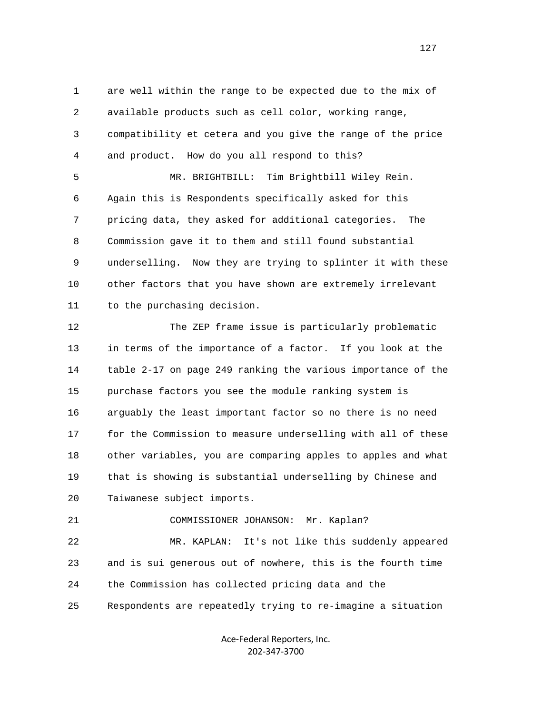1 are well within the range to be expected due to the mix of 2 available products such as cell color, working range, 3 compatibility et cetera and you give the range of the price 4 and product. How do you all respond to this?

 5 MR. BRIGHTBILL: Tim Brightbill Wiley Rein. 6 Again this is Respondents specifically asked for this 7 pricing data, they asked for additional categories. The 8 Commission gave it to them and still found substantial 9 underselling. Now they are trying to splinter it with these 10 other factors that you have shown are extremely irrelevant 11 to the purchasing decision.

 12 The ZEP frame issue is particularly problematic 13 in terms of the importance of a factor. If you look at the 14 table 2-17 on page 249 ranking the various importance of the 15 purchase factors you see the module ranking system is 16 arguably the least important factor so no there is no need 17 for the Commission to measure underselling with all of these 18 other variables, you are comparing apples to apples and what 19 that is showing is substantial underselling by Chinese and 20 Taiwanese subject imports.

21 COMMISSIONER JOHANSON: Mr. Kaplan?

 22 MR. KAPLAN: It's not like this suddenly appeared 23 and is sui generous out of nowhere, this is the fourth time 24 the Commission has collected pricing data and the 25 Respondents are repeatedly trying to re-imagine a situation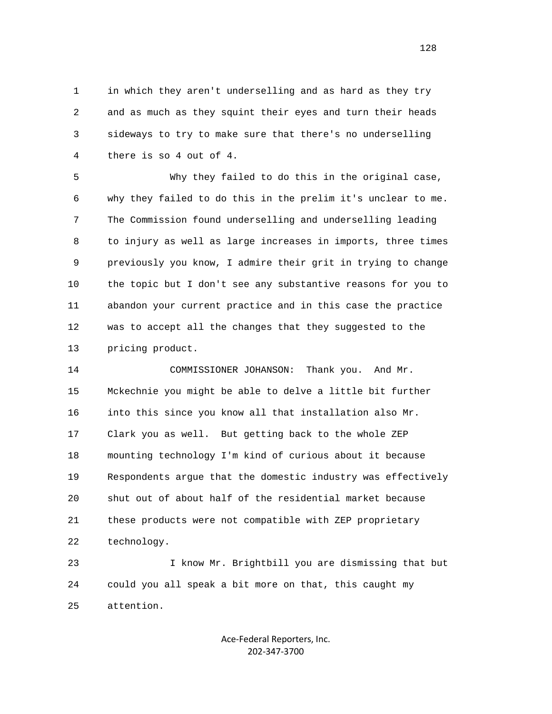1 in which they aren't underselling and as hard as they try 2 and as much as they squint their eyes and turn their heads 3 sideways to try to make sure that there's no underselling 4 there is so 4 out of 4.

 5 Why they failed to do this in the original case, 6 why they failed to do this in the prelim it's unclear to me. 7 The Commission found underselling and underselling leading 8 to injury as well as large increases in imports, three times 9 previously you know, I admire their grit in trying to change 10 the topic but I don't see any substantive reasons for you to 11 abandon your current practice and in this case the practice 12 was to accept all the changes that they suggested to the 13 pricing product.

 14 COMMISSIONER JOHANSON: Thank you. And Mr. 15 Mckechnie you might be able to delve a little bit further 16 into this since you know all that installation also Mr. 17 Clark you as well. But getting back to the whole ZEP 18 mounting technology I'm kind of curious about it because 19 Respondents argue that the domestic industry was effectively 20 shut out of about half of the residential market because 21 these products were not compatible with ZEP proprietary 22 technology.

 23 I know Mr. Brightbill you are dismissing that but 24 could you all speak a bit more on that, this caught my 25 attention.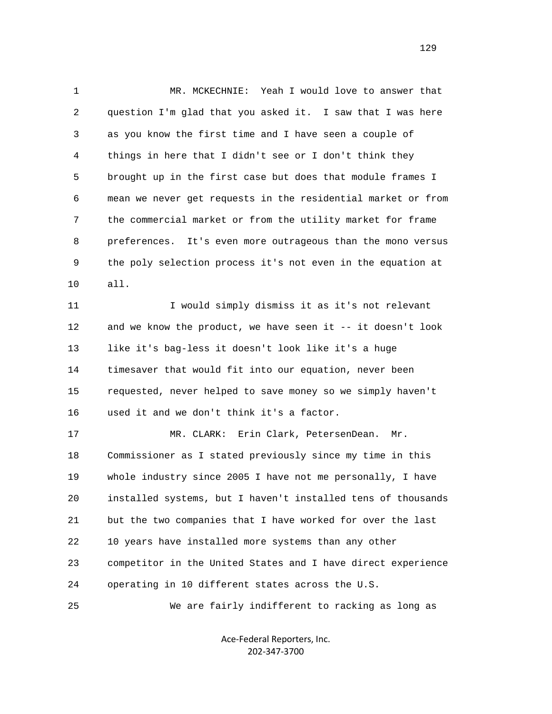1 MR. MCKECHNIE: Yeah I would love to answer that 2 question I'm glad that you asked it. I saw that I was here 3 as you know the first time and I have seen a couple of 4 things in here that I didn't see or I don't think they 5 brought up in the first case but does that module frames I 6 mean we never get requests in the residential market or from 7 the commercial market or from the utility market for frame 8 preferences. It's even more outrageous than the mono versus 9 the poly selection process it's not even in the equation at 10 all. 11 I would simply dismiss it as it's not relevant 12 and we know the product, we have seen it -- it doesn't look 13 like it's bag-less it doesn't look like it's a huge 14 timesaver that would fit into our equation, never been 15 requested, never helped to save money so we simply haven't 16 used it and we don't think it's a factor. 17 MR. CLARK: Erin Clark, PetersenDean. Mr. 18 Commissioner as I stated previously since my time in this 19 whole industry since 2005 I have not me personally, I have 20 installed systems, but I haven't installed tens of thousands

 21 but the two companies that I have worked for over the last 22 10 years have installed more systems than any other 23 competitor in the United States and I have direct experience 24 operating in 10 different states across the U.S.

25 We are fairly indifferent to racking as long as

Ace‐Federal Reporters, Inc. 202‐347‐3700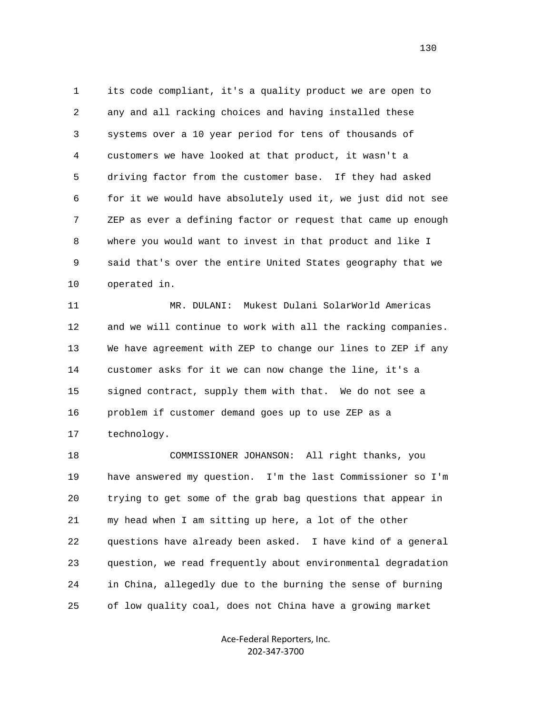1 its code compliant, it's a quality product we are open to 2 any and all racking choices and having installed these 3 systems over a 10 year period for tens of thousands of 4 customers we have looked at that product, it wasn't a 5 driving factor from the customer base. If they had asked 6 for it we would have absolutely used it, we just did not see 7 ZEP as ever a defining factor or request that came up enough 8 where you would want to invest in that product and like I 9 said that's over the entire United States geography that we 10 operated in.

 11 MR. DULANI: Mukest Dulani SolarWorld Americas 12 and we will continue to work with all the racking companies. 13 We have agreement with ZEP to change our lines to ZEP if any 14 customer asks for it we can now change the line, it's a 15 signed contract, supply them with that. We do not see a 16 problem if customer demand goes up to use ZEP as a 17 technology.

 18 COMMISSIONER JOHANSON: All right thanks, you 19 have answered my question. I'm the last Commissioner so I'm 20 trying to get some of the grab bag questions that appear in 21 my head when I am sitting up here, a lot of the other 22 questions have already been asked. I have kind of a general 23 question, we read frequently about environmental degradation 24 in China, allegedly due to the burning the sense of burning 25 of low quality coal, does not China have a growing market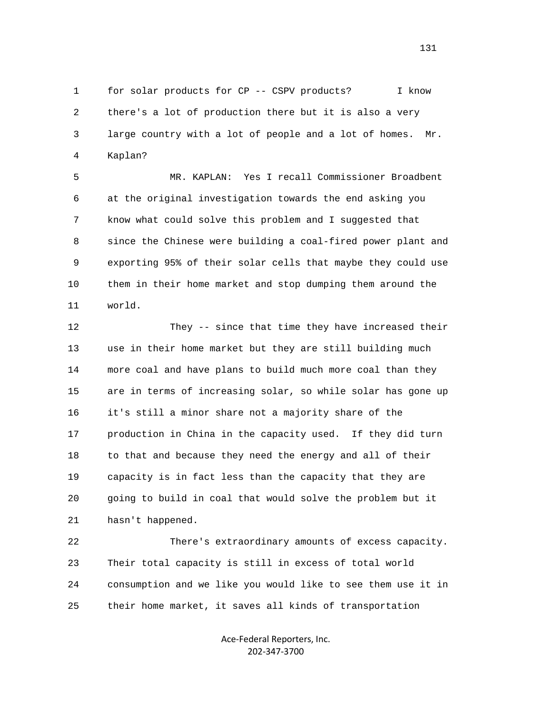1 for solar products for CP -- CSPV products? I know 2 there's a lot of production there but it is also a very 3 large country with a lot of people and a lot of homes. Mr. 4 Kaplan?

 5 MR. KAPLAN: Yes I recall Commissioner Broadbent 6 at the original investigation towards the end asking you 7 know what could solve this problem and I suggested that 8 since the Chinese were building a coal-fired power plant and 9 exporting 95% of their solar cells that maybe they could use 10 them in their home market and stop dumping them around the 11 world.

 12 They -- since that time they have increased their 13 use in their home market but they are still building much 14 more coal and have plans to build much more coal than they 15 are in terms of increasing solar, so while solar has gone up 16 it's still a minor share not a majority share of the 17 production in China in the capacity used. If they did turn 18 to that and because they need the energy and all of their 19 capacity is in fact less than the capacity that they are 20 going to build in coal that would solve the problem but it 21 hasn't happened.

 22 There's extraordinary amounts of excess capacity. 23 Their total capacity is still in excess of total world 24 consumption and we like you would like to see them use it in 25 their home market, it saves all kinds of transportation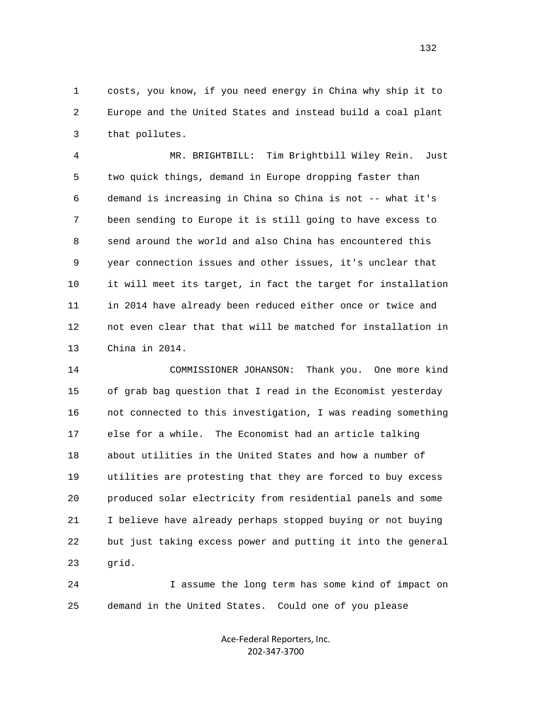1 costs, you know, if you need energy in China why ship it to 2 Europe and the United States and instead build a coal plant 3 that pollutes.

 4 MR. BRIGHTBILL: Tim Brightbill Wiley Rein. Just 5 two quick things, demand in Europe dropping faster than 6 demand is increasing in China so China is not -- what it's 7 been sending to Europe it is still going to have excess to 8 send around the world and also China has encountered this 9 year connection issues and other issues, it's unclear that 10 it will meet its target, in fact the target for installation 11 in 2014 have already been reduced either once or twice and 12 not even clear that that will be matched for installation in 13 China in 2014.

 14 COMMISSIONER JOHANSON: Thank you. One more kind 15 of grab bag question that I read in the Economist yesterday 16 not connected to this investigation, I was reading something 17 else for a while. The Economist had an article talking 18 about utilities in the United States and how a number of 19 utilities are protesting that they are forced to buy excess 20 produced solar electricity from residential panels and some 21 I believe have already perhaps stopped buying or not buying 22 but just taking excess power and putting it into the general 23 grid.

 24 I assume the long term has some kind of impact on 25 demand in the United States. Could one of you please

> Ace‐Federal Reporters, Inc. 202‐347‐3700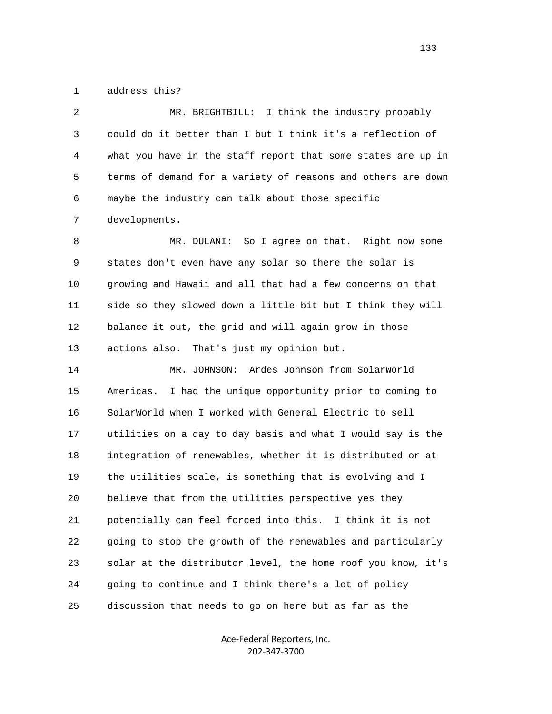1 address this?

 2 MR. BRIGHTBILL: I think the industry probably 3 could do it better than I but I think it's a reflection of 4 what you have in the staff report that some states are up in 5 terms of demand for a variety of reasons and others are down 6 maybe the industry can talk about those specific 7 developments.

 8 MR. DULANI: So I agree on that. Right now some 9 states don't even have any solar so there the solar is 10 growing and Hawaii and all that had a few concerns on that 11 side so they slowed down a little bit but I think they will 12 balance it out, the grid and will again grow in those 13 actions also. That's just my opinion but.

 14 MR. JOHNSON: Ardes Johnson from SolarWorld 15 Americas. I had the unique opportunity prior to coming to 16 SolarWorld when I worked with General Electric to sell 17 utilities on a day to day basis and what I would say is the 18 integration of renewables, whether it is distributed or at 19 the utilities scale, is something that is evolving and I 20 believe that from the utilities perspective yes they 21 potentially can feel forced into this. I think it is not 22 going to stop the growth of the renewables and particularly 23 solar at the distributor level, the home roof you know, it's 24 going to continue and I think there's a lot of policy 25 discussion that needs to go on here but as far as the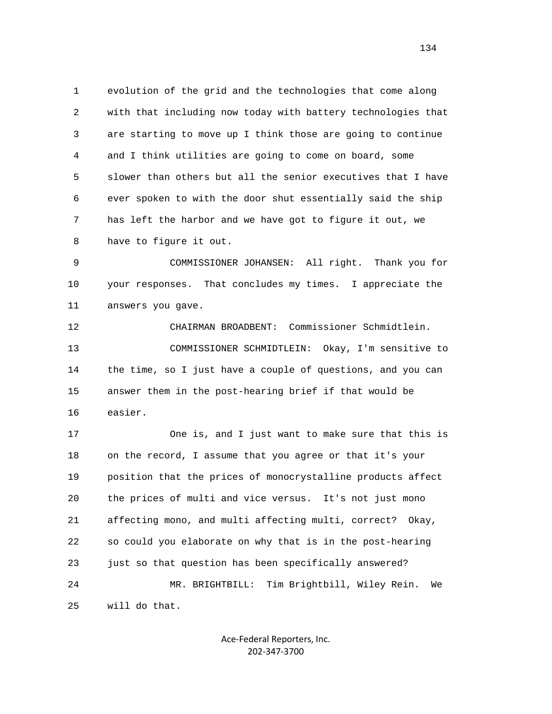1 evolution of the grid and the technologies that come along 2 with that including now today with battery technologies that 3 are starting to move up I think those are going to continue 4 and I think utilities are going to come on board, some 5 slower than others but all the senior executives that I have 6 ever spoken to with the door shut essentially said the ship 7 has left the harbor and we have got to figure it out, we 8 have to figure it out.

 9 COMMISSIONER JOHANSEN: All right. Thank you for 10 your responses. That concludes my times. I appreciate the 11 answers you gave.

 12 CHAIRMAN BROADBENT: Commissioner Schmidtlein. 13 COMMISSIONER SCHMIDTLEIN: Okay, I'm sensitive to 14 the time, so I just have a couple of questions, and you can 15 answer them in the post-hearing brief if that would be 16 easier.

 17 One is, and I just want to make sure that this is 18 on the record, I assume that you agree or that it's your 19 position that the prices of monocrystalline products affect 20 the prices of multi and vice versus. It's not just mono 21 affecting mono, and multi affecting multi, correct? Okay, 22 so could you elaborate on why that is in the post-hearing 23 just so that question has been specifically answered? 24 MR. BRIGHTBILL: Tim Brightbill, Wiley Rein. We 25 will do that.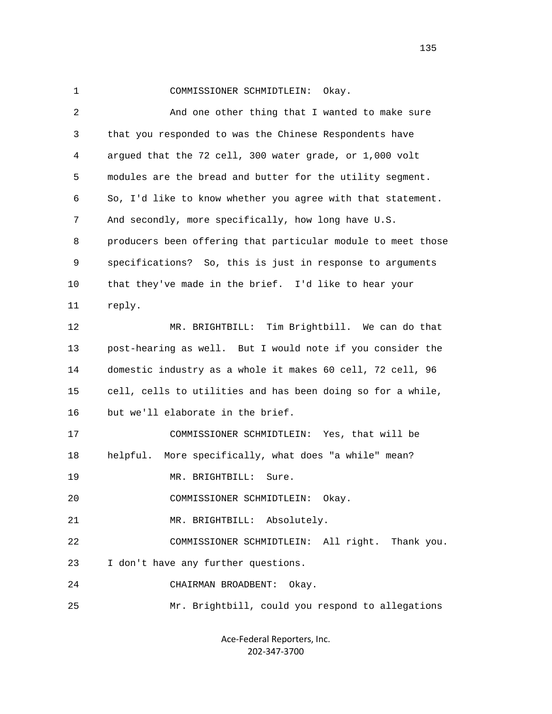| ۰, |  |
|----|--|
|    |  |
|    |  |
|    |  |

1 COMMISSIONER SCHMIDTLEIN: Okay.

 2 And one other thing that I wanted to make sure 3 that you responded to was the Chinese Respondents have 4 argued that the 72 cell, 300 water grade, or 1,000 volt 5 modules are the bread and butter for the utility segment. 6 So, I'd like to know whether you agree with that statement. 7 And secondly, more specifically, how long have U.S. 8 producers been offering that particular module to meet those 9 specifications? So, this is just in response to arguments 10 that they've made in the brief. I'd like to hear your 11 reply. 12 MR. BRIGHTBILL: Tim Brightbill. We can do that 13 post-hearing as well. But I would note if you consider the 14 domestic industry as a whole it makes 60 cell, 72 cell, 96 15 cell, cells to utilities and has been doing so for a while, 16 but we'll elaborate in the brief. 17 COMMISSIONER SCHMIDTLEIN: Yes, that will be 18 helpful. More specifically, what does "a while" mean? 19 MR. BRIGHTBILL: Sure. 20 COMMISSIONER SCHMIDTLEIN: Okay. 21 MR. BRIGHTBILL: Absolutely. 22 COMMISSIONER SCHMIDTLEIN: All right. Thank you. 23 I don't have any further questions. 24 CHAIRMAN BROADBENT: Okay. 25 Mr. Brightbill, could you respond to allegations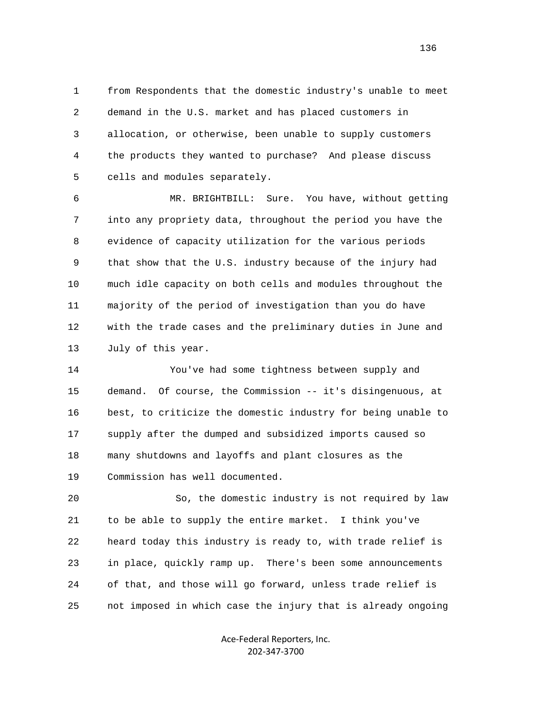1 from Respondents that the domestic industry's unable to meet 2 demand in the U.S. market and has placed customers in 3 allocation, or otherwise, been unable to supply customers 4 the products they wanted to purchase? And please discuss 5 cells and modules separately.

 6 MR. BRIGHTBILL: Sure. You have, without getting 7 into any propriety data, throughout the period you have the 8 evidence of capacity utilization for the various periods 9 that show that the U.S. industry because of the injury had 10 much idle capacity on both cells and modules throughout the 11 majority of the period of investigation than you do have 12 with the trade cases and the preliminary duties in June and 13 July of this year.

 14 You've had some tightness between supply and 15 demand. Of course, the Commission -- it's disingenuous, at 16 best, to criticize the domestic industry for being unable to 17 supply after the dumped and subsidized imports caused so 18 many shutdowns and layoffs and plant closures as the 19 Commission has well documented.

 20 So, the domestic industry is not required by law 21 to be able to supply the entire market. I think you've 22 heard today this industry is ready to, with trade relief is 23 in place, quickly ramp up. There's been some announcements 24 of that, and those will go forward, unless trade relief is 25 not imposed in which case the injury that is already ongoing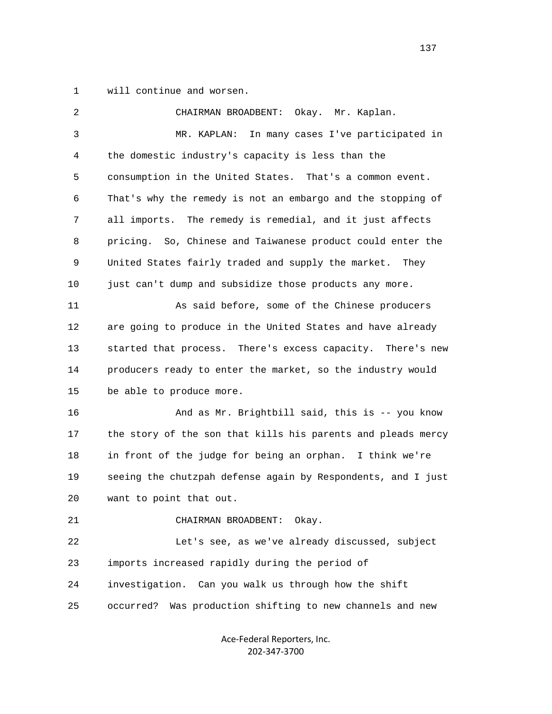1 will continue and worsen.

| $\overline{c}$ | CHAIRMAN BROADBENT: Okay. Mr. Kaplan.                        |
|----------------|--------------------------------------------------------------|
| $\mathsf{3}$   | In many cases I've participated in<br>MR. KAPLAN:            |
| 4              | the domestic industry's capacity is less than the            |
| 5              | consumption in the United States. That's a common event.     |
| 6              | That's why the remedy is not an embargo and the stopping of  |
| 7              | all imports. The remedy is remedial, and it just affects     |
| 8              | pricing. So, Chinese and Taiwanese product could enter the   |
| 9              | United States fairly traded and supply the market. They      |
| 10             | just can't dump and subsidize those products any more.       |
| 11             | As said before, some of the Chinese producers                |
| 12             | are going to produce in the United States and have already   |
| 13             | started that process. There's excess capacity. There's new   |
| 14             | producers ready to enter the market, so the industry would   |
| 15             | be able to produce more.                                     |
| 16             | And as Mr. Brightbill said, this is -- you know              |
| 17             | the story of the son that kills his parents and pleads mercy |
| 18             | in front of the judge for being an orphan. I think we're     |
| 19             | seeing the chutzpah defense again by Respondents, and I just |
| 20             | want to point that out.                                      |
| 21             | CHAIRMAN BROADBENT:<br>Okay.                                 |
| 22             | Let's see, as we've already discussed, subject               |
| 23             | imports increased rapidly during the period of               |
| 24             | investigation. Can you walk us through how the shift         |
| 25             | Was production shifting to new channels and new<br>occurred? |
|                |                                                              |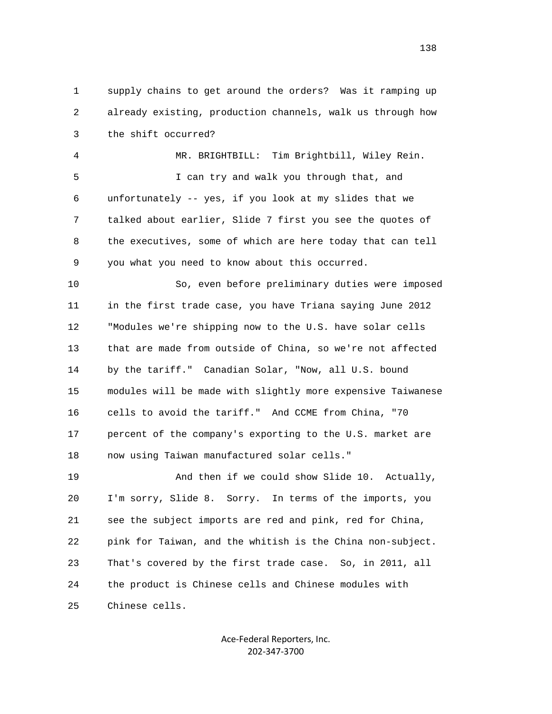1 supply chains to get around the orders? Was it ramping up 2 already existing, production channels, walk us through how 3 the shift occurred?

 4 MR. BRIGHTBILL: Tim Brightbill, Wiley Rein. 5 I can try and walk you through that, and 6 unfortunately -- yes, if you look at my slides that we 7 talked about earlier, Slide 7 first you see the quotes of 8 the executives, some of which are here today that can tell 9 you what you need to know about this occurred.

 10 So, even before preliminary duties were imposed 11 in the first trade case, you have Triana saying June 2012 12 "Modules we're shipping now to the U.S. have solar cells 13 that are made from outside of China, so we're not affected 14 by the tariff." Canadian Solar, "Now, all U.S. bound 15 modules will be made with slightly more expensive Taiwanese 16 cells to avoid the tariff." And CCME from China, "70 17 percent of the company's exporting to the U.S. market are 18 now using Taiwan manufactured solar cells."

 19 And then if we could show Slide 10. Actually, 20 I'm sorry, Slide 8. Sorry. In terms of the imports, you 21 see the subject imports are red and pink, red for China, 22 pink for Taiwan, and the whitish is the China non-subject. 23 That's covered by the first trade case. So, in 2011, all 24 the product is Chinese cells and Chinese modules with 25 Chinese cells.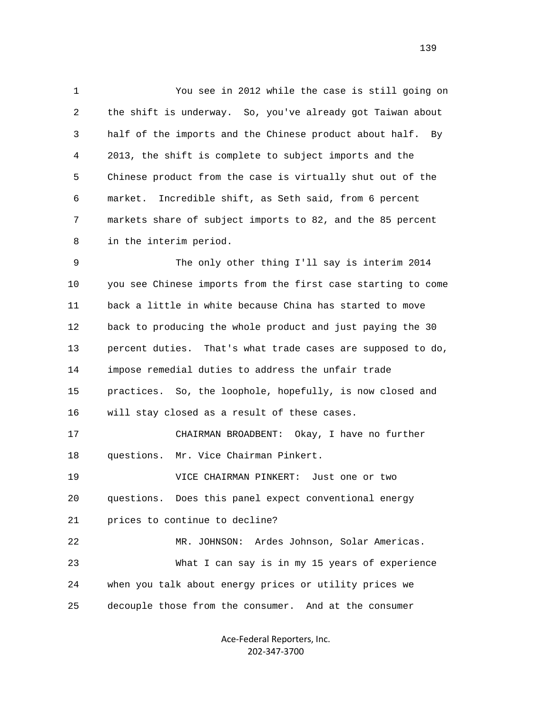1 You see in 2012 while the case is still going on 2 the shift is underway. So, you've already got Taiwan about 3 half of the imports and the Chinese product about half. By 4 2013, the shift is complete to subject imports and the 5 Chinese product from the case is virtually shut out of the 6 market. Incredible shift, as Seth said, from 6 percent 7 markets share of subject imports to 82, and the 85 percent 8 in the interim period.

 9 The only other thing I'll say is interim 2014 10 you see Chinese imports from the first case starting to come 11 back a little in white because China has started to move 12 back to producing the whole product and just paying the 30 13 percent duties. That's what trade cases are supposed to do, 14 impose remedial duties to address the unfair trade 15 practices. So, the loophole, hopefully, is now closed and 16 will stay closed as a result of these cases. 17 CHAIRMAN BROADBENT: Okay, I have no further 18 questions. Mr. Vice Chairman Pinkert. 19 VICE CHAIRMAN PINKERT: Just one or two 20 questions. Does this panel expect conventional energy 21 prices to continue to decline?

 22 MR. JOHNSON: Ardes Johnson, Solar Americas. 23 What I can say is in my 15 years of experience 24 when you talk about energy prices or utility prices we 25 decouple those from the consumer. And at the consumer

> Ace‐Federal Reporters, Inc. 202‐347‐3700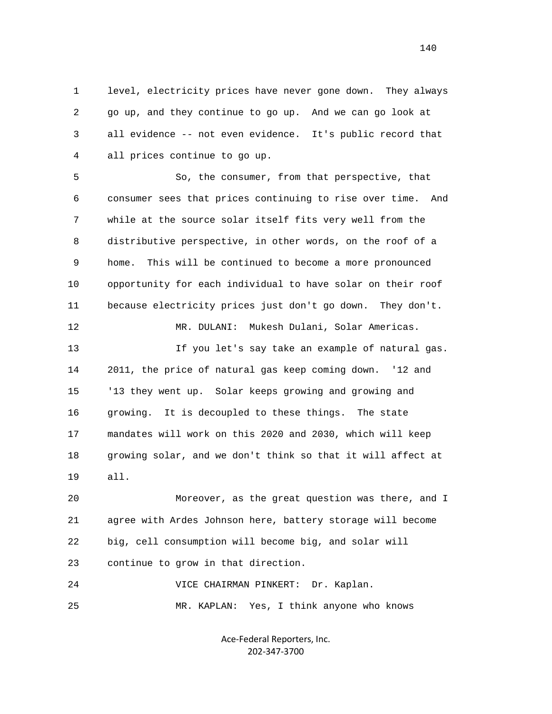1 level, electricity prices have never gone down. They always 2 go up, and they continue to go up. And we can go look at 3 all evidence -- not even evidence. It's public record that 4 all prices continue to go up.

 5 So, the consumer, from that perspective, that 6 consumer sees that prices continuing to rise over time. And 7 while at the source solar itself fits very well from the 8 distributive perspective, in other words, on the roof of a 9 home. This will be continued to become a more pronounced 10 opportunity for each individual to have solar on their roof 11 because electricity prices just don't go down. They don't. 12 MR. DULANI: Mukesh Dulani, Solar Americas. 13 If you let's say take an example of natural gas. 14 2011, the price of natural gas keep coming down. '12 and 15 '13 they went up. Solar keeps growing and growing and 16 growing. It is decoupled to these things. The state 17 mandates will work on this 2020 and 2030, which will keep

 18 growing solar, and we don't think so that it will affect at 19 all.

 20 Moreover, as the great question was there, and I 21 agree with Ardes Johnson here, battery storage will become 22 big, cell consumption will become big, and solar will 23 continue to grow in that direction.

 24 VICE CHAIRMAN PINKERT: Dr. Kaplan. 25 MR. KAPLAN: Yes, I think anyone who knows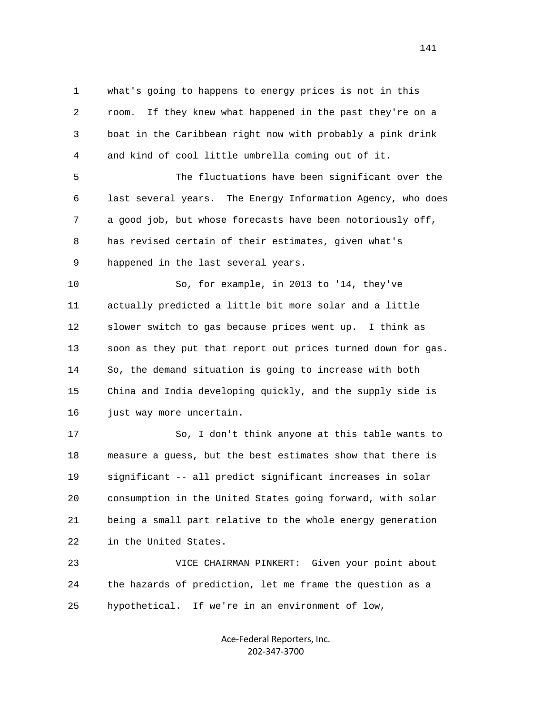1 what's going to happens to energy prices is not in this 2 room. If they knew what happened in the past they're on a 3 boat in the Caribbean right now with probably a pink drink 4 and kind of cool little umbrella coming out of it.

 5 The fluctuations have been significant over the 6 last several years. The Energy Information Agency, who does 7 a good job, but whose forecasts have been notoriously off, 8 has revised certain of their estimates, given what's 9 happened in the last several years.

 10 So, for example, in 2013 to '14, they've 11 actually predicted a little bit more solar and a little 12 slower switch to gas because prices went up. I think as 13 soon as they put that report out prices turned down for gas. 14 So, the demand situation is going to increase with both 15 China and India developing quickly, and the supply side is 16 just way more uncertain.

 17 So, I don't think anyone at this table wants to 18 measure a guess, but the best estimates show that there is 19 significant -- all predict significant increases in solar 20 consumption in the United States going forward, with solar 21 being a small part relative to the whole energy generation 22 in the United States.

 23 VICE CHAIRMAN PINKERT: Given your point about 24 the hazards of prediction, let me frame the question as a 25 hypothetical. If we're in an environment of low,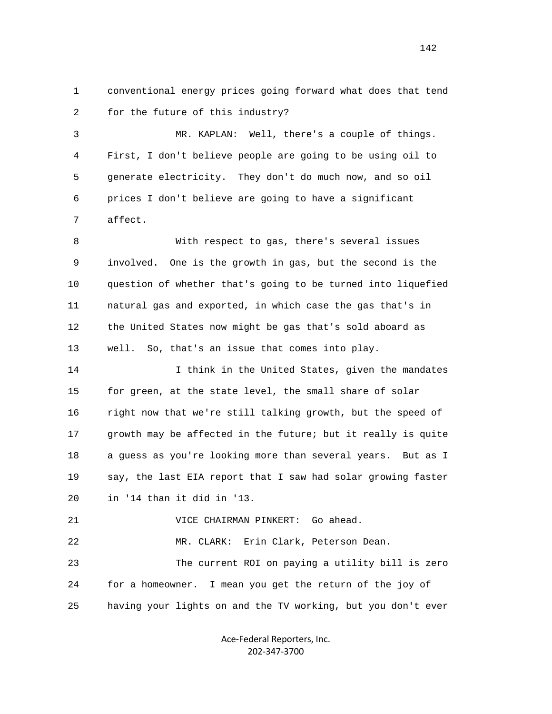1 conventional energy prices going forward what does that tend 2 for the future of this industry?

 3 MR. KAPLAN: Well, there's a couple of things. 4 First, I don't believe people are going to be using oil to 5 generate electricity. They don't do much now, and so oil 6 prices I don't believe are going to have a significant 7 affect.

 8 With respect to gas, there's several issues 9 involved. One is the growth in gas, but the second is the 10 question of whether that's going to be turned into liquefied 11 natural gas and exported, in which case the gas that's in 12 the United States now might be gas that's sold aboard as 13 well. So, that's an issue that comes into play.

14 14 I think in the United States, given the mandates 15 for green, at the state level, the small share of solar 16 right now that we're still talking growth, but the speed of 17 growth may be affected in the future; but it really is quite 18 a guess as you're looking more than several years. But as I 19 say, the last EIA report that I saw had solar growing faster 20 in '14 than it did in '13.

21 VICE CHAIRMAN PINKERT: Go ahead.

 22 MR. CLARK: Erin Clark, Peterson Dean. 23 The current ROI on paying a utility bill is zero 24 for a homeowner. I mean you get the return of the joy of 25 having your lights on and the TV working, but you don't ever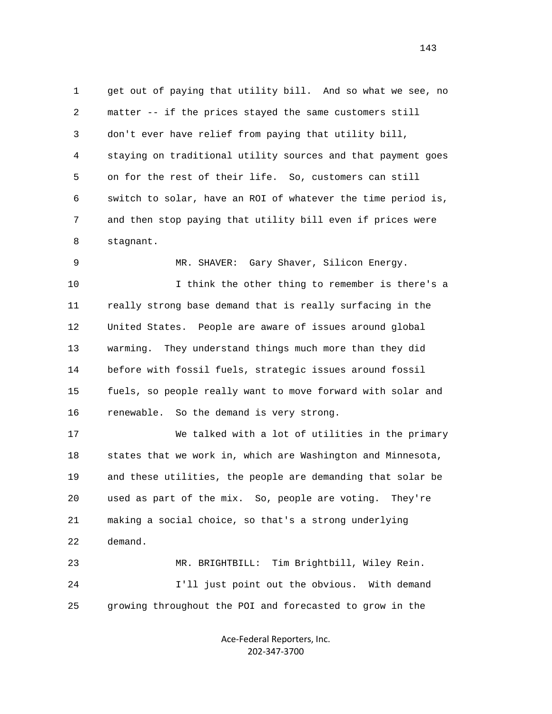1 get out of paying that utility bill. And so what we see, no 2 matter -- if the prices stayed the same customers still 3 don't ever have relief from paying that utility bill, 4 staying on traditional utility sources and that payment goes 5 on for the rest of their life. So, customers can still 6 switch to solar, have an ROI of whatever the time period is, 7 and then stop paying that utility bill even if prices were 8 stagnant.

 10 I think the other thing to remember is there's a 11 really strong base demand that is really surfacing in the 12 United States. People are aware of issues around global 13 warming. They understand things much more than they did 14 before with fossil fuels, strategic issues around fossil 15 fuels, so people really want to move forward with solar and 16 renewable. So the demand is very strong.

9 MR. SHAVER: Gary Shaver, Silicon Energy.

 17 We talked with a lot of utilities in the primary 18 states that we work in, which are Washington and Minnesota, 19 and these utilities, the people are demanding that solar be 20 used as part of the mix. So, people are voting. They're 21 making a social choice, so that's a strong underlying 22 demand.

 23 MR. BRIGHTBILL: Tim Brightbill, Wiley Rein. 24 I'll just point out the obvious. With demand 25 growing throughout the POI and forecasted to grow in the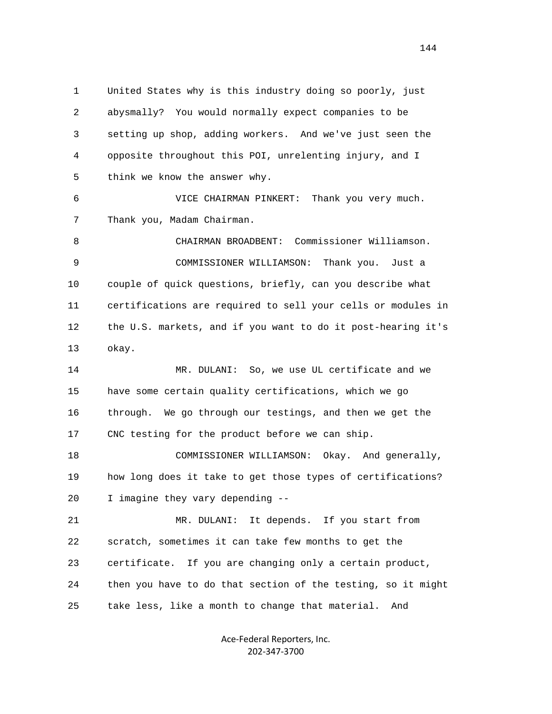1 United States why is this industry doing so poorly, just 2 abysmally? You would normally expect companies to be 3 setting up shop, adding workers. And we've just seen the 4 opposite throughout this POI, unrelenting injury, and I 5 think we know the answer why. 6 VICE CHAIRMAN PINKERT: Thank you very much. 7 Thank you, Madam Chairman. 8 CHAIRMAN BROADBENT: Commissioner Williamson. 9 COMMISSIONER WILLIAMSON: Thank you. Just a 10 couple of quick questions, briefly, can you describe what 11 certifications are required to sell your cells or modules in 12 the U.S. markets, and if you want to do it post-hearing it's 13 okay. 14 MR. DULANI: So, we use UL certificate and we 15 have some certain quality certifications, which we go 16 through. We go through our testings, and then we get the 17 CNC testing for the product before we can ship. 18 COMMISSIONER WILLIAMSON: Okay. And generally, 19 how long does it take to get those types of certifications? 20 I imagine they vary depending -- 21 MR. DULANI: It depends. If you start from 22 scratch, sometimes it can take few months to get the 23 certificate. If you are changing only a certain product, 24 then you have to do that section of the testing, so it might 25 take less, like a month to change that material. And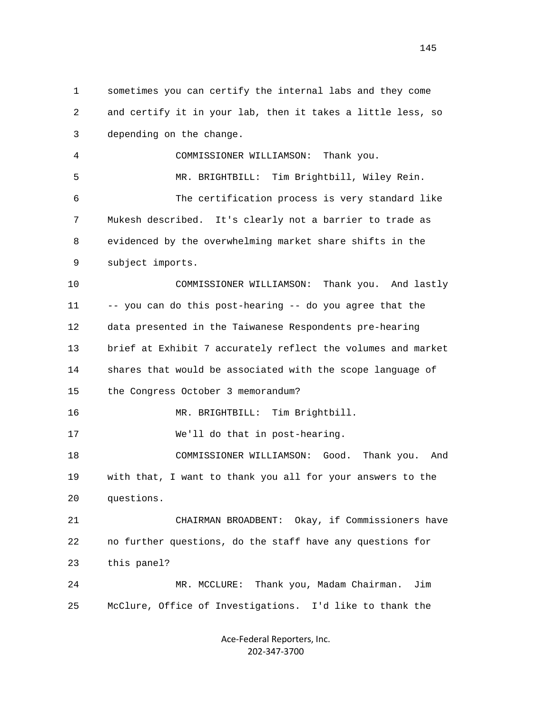1 sometimes you can certify the internal labs and they come 2 and certify it in your lab, then it takes a little less, so 3 depending on the change. 4 COMMISSIONER WILLIAMSON: Thank you. 5 MR. BRIGHTBILL: Tim Brightbill, Wiley Rein. 6 The certification process is very standard like 7 Mukesh described. It's clearly not a barrier to trade as 8 evidenced by the overwhelming market share shifts in the 9 subject imports. 10 COMMISSIONER WILLIAMSON: Thank you. And lastly 11 -- you can do this post-hearing -- do you agree that the 12 data presented in the Taiwanese Respondents pre-hearing 13 brief at Exhibit 7 accurately reflect the volumes and market 14 shares that would be associated with the scope language of 15 the Congress October 3 memorandum? 16 MR. BRIGHTBILL: Tim Brightbill. 17 We'll do that in post-hearing. 18 COMMISSIONER WILLIAMSON: Good. Thank you. And 19 with that, I want to thank you all for your answers to the 20 questions. 21 CHAIRMAN BROADBENT: Okay, if Commissioners have 22 no further questions, do the staff have any questions for 23 this panel? 24 MR. MCCLURE: Thank you, Madam Chairman. Jim 25 McClure, Office of Investigations. I'd like to thank the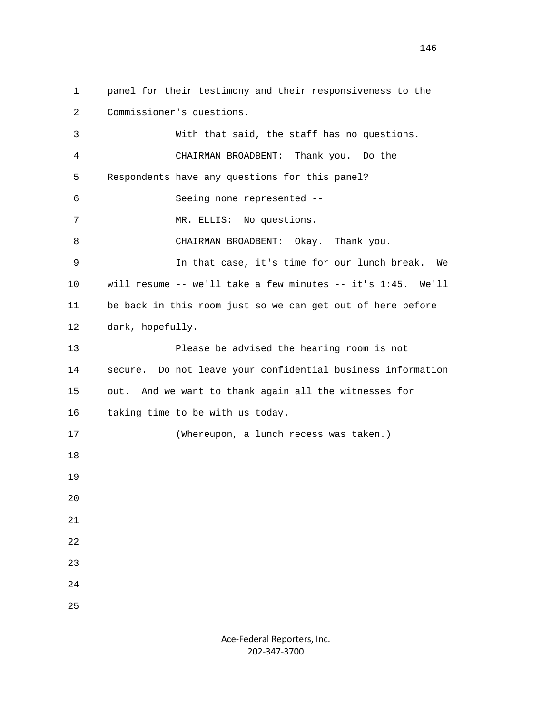1 panel for their testimony and their responsiveness to the 2 Commissioner's questions. 3 With that said, the staff has no questions. 4 CHAIRMAN BROADBENT: Thank you. Do the 5 Respondents have any questions for this panel? 6 Seeing none represented -- 7 MR. ELLIS: No questions. 8 CHAIRMAN BROADBENT: Okay. Thank you. 9 In that case, it's time for our lunch break. We 10 will resume -- we'll take a few minutes -- it's 1:45. We'll 11 be back in this room just so we can get out of here before 12 dark, hopefully. 13 Please be advised the hearing room is not 14 secure. Do not leave your confidential business information 15 out. And we want to thank again all the witnesses for 16 taking time to be with us today. 17 (Whereupon, a lunch recess was taken.) 18 19 20 21 22 23 24 25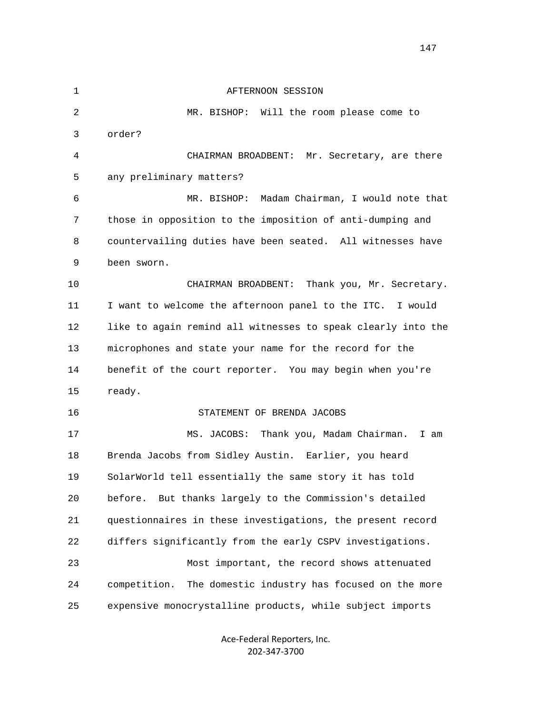| $\mathbf 1$ | AFTERNOON SESSION                                             |
|-------------|---------------------------------------------------------------|
| 2           | MR. BISHOP: Will the room please come to                      |
| 3           | order?                                                        |
| 4           | Mr. Secretary, are there<br>CHAIRMAN BROADBENT:               |
| 5           | any preliminary matters?                                      |
| 6           | Madam Chairman, I would note that<br>MR. BISHOP:              |
| 7           | those in opposition to the imposition of anti-dumping and     |
| 8           | countervailing duties have been seated. All witnesses have    |
| 9           | been sworn.                                                   |
| 10          | CHAIRMAN BROADBENT:<br>Thank you, Mr. Secretary.              |
| 11          | I want to welcome the afternoon panel to the ITC. I would     |
| 12          | like to again remind all witnesses to speak clearly into the  |
| 13          | microphones and state your name for the record for the        |
| 14          | benefit of the court reporter. You may begin when you're      |
| 15          | ready.                                                        |
| 16          | STATEMENT OF BRENDA JACOBS                                    |
| 17          | MS. JACOBS:<br>Thank you, Madam Chairman.<br>I am             |
| 18          | Brenda Jacobs from Sidley Austin. Earlier, you heard          |
| 19          | SolarWorld tell essentially the same story it has told        |
| 20          | But thanks largely to the Commission's detailed<br>before.    |
| 21          | questionnaires in these investigations, the present record    |
| 22          | differs significantly from the early CSPV investigations.     |
| 23          | Most important, the record shows attenuated                   |
| 24          | The domestic industry has focused on the more<br>competition. |
| 25          | expensive monocrystalline products, while subject imports     |
|             |                                                               |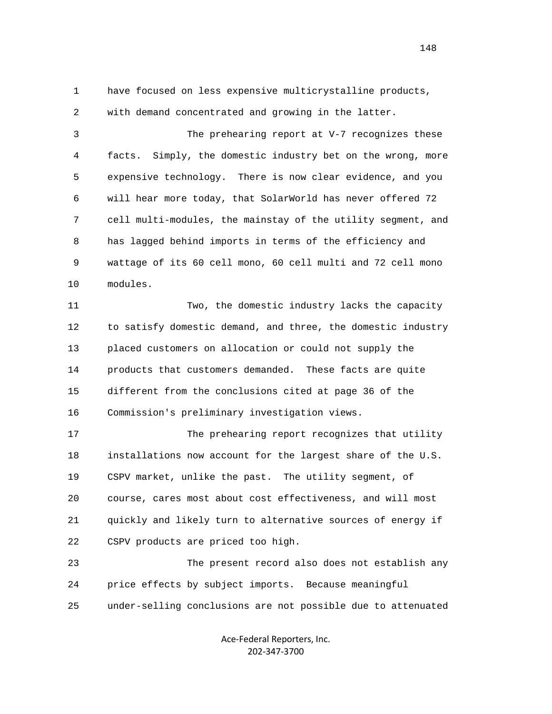1 have focused on less expensive multicrystalline products,

 2 with demand concentrated and growing in the latter. 3 The prehearing report at V-7 recognizes these 4 facts. Simply, the domestic industry bet on the wrong, more 5 expensive technology. There is now clear evidence, and you 6 will hear more today, that SolarWorld has never offered 72 7 cell multi-modules, the mainstay of the utility segment, and 8 has lagged behind imports in terms of the efficiency and 9 wattage of its 60 cell mono, 60 cell multi and 72 cell mono 10 modules. 11 Two, the domestic industry lacks the capacity 12 to satisfy domestic demand, and three, the domestic industry 13 placed customers on allocation or could not supply the 14 products that customers demanded. These facts are quite 15 different from the conclusions cited at page 36 of the 16 Commission's preliminary investigation views.

 17 The prehearing report recognizes that utility 18 installations now account for the largest share of the U.S. 19 CSPV market, unlike the past. The utility segment, of 20 course, cares most about cost effectiveness, and will most 21 quickly and likely turn to alternative sources of energy if 22 CSPV products are priced too high.

 23 The present record also does not establish any 24 price effects by subject imports. Because meaningful 25 under-selling conclusions are not possible due to attenuated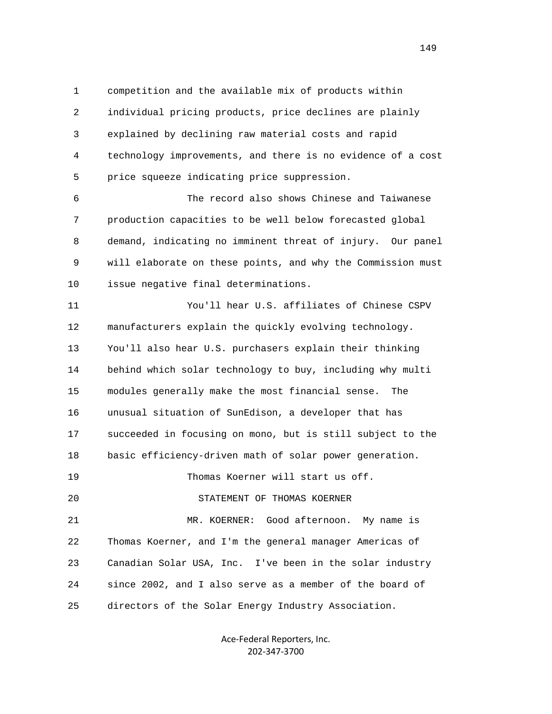1 competition and the available mix of products within 2 individual pricing products, price declines are plainly 3 explained by declining raw material costs and rapid 4 technology improvements, and there is no evidence of a cost 5 price squeeze indicating price suppression.

 6 The record also shows Chinese and Taiwanese 7 production capacities to be well below forecasted global 8 demand, indicating no imminent threat of injury. Our panel 9 will elaborate on these points, and why the Commission must 10 issue negative final determinations.

 11 You'll hear U.S. affiliates of Chinese CSPV 12 manufacturers explain the quickly evolving technology. 13 You'll also hear U.S. purchasers explain their thinking 14 behind which solar technology to buy, including why multi 15 modules generally make the most financial sense. The 16 unusual situation of SunEdison, a developer that has 17 succeeded in focusing on mono, but is still subject to the 18 basic efficiency-driven math of solar power generation. 19 Thomas Koerner will start us off. 20 STATEMENT OF THOMAS KOERNER 21 MR. KOERNER: Good afternoon. My name is 22 Thomas Koerner, and I'm the general manager Americas of 23 Canadian Solar USA, Inc. I've been in the solar industry 24 since 2002, and I also serve as a member of the board of 25 directors of the Solar Energy Industry Association.

> Ace‐Federal Reporters, Inc. 202‐347‐3700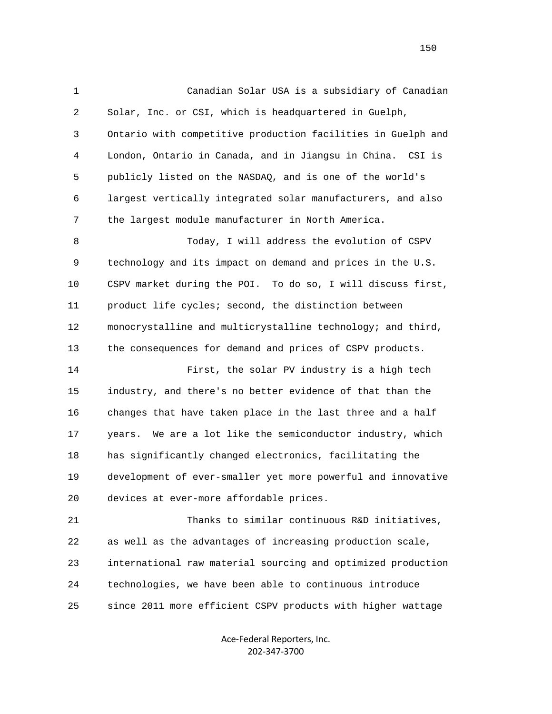1 Canadian Solar USA is a subsidiary of Canadian 2 Solar, Inc. or CSI, which is headquartered in Guelph, 3 Ontario with competitive production facilities in Guelph and 4 London, Ontario in Canada, and in Jiangsu in China. CSI is 5 publicly listed on the NASDAQ, and is one of the world's 6 largest vertically integrated solar manufacturers, and also 7 the largest module manufacturer in North America. 8 Today, I will address the evolution of CSPV 9 technology and its impact on demand and prices in the U.S. 10 CSPV market during the POI. To do so, I will discuss first, 11 product life cycles; second, the distinction between 12 monocrystalline and multicrystalline technology; and third, 13 the consequences for demand and prices of CSPV products. 14 First, the solar PV industry is a high tech 15 industry, and there's no better evidence of that than the 16 changes that have taken place in the last three and a half 17 years. We are a lot like the semiconductor industry, which 18 has significantly changed electronics, facilitating the 19 development of ever-smaller yet more powerful and innovative 20 devices at ever-more affordable prices. 21 Thanks to similar continuous R&D initiatives, 22 as well as the advantages of increasing production scale, 23 international raw material sourcing and optimized production 24 technologies, we have been able to continuous introduce 25 since 2011 more efficient CSPV products with higher wattage

> Ace‐Federal Reporters, Inc. 202‐347‐3700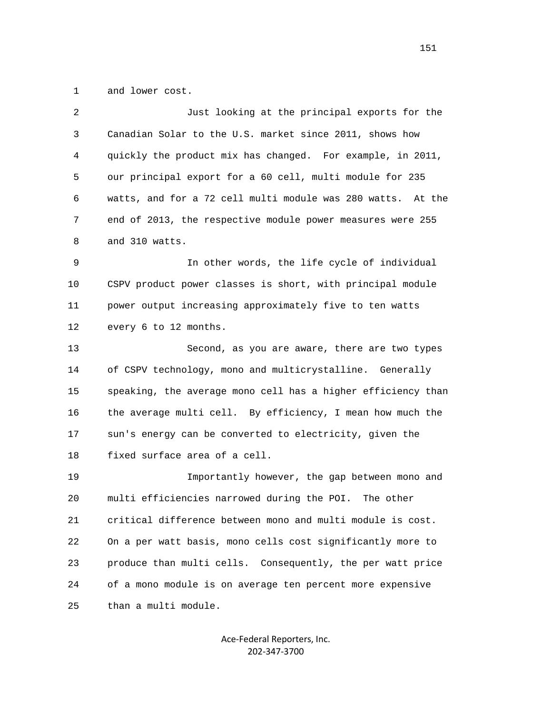1 and lower cost.

| 2  | Just looking at the principal exports for the                |
|----|--------------------------------------------------------------|
| 3  | Canadian Solar to the U.S. market since 2011, shows how      |
| 4  | quickly the product mix has changed. For example, in 2011,   |
| 5  | our principal export for a 60 cell, multi module for 235     |
| 6  | watts, and for a 72 cell multi module was 280 watts. At the  |
| 7  | end of 2013, the respective module power measures were 255   |
| 8  | and 310 watts.                                               |
| 9  | In other words, the life cycle of individual                 |
| 10 | CSPV product power classes is short, with principal module   |
| 11 | power output increasing approximately five to ten watts      |
| 12 | every 6 to 12 months.                                        |
| 13 | Second, as you are aware, there are two types                |
| 14 | of CSPV technology, mono and multicrystalline. Generally     |
| 15 | speaking, the average mono cell has a higher efficiency than |
| 16 | the average multi cell. By efficiency, I mean how much the   |
| 17 | sun's energy can be converted to electricity, given the      |
| 18 | fixed surface area of a cell.                                |
| 19 | Importantly however, the gap between mono and                |
| 20 | multi efficiencies narrowed during the POI. The other        |
| 21 | critical difference between mono and multi module is cost.   |
| 22 | On a per watt basis, mono cells cost significantly more to   |
| 23 | produce than multi cells. Consequently, the per watt price   |
| 24 | of a mono module is on average ten percent more expensive    |
| 25 | than a multi module.                                         |

Ace‐Federal Reporters, Inc. 202‐347‐3700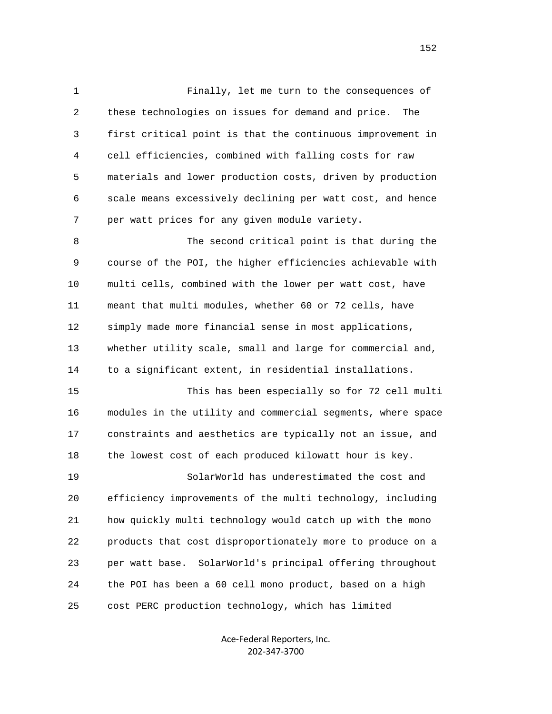1 Finally, let me turn to the consequences of 2 these technologies on issues for demand and price. The 3 first critical point is that the continuous improvement in 4 cell efficiencies, combined with falling costs for raw 5 materials and lower production costs, driven by production 6 scale means excessively declining per watt cost, and hence 7 per watt prices for any given module variety. 8 The second critical point is that during the 9 course of the POI, the higher efficiencies achievable with 10 multi cells, combined with the lower per watt cost, have 11 meant that multi modules, whether 60 or 72 cells, have 12 simply made more financial sense in most applications, 13 whether utility scale, small and large for commercial and, 14 to a significant extent, in residential installations. 15 This has been especially so for 72 cell multi 16 modules in the utility and commercial segments, where space 17 constraints and aesthetics are typically not an issue, and 18 the lowest cost of each produced kilowatt hour is key. 19 SolarWorld has underestimated the cost and 20 efficiency improvements of the multi technology, including 21 how quickly multi technology would catch up with the mono 22 products that cost disproportionately more to produce on a 23 per watt base. SolarWorld's principal offering throughout 24 the POI has been a 60 cell mono product, based on a high 25 cost PERC production technology, which has limited

> Ace‐Federal Reporters, Inc. 202‐347‐3700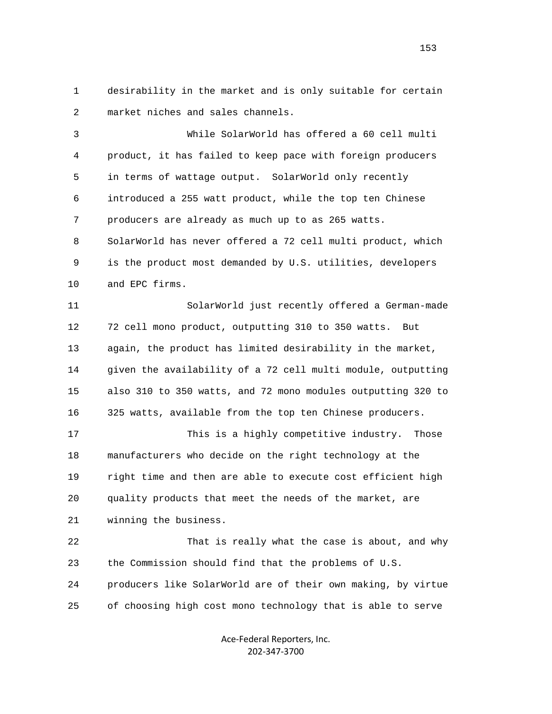1 desirability in the market and is only suitable for certain 2 market niches and sales channels.

 3 While SolarWorld has offered a 60 cell multi 4 product, it has failed to keep pace with foreign producers 5 in terms of wattage output. SolarWorld only recently 6 introduced a 255 watt product, while the top ten Chinese 7 producers are already as much up to as 265 watts. 8 SolarWorld has never offered a 72 cell multi product, which 9 is the product most demanded by U.S. utilities, developers 10 and EPC firms.

 11 SolarWorld just recently offered a German-made 12 72 cell mono product, outputting 310 to 350 watts. But 13 again, the product has limited desirability in the market, 14 given the availability of a 72 cell multi module, outputting 15 also 310 to 350 watts, and 72 mono modules outputting 320 to 16 325 watts, available from the top ten Chinese producers.

 17 This is a highly competitive industry. Those 18 manufacturers who decide on the right technology at the 19 right time and then are able to execute cost efficient high 20 quality products that meet the needs of the market, are 21 winning the business.

 22 That is really what the case is about, and why 23 the Commission should find that the problems of U.S. 24 producers like SolarWorld are of their own making, by virtue 25 of choosing high cost mono technology that is able to serve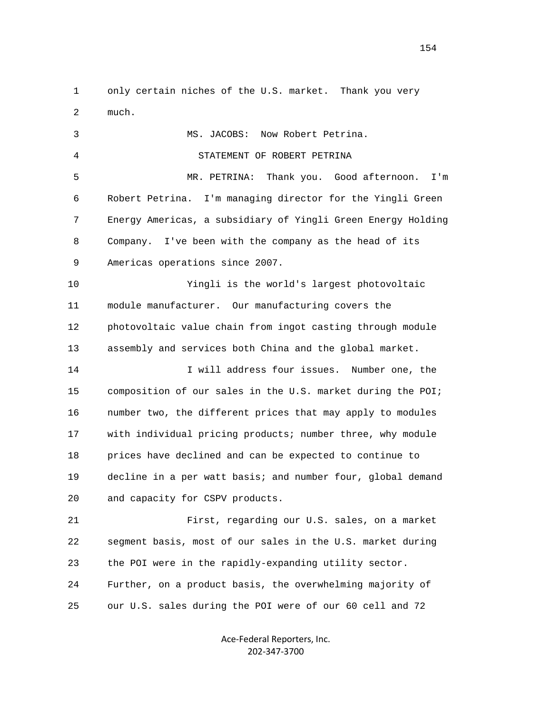1 only certain niches of the U.S. market. Thank you very 2 much.

 3 MS. JACOBS: Now Robert Petrina. 4 STATEMENT OF ROBERT PETRINA 5 MR. PETRINA: Thank you. Good afternoon. I'm 6 Robert Petrina. I'm managing director for the Yingli Green 7 Energy Americas, a subsidiary of Yingli Green Energy Holding 8 Company. I've been with the company as the head of its 9 Americas operations since 2007. 10 Yingli is the world's largest photovoltaic 11 module manufacturer. Our manufacturing covers the 12 photovoltaic value chain from ingot casting through module 13 assembly and services both China and the global market. 14 I will address four issues. Number one, the 15 composition of our sales in the U.S. market during the POI; 16 number two, the different prices that may apply to modules 17 with individual pricing products; number three, why module 18 prices have declined and can be expected to continue to 19 decline in a per watt basis; and number four, global demand 20 and capacity for CSPV products. 21 First, regarding our U.S. sales, on a market

 22 segment basis, most of our sales in the U.S. market during 23 the POI were in the rapidly-expanding utility sector. 24 Further, on a product basis, the overwhelming majority of 25 our U.S. sales during the POI were of our 60 cell and 72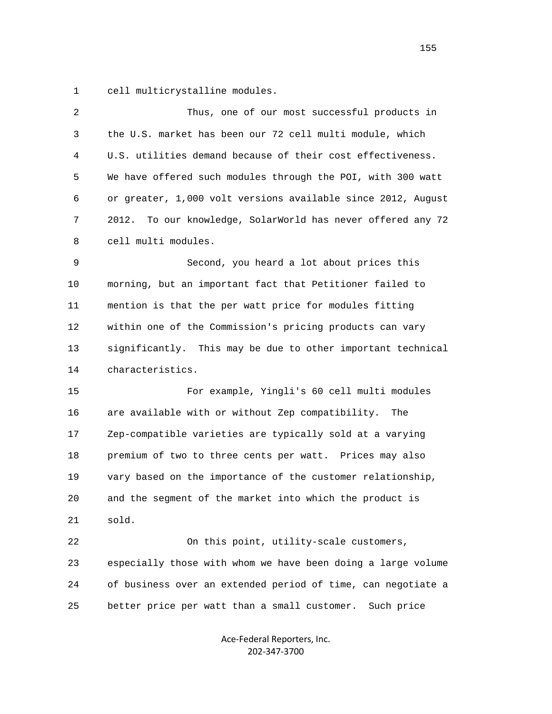1 cell multicrystalline modules.

| $\overline{2}$ | Thus, one of our most successful products in                   |
|----------------|----------------------------------------------------------------|
| 3              | the U.S. market has been our 72 cell multi module, which       |
| 4              | U.S. utilities demand because of their cost effectiveness.     |
| 5              | We have offered such modules through the POI, with 300 watt    |
| 6              | or greater, 1,000 volt versions available since 2012, August   |
| 7              | To our knowledge, SolarWorld has never offered any 72<br>2012. |
| 8              | cell multi modules.                                            |
| 9              | Second, you heard a lot about prices this                      |
| 10             | morning, but an important fact that Petitioner failed to       |
| 11             | mention is that the per watt price for modules fitting         |
| 12             | within one of the Commission's pricing products can vary       |
| 13             | significantly. This may be due to other important technical    |
| 14             | characteristics.                                               |
| 15             | For example, Yingli's 60 cell multi modules                    |
| 16             | are available with or without Zep compatibility.<br>The        |
| 17             | Zep-compatible varieties are typically sold at a varying       |
| 18             | premium of two to three cents per watt. Prices may also        |
| 19             | vary based on the importance of the customer relationship,     |
| 20             | and the segment of the market into which the product is        |
| 21             | sold.                                                          |
| 22             | On this point, utility-scale customers,                        |
| 23             | especially those with whom we have been doing a large volume   |
| 24             | of business over an extended period of time, can negotiate a   |
| 25             | better price per watt than a small customer.<br>Such price     |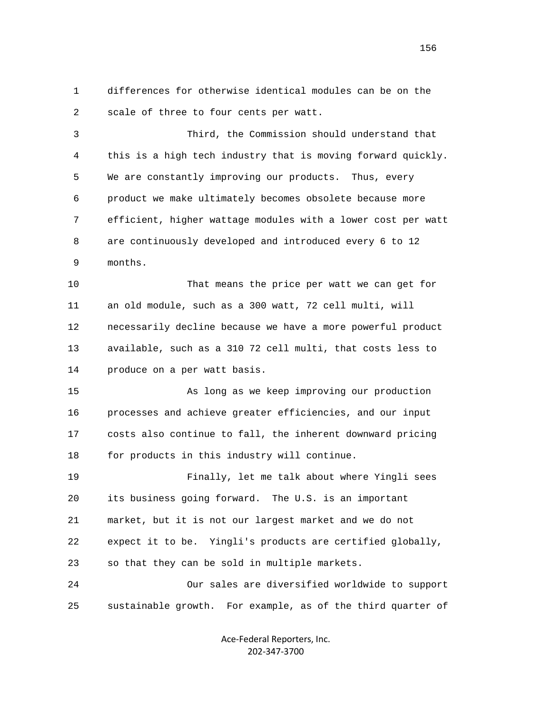1 differences for otherwise identical modules can be on the 2 scale of three to four cents per watt.

 3 Third, the Commission should understand that 4 this is a high tech industry that is moving forward quickly. 5 We are constantly improving our products. Thus, every 6 product we make ultimately becomes obsolete because more 7 efficient, higher wattage modules with a lower cost per watt 8 are continuously developed and introduced every 6 to 12 9 months.

 10 That means the price per watt we can get for 11 an old module, such as a 300 watt, 72 cell multi, will 12 necessarily decline because we have a more powerful product 13 available, such as a 310 72 cell multi, that costs less to 14 produce on a per watt basis.

 15 As long as we keep improving our production 16 processes and achieve greater efficiencies, and our input 17 costs also continue to fall, the inherent downward pricing 18 for products in this industry will continue.

 19 Finally, let me talk about where Yingli sees 20 its business going forward. The U.S. is an important 21 market, but it is not our largest market and we do not 22 expect it to be. Yingli's products are certified globally, 23 so that they can be sold in multiple markets. 24 Our sales are diversified worldwide to support

25 sustainable growth. For example, as of the third quarter of

Ace‐Federal Reporters, Inc. 202‐347‐3700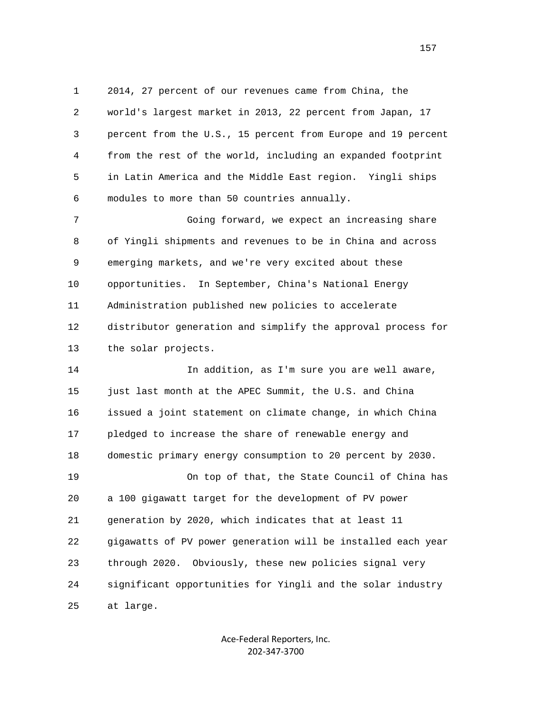1 2014, 27 percent of our revenues came from China, the 2 world's largest market in 2013, 22 percent from Japan, 17 3 percent from the U.S., 15 percent from Europe and 19 percent 4 from the rest of the world, including an expanded footprint 5 in Latin America and the Middle East region. Yingli ships 6 modules to more than 50 countries annually.

 7 Going forward, we expect an increasing share 8 of Yingli shipments and revenues to be in China and across 9 emerging markets, and we're very excited about these 10 opportunities. In September, China's National Energy 11 Administration published new policies to accelerate 12 distributor generation and simplify the approval process for 13 the solar projects.

 14 In addition, as I'm sure you are well aware, 15 just last month at the APEC Summit, the U.S. and China 16 issued a joint statement on climate change, in which China 17 pledged to increase the share of renewable energy and 18 domestic primary energy consumption to 20 percent by 2030. 19 On top of that, the State Council of China has 20 a 100 gigawatt target for the development of PV power 21 generation by 2020, which indicates that at least 11 22 gigawatts of PV power generation will be installed each year 23 through 2020. Obviously, these new policies signal very 24 significant opportunities for Yingli and the solar industry 25 at large.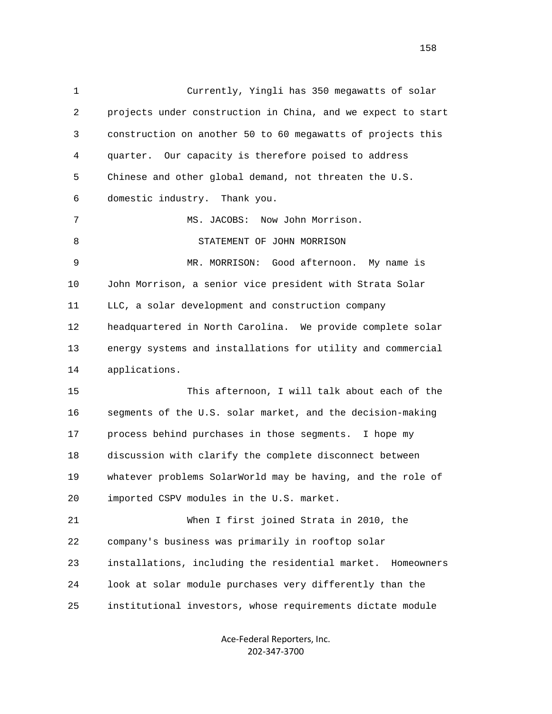1 Currently, Yingli has 350 megawatts of solar 2 projects under construction in China, and we expect to start 3 construction on another 50 to 60 megawatts of projects this 4 quarter. Our capacity is therefore poised to address 5 Chinese and other global demand, not threaten the U.S. 6 domestic industry. Thank you. 7 MS. JACOBS: Now John Morrison. 8 STATEMENT OF JOHN MORRISON 9 MR. MORRISON: Good afternoon. My name is 10 John Morrison, a senior vice president with Strata Solar 11 LLC, a solar development and construction company 12 headquartered in North Carolina. We provide complete solar 13 energy systems and installations for utility and commercial 14 applications. 15 This afternoon, I will talk about each of the 16 segments of the U.S. solar market, and the decision-making 17 process behind purchases in those segments. I hope my 18 discussion with clarify the complete disconnect between 19 whatever problems SolarWorld may be having, and the role of 20 imported CSPV modules in the U.S. market. 21 When I first joined Strata in 2010, the 22 company's business was primarily in rooftop solar 23 installations, including the residential market. Homeowners 24 look at solar module purchases very differently than the 25 institutional investors, whose requirements dictate module

> Ace‐Federal Reporters, Inc. 202‐347‐3700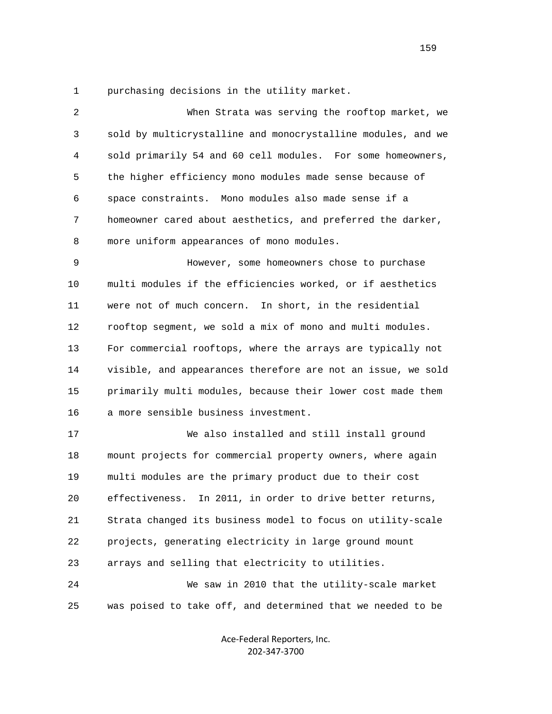1 purchasing decisions in the utility market.

| 2  | When Strata was serving the rooftop market, we               |
|----|--------------------------------------------------------------|
| 3  | sold by multicrystalline and monocrystalline modules, and we |
| 4  | sold primarily 54 and 60 cell modules. For some homeowners,  |
| 5  | the higher efficiency mono modules made sense because of     |
| 6  | space constraints. Mono modules also made sense if a         |
| 7  | homeowner cared about aesthetics, and preferred the darker,  |
| 8  | more uniform appearances of mono modules.                    |
| 9  | However, some homeowners chose to purchase                   |
| 10 | multi modules if the efficiencies worked, or if aesthetics   |
| 11 | were not of much concern. In short, in the residential       |
| 12 | rooftop segment, we sold a mix of mono and multi modules.    |
| 13 | For commercial rooftops, where the arrays are typically not  |
| 14 | visible, and appearances therefore are not an issue, we sold |
| 15 | primarily multi modules, because their lower cost made them  |
| 16 | a more sensible business investment.                         |
| 17 | We also installed and still install ground                   |
| 18 | mount projects for commercial property owners, where again   |
| 19 | multi modules are the primary product due to their cost      |
| 20 | effectiveness.<br>In 2011, in order to drive better returns, |
| 21 | Strata changed its business model to focus on utility-scale  |
| 22 | projects, generating electricity in large ground mount       |
| 23 | arrays and selling that electricity to utilities.            |
| 24 | We saw in 2010 that the utility-scale market                 |
| 25 | was poised to take off, and determined that we needed to be  |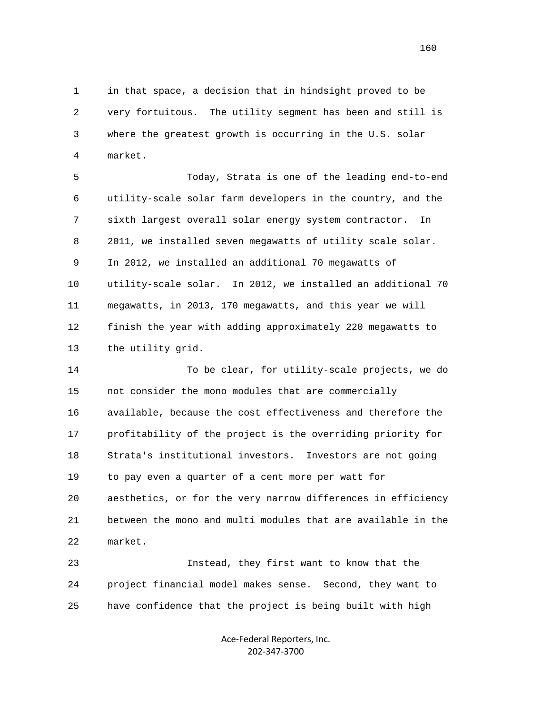1 in that space, a decision that in hindsight proved to be 2 very fortuitous. The utility segment has been and still is 3 where the greatest growth is occurring in the U.S. solar 4 market.

 5 Today, Strata is one of the leading end-to-end 6 utility-scale solar farm developers in the country, and the 7 sixth largest overall solar energy system contractor. In 8 2011, we installed seven megawatts of utility scale solar. 9 In 2012, we installed an additional 70 megawatts of 10 utility-scale solar. In 2012, we installed an additional 70 11 megawatts, in 2013, 170 megawatts, and this year we will 12 finish the year with adding approximately 220 megawatts to 13 the utility grid.

 14 To be clear, for utility-scale projects, we do 15 not consider the mono modules that are commercially 16 available, because the cost effectiveness and therefore the 17 profitability of the project is the overriding priority for 18 Strata's institutional investors. Investors are not going 19 to pay even a quarter of a cent more per watt for 20 aesthetics, or for the very narrow differences in efficiency 21 between the mono and multi modules that are available in the 22 market.

 23 Instead, they first want to know that the 24 project financial model makes sense. Second, they want to 25 have confidence that the project is being built with high

> Ace‐Federal Reporters, Inc. 202‐347‐3700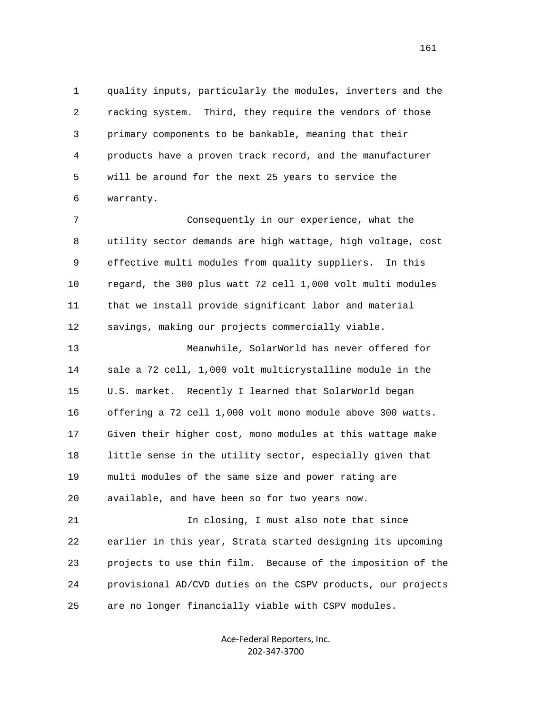1 quality inputs, particularly the modules, inverters and the 2 racking system. Third, they require the vendors of those 3 primary components to be bankable, meaning that their 4 products have a proven track record, and the manufacturer 5 will be around for the next 25 years to service the 6 warranty.

 7 Consequently in our experience, what the 8 utility sector demands are high wattage, high voltage, cost 9 effective multi modules from quality suppliers. In this 10 regard, the 300 plus watt 72 cell 1,000 volt multi modules 11 that we install provide significant labor and material 12 savings, making our projects commercially viable.

 13 Meanwhile, SolarWorld has never offered for 14 sale a 72 cell, 1,000 volt multicrystalline module in the 15 U.S. market. Recently I learned that SolarWorld began 16 offering a 72 cell 1,000 volt mono module above 300 watts. 17 Given their higher cost, mono modules at this wattage make 18 little sense in the utility sector, especially given that 19 multi modules of the same size and power rating are 20 available, and have been so for two years now.

 21 In closing, I must also note that since 22 earlier in this year, Strata started designing its upcoming 23 projects to use thin film. Because of the imposition of the 24 provisional AD/CVD duties on the CSPV products, our projects 25 are no longer financially viable with CSPV modules.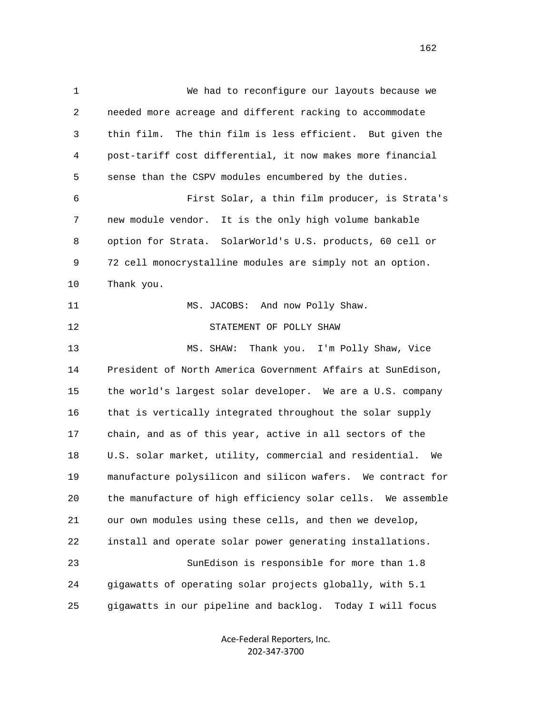1 We had to reconfigure our layouts because we 2 needed more acreage and different racking to accommodate 3 thin film. The thin film is less efficient. But given the 4 post-tariff cost differential, it now makes more financial 5 sense than the CSPV modules encumbered by the duties. 6 First Solar, a thin film producer, is Strata's 7 new module vendor. It is the only high volume bankable 8 option for Strata. SolarWorld's U.S. products, 60 cell or 9 72 cell monocrystalline modules are simply not an option. 10 Thank you. 11 MS. JACOBS: And now Polly Shaw. 12 STATEMENT OF POLLY SHAW 13 MS. SHAW: Thank you. I'm Polly Shaw, Vice 14 President of North America Government Affairs at SunEdison, 15 the world's largest solar developer. We are a U.S. company 16 that is vertically integrated throughout the solar supply 17 chain, and as of this year, active in all sectors of the 18 U.S. solar market, utility, commercial and residential. We 19 manufacture polysilicon and silicon wafers. We contract for 20 the manufacture of high efficiency solar cells. We assemble 21 our own modules using these cells, and then we develop, 22 install and operate solar power generating installations. 23 SunEdison is responsible for more than 1.8 24 gigawatts of operating solar projects globally, with 5.1 25 gigawatts in our pipeline and backlog. Today I will focus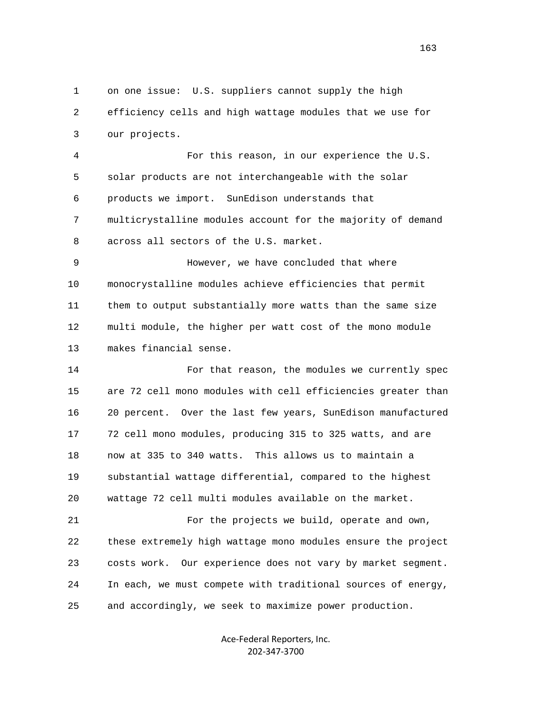1 on one issue: U.S. suppliers cannot supply the high 2 efficiency cells and high wattage modules that we use for 3 our projects.

 4 For this reason, in our experience the U.S. 5 solar products are not interchangeable with the solar 6 products we import. SunEdison understands that 7 multicrystalline modules account for the majority of demand 8 across all sectors of the U.S. market.

 9 However, we have concluded that where 10 monocrystalline modules achieve efficiencies that permit 11 them to output substantially more watts than the same size 12 multi module, the higher per watt cost of the mono module 13 makes financial sense.

 14 For that reason, the modules we currently spec 15 are 72 cell mono modules with cell efficiencies greater than 16 20 percent. Over the last few years, SunEdison manufactured 17 72 cell mono modules, producing 315 to 325 watts, and are 18 now at 335 to 340 watts. This allows us to maintain a 19 substantial wattage differential, compared to the highest 20 wattage 72 cell multi modules available on the market.

 21 For the projects we build, operate and own, 22 these extremely high wattage mono modules ensure the project 23 costs work. Our experience does not vary by market segment. 24 In each, we must compete with traditional sources of energy, 25 and accordingly, we seek to maximize power production.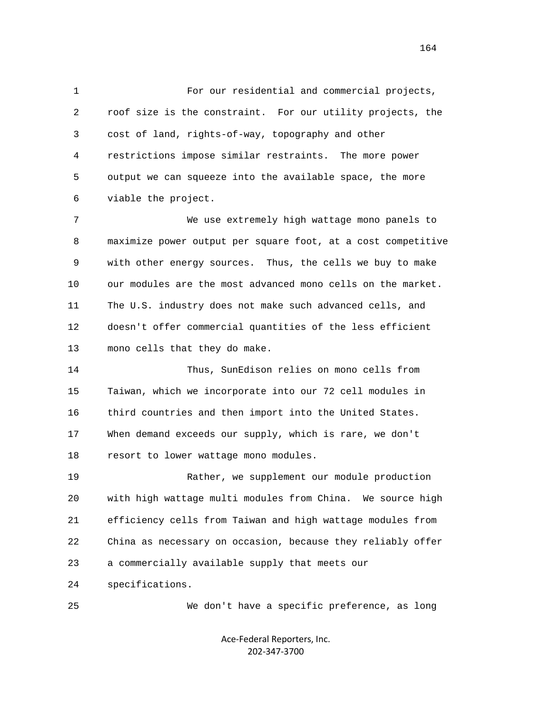1 For our residential and commercial projects, 2 roof size is the constraint. For our utility projects, the 3 cost of land, rights-of-way, topography and other 4 restrictions impose similar restraints. The more power 5 output we can squeeze into the available space, the more 6 viable the project.

 7 We use extremely high wattage mono panels to 8 maximize power output per square foot, at a cost competitive 9 with other energy sources. Thus, the cells we buy to make 10 our modules are the most advanced mono cells on the market. 11 The U.S. industry does not make such advanced cells, and 12 doesn't offer commercial quantities of the less efficient 13 mono cells that they do make.

 14 Thus, SunEdison relies on mono cells from 15 Taiwan, which we incorporate into our 72 cell modules in 16 third countries and then import into the United States. 17 When demand exceeds our supply, which is rare, we don't 18 resort to lower wattage mono modules.

 19 Rather, we supplement our module production 20 with high wattage multi modules from China. We source high 21 efficiency cells from Taiwan and high wattage modules from 22 China as necessary on occasion, because they reliably offer 23 a commercially available supply that meets our

24 specifications.

25 We don't have a specific preference, as long

Ace‐Federal Reporters, Inc. 202‐347‐3700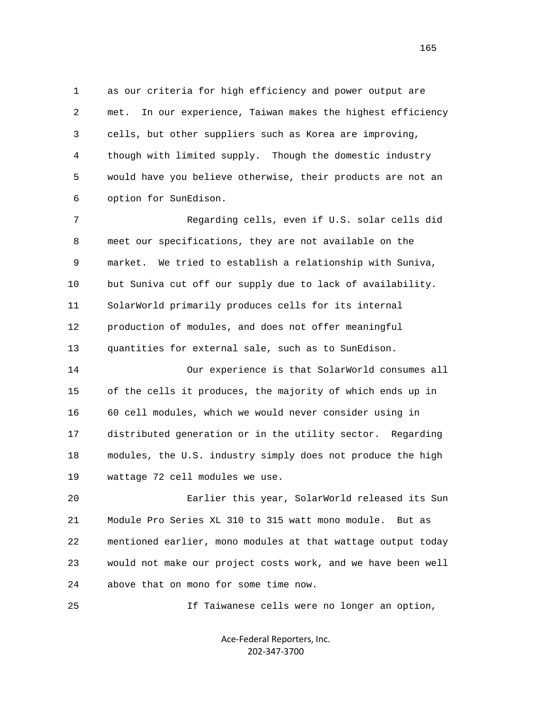1 as our criteria for high efficiency and power output are 2 met. In our experience, Taiwan makes the highest efficiency 3 cells, but other suppliers such as Korea are improving, 4 though with limited supply. Though the domestic industry 5 would have you believe otherwise, their products are not an 6 option for SunEdison.

 7 Regarding cells, even if U.S. solar cells did 8 meet our specifications, they are not available on the 9 market. We tried to establish a relationship with Suniva, 10 but Suniva cut off our supply due to lack of availability. 11 SolarWorld primarily produces cells for its internal 12 production of modules, and does not offer meaningful 13 quantities for external sale, such as to SunEdison.

 14 Our experience is that SolarWorld consumes all 15 of the cells it produces, the majority of which ends up in 16 60 cell modules, which we would never consider using in 17 distributed generation or in the utility sector. Regarding 18 modules, the U.S. industry simply does not produce the high 19 wattage 72 cell modules we use.

 20 Earlier this year, SolarWorld released its Sun 21 Module Pro Series XL 310 to 315 watt mono module. But as 22 mentioned earlier, mono modules at that wattage output today 23 would not make our project costs work, and we have been well 24 above that on mono for some time now.

25 If Taiwanese cells were no longer an option,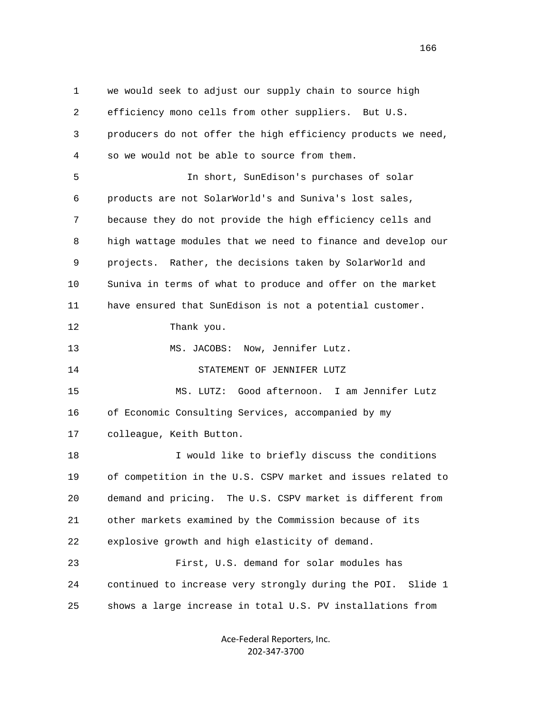1 we would seek to adjust our supply chain to source high 2 efficiency mono cells from other suppliers. But U.S. 3 producers do not offer the high efficiency products we need, 4 so we would not be able to source from them. 5 In short, SunEdison's purchases of solar 6 products are not SolarWorld's and Suniva's lost sales, 7 because they do not provide the high efficiency cells and 8 high wattage modules that we need to finance and develop our 9 projects. Rather, the decisions taken by SolarWorld and 10 Suniva in terms of what to produce and offer on the market 11 have ensured that SunEdison is not a potential customer. 12 Thank you. 13 MS. JACOBS: Now, Jennifer Lutz. 14 STATEMENT OF JENNIFER LUTZ 15 MS. LUTZ: Good afternoon. I am Jennifer Lutz 16 of Economic Consulting Services, accompanied by my 17 colleague, Keith Button. 18 I would like to briefly discuss the conditions 19 of competition in the U.S. CSPV market and issues related to 20 demand and pricing. The U.S. CSPV market is different from 21 other markets examined by the Commission because of its 22 explosive growth and high elasticity of demand. 23 First, U.S. demand for solar modules has 24 continued to increase very strongly during the POI. Slide 1 25 shows a large increase in total U.S. PV installations from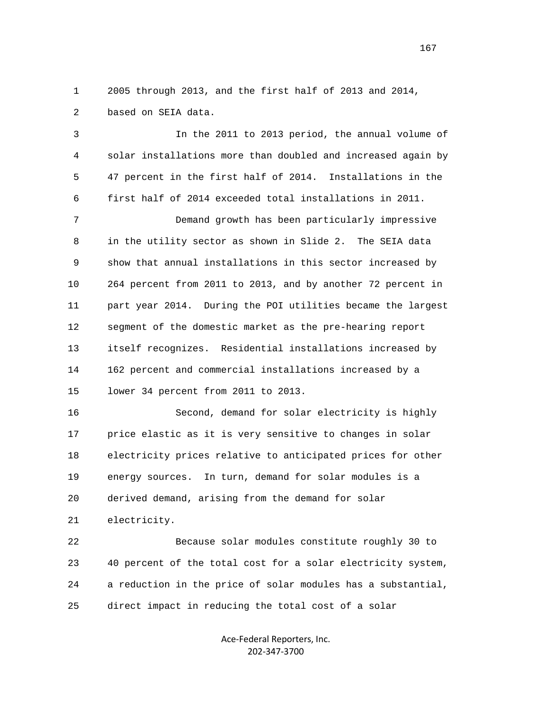1 2005 through 2013, and the first half of 2013 and 2014, 2 based on SEIA data.

 3 In the 2011 to 2013 period, the annual volume of 4 solar installations more than doubled and increased again by 5 47 percent in the first half of 2014. Installations in the 6 first half of 2014 exceeded total installations in 2011.

 7 Demand growth has been particularly impressive 8 in the utility sector as shown in Slide 2. The SEIA data 9 show that annual installations in this sector increased by 10 264 percent from 2011 to 2013, and by another 72 percent in 11 part year 2014. During the POI utilities became the largest 12 segment of the domestic market as the pre-hearing report 13 itself recognizes. Residential installations increased by 14 162 percent and commercial installations increased by a 15 lower 34 percent from 2011 to 2013.

 16 Second, demand for solar electricity is highly 17 price elastic as it is very sensitive to changes in solar 18 electricity prices relative to anticipated prices for other 19 energy sources. In turn, demand for solar modules is a 20 derived demand, arising from the demand for solar 21 electricity.

 22 Because solar modules constitute roughly 30 to 23 40 percent of the total cost for a solar electricity system, 24 a reduction in the price of solar modules has a substantial, 25 direct impact in reducing the total cost of a solar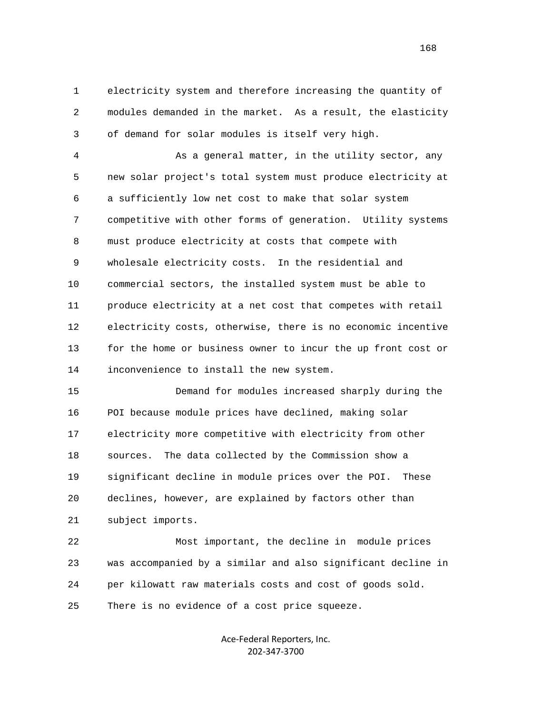1 electricity system and therefore increasing the quantity of 2 modules demanded in the market. As a result, the elasticity 3 of demand for solar modules is itself very high.

 4 As a general matter, in the utility sector, any 5 new solar project's total system must produce electricity at 6 a sufficiently low net cost to make that solar system 7 competitive with other forms of generation. Utility systems 8 must produce electricity at costs that compete with 9 wholesale electricity costs. In the residential and 10 commercial sectors, the installed system must be able to 11 produce electricity at a net cost that competes with retail 12 electricity costs, otherwise, there is no economic incentive 13 for the home or business owner to incur the up front cost or 14 inconvenience to install the new system.

 15 Demand for modules increased sharply during the 16 POI because module prices have declined, making solar 17 electricity more competitive with electricity from other 18 sources. The data collected by the Commission show a 19 significant decline in module prices over the POI. These 20 declines, however, are explained by factors other than 21 subject imports.

 22 Most important, the decline in module prices 23 was accompanied by a similar and also significant decline in 24 per kilowatt raw materials costs and cost of goods sold. 25 There is no evidence of a cost price squeeze.

> Ace‐Federal Reporters, Inc. 202‐347‐3700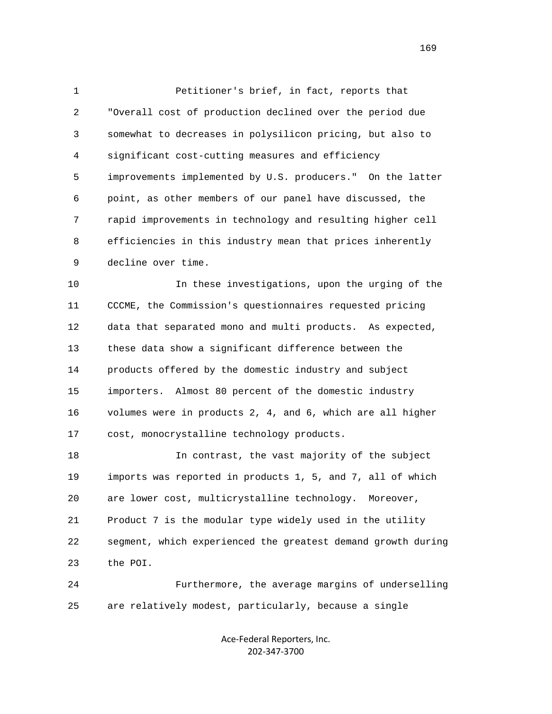1 Petitioner's brief, in fact, reports that 2 "Overall cost of production declined over the period due 3 somewhat to decreases in polysilicon pricing, but also to 4 significant cost-cutting measures and efficiency 5 improvements implemented by U.S. producers." On the latter 6 point, as other members of our panel have discussed, the 7 rapid improvements in technology and resulting higher cell 8 efficiencies in this industry mean that prices inherently 9 decline over time.

 10 In these investigations, upon the urging of the 11 CCCME, the Commission's questionnaires requested pricing 12 data that separated mono and multi products. As expected, 13 these data show a significant difference between the 14 products offered by the domestic industry and subject 15 importers. Almost 80 percent of the domestic industry 16 volumes were in products 2, 4, and 6, which are all higher 17 cost, monocrystalline technology products.

 18 In contrast, the vast majority of the subject 19 imports was reported in products 1, 5, and 7, all of which 20 are lower cost, multicrystalline technology. Moreover, 21 Product 7 is the modular type widely used in the utility 22 segment, which experienced the greatest demand growth during 23 the POI.

 24 Furthermore, the average margins of underselling 25 are relatively modest, particularly, because a single

> Ace‐Federal Reporters, Inc. 202‐347‐3700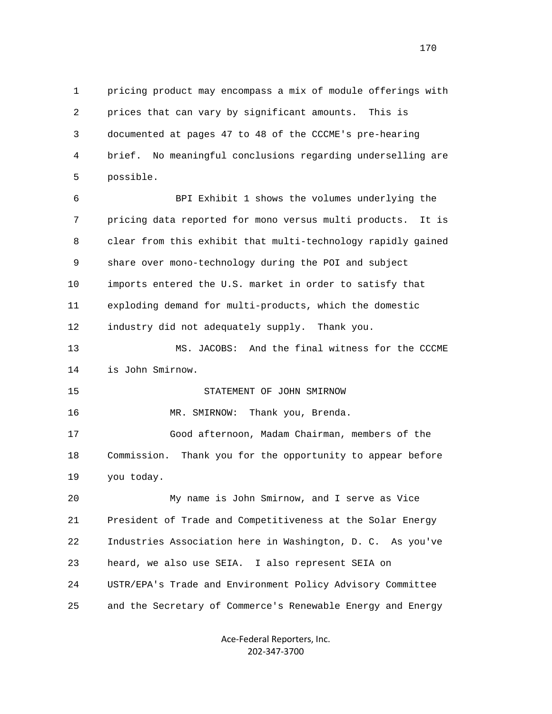1 pricing product may encompass a mix of module offerings with 2 prices that can vary by significant amounts. This is 3 documented at pages 47 to 48 of the CCCME's pre-hearing 4 brief. No meaningful conclusions regarding underselling are 5 possible.

 6 BPI Exhibit 1 shows the volumes underlying the 7 pricing data reported for mono versus multi products. It is 8 clear from this exhibit that multi-technology rapidly gained 9 share over mono-technology during the POI and subject 10 imports entered the U.S. market in order to satisfy that 11 exploding demand for multi-products, which the domestic 12 industry did not adequately supply. Thank you.

 13 MS. JACOBS: And the final witness for the CCCME 14 is John Smirnow.

## 15 STATEMENT OF JOHN SMIRNOW

16 MR. SMIRNOW: Thank you, Brenda.

 17 Good afternoon, Madam Chairman, members of the 18 Commission. Thank you for the opportunity to appear before 19 you today.

 20 My name is John Smirnow, and I serve as Vice 21 President of Trade and Competitiveness at the Solar Energy 22 Industries Association here in Washington, D. C. As you've 23 heard, we also use SEIA. I also represent SEIA on 24 USTR/EPA's Trade and Environment Policy Advisory Committee 25 and the Secretary of Commerce's Renewable Energy and Energy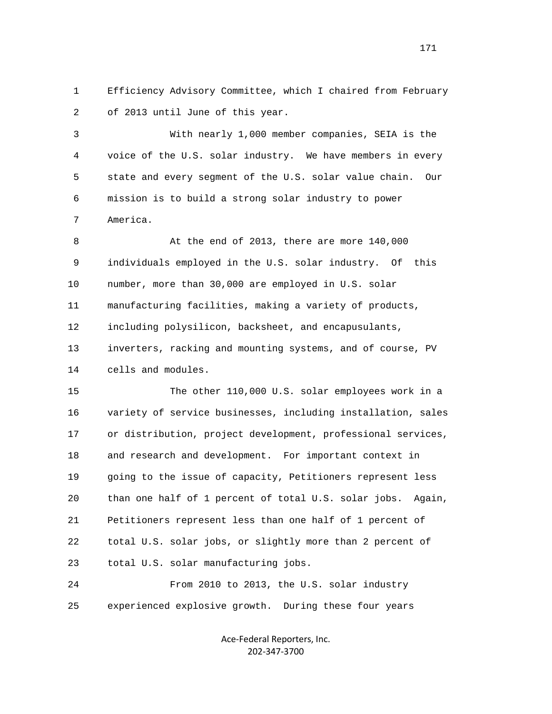1 Efficiency Advisory Committee, which I chaired from February 2 of 2013 until June of this year.

 3 With nearly 1,000 member companies, SEIA is the 4 voice of the U.S. solar industry. We have members in every 5 state and every segment of the U.S. solar value chain. Our 6 mission is to build a strong solar industry to power 7 America.

 8 At the end of 2013, there are more 140,000 9 individuals employed in the U.S. solar industry. Of this 10 number, more than 30,000 are employed in U.S. solar 11 manufacturing facilities, making a variety of products, 12 including polysilicon, backsheet, and encapusulants, 13 inverters, racking and mounting systems, and of course, PV 14 cells and modules.

 15 The other 110,000 U.S. solar employees work in a 16 variety of service businesses, including installation, sales 17 or distribution, project development, professional services, 18 and research and development. For important context in 19 going to the issue of capacity, Petitioners represent less 20 than one half of 1 percent of total U.S. solar jobs. Again, 21 Petitioners represent less than one half of 1 percent of 22 total U.S. solar jobs, or slightly more than 2 percent of 23 total U.S. solar manufacturing jobs. 24 From 2010 to 2013, the U.S. solar industry

25 experienced explosive growth. During these four years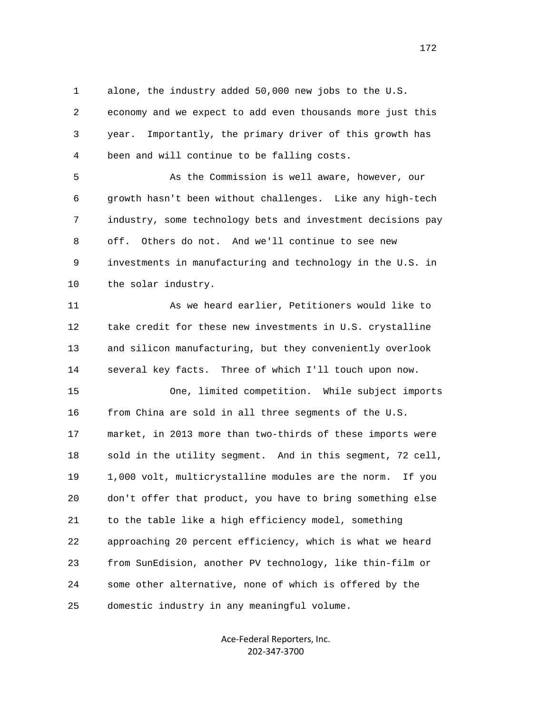1 alone, the industry added 50,000 new jobs to the U.S.

 2 economy and we expect to add even thousands more just this 3 year. Importantly, the primary driver of this growth has 4 been and will continue to be falling costs.

 5 As the Commission is well aware, however, our 6 growth hasn't been without challenges. Like any high-tech 7 industry, some technology bets and investment decisions pay 8 off. Others do not. And we'll continue to see new 9 investments in manufacturing and technology in the U.S. in 10 the solar industry.

 11 As we heard earlier, Petitioners would like to 12 take credit for these new investments in U.S. crystalline 13 and silicon manufacturing, but they conveniently overlook 14 several key facts. Three of which I'll touch upon now.

 15 One, limited competition. While subject imports 16 from China are sold in all three segments of the U.S. 17 market, in 2013 more than two-thirds of these imports were 18 sold in the utility segment. And in this segment, 72 cell, 19 1,000 volt, multicrystalline modules are the norm. If you 20 don't offer that product, you have to bring something else 21 to the table like a high efficiency model, something 22 approaching 20 percent efficiency, which is what we heard 23 from SunEdision, another PV technology, like thin-film or 24 some other alternative, none of which is offered by the 25 domestic industry in any meaningful volume.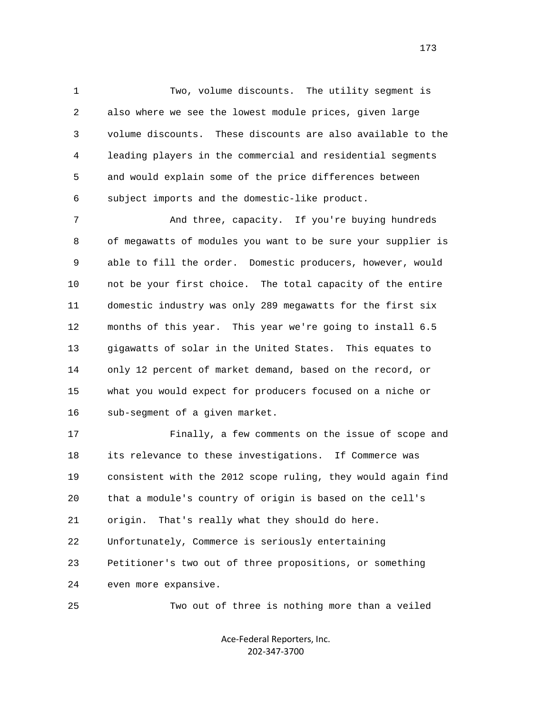1 Two, volume discounts. The utility segment is 2 also where we see the lowest module prices, given large 3 volume discounts. These discounts are also available to the 4 leading players in the commercial and residential segments 5 and would explain some of the price differences between 6 subject imports and the domestic-like product.

7 And three, capacity. If you're buying hundreds 8 of megawatts of modules you want to be sure your supplier is 9 able to fill the order. Domestic producers, however, would 10 not be your first choice. The total capacity of the entire 11 domestic industry was only 289 megawatts for the first six 12 months of this year. This year we're going to install 6.5 13 gigawatts of solar in the United States. This equates to 14 only 12 percent of market demand, based on the record, or 15 what you would expect for producers focused on a niche or 16 sub-segment of a given market.

 17 Finally, a few comments on the issue of scope and 18 its relevance to these investigations. If Commerce was 19 consistent with the 2012 scope ruling, they would again find 20 that a module's country of origin is based on the cell's 21 origin. That's really what they should do here. 22 Unfortunately, Commerce is seriously entertaining 23 Petitioner's two out of three propositions, or something 24 even more expansive.

25 Two out of three is nothing more than a veiled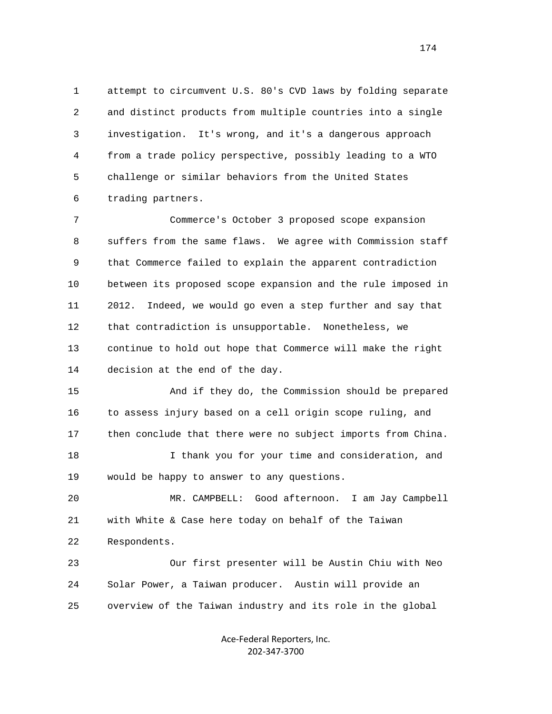1 attempt to circumvent U.S. 80's CVD laws by folding separate 2 and distinct products from multiple countries into a single 3 investigation. It's wrong, and it's a dangerous approach 4 from a trade policy perspective, possibly leading to a WTO 5 challenge or similar behaviors from the United States 6 trading partners.

 7 Commerce's October 3 proposed scope expansion 8 suffers from the same flaws. We agree with Commission staff 9 that Commerce failed to explain the apparent contradiction 10 between its proposed scope expansion and the rule imposed in 11 2012. Indeed, we would go even a step further and say that 12 that contradiction is unsupportable. Nonetheless, we 13 continue to hold out hope that Commerce will make the right 14 decision at the end of the day.

 15 And if they do, the Commission should be prepared 16 to assess injury based on a cell origin scope ruling, and 17 then conclude that there were no subject imports from China.

 18 I thank you for your time and consideration, and 19 would be happy to answer to any questions.

 20 MR. CAMPBELL: Good afternoon. I am Jay Campbell 21 with White & Case here today on behalf of the Taiwan 22 Respondents.

 23 Our first presenter will be Austin Chiu with Neo 24 Solar Power, a Taiwan producer. Austin will provide an 25 overview of the Taiwan industry and its role in the global

> Ace‐Federal Reporters, Inc. 202‐347‐3700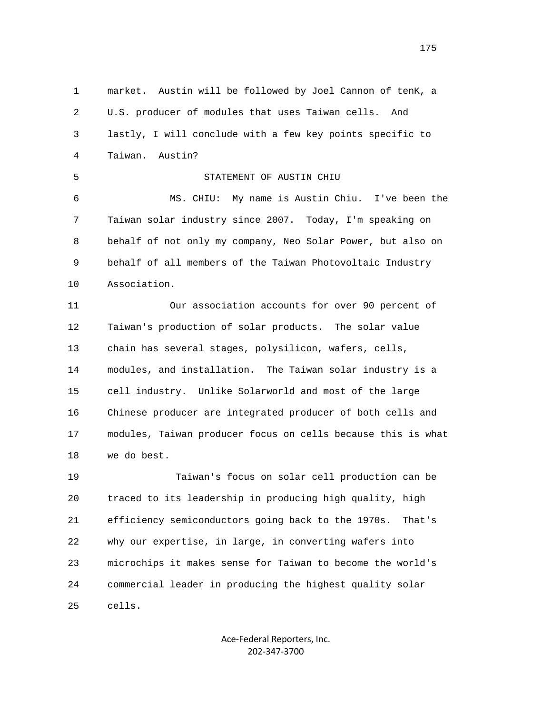1 market. Austin will be followed by Joel Cannon of tenK, a 2 U.S. producer of modules that uses Taiwan cells. And 3 lastly, I will conclude with a few key points specific to 4 Taiwan. Austin? 5 STATEMENT OF AUSTIN CHIU 6 MS. CHIU: My name is Austin Chiu. I've been the 7 Taiwan solar industry since 2007. Today, I'm speaking on 8 behalf of not only my company, Neo Solar Power, but also on 9 behalf of all members of the Taiwan Photovoltaic Industry 10 Association. 11 Our association accounts for over 90 percent of 12 Taiwan's production of solar products. The solar value 13 chain has several stages, polysilicon, wafers, cells, 14 modules, and installation. The Taiwan solar industry is a 15 cell industry. Unlike Solarworld and most of the large 16 Chinese producer are integrated producer of both cells and 17 modules, Taiwan producer focus on cells because this is what 18 we do best. 19 Taiwan's focus on solar cell production can be 20 traced to its leadership in producing high quality, high 21 efficiency semiconductors going back to the 1970s. That's 22 why our expertise, in large, in converting wafers into 23 microchips it makes sense for Taiwan to become the world's 24 commercial leader in producing the highest quality solar 25 cells.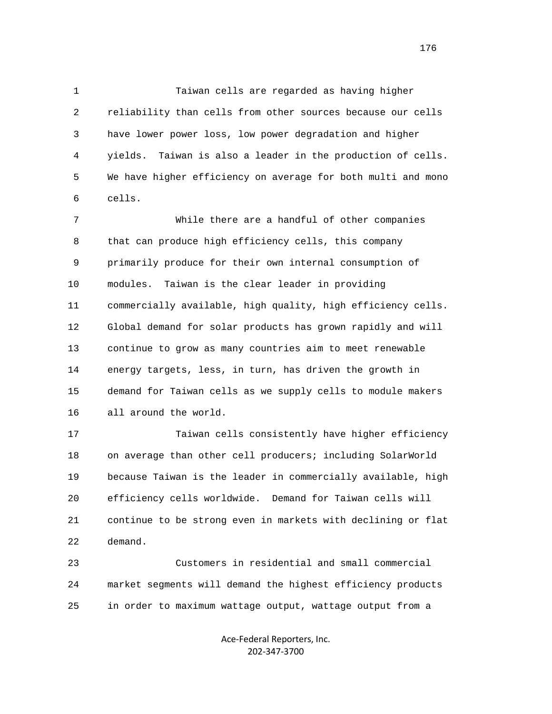1 Taiwan cells are regarded as having higher 2 reliability than cells from other sources because our cells 3 have lower power loss, low power degradation and higher 4 yields. Taiwan is also a leader in the production of cells. 5 We have higher efficiency on average for both multi and mono 6 cells.

 7 While there are a handful of other companies 8 that can produce high efficiency cells, this company 9 primarily produce for their own internal consumption of 10 modules. Taiwan is the clear leader in providing 11 commercially available, high quality, high efficiency cells. 12 Global demand for solar products has grown rapidly and will 13 continue to grow as many countries aim to meet renewable 14 energy targets, less, in turn, has driven the growth in 15 demand for Taiwan cells as we supply cells to module makers 16 all around the world.

 17 Taiwan cells consistently have higher efficiency 18 on average than other cell producers; including SolarWorld 19 because Taiwan is the leader in commercially available, high 20 efficiency cells worldwide. Demand for Taiwan cells will 21 continue to be strong even in markets with declining or flat 22 demand.

 23 Customers in residential and small commercial 24 market segments will demand the highest efficiency products 25 in order to maximum wattage output, wattage output from a

> Ace‐Federal Reporters, Inc. 202‐347‐3700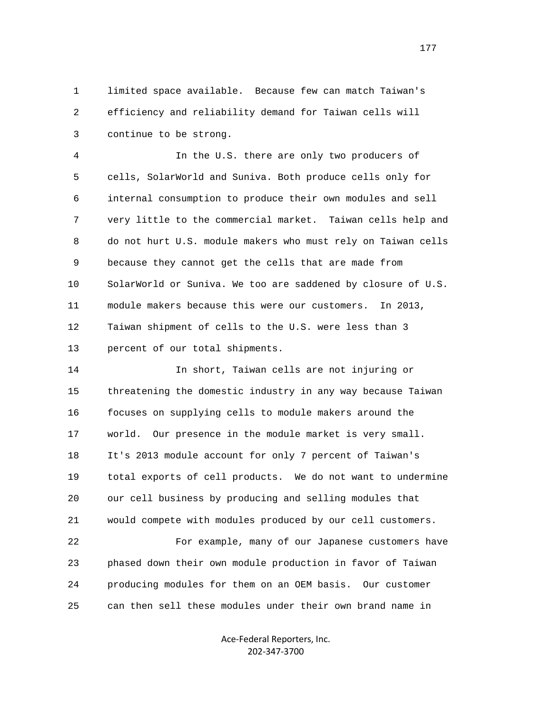1 limited space available. Because few can match Taiwan's 2 efficiency and reliability demand for Taiwan cells will 3 continue to be strong.

 4 In the U.S. there are only two producers of 5 cells, SolarWorld and Suniva. Both produce cells only for 6 internal consumption to produce their own modules and sell 7 very little to the commercial market. Taiwan cells help and 8 do not hurt U.S. module makers who must rely on Taiwan cells 9 because they cannot get the cells that are made from 10 SolarWorld or Suniva. We too are saddened by closure of U.S. 11 module makers because this were our customers. In 2013, 12 Taiwan shipment of cells to the U.S. were less than 3 13 percent of our total shipments.

 14 In short, Taiwan cells are not injuring or 15 threatening the domestic industry in any way because Taiwan 16 focuses on supplying cells to module makers around the 17 world. Our presence in the module market is very small. 18 It's 2013 module account for only 7 percent of Taiwan's 19 total exports of cell products. We do not want to undermine 20 our cell business by producing and selling modules that 21 would compete with modules produced by our cell customers. 22 For example, many of our Japanese customers have 23 phased down their own module production in favor of Taiwan 24 producing modules for them on an OEM basis. Our customer

25 can then sell these modules under their own brand name in

Ace‐Federal Reporters, Inc. 202‐347‐3700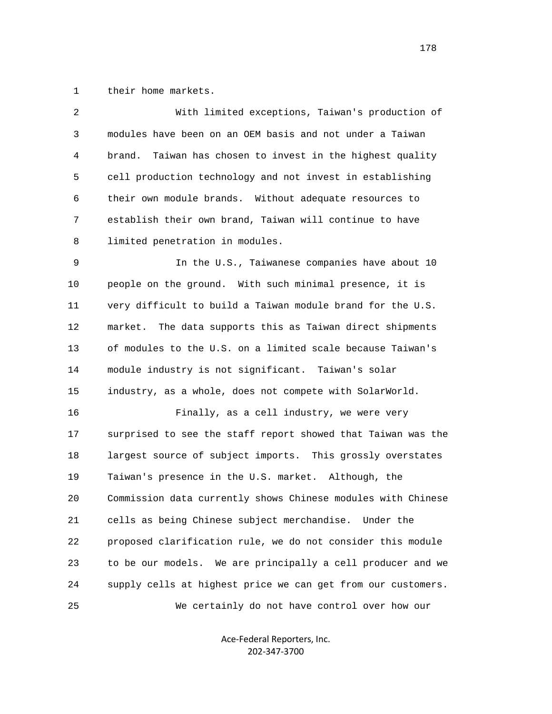1 their home markets.

| $\overline{2}$ | With limited exceptions, Taiwan's production of              |
|----------------|--------------------------------------------------------------|
| 3              | modules have been on an OEM basis and not under a Taiwan     |
| 4              | Taiwan has chosen to invest in the highest quality<br>brand. |
| 5              | cell production technology and not invest in establishing    |
| 6              | their own module brands. Without adequate resources to       |
| 7              | establish their own brand, Taiwan will continue to have      |
| 8              | limited penetration in modules.                              |
| 9              | In the U.S., Taiwanese companies have about 10               |
| 10             | people on the ground. With such minimal presence, it is      |
| 11             | very difficult to build a Taiwan module brand for the U.S.   |
| 12             | market.<br>The data supports this as Taiwan direct shipments |
| 13             | of modules to the U.S. on a limited scale because Taiwan's   |
| 14             | module industry is not significant. Taiwan's solar           |
| 15             | industry, as a whole, does not compete with SolarWorld.      |
| 16             | Finally, as a cell industry, we were very                    |
| 17             | surprised to see the staff report showed that Taiwan was the |
| 18             | largest source of subject imports. This grossly overstates   |
| 19             | Taiwan's presence in the U.S. market. Although, the          |
| 20             | Commission data currently shows Chinese modules with Chinese |
| 21             | cells as being Chinese subject merchandise. Under the        |
| 22             | proposed clarification rule, we do not consider this module  |
| 23             | to be our models. We are principally a cell producer and we  |
| 24             | supply cells at highest price we can get from our customers. |
| 25             | We certainly do not have control over how our                |

Ace‐Federal Reporters, Inc. 202‐347‐3700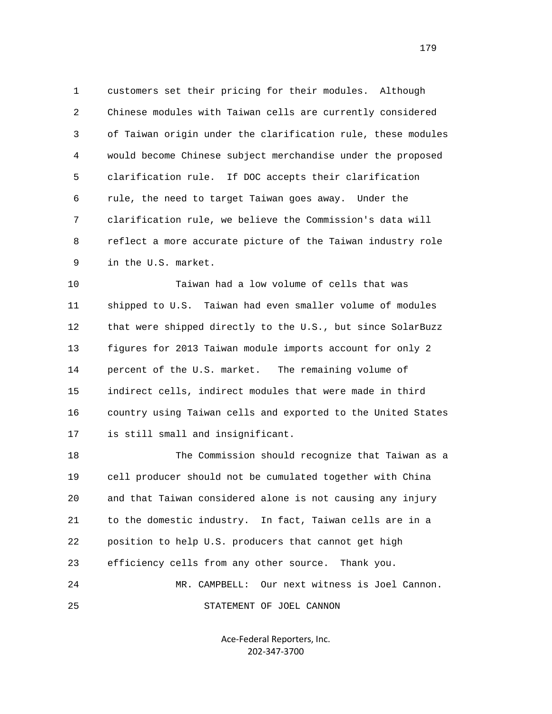1 customers set their pricing for their modules. Although 2 Chinese modules with Taiwan cells are currently considered 3 of Taiwan origin under the clarification rule, these modules 4 would become Chinese subject merchandise under the proposed 5 clarification rule. If DOC accepts their clarification 6 rule, the need to target Taiwan goes away. Under the 7 clarification rule, we believe the Commission's data will 8 reflect a more accurate picture of the Taiwan industry role 9 in the U.S. market.

 10 Taiwan had a low volume of cells that was 11 shipped to U.S. Taiwan had even smaller volume of modules 12 that were shipped directly to the U.S., but since SolarBuzz 13 figures for 2013 Taiwan module imports account for only 2 14 percent of the U.S. market. The remaining volume of 15 indirect cells, indirect modules that were made in third 16 country using Taiwan cells and exported to the United States 17 is still small and insignificant.

 18 The Commission should recognize that Taiwan as a 19 cell producer should not be cumulated together with China 20 and that Taiwan considered alone is not causing any injury 21 to the domestic industry. In fact, Taiwan cells are in a 22 position to help U.S. producers that cannot get high 23 efficiency cells from any other source. Thank you. 24 MR. CAMPBELL: Our next witness is Joel Cannon. 25 STATEMENT OF JOEL CANNON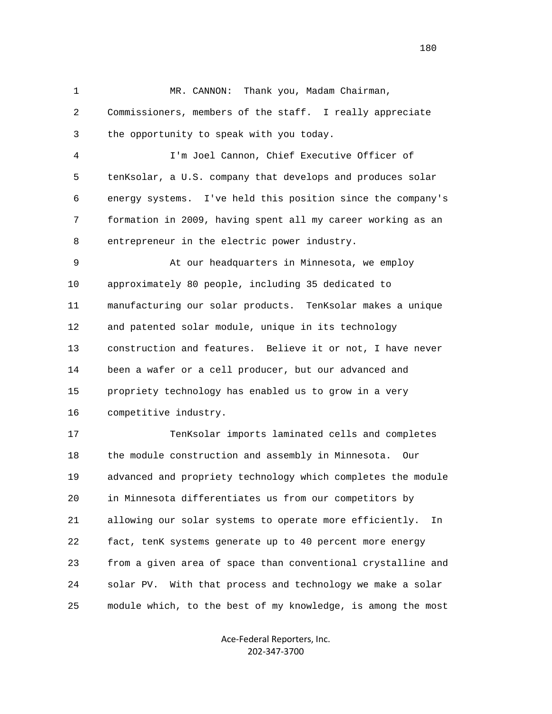1 MR. CANNON: Thank you, Madam Chairman, 2 Commissioners, members of the staff. I really appreciate 3 the opportunity to speak with you today. 4 I'm Joel Cannon, Chief Executive Officer of 5 tenKsolar, a U.S. company that develops and produces solar 6 energy systems. I've held this position since the company's 7 formation in 2009, having spent all my career working as an 8 entrepreneur in the electric power industry. 9 At our headquarters in Minnesota, we employ 10 approximately 80 people, including 35 dedicated to 11 manufacturing our solar products. TenKsolar makes a unique 12 and patented solar module, unique in its technology 13 construction and features. Believe it or not, I have never 14 been a wafer or a cell producer, but our advanced and 15 propriety technology has enabled us to grow in a very 16 competitive industry. 17 TenKsolar imports laminated cells and completes 18 the module construction and assembly in Minnesota. Our 19 advanced and propriety technology which completes the module 20 in Minnesota differentiates us from our competitors by 21 allowing our solar systems to operate more efficiently. In 22 fact, tenK systems generate up to 40 percent more energy 23 from a given area of space than conventional crystalline and 24 solar PV. With that process and technology we make a solar 25 module which, to the best of my knowledge, is among the most

> Ace‐Federal Reporters, Inc. 202‐347‐3700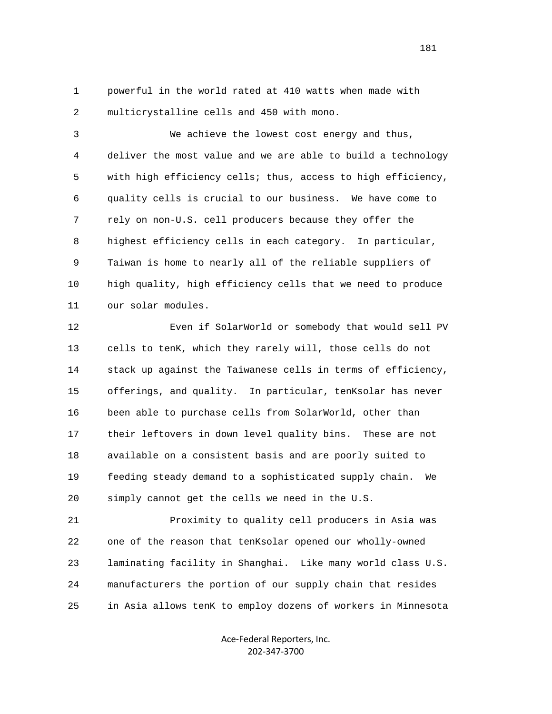1 powerful in the world rated at 410 watts when made with 2 multicrystalline cells and 450 with mono.

 3 We achieve the lowest cost energy and thus, 4 deliver the most value and we are able to build a technology 5 with high efficiency cells; thus, access to high efficiency, 6 quality cells is crucial to our business. We have come to 7 rely on non-U.S. cell producers because they offer the 8 highest efficiency cells in each category. In particular, 9 Taiwan is home to nearly all of the reliable suppliers of 10 high quality, high efficiency cells that we need to produce 11 our solar modules.

 12 Even if SolarWorld or somebody that would sell PV 13 cells to tenK, which they rarely will, those cells do not 14 stack up against the Taiwanese cells in terms of efficiency, 15 offerings, and quality. In particular, tenKsolar has never 16 been able to purchase cells from SolarWorld, other than 17 their leftovers in down level quality bins. These are not 18 available on a consistent basis and are poorly suited to 19 feeding steady demand to a sophisticated supply chain. We 20 simply cannot get the cells we need in the U.S.

 21 Proximity to quality cell producers in Asia was 22 one of the reason that tenKsolar opened our wholly-owned 23 laminating facility in Shanghai. Like many world class U.S. 24 manufacturers the portion of our supply chain that resides 25 in Asia allows tenK to employ dozens of workers in Minnesota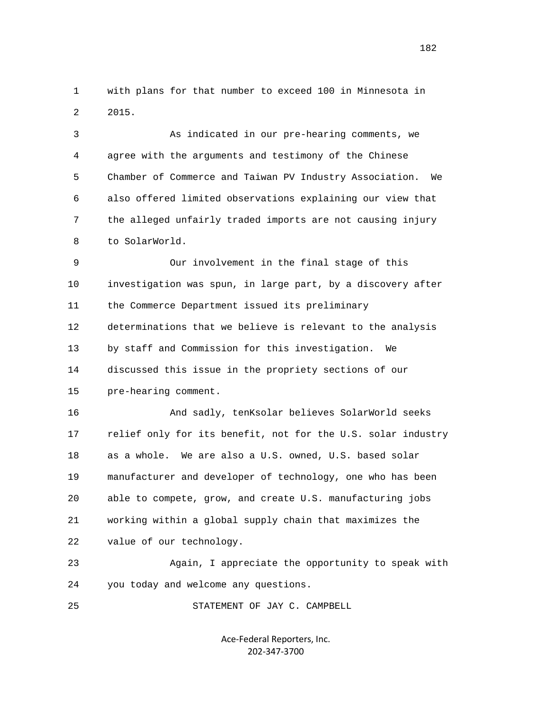1 with plans for that number to exceed 100 in Minnesota in 2 2015.

 3 As indicated in our pre-hearing comments, we 4 agree with the arguments and testimony of the Chinese 5 Chamber of Commerce and Taiwan PV Industry Association. We 6 also offered limited observations explaining our view that 7 the alleged unfairly traded imports are not causing injury 8 to SolarWorld.

 9 Our involvement in the final stage of this 10 investigation was spun, in large part, by a discovery after 11 the Commerce Department issued its preliminary 12 determinations that we believe is relevant to the analysis 13 by staff and Commission for this investigation. We 14 discussed this issue in the propriety sections of our 15 pre-hearing comment.

 16 And sadly, tenKsolar believes SolarWorld seeks 17 relief only for its benefit, not for the U.S. solar industry 18 as a whole. We are also a U.S. owned, U.S. based solar 19 manufacturer and developer of technology, one who has been 20 able to compete, grow, and create U.S. manufacturing jobs 21 working within a global supply chain that maximizes the 22 value of our technology.

 23 Again, I appreciate the opportunity to speak with 24 you today and welcome any questions.

25 STATEMENT OF JAY C. CAMPBELL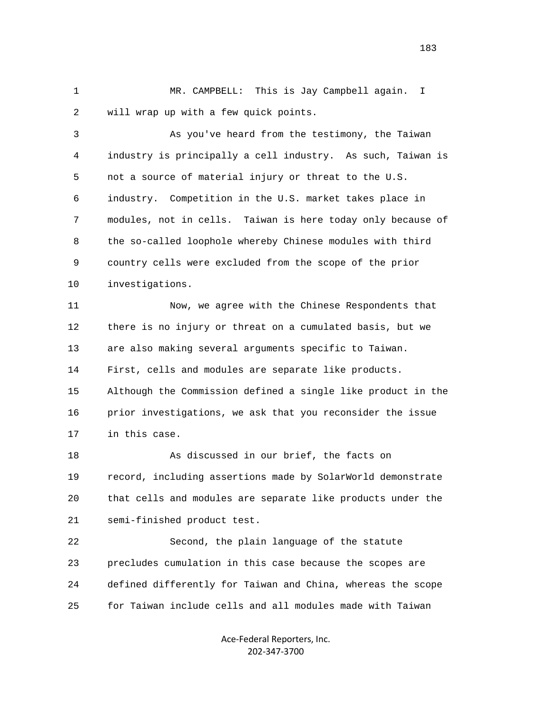1 MR. CAMPBELL: This is Jay Campbell again. I 2 will wrap up with a few quick points.

 3 As you've heard from the testimony, the Taiwan 4 industry is principally a cell industry. As such, Taiwan is 5 not a source of material injury or threat to the U.S. 6 industry. Competition in the U.S. market takes place in 7 modules, not in cells. Taiwan is here today only because of 8 the so-called loophole whereby Chinese modules with third 9 country cells were excluded from the scope of the prior 10 investigations.

 11 Now, we agree with the Chinese Respondents that 12 there is no injury or threat on a cumulated basis, but we 13 are also making several arguments specific to Taiwan. 14 First, cells and modules are separate like products. 15 Although the Commission defined a single like product in the 16 prior investigations, we ask that you reconsider the issue 17 in this case.

 18 As discussed in our brief, the facts on 19 record, including assertions made by SolarWorld demonstrate 20 that cells and modules are separate like products under the 21 semi-finished product test.

 22 Second, the plain language of the statute 23 precludes cumulation in this case because the scopes are 24 defined differently for Taiwan and China, whereas the scope 25 for Taiwan include cells and all modules made with Taiwan

> Ace‐Federal Reporters, Inc. 202‐347‐3700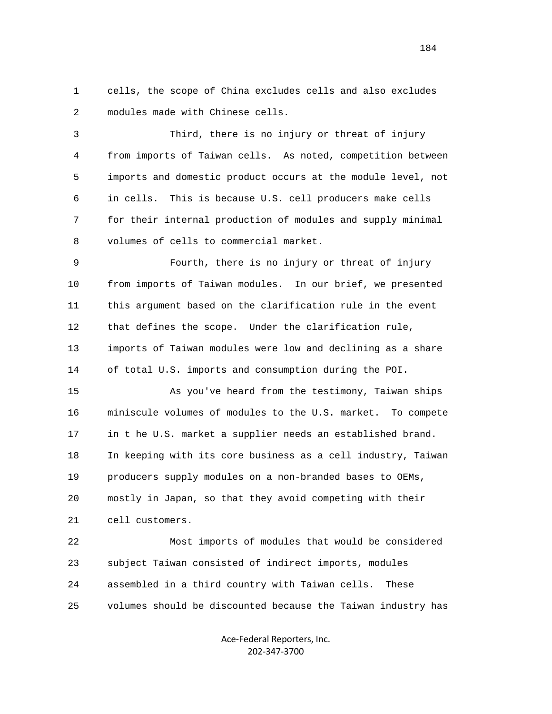1 cells, the scope of China excludes cells and also excludes 2 modules made with Chinese cells.

 3 Third, there is no injury or threat of injury 4 from imports of Taiwan cells. As noted, competition between 5 imports and domestic product occurs at the module level, not 6 in cells. This is because U.S. cell producers make cells 7 for their internal production of modules and supply minimal 8 volumes of cells to commercial market.

 9 Fourth, there is no injury or threat of injury 10 from imports of Taiwan modules. In our brief, we presented 11 this argument based on the clarification rule in the event 12 that defines the scope. Under the clarification rule, 13 imports of Taiwan modules were low and declining as a share 14 of total U.S. imports and consumption during the POI.

 15 As you've heard from the testimony, Taiwan ships 16 miniscule volumes of modules to the U.S. market. To compete 17 in t he U.S. market a supplier needs an established brand. 18 In keeping with its core business as a cell industry, Taiwan 19 producers supply modules on a non-branded bases to OEMs, 20 mostly in Japan, so that they avoid competing with their 21 cell customers.

 22 Most imports of modules that would be considered 23 subject Taiwan consisted of indirect imports, modules 24 assembled in a third country with Taiwan cells. These 25 volumes should be discounted because the Taiwan industry has

> Ace‐Federal Reporters, Inc. 202‐347‐3700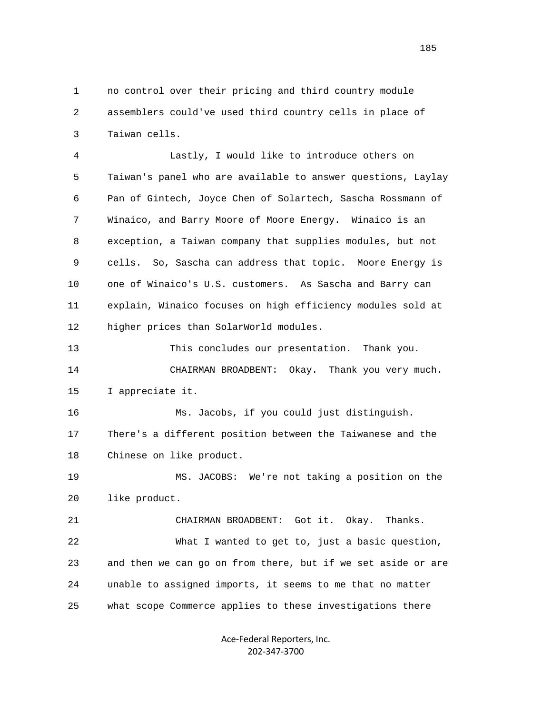1 no control over their pricing and third country module 2 assemblers could've used third country cells in place of 3 Taiwan cells.

 4 Lastly, I would like to introduce others on 5 Taiwan's panel who are available to answer questions, Laylay 6 Pan of Gintech, Joyce Chen of Solartech, Sascha Rossmann of 7 Winaico, and Barry Moore of Moore Energy. Winaico is an 8 exception, a Taiwan company that supplies modules, but not 9 cells. So, Sascha can address that topic. Moore Energy is 10 one of Winaico's U.S. customers. As Sascha and Barry can 11 explain, Winaico focuses on high efficiency modules sold at 12 higher prices than SolarWorld modules.

 13 This concludes our presentation. Thank you. 14 CHAIRMAN BROADBENT: Okay. Thank you very much. 15 I appreciate it.

 16 Ms. Jacobs, if you could just distinguish. 17 There's a different position between the Taiwanese and the 18 Chinese on like product.

 19 MS. JACOBS: We're not taking a position on the 20 like product.

 21 CHAIRMAN BROADBENT: Got it. Okay. Thanks. 22 What I wanted to get to, just a basic question, 23 and then we can go on from there, but if we set aside or are 24 unable to assigned imports, it seems to me that no matter 25 what scope Commerce applies to these investigations there

> Ace‐Federal Reporters, Inc. 202‐347‐3700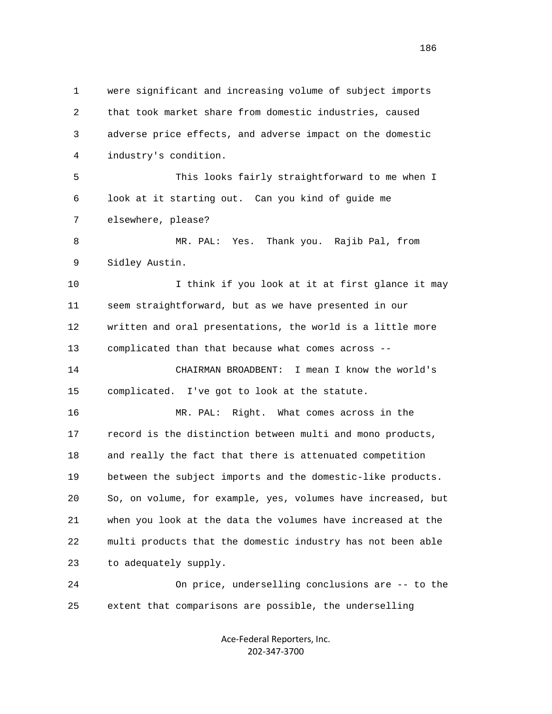1 were significant and increasing volume of subject imports 2 that took market share from domestic industries, caused 3 adverse price effects, and adverse impact on the domestic 4 industry's condition. 5 This looks fairly straightforward to me when I 6 look at it starting out. Can you kind of guide me 7 elsewhere, please? 8 MR. PAL: Yes. Thank you. Rajib Pal, from 9 Sidley Austin. 10 10 I think if you look at it at first glance it may 11 seem straightforward, but as we have presented in our 12 written and oral presentations, the world is a little more 13 complicated than that because what comes across -- 14 CHAIRMAN BROADBENT: I mean I know the world's 15 complicated. I've got to look at the statute. 16 MR. PAL: Right. What comes across in the 17 record is the distinction between multi and mono products, 18 and really the fact that there is attenuated competition 19 between the subject imports and the domestic-like products. 20 So, on volume, for example, yes, volumes have increased, but 21 when you look at the data the volumes have increased at the 22 multi products that the domestic industry has not been able 23 to adequately supply. 24 On price, underselling conclusions are -- to the 25 extent that comparisons are possible, the underselling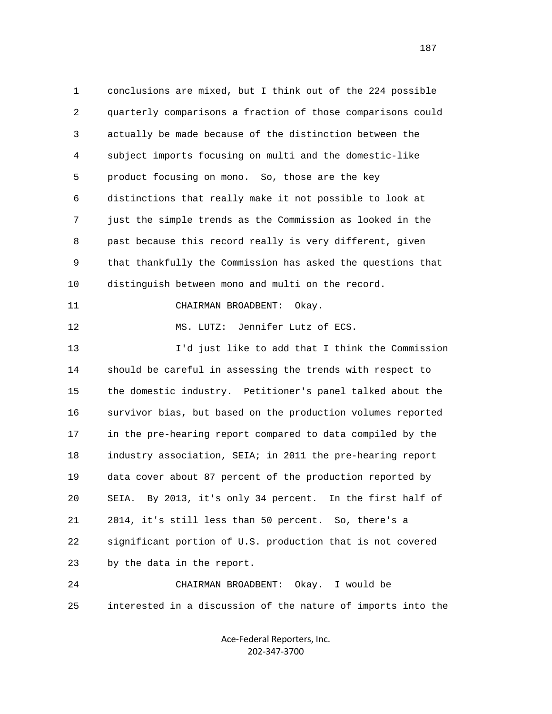1 conclusions are mixed, but I think out of the 224 possible 2 quarterly comparisons a fraction of those comparisons could 3 actually be made because of the distinction between the 4 subject imports focusing on multi and the domestic-like 5 product focusing on mono. So, those are the key 6 distinctions that really make it not possible to look at 7 just the simple trends as the Commission as looked in the 8 past because this record really is very different, given 9 that thankfully the Commission has asked the questions that 10 distinguish between mono and multi on the record. 11 CHAIRMAN BROADBENT: Okay. 12 MS. LUTZ: Jennifer Lutz of ECS. 13 I'd just like to add that I think the Commission 14 should be careful in assessing the trends with respect to 15 the domestic industry. Petitioner's panel talked about the 16 survivor bias, but based on the production volumes reported 17 in the pre-hearing report compared to data compiled by the 18 industry association, SEIA; in 2011 the pre-hearing report 19 data cover about 87 percent of the production reported by 20 SEIA. By 2013, it's only 34 percent. In the first half of 21 2014, it's still less than 50 percent. So, there's a 22 significant portion of U.S. production that is not covered 23 by the data in the report. 24 CHAIRMAN BROADBENT: Okay. I would be 25 interested in a discussion of the nature of imports into the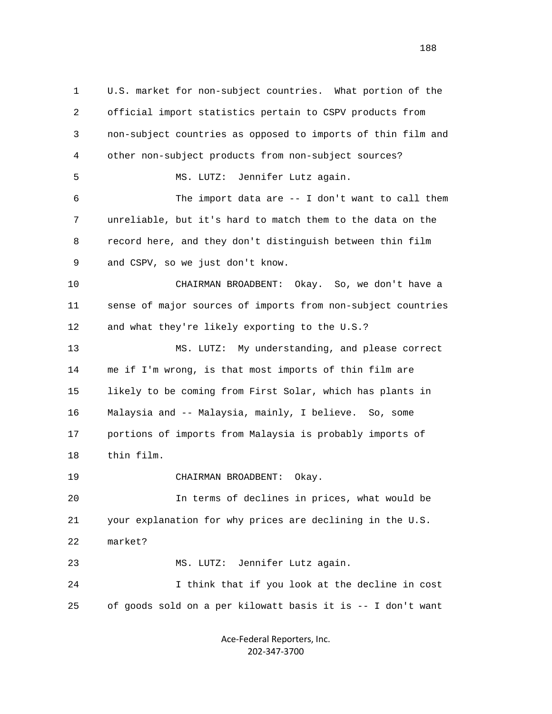1 U.S. market for non-subject countries. What portion of the 2 official import statistics pertain to CSPV products from 3 non-subject countries as opposed to imports of thin film and 4 other non-subject products from non-subject sources? 5 MS. LUTZ: Jennifer Lutz again. 6 The import data are -- I don't want to call them 7 unreliable, but it's hard to match them to the data on the 8 record here, and they don't distinguish between thin film 9 and CSPV, so we just don't know. 10 CHAIRMAN BROADBENT: Okay. So, we don't have a 11 sense of major sources of imports from non-subject countries 12 and what they're likely exporting to the U.S.? 13 MS. LUTZ: My understanding, and please correct 14 me if I'm wrong, is that most imports of thin film are 15 likely to be coming from First Solar, which has plants in 16 Malaysia and -- Malaysia, mainly, I believe. So, some 17 portions of imports from Malaysia is probably imports of 18 thin film. 19 CHAIRMAN BROADBENT: Okay. 20 In terms of declines in prices, what would be 21 your explanation for why prices are declining in the U.S. 22 market? 23 MS. LUTZ: Jennifer Lutz again. 24 I think that if you look at the decline in cost 25 of goods sold on a per kilowatt basis it is -- I don't want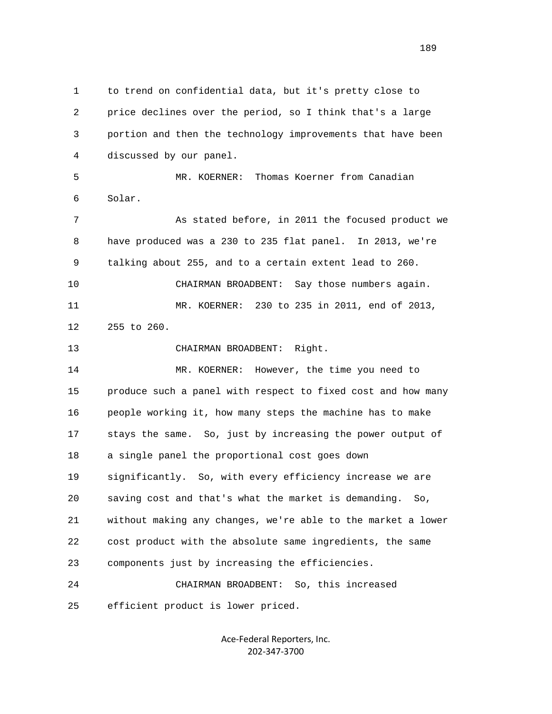1 to trend on confidential data, but it's pretty close to 2 price declines over the period, so I think that's a large 3 portion and then the technology improvements that have been 4 discussed by our panel. 5 MR. KOERNER: Thomas Koerner from Canadian 6 Solar. 7 As stated before, in 2011 the focused product we 8 have produced was a 230 to 235 flat panel. In 2013, we're 9 talking about 255, and to a certain extent lead to 260. 10 CHAIRMAN BROADBENT: Say those numbers again. 11 MR. KOERNER: 230 to 235 in 2011, end of 2013, 12 255 to 260. 13 CHAIRMAN BROADBENT: Right. 14 MR. KOERNER: However, the time you need to 15 produce such a panel with respect to fixed cost and how many 16 people working it, how many steps the machine has to make 17 stays the same. So, just by increasing the power output of 18 a single panel the proportional cost goes down 19 significantly. So, with every efficiency increase we are 20 saving cost and that's what the market is demanding. So, 21 without making any changes, we're able to the market a lower 22 cost product with the absolute same ingredients, the same 23 components just by increasing the efficiencies. 24 CHAIRMAN BROADBENT: So, this increased 25 efficient product is lower priced.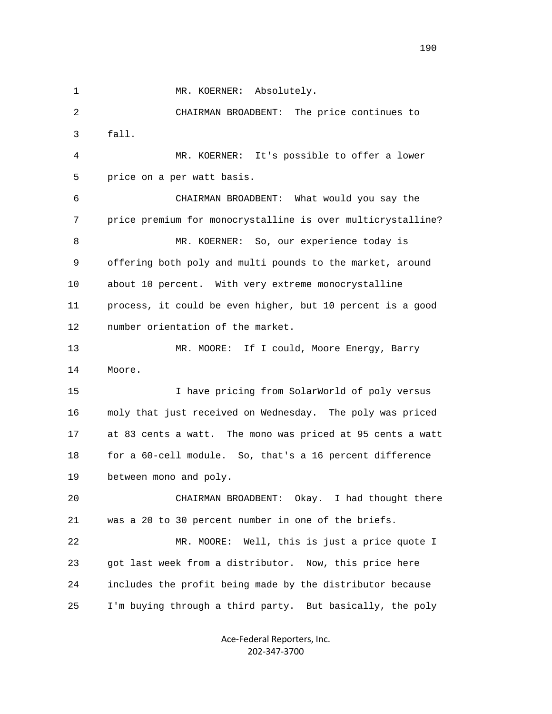1 MR. KOERNER: Absolutely.

 2 CHAIRMAN BROADBENT: The price continues to 3 fall.

 4 MR. KOERNER: It's possible to offer a lower 5 price on a per watt basis.

 6 CHAIRMAN BROADBENT: What would you say the 7 price premium for monocrystalline is over multicrystalline? 8 MR. KOERNER: So, our experience today is 9 offering both poly and multi pounds to the market, around 10 about 10 percent. With very extreme monocrystalline 11 process, it could be even higher, but 10 percent is a good 12 number orientation of the market.

 13 MR. MOORE: If I could, Moore Energy, Barry 14 Moore.

 15 I have pricing from SolarWorld of poly versus 16 moly that just received on Wednesday. The poly was priced 17 at 83 cents a watt. The mono was priced at 95 cents a watt 18 for a 60-cell module. So, that's a 16 percent difference 19 between mono and poly.

 20 CHAIRMAN BROADBENT: Okay. I had thought there 21 was a 20 to 30 percent number in one of the briefs.

 22 MR. MOORE: Well, this is just a price quote I 23 got last week from a distributor. Now, this price here 24 includes the profit being made by the distributor because 25 I'm buying through a third party. But basically, the poly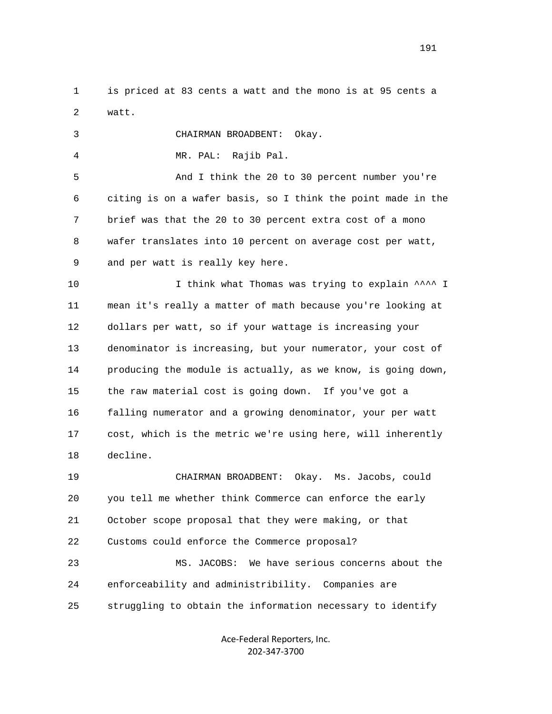1 is priced at 83 cents a watt and the mono is at 95 cents a 2 watt.

3 CHAIRMAN BROADBENT: Okay.

4 MR. PAL: Rajib Pal.

 5 And I think the 20 to 30 percent number you're 6 citing is on a wafer basis, so I think the point made in the 7 brief was that the 20 to 30 percent extra cost of a mono 8 wafer translates into 10 percent on average cost per watt, 9 and per watt is really key here.

10 10 I think what Thomas was trying to explain  $\wedge^{\wedge\wedge\wedge}$  I 11 mean it's really a matter of math because you're looking at 12 dollars per watt, so if your wattage is increasing your 13 denominator is increasing, but your numerator, your cost of 14 producing the module is actually, as we know, is going down, 15 the raw material cost is going down. If you've got a 16 falling numerator and a growing denominator, your per watt 17 cost, which is the metric we're using here, will inherently 18 decline.

 19 CHAIRMAN BROADBENT: Okay. Ms. Jacobs, could 20 you tell me whether think Commerce can enforce the early 21 October scope proposal that they were making, or that 22 Customs could enforce the Commerce proposal?

 23 MS. JACOBS: We have serious concerns about the 24 enforceability and administribility. Companies are 25 struggling to obtain the information necessary to identify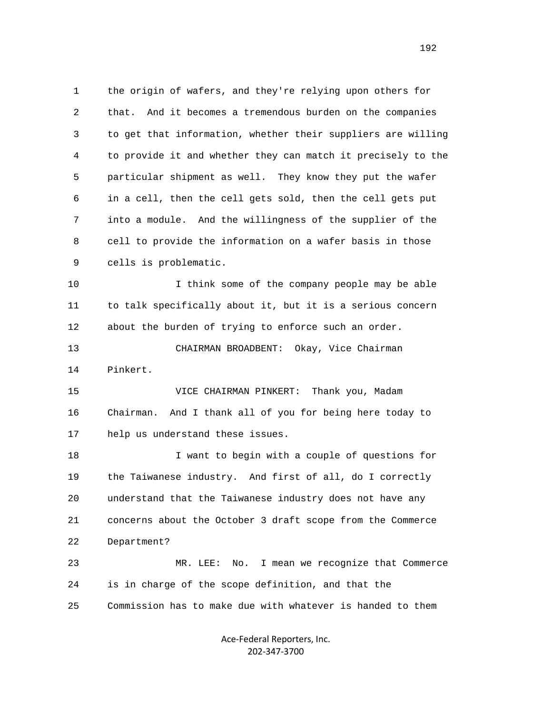1 the origin of wafers, and they're relying upon others for 2 that. And it becomes a tremendous burden on the companies 3 to get that information, whether their suppliers are willing 4 to provide it and whether they can match it precisely to the 5 particular shipment as well. They know they put the wafer 6 in a cell, then the cell gets sold, then the cell gets put 7 into a module. And the willingness of the supplier of the 8 cell to provide the information on a wafer basis in those 9 cells is problematic. 10 I think some of the company people may be able 11 to talk specifically about it, but it is a serious concern 12 about the burden of trying to enforce such an order. 13 CHAIRMAN BROADBENT: Okay, Vice Chairman

14 Pinkert.

 15 VICE CHAIRMAN PINKERT: Thank you, Madam 16 Chairman. And I thank all of you for being here today to 17 help us understand these issues.

 18 I want to begin with a couple of questions for 19 the Taiwanese industry. And first of all, do I correctly 20 understand that the Taiwanese industry does not have any 21 concerns about the October 3 draft scope from the Commerce 22 Department?

 23 MR. LEE: No. I mean we recognize that Commerce 24 is in charge of the scope definition, and that the 25 Commission has to make due with whatever is handed to them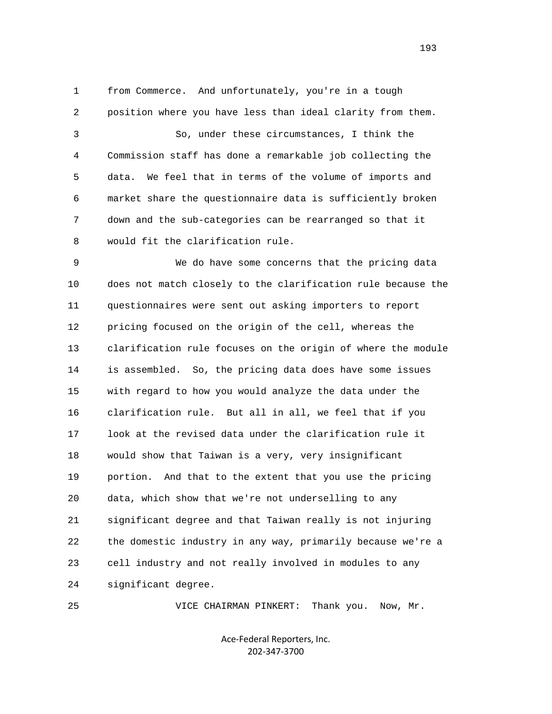1 from Commerce. And unfortunately, you're in a tough 2 position where you have less than ideal clarity from them. 3 So, under these circumstances, I think the 4 Commission staff has done a remarkable job collecting the 5 data. We feel that in terms of the volume of imports and 6 market share the questionnaire data is sufficiently broken 7 down and the sub-categories can be rearranged so that it 8 would fit the clarification rule.

 9 We do have some concerns that the pricing data 10 does not match closely to the clarification rule because the 11 questionnaires were sent out asking importers to report 12 pricing focused on the origin of the cell, whereas the 13 clarification rule focuses on the origin of where the module 14 is assembled. So, the pricing data does have some issues 15 with regard to how you would analyze the data under the 16 clarification rule. But all in all, we feel that if you 17 look at the revised data under the clarification rule it 18 would show that Taiwan is a very, very insignificant 19 portion. And that to the extent that you use the pricing 20 data, which show that we're not underselling to any 21 significant degree and that Taiwan really is not injuring 22 the domestic industry in any way, primarily because we're a 23 cell industry and not really involved in modules to any 24 significant degree.

25 VICE CHAIRMAN PINKERT: Thank you. Now, Mr.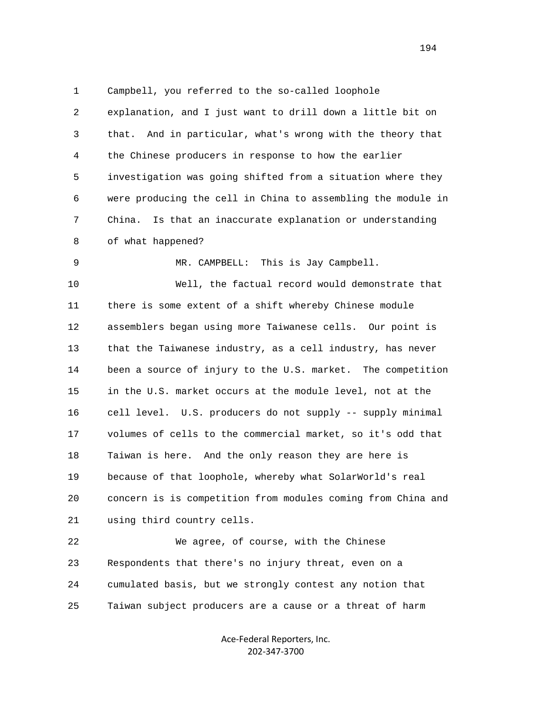1 Campbell, you referred to the so-called loophole 2 explanation, and I just want to drill down a little bit on 3 that. And in particular, what's wrong with the theory that 4 the Chinese producers in response to how the earlier 5 investigation was going shifted from a situation where they 6 were producing the cell in China to assembling the module in 7 China. Is that an inaccurate explanation or understanding 8 of what happened?

9 MR. CAMPBELL: This is Jay Campbell.

 10 Well, the factual record would demonstrate that 11 there is some extent of a shift whereby Chinese module 12 assemblers began using more Taiwanese cells. Our point is 13 that the Taiwanese industry, as a cell industry, has never 14 been a source of injury to the U.S. market. The competition 15 in the U.S. market occurs at the module level, not at the 16 cell level. U.S. producers do not supply -- supply minimal 17 volumes of cells to the commercial market, so it's odd that 18 Taiwan is here. And the only reason they are here is 19 because of that loophole, whereby what SolarWorld's real 20 concern is is competition from modules coming from China and 21 using third country cells.

 22 We agree, of course, with the Chinese 23 Respondents that there's no injury threat, even on a 24 cumulated basis, but we strongly contest any notion that 25 Taiwan subject producers are a cause or a threat of harm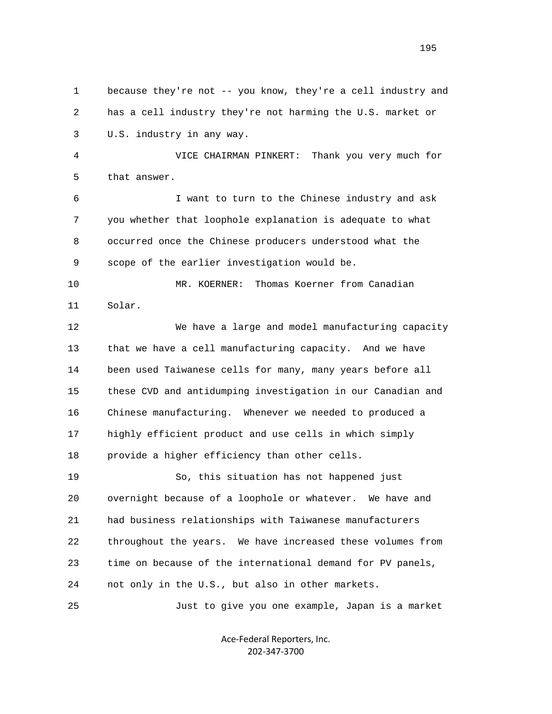1 because they're not -- you know, they're a cell industry and 2 has a cell industry they're not harming the U.S. market or 3 U.S. industry in any way. 4 VICE CHAIRMAN PINKERT: Thank you very much for 5 that answer. 6 I want to turn to the Chinese industry and ask 7 you whether that loophole explanation is adequate to what 8 occurred once the Chinese producers understood what the 9 scope of the earlier investigation would be. 10 MR. KOERNER: Thomas Koerner from Canadian 11 Solar. 12 We have a large and model manufacturing capacity 13 that we have a cell manufacturing capacity. And we have 14 been used Taiwanese cells for many, many years before all 15 these CVD and antidumping investigation in our Canadian and 16 Chinese manufacturing. Whenever we needed to produced a 17 highly efficient product and use cells in which simply 18 provide a higher efficiency than other cells. 19 So, this situation has not happened just 20 overnight because of a loophole or whatever. We have and 21 had business relationships with Taiwanese manufacturers 22 throughout the years. We have increased these volumes from 23 time on because of the international demand for PV panels, 24 not only in the U.S., but also in other markets. 25 Just to give you one example, Japan is a market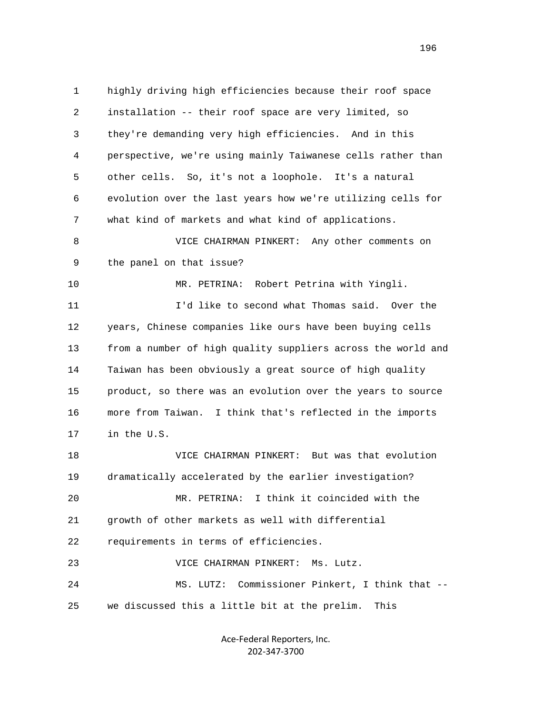1 highly driving high efficiencies because their roof space 2 installation -- their roof space are very limited, so 3 they're demanding very high efficiencies. And in this 4 perspective, we're using mainly Taiwanese cells rather than 5 other cells. So, it's not a loophole. It's a natural 6 evolution over the last years how we're utilizing cells for 7 what kind of markets and what kind of applications. 8 VICE CHAIRMAN PINKERT: Any other comments on 9 the panel on that issue? 10 MR. PETRINA: Robert Petrina with Yingli. 11 I'd like to second what Thomas said. Over the 12 years, Chinese companies like ours have been buying cells 13 from a number of high quality suppliers across the world and 14 Taiwan has been obviously a great source of high quality 15 product, so there was an evolution over the years to source 16 more from Taiwan. I think that's reflected in the imports 17 in the U.S. 18 VICE CHAIRMAN PINKERT: But was that evolution 19 dramatically accelerated by the earlier investigation? 20 MR. PETRINA: I think it coincided with the 21 growth of other markets as well with differential 22 requirements in terms of efficiencies. 23 VICE CHAIRMAN PINKERT: Ms. Lutz. 24 MS. LUTZ: Commissioner Pinkert, I think that -- 25 we discussed this a little bit at the prelim. This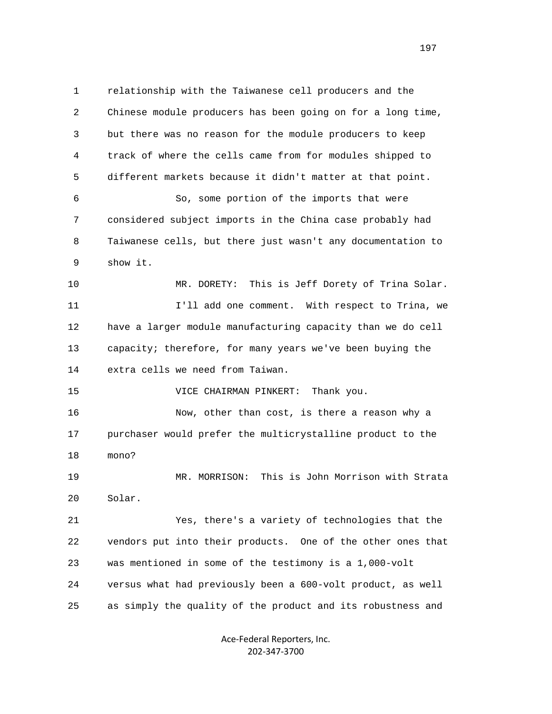1 relationship with the Taiwanese cell producers and the 2 Chinese module producers has been going on for a long time, 3 but there was no reason for the module producers to keep 4 track of where the cells came from for modules shipped to 5 different markets because it didn't matter at that point. 6 So, some portion of the imports that were 7 considered subject imports in the China case probably had 8 Taiwanese cells, but there just wasn't any documentation to 9 show it. 10 MR. DORETY: This is Jeff Dorety of Trina Solar. 11 **I'll add one comment.** With respect to Trina, we 12 have a larger module manufacturing capacity than we do cell 13 capacity; therefore, for many years we've been buying the 14 extra cells we need from Taiwan. 15 VICE CHAIRMAN PINKERT: Thank you. 16 Now, other than cost, is there a reason why a 17 purchaser would prefer the multicrystalline product to the 18 mono? 19 MR. MORRISON: This is John Morrison with Strata 20 Solar. 21 Yes, there's a variety of technologies that the 22 vendors put into their products. One of the other ones that 23 was mentioned in some of the testimony is a 1,000-volt 24 versus what had previously been a 600-volt product, as well 25 as simply the quality of the product and its robustness and

> Ace‐Federal Reporters, Inc. 202‐347‐3700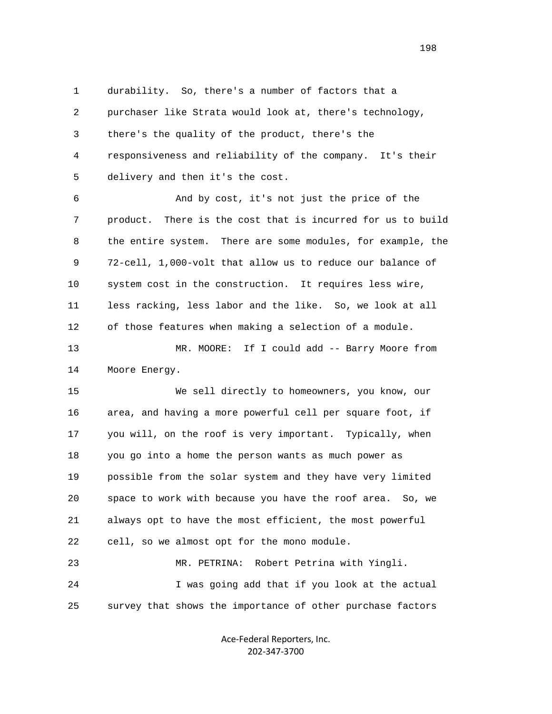1 durability. So, there's a number of factors that a 2 purchaser like Strata would look at, there's technology, 3 there's the quality of the product, there's the 4 responsiveness and reliability of the company. It's their 5 delivery and then it's the cost.

 6 And by cost, it's not just the price of the 7 product. There is the cost that is incurred for us to build 8 the entire system. There are some modules, for example, the 9 72-cell, 1,000-volt that allow us to reduce our balance of 10 system cost in the construction. It requires less wire, 11 less racking, less labor and the like. So, we look at all 12 of those features when making a selection of a module.

 13 MR. MOORE: If I could add -- Barry Moore from 14 Moore Energy.

 15 We sell directly to homeowners, you know, our 16 area, and having a more powerful cell per square foot, if 17 you will, on the roof is very important. Typically, when 18 you go into a home the person wants as much power as 19 possible from the solar system and they have very limited 20 space to work with because you have the roof area. So, we 21 always opt to have the most efficient, the most powerful 22 cell, so we almost opt for the mono module. 23 MR. PETRINA: Robert Petrina with Yingli.

 24 I was going add that if you look at the actual 25 survey that shows the importance of other purchase factors

> Ace‐Federal Reporters, Inc. 202‐347‐3700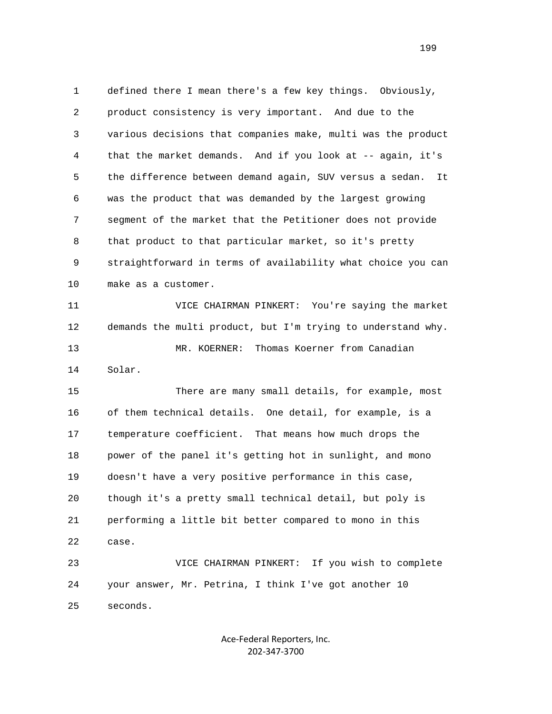1 defined there I mean there's a few key things. Obviously, 2 product consistency is very important. And due to the 3 various decisions that companies make, multi was the product 4 that the market demands. And if you look at -- again, it's 5 the difference between demand again, SUV versus a sedan. It 6 was the product that was demanded by the largest growing 7 segment of the market that the Petitioner does not provide 8 that product to that particular market, so it's pretty 9 straightforward in terms of availability what choice you can 10 make as a customer. 11 VICE CHAIRMAN PINKERT: You're saying the market 12 demands the multi product, but I'm trying to understand why. 13 MR. KOERNER: Thomas Koerner from Canadian 14 Solar. 15 There are many small details, for example, most 16 of them technical details. One detail, for example, is a 17 temperature coefficient. That means how much drops the 18 power of the panel it's getting hot in sunlight, and mono 19 doesn't have a very positive performance in this case, 20 though it's a pretty small technical detail, but poly is 21 performing a little bit better compared to mono in this 22 case. 23 VICE CHAIRMAN PINKERT: If you wish to complete 24 your answer, Mr. Petrina, I think I've got another 10 25 seconds.

> Ace‐Federal Reporters, Inc. 202‐347‐3700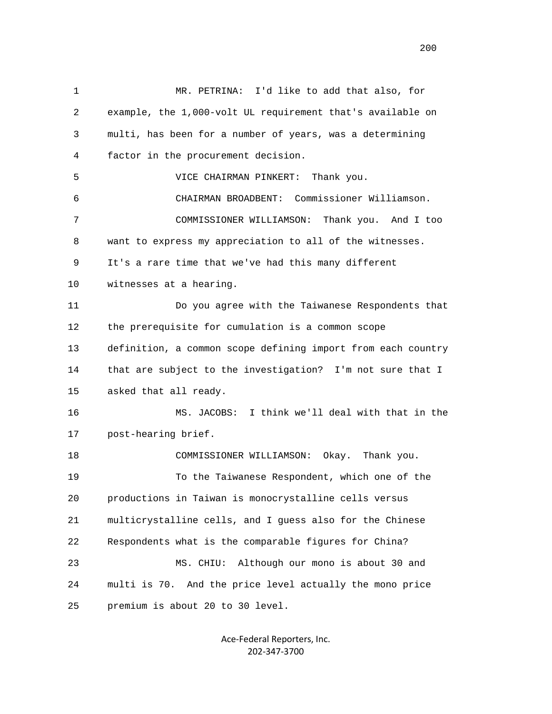1 MR. PETRINA: I'd like to add that also, for 2 example, the 1,000-volt UL requirement that's available on 3 multi, has been for a number of years, was a determining 4 factor in the procurement decision. 5 VICE CHAIRMAN PINKERT: Thank you. 6 CHAIRMAN BROADBENT: Commissioner Williamson. 7 COMMISSIONER WILLIAMSON: Thank you. And I too 8 want to express my appreciation to all of the witnesses. 9 It's a rare time that we've had this many different 10 witnesses at a hearing. 11 Do you agree with the Taiwanese Respondents that 12 the prerequisite for cumulation is a common scope 13 definition, a common scope defining import from each country 14 that are subject to the investigation? I'm not sure that I 15 asked that all ready. 16 MS. JACOBS: I think we'll deal with that in the 17 post-hearing brief. 18 COMMISSIONER WILLIAMSON: Okay. Thank you. 19 To the Taiwanese Respondent, which one of the 20 productions in Taiwan is monocrystalline cells versus 21 multicrystalline cells, and I guess also for the Chinese 22 Respondents what is the comparable figures for China? 23 MS. CHIU: Although our mono is about 30 and 24 multi is 70. And the price level actually the mono price 25 premium is about 20 to 30 level.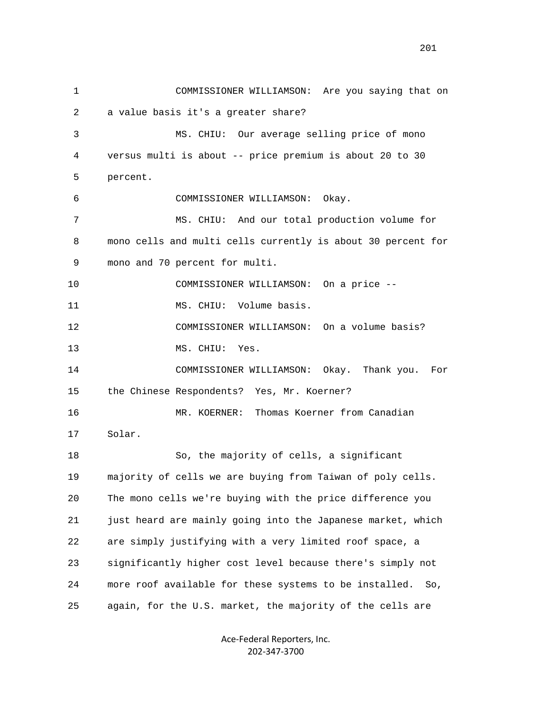1 COMMISSIONER WILLIAMSON: Are you saying that on 2 a value basis it's a greater share? 3 MS. CHIU: Our average selling price of mono 4 versus multi is about -- price premium is about 20 to 30 5 percent. 6 COMMISSIONER WILLIAMSON: Okay. 7 MS. CHIU: And our total production volume for 8 mono cells and multi cells currently is about 30 percent for 9 mono and 70 percent for multi. 10 COMMISSIONER WILLIAMSON: On a price -- 11 MS. CHIU: Volume basis. 12 COMMISSIONER WILLIAMSON: On a volume basis? 13 MS. CHIU: Yes. 14 COMMISSIONER WILLIAMSON: Okay. Thank you. For 15 the Chinese Respondents? Yes, Mr. Koerner? 16 MR. KOERNER: Thomas Koerner from Canadian 17 Solar. 18 So, the majority of cells, a significant 19 majority of cells we are buying from Taiwan of poly cells. 20 The mono cells we're buying with the price difference you 21 just heard are mainly going into the Japanese market, which 22 are simply justifying with a very limited roof space, a 23 significantly higher cost level because there's simply not 24 more roof available for these systems to be installed. So, 25 again, for the U.S. market, the majority of the cells are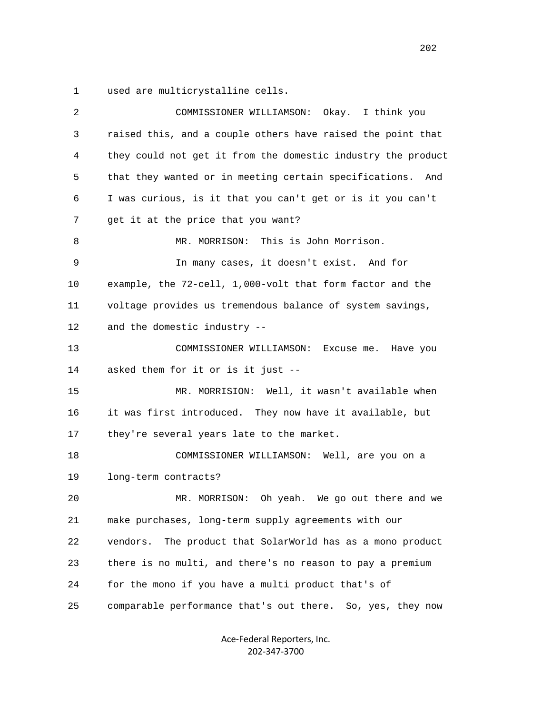1 used are multicrystalline cells.

| 2  | Okay. I think you<br>COMMISSIONER WILLIAMSON:                 |
|----|---------------------------------------------------------------|
| 3  | raised this, and a couple others have raised the point that   |
| 4  | they could not get it from the domestic industry the product  |
| 5  | that they wanted or in meeting certain specifications. And    |
| 6  | I was curious, is it that you can't get or is it you can't    |
| 7  | get it at the price that you want?                            |
| 8  | MR. MORRISON: This is John Morrison.                          |
| 9  | In many cases, it doesn't exist. And for                      |
| 10 | example, the 72-cell, 1,000-volt that form factor and the     |
| 11 | voltage provides us tremendous balance of system savings,     |
| 12 | and the domestic industry --                                  |
| 13 | COMMISSIONER WILLIAMSON:<br>Excuse me. Have you               |
| 14 | asked them for it or is it just --                            |
| 15 | MR. MORRISION: Well, it wasn't available when                 |
| 16 | it was first introduced. They now have it available, but      |
| 17 | they're several years late to the market.                     |
| 18 | COMMISSIONER WILLIAMSON: Well, are you on a                   |
| 19 | long-term contracts?                                          |
| 20 | Oh yeah. We go out there and we<br>MR. MORRISON:              |
| 21 | make purchases, long-term supply agreements with our          |
| 22 | The product that SolarWorld has as a mono product<br>vendors. |
| 23 | there is no multi, and there's no reason to pay a premium     |
| 24 | for the mono if you have a multi product that's of            |
| 25 | comparable performance that's out there. So, yes, they now    |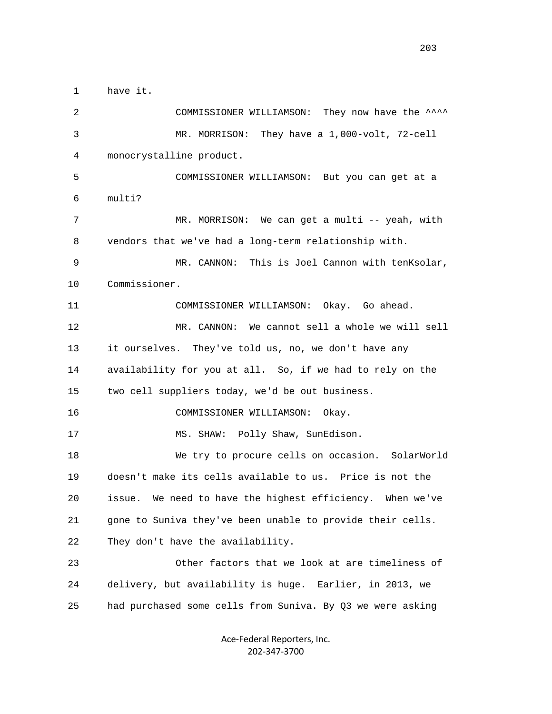1 have it. 2 COMMISSIONER WILLIAMSON: They now have the ^^^^ 3 MR. MORRISON: They have a 1,000-volt, 72-cell 4 monocrystalline product. 5 COMMISSIONER WILLIAMSON: But you can get at a 6 multi? 7 MR. MORRISON: We can get a multi -- yeah, with 8 vendors that we've had a long-term relationship with. 9 MR. CANNON: This is Joel Cannon with tenKsolar, 10 Commissioner. 11 COMMISSIONER WILLIAMSON: Okay. Go ahead. 12 MR. CANNON: We cannot sell a whole we will sell 13 it ourselves. They've told us, no, we don't have any 14 availability for you at all. So, if we had to rely on the 15 two cell suppliers today, we'd be out business. 16 COMMISSIONER WILLIAMSON: Okay. 17 MS. SHAW: Polly Shaw, SunEdison. 18 We try to procure cells on occasion. SolarWorld 19 doesn't make its cells available to us. Price is not the 20 issue. We need to have the highest efficiency. When we've 21 gone to Suniva they've been unable to provide their cells. 22 They don't have the availability. 23 Other factors that we look at are timeliness of 24 delivery, but availability is huge. Earlier, in 2013, we 25 had purchased some cells from Suniva. By Q3 we were asking

> Ace‐Federal Reporters, Inc. 202‐347‐3700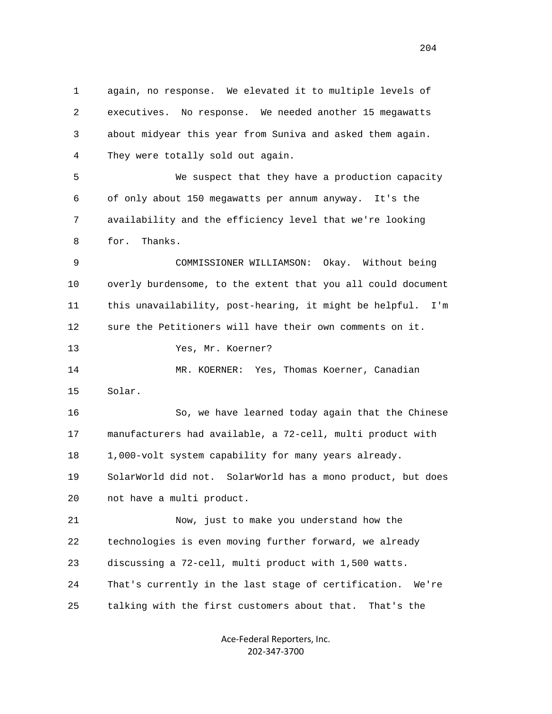1 again, no response. We elevated it to multiple levels of 2 executives. No response. We needed another 15 megawatts 3 about midyear this year from Suniva and asked them again. 4 They were totally sold out again. 5 We suspect that they have a production capacity 6 of only about 150 megawatts per annum anyway. It's the 7 availability and the efficiency level that we're looking 8 for. Thanks. 9 COMMISSIONER WILLIAMSON: Okay. Without being 10 overly burdensome, to the extent that you all could document 11 this unavailability, post-hearing, it might be helpful. I'm 12 sure the Petitioners will have their own comments on it. 13 Yes, Mr. Koerner? 14 MR. KOERNER: Yes, Thomas Koerner, Canadian 15 Solar. 16 So, we have learned today again that the Chinese 17 manufacturers had available, a 72-cell, multi product with 18 1,000-volt system capability for many years already. 19 SolarWorld did not. SolarWorld has a mono product, but does 20 not have a multi product. 21 Now, just to make you understand how the 22 technologies is even moving further forward, we already 23 discussing a 72-cell, multi product with 1,500 watts. 24 That's currently in the last stage of certification. We're 25 talking with the first customers about that. That's the

> Ace‐Federal Reporters, Inc. 202‐347‐3700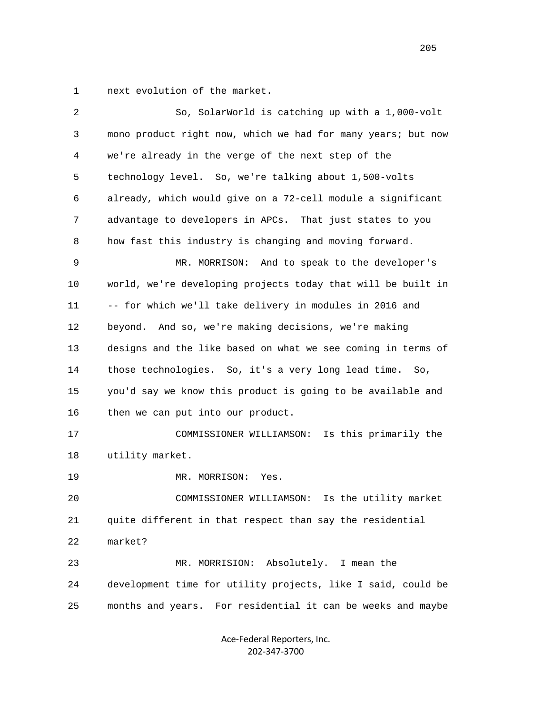1 next evolution of the market.

| $\overline{c}$ | So, SolarWorld is catching up with a 1,000-volt              |
|----------------|--------------------------------------------------------------|
| 3              | mono product right now, which we had for many years; but now |
| 4              | we're already in the verge of the next step of the           |
| 5              | technology level. So, we're talking about 1,500-volts        |
| 6              | already, which would give on a 72-cell module a significant  |
| 7              | advantage to developers in APCs. That just states to you     |
| 8              | how fast this industry is changing and moving forward.       |
| 9              | MR. MORRISON: And to speak to the developer's                |
| 10             | world, we're developing projects today that will be built in |
| 11             | -- for which we'll take delivery in modules in 2016 and      |
| 12             | beyond. And so, we're making decisions, we're making         |
| 13             | designs and the like based on what we see coming in terms of |
| 14             | those technologies. So, it's a very long lead time. So,      |
| 15             | you'd say we know this product is going to be available and  |
| 16             | then we can put into our product.                            |
| 17             | COMMISSIONER WILLIAMSON: Is this primarily the               |
| 18             | utility market.                                              |
| 19             | MR. MORRISON:<br>Yes.                                        |
| 20             | COMMISSIONER WILLIAMSON:<br>Is the utility market            |
| 21             | quite different in that respect than say the residential     |
| 22             | market?                                                      |
| 23             | MR. MORRISION: Absolutely.<br>I mean the                     |
| 24             | development time for utility projects, like I said, could be |
| 25             | months and years. For residential it can be weeks and maybe  |
|                |                                                              |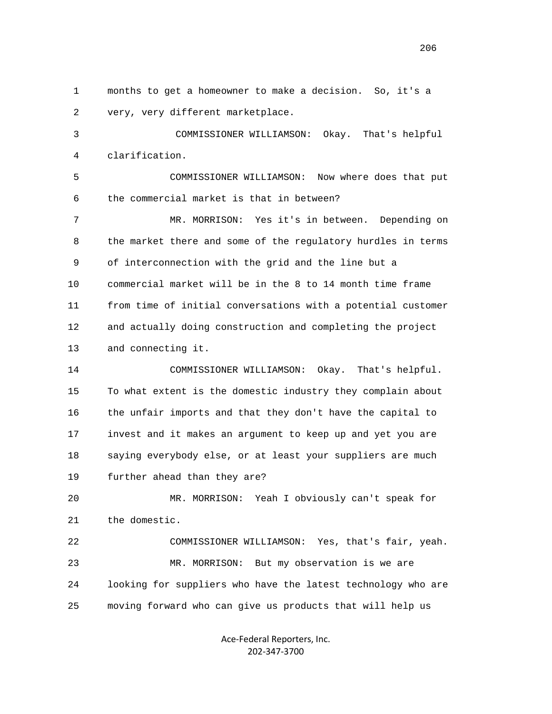1 months to get a homeowner to make a decision. So, it's a 2 very, very different marketplace.

 3 COMMISSIONER WILLIAMSON: Okay. That's helpful 4 clarification.

 5 COMMISSIONER WILLIAMSON: Now where does that put 6 the commercial market is that in between?

 7 MR. MORRISON: Yes it's in between. Depending on 8 the market there and some of the regulatory hurdles in terms 9 of interconnection with the grid and the line but a 10 commercial market will be in the 8 to 14 month time frame 11 from time of initial conversations with a potential customer 12 and actually doing construction and completing the project 13 and connecting it.

 14 COMMISSIONER WILLIAMSON: Okay. That's helpful. 15 To what extent is the domestic industry they complain about 16 the unfair imports and that they don't have the capital to 17 invest and it makes an argument to keep up and yet you are 18 saying everybody else, or at least your suppliers are much 19 further ahead than they are?

 20 MR. MORRISON: Yeah I obviously can't speak for 21 the domestic.

 22 COMMISSIONER WILLIAMSON: Yes, that's fair, yeah. 23 MR. MORRISON: But my observation is we are 24 looking for suppliers who have the latest technology who are 25 moving forward who can give us products that will help us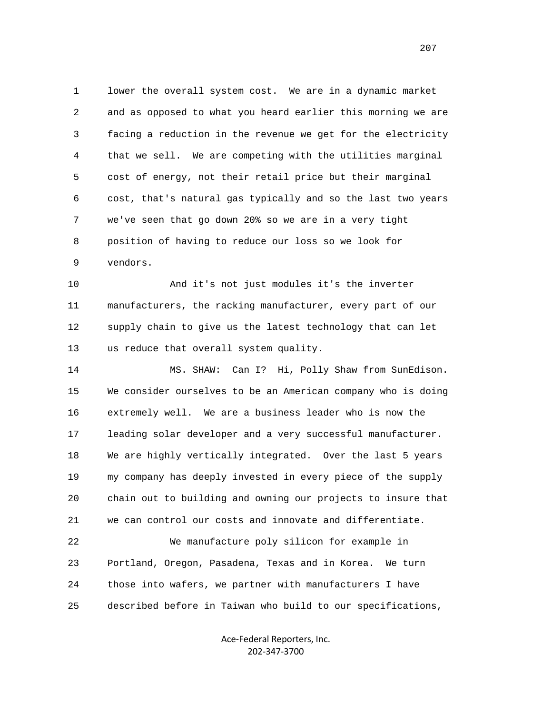1 lower the overall system cost. We are in a dynamic market 2 and as opposed to what you heard earlier this morning we are 3 facing a reduction in the revenue we get for the electricity 4 that we sell. We are competing with the utilities marginal 5 cost of energy, not their retail price but their marginal 6 cost, that's natural gas typically and so the last two years 7 we've seen that go down 20% so we are in a very tight 8 position of having to reduce our loss so we look for 9 vendors.

 10 And it's not just modules it's the inverter 11 manufacturers, the racking manufacturer, every part of our 12 supply chain to give us the latest technology that can let 13 us reduce that overall system quality.

 14 MS. SHAW: Can I? Hi, Polly Shaw from SunEdison. 15 We consider ourselves to be an American company who is doing 16 extremely well. We are a business leader who is now the 17 leading solar developer and a very successful manufacturer. 18 We are highly vertically integrated. Over the last 5 years 19 my company has deeply invested in every piece of the supply 20 chain out to building and owning our projects to insure that 21 we can control our costs and innovate and differentiate. 22 We manufacture poly silicon for example in

 23 Portland, Oregon, Pasadena, Texas and in Korea. We turn 24 those into wafers, we partner with manufacturers I have 25 described before in Taiwan who build to our specifications,

> Ace‐Federal Reporters, Inc. 202‐347‐3700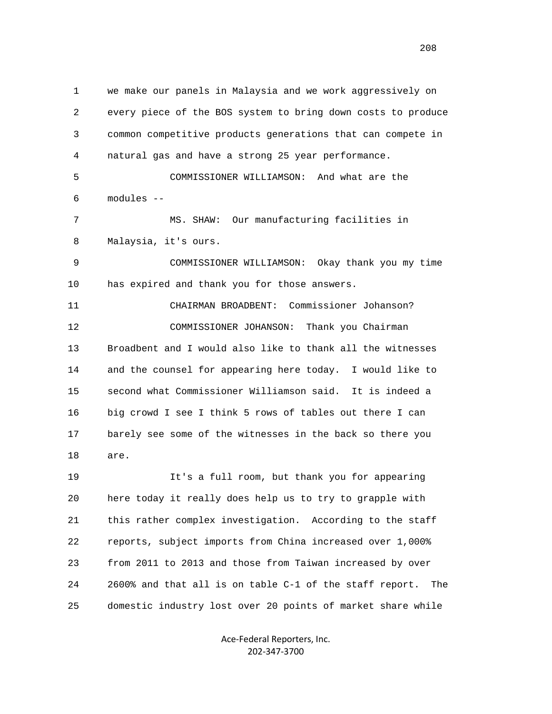1 we make our panels in Malaysia and we work aggressively on 2 every piece of the BOS system to bring down costs to produce 3 common competitive products generations that can compete in 4 natural gas and have a strong 25 year performance. 5 COMMISSIONER WILLIAMSON: And what are the 6 modules -- 7 MS. SHAW: Our manufacturing facilities in 8 Malaysia, it's ours. 9 COMMISSIONER WILLIAMSON: Okay thank you my time 10 has expired and thank you for those answers. 11 CHAIRMAN BROADBENT: Commissioner Johanson? 12 COMMISSIONER JOHANSON: Thank you Chairman 13 Broadbent and I would also like to thank all the witnesses 14 and the counsel for appearing here today. I would like to 15 second what Commissioner Williamson said. It is indeed a 16 big crowd I see I think 5 rows of tables out there I can 17 barely see some of the witnesses in the back so there you 18 are. 19 It's a full room, but thank you for appearing 20 here today it really does help us to try to grapple with 21 this rather complex investigation. According to the staff 22 reports, subject imports from China increased over 1,000% 23 from 2011 to 2013 and those from Taiwan increased by over 24 2600% and that all is on table C-1 of the staff report. The 25 domestic industry lost over 20 points of market share while

> Ace‐Federal Reporters, Inc. 202‐347‐3700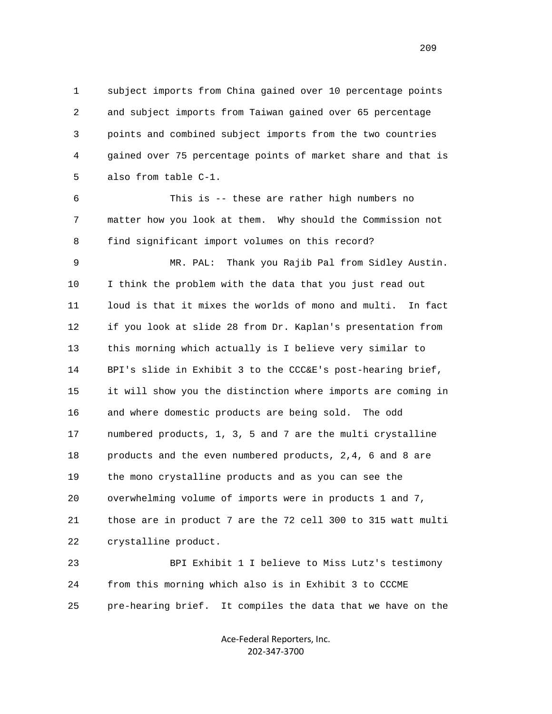1 subject imports from China gained over 10 percentage points 2 and subject imports from Taiwan gained over 65 percentage 3 points and combined subject imports from the two countries 4 gained over 75 percentage points of market share and that is 5 also from table C-1.

 6 This is -- these are rather high numbers no 7 matter how you look at them. Why should the Commission not 8 find significant import volumes on this record?

 9 MR. PAL: Thank you Rajib Pal from Sidley Austin. 10 I think the problem with the data that you just read out 11 loud is that it mixes the worlds of mono and multi. In fact 12 if you look at slide 28 from Dr. Kaplan's presentation from 13 this morning which actually is I believe very similar to 14 BPI's slide in Exhibit 3 to the CCC&E's post-hearing brief, 15 it will show you the distinction where imports are coming in 16 and where domestic products are being sold. The odd 17 numbered products, 1, 3, 5 and 7 are the multi crystalline 18 products and the even numbered products, 2,4, 6 and 8 are 19 the mono crystalline products and as you can see the 20 overwhelming volume of imports were in products 1 and 7, 21 those are in product 7 are the 72 cell 300 to 315 watt multi 22 crystalline product.

 23 BPI Exhibit 1 I believe to Miss Lutz's testimony 24 from this morning which also is in Exhibit 3 to CCCME 25 pre-hearing brief. It compiles the data that we have on the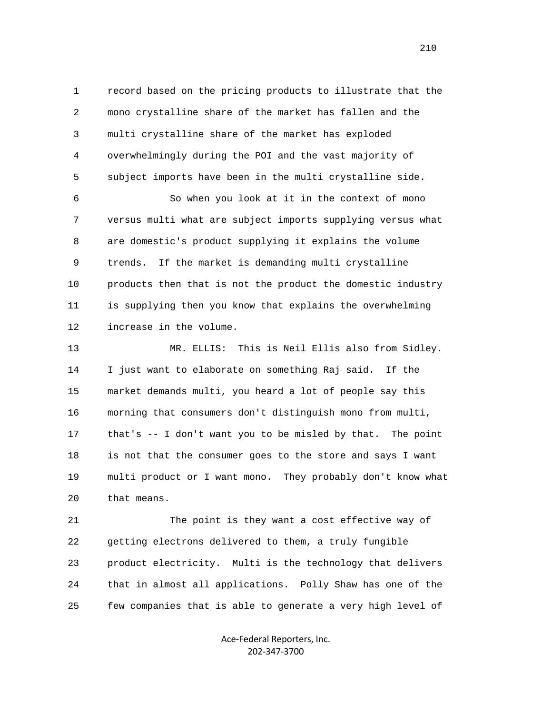1 record based on the pricing products to illustrate that the 2 mono crystalline share of the market has fallen and the 3 multi crystalline share of the market has exploded 4 overwhelmingly during the POI and the vast majority of 5 subject imports have been in the multi crystalline side.

 6 So when you look at it in the context of mono 7 versus multi what are subject imports supplying versus what 8 are domestic's product supplying it explains the volume 9 trends. If the market is demanding multi crystalline 10 products then that is not the product the domestic industry 11 is supplying then you know that explains the overwhelming 12 increase in the volume.

 13 MR. ELLIS: This is Neil Ellis also from Sidley. 14 I just want to elaborate on something Raj said. If the 15 market demands multi, you heard a lot of people say this 16 morning that consumers don't distinguish mono from multi, 17 that's -- I don't want you to be misled by that. The point 18 is not that the consumer goes to the store and says I want 19 multi product or I want mono. They probably don't know what 20 that means.

 21 The point is they want a cost effective way of 22 getting electrons delivered to them, a truly fungible 23 product electricity. Multi is the technology that delivers 24 that in almost all applications. Polly Shaw has one of the 25 few companies that is able to generate a very high level of

> Ace‐Federal Reporters, Inc. 202‐347‐3700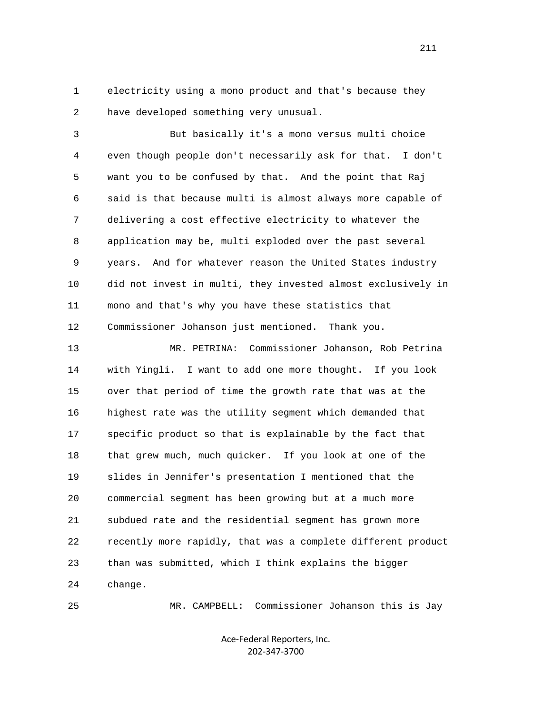1 electricity using a mono product and that's because they 2 have developed something very unusual.

 3 But basically it's a mono versus multi choice 4 even though people don't necessarily ask for that. I don't 5 want you to be confused by that. And the point that Raj 6 said is that because multi is almost always more capable of 7 delivering a cost effective electricity to whatever the 8 application may be, multi exploded over the past several 9 years. And for whatever reason the United States industry 10 did not invest in multi, they invested almost exclusively in 11 mono and that's why you have these statistics that 12 Commissioner Johanson just mentioned. Thank you.

 13 MR. PETRINA: Commissioner Johanson, Rob Petrina 14 with Yingli. I want to add one more thought. If you look 15 over that period of time the growth rate that was at the 16 highest rate was the utility segment which demanded that 17 specific product so that is explainable by the fact that 18 that grew much, much quicker. If you look at one of the 19 slides in Jennifer's presentation I mentioned that the 20 commercial segment has been growing but at a much more 21 subdued rate and the residential segment has grown more 22 recently more rapidly, that was a complete different product 23 than was submitted, which I think explains the bigger 24 change.

25 MR. CAMPBELL: Commissioner Johanson this is Jay

Ace‐Federal Reporters, Inc. 202‐347‐3700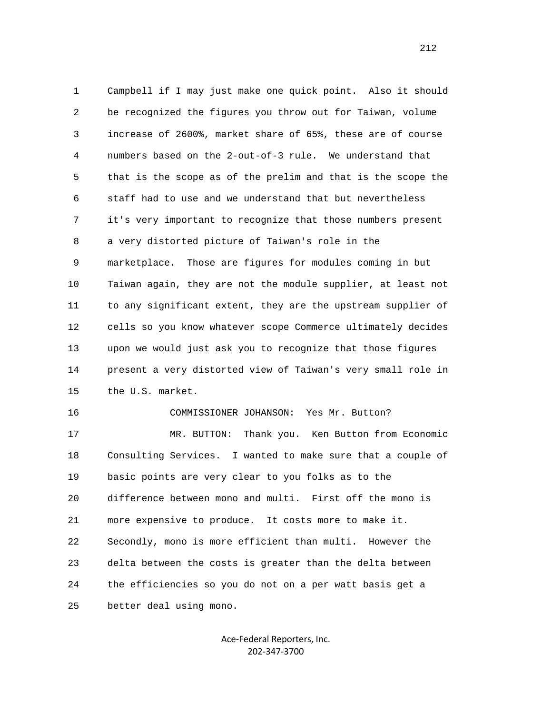1 Campbell if I may just make one quick point. Also it should 2 be recognized the figures you throw out for Taiwan, volume 3 increase of 2600%, market share of 65%, these are of course 4 numbers based on the 2-out-of-3 rule. We understand that 5 that is the scope as of the prelim and that is the scope the 6 staff had to use and we understand that but nevertheless 7 it's very important to recognize that those numbers present 8 a very distorted picture of Taiwan's role in the 9 marketplace. Those are figures for modules coming in but 10 Taiwan again, they are not the module supplier, at least not 11 to any significant extent, they are the upstream supplier of 12 cells so you know whatever scope Commerce ultimately decides 13 upon we would just ask you to recognize that those figures 14 present a very distorted view of Taiwan's very small role in 15 the U.S. market. 16 COMMISSIONER JOHANSON: Yes Mr. Button? 17 MR. BUTTON: Thank you. Ken Button from Economic 18 Consulting Services. I wanted to make sure that a couple of 19 basic points are very clear to you folks as to the 20 difference between mono and multi. First off the mono is 21 more expensive to produce. It costs more to make it. 22 Secondly, mono is more efficient than multi. However the 23 delta between the costs is greater than the delta between

25 better deal using mono.

Ace‐Federal Reporters, Inc. 202‐347‐3700

24 the efficiencies so you do not on a per watt basis get a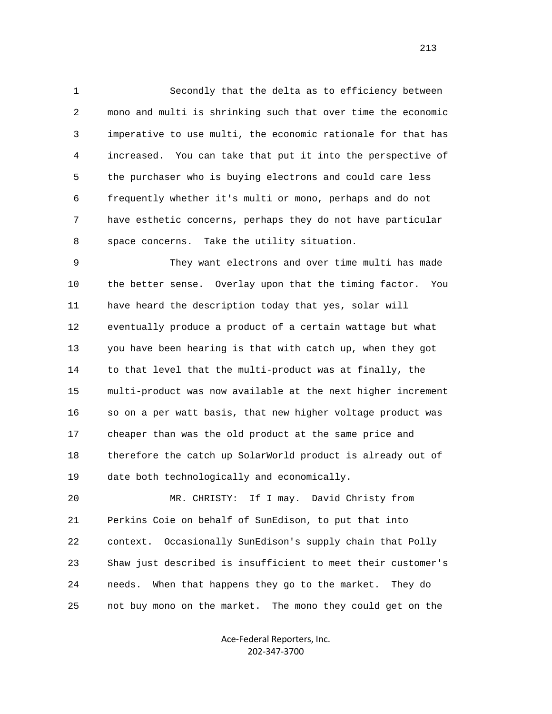1 Secondly that the delta as to efficiency between 2 mono and multi is shrinking such that over time the economic 3 imperative to use multi, the economic rationale for that has 4 increased. You can take that put it into the perspective of 5 the purchaser who is buying electrons and could care less 6 frequently whether it's multi or mono, perhaps and do not 7 have esthetic concerns, perhaps they do not have particular 8 space concerns. Take the utility situation.

 9 They want electrons and over time multi has made 10 the better sense. Overlay upon that the timing factor. You 11 have heard the description today that yes, solar will 12 eventually produce a product of a certain wattage but what 13 you have been hearing is that with catch up, when they got 14 to that level that the multi-product was at finally, the 15 multi-product was now available at the next higher increment 16 so on a per watt basis, that new higher voltage product was 17 cheaper than was the old product at the same price and 18 therefore the catch up SolarWorld product is already out of 19 date both technologically and economically.

 20 MR. CHRISTY: If I may. David Christy from 21 Perkins Coie on behalf of SunEdison, to put that into 22 context. Occasionally SunEdison's supply chain that Polly 23 Shaw just described is insufficient to meet their customer's 24 needs. When that happens they go to the market. They do 25 not buy mono on the market. The mono they could get on the

> Ace‐Federal Reporters, Inc. 202‐347‐3700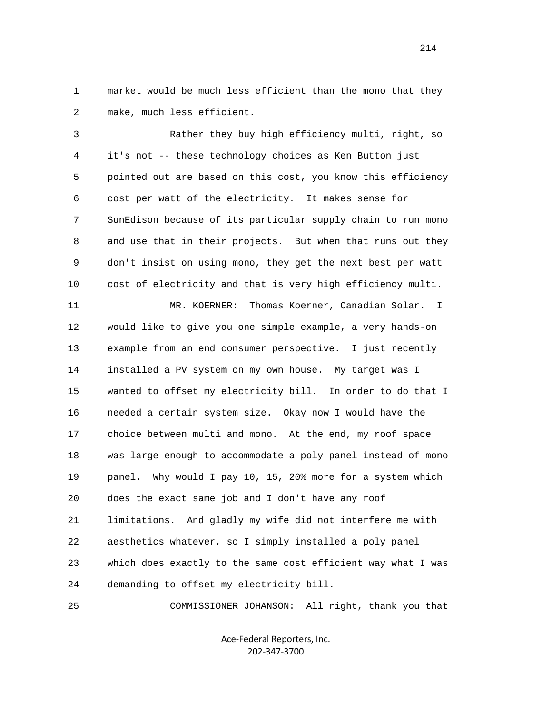1 market would be much less efficient than the mono that they 2 make, much less efficient.

 3 Rather they buy high efficiency multi, right, so 4 it's not -- these technology choices as Ken Button just 5 pointed out are based on this cost, you know this efficiency 6 cost per watt of the electricity. It makes sense for 7 SunEdison because of its particular supply chain to run mono 8 and use that in their projects. But when that runs out they 9 don't insist on using mono, they get the next best per watt 10 cost of electricity and that is very high efficiency multi.

 11 MR. KOERNER: Thomas Koerner, Canadian Solar. I 12 would like to give you one simple example, a very hands-on 13 example from an end consumer perspective. I just recently 14 installed a PV system on my own house. My target was I 15 wanted to offset my electricity bill. In order to do that I 16 needed a certain system size. Okay now I would have the 17 choice between multi and mono. At the end, my roof space 18 was large enough to accommodate a poly panel instead of mono 19 panel. Why would I pay 10, 15, 20% more for a system which 20 does the exact same job and I don't have any roof 21 limitations. And gladly my wife did not interfere me with 22 aesthetics whatever, so I simply installed a poly panel 23 which does exactly to the same cost efficient way what I was 24 demanding to offset my electricity bill.

25 COMMISSIONER JOHANSON: All right, thank you that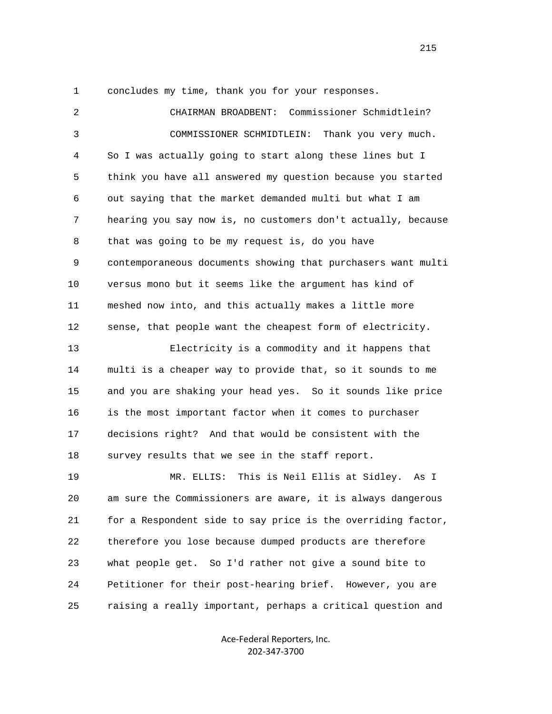1 concludes my time, thank you for your responses.

| $\overline{2}$ | CHAIRMAN BROADBENT: Commissioner Schmidtlein?                |
|----------------|--------------------------------------------------------------|
| $\mathsf{3}$   | COMMISSIONER SCHMIDTLEIN: Thank you very much.               |
| 4              | So I was actually going to start along these lines but I     |
| 5              | think you have all answered my question because you started  |
| 6              | out saying that the market demanded multi but what I am      |
| 7              | hearing you say now is, no customers don't actually, because |
| 8              | that was going to be my request is, do you have              |
| 9              | contemporaneous documents showing that purchasers want multi |
| 10             | versus mono but it seems like the argument has kind of       |
| 11             | meshed now into, and this actually makes a little more       |
| 12             | sense, that people want the cheapest form of electricity.    |
| 13             | Electricity is a commodity and it happens that               |
| 14             | multi is a cheaper way to provide that, so it sounds to me   |
| 15             | and you are shaking your head yes. So it sounds like price   |
| 16             | is the most important factor when it comes to purchaser      |
| 17             | decisions right? And that would be consistent with the       |
| 18             | survey results that we see in the staff report.              |
| 19             | This is Neil Ellis at Sidley. As I<br>MR. ELLIS:             |
| 20             | am sure the Commissioners are aware, it is always dangerous  |
| 21             | for a Respondent side to say price is the overriding factor, |
| 22             | therefore you lose because dumped products are therefore     |
| 23             | what people get. So I'd rather not give a sound bite to      |
| 24             | Petitioner for their post-hearing brief. However, you are    |
| 25             | raising a really important, perhaps a critical question and  |

Ace‐Federal Reporters, Inc. 202‐347‐3700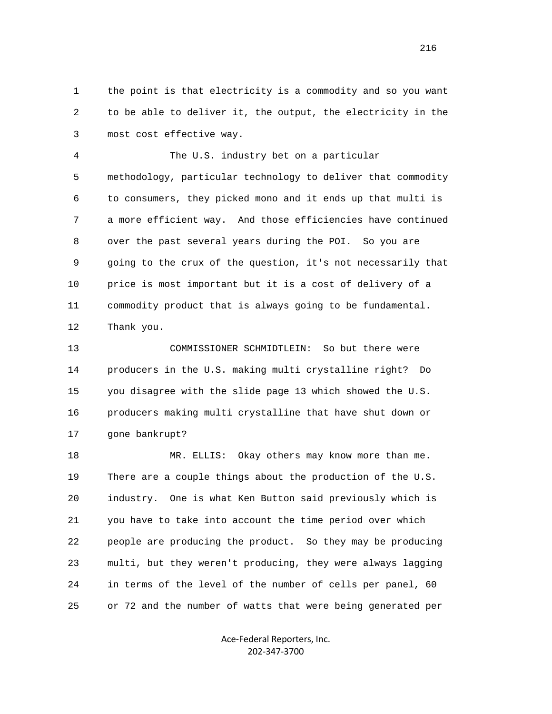1 the point is that electricity is a commodity and so you want 2 to be able to deliver it, the output, the electricity in the 3 most cost effective way.

 4 The U.S. industry bet on a particular 5 methodology, particular technology to deliver that commodity 6 to consumers, they picked mono and it ends up that multi is 7 a more efficient way. And those efficiencies have continued 8 over the past several years during the POI. So you are 9 going to the crux of the question, it's not necessarily that 10 price is most important but it is a cost of delivery of a 11 commodity product that is always going to be fundamental. 12 Thank you.

 13 COMMISSIONER SCHMIDTLEIN: So but there were 14 producers in the U.S. making multi crystalline right? Do 15 you disagree with the slide page 13 which showed the U.S. 16 producers making multi crystalline that have shut down or 17 gone bankrupt?

 18 MR. ELLIS: Okay others may know more than me. 19 There are a couple things about the production of the U.S. 20 industry. One is what Ken Button said previously which is 21 you have to take into account the time period over which 22 people are producing the product. So they may be producing 23 multi, but they weren't producing, they were always lagging 24 in terms of the level of the number of cells per panel, 60 25 or 72 and the number of watts that were being generated per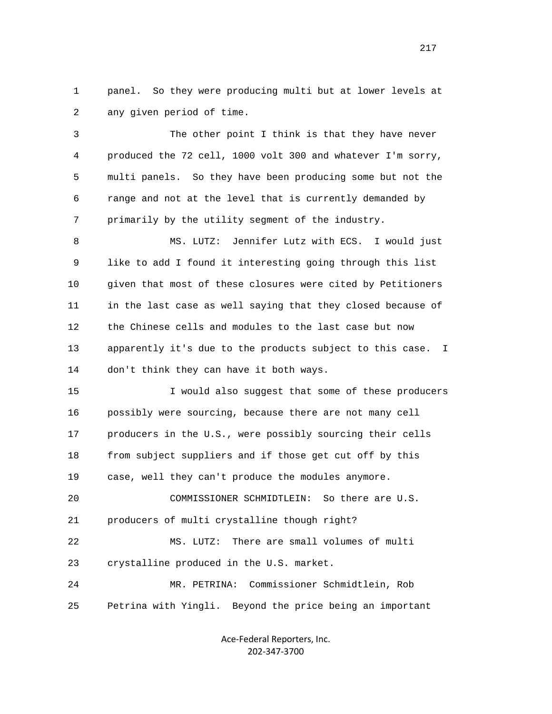1 panel. So they were producing multi but at lower levels at 2 any given period of time.

 3 The other point I think is that they have never 4 produced the 72 cell, 1000 volt 300 and whatever I'm sorry, 5 multi panels. So they have been producing some but not the 6 range and not at the level that is currently demanded by 7 primarily by the utility segment of the industry.

 8 MS. LUTZ: Jennifer Lutz with ECS. I would just 9 like to add I found it interesting going through this list 10 given that most of these closures were cited by Petitioners 11 in the last case as well saying that they closed because of 12 the Chinese cells and modules to the last case but now 13 apparently it's due to the products subject to this case. I 14 don't think they can have it both ways.

 15 I would also suggest that some of these producers 16 possibly were sourcing, because there are not many cell 17 producers in the U.S., were possibly sourcing their cells 18 from subject suppliers and if those get cut off by this 19 case, well they can't produce the modules anymore. 20 COMMISSIONER SCHMIDTLEIN: So there are U.S.

21 producers of multi crystalline though right?

 22 MS. LUTZ: There are small volumes of multi 23 crystalline produced in the U.S. market.

 24 MR. PETRINA: Commissioner Schmidtlein, Rob 25 Petrina with Yingli. Beyond the price being an important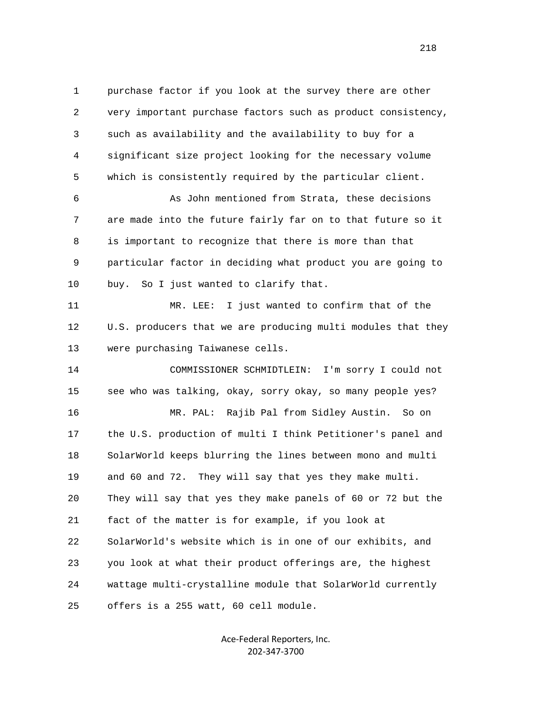1 purchase factor if you look at the survey there are other 2 very important purchase factors such as product consistency, 3 such as availability and the availability to buy for a 4 significant size project looking for the necessary volume 5 which is consistently required by the particular client. 6 As John mentioned from Strata, these decisions 7 are made into the future fairly far on to that future so it 8 is important to recognize that there is more than that 9 particular factor in deciding what product you are going to 10 buy. So I just wanted to clarify that. 11 MR. LEE: I just wanted to confirm that of the 12 U.S. producers that we are producing multi modules that they 13 were purchasing Taiwanese cells. 14 COMMISSIONER SCHMIDTLEIN: I'm sorry I could not 15 see who was talking, okay, sorry okay, so many people yes? 16 MR. PAL: Rajib Pal from Sidley Austin. So on 17 the U.S. production of multi I think Petitioner's panel and 18 SolarWorld keeps blurring the lines between mono and multi 19 and 60 and 72. They will say that yes they make multi. 20 They will say that yes they make panels of 60 or 72 but the 21 fact of the matter is for example, if you look at 22 SolarWorld's website which is in one of our exhibits, and 23 you look at what their product offerings are, the highest 24 wattage multi-crystalline module that SolarWorld currently 25 offers is a 255 watt, 60 cell module.

> Ace‐Federal Reporters, Inc. 202‐347‐3700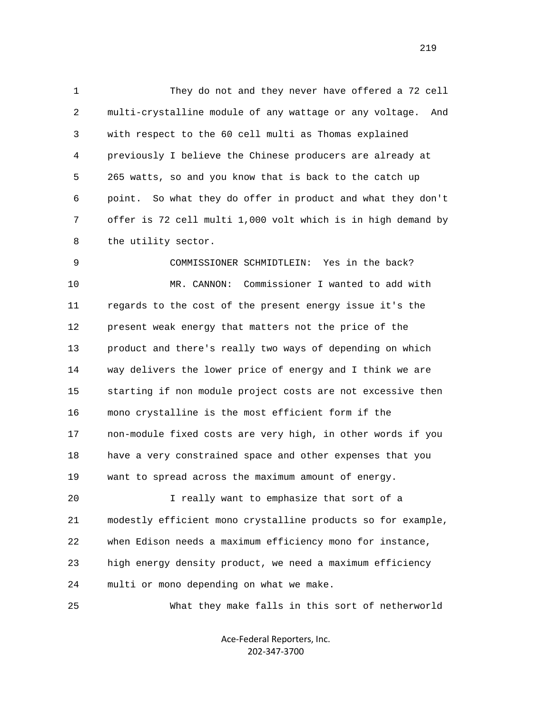1 They do not and they never have offered a 72 cell 2 multi-crystalline module of any wattage or any voltage. And 3 with respect to the 60 cell multi as Thomas explained 4 previously I believe the Chinese producers are already at 5 265 watts, so and you know that is back to the catch up 6 point. So what they do offer in product and what they don't 7 offer is 72 cell multi 1,000 volt which is in high demand by 8 the utility sector.

 9 COMMISSIONER SCHMIDTLEIN: Yes in the back? 10 MR. CANNON: Commissioner I wanted to add with 11 regards to the cost of the present energy issue it's the 12 present weak energy that matters not the price of the 13 product and there's really two ways of depending on which 14 way delivers the lower price of energy and I think we are 15 starting if non module project costs are not excessive then 16 mono crystalline is the most efficient form if the 17 non-module fixed costs are very high, in other words if you 18 have a very constrained space and other expenses that you 19 want to spread across the maximum amount of energy. 20 I really want to emphasize that sort of a 21 modestly efficient mono crystalline products so for example, 22 when Edison needs a maximum efficiency mono for instance,

23 high energy density product, we need a maximum efficiency

24 multi or mono depending on what we make.

25 What they make falls in this sort of netherworld

Ace‐Federal Reporters, Inc. 202‐347‐3700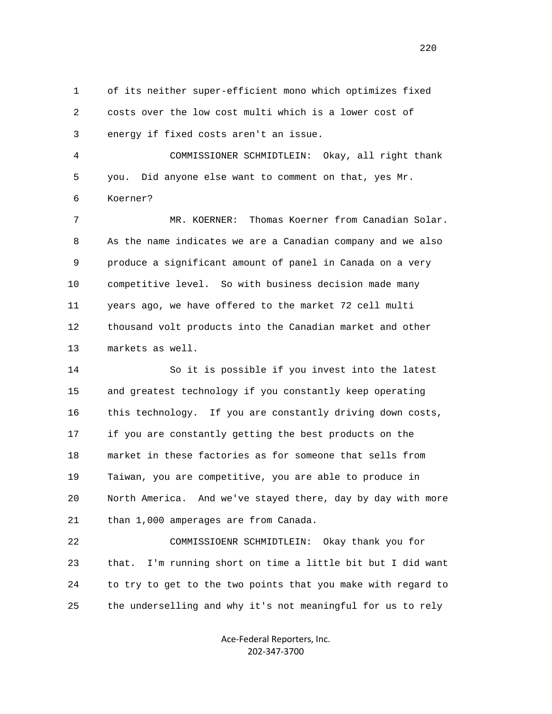1 of its neither super-efficient mono which optimizes fixed 2 costs over the low cost multi which is a lower cost of 3 energy if fixed costs aren't an issue.

 4 COMMISSIONER SCHMIDTLEIN: Okay, all right thank 5 you. Did anyone else want to comment on that, yes Mr. 6 Koerner?

 7 MR. KOERNER: Thomas Koerner from Canadian Solar. 8 As the name indicates we are a Canadian company and we also 9 produce a significant amount of panel in Canada on a very 10 competitive level. So with business decision made many 11 years ago, we have offered to the market 72 cell multi 12 thousand volt products into the Canadian market and other 13 markets as well.

 14 So it is possible if you invest into the latest 15 and greatest technology if you constantly keep operating 16 this technology. If you are constantly driving down costs, 17 if you are constantly getting the best products on the 18 market in these factories as for someone that sells from 19 Taiwan, you are competitive, you are able to produce in 20 North America. And we've stayed there, day by day with more 21 than 1,000 amperages are from Canada.

 22 COMMISSIOENR SCHMIDTLEIN: Okay thank you for 23 that. I'm running short on time a little bit but I did want 24 to try to get to the two points that you make with regard to 25 the underselling and why it's not meaningful for us to rely

> Ace‐Federal Reporters, Inc. 202‐347‐3700

<u>220</u>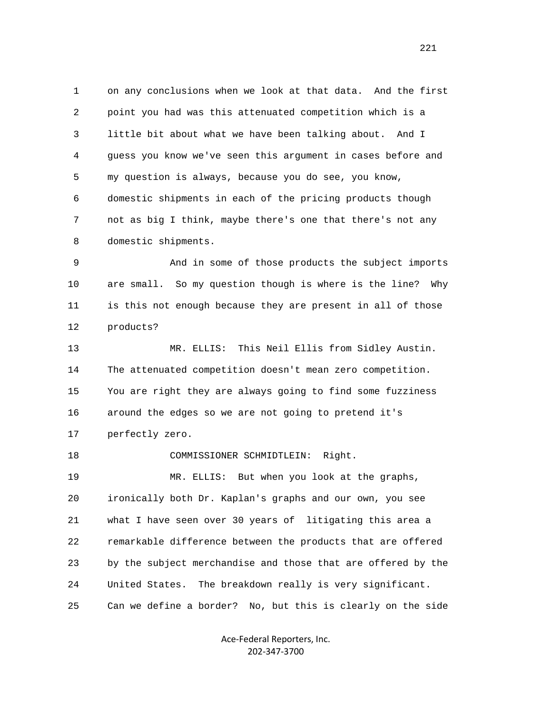1 on any conclusions when we look at that data. And the first 2 point you had was this attenuated competition which is a 3 little bit about what we have been talking about. And I 4 guess you know we've seen this argument in cases before and 5 my question is always, because you do see, you know, 6 domestic shipments in each of the pricing products though 7 not as big I think, maybe there's one that there's not any 8 domestic shipments.

 9 And in some of those products the subject imports 10 are small. So my question though is where is the line? Why 11 is this not enough because they are present in all of those 12 products?

 13 MR. ELLIS: This Neil Ellis from Sidley Austin. 14 The attenuated competition doesn't mean zero competition. 15 You are right they are always going to find some fuzziness 16 around the edges so we are not going to pretend it's 17 perfectly zero.

 18 COMMISSIONER SCHMIDTLEIN: Right. 19 MR. ELLIS: But when you look at the graphs, 20 ironically both Dr. Kaplan's graphs and our own, you see 21 what I have seen over 30 years of litigating this area a 22 remarkable difference between the products that are offered 23 by the subject merchandise and those that are offered by the 24 United States. The breakdown really is very significant. 25 Can we define a border? No, but this is clearly on the side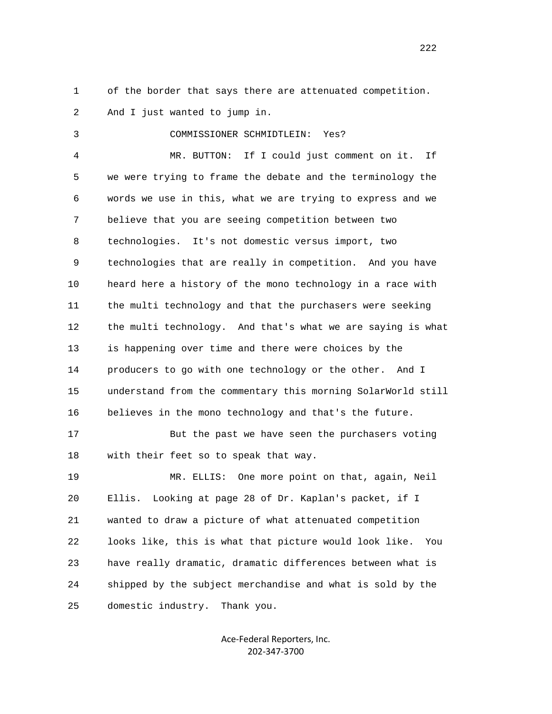1 of the border that says there are attenuated competition.

2 And I just wanted to jump in.

3 COMMISSIONER SCHMIDTLEIN: Yes?

 4 MR. BUTTON: If I could just comment on it. If 5 we were trying to frame the debate and the terminology the 6 words we use in this, what we are trying to express and we 7 believe that you are seeing competition between two 8 technologies. It's not domestic versus import, two 9 technologies that are really in competition. And you have 10 heard here a history of the mono technology in a race with 11 the multi technology and that the purchasers were seeking 12 the multi technology. And that's what we are saying is what 13 is happening over time and there were choices by the 14 producers to go with one technology or the other. And I 15 understand from the commentary this morning SolarWorld still 16 believes in the mono technology and that's the future.

 17 But the past we have seen the purchasers voting 18 with their feet so to speak that way.

 19 MR. ELLIS: One more point on that, again, Neil 20 Ellis. Looking at page 28 of Dr. Kaplan's packet, if I 21 wanted to draw a picture of what attenuated competition 22 looks like, this is what that picture would look like. You 23 have really dramatic, dramatic differences between what is 24 shipped by the subject merchandise and what is sold by the 25 domestic industry. Thank you.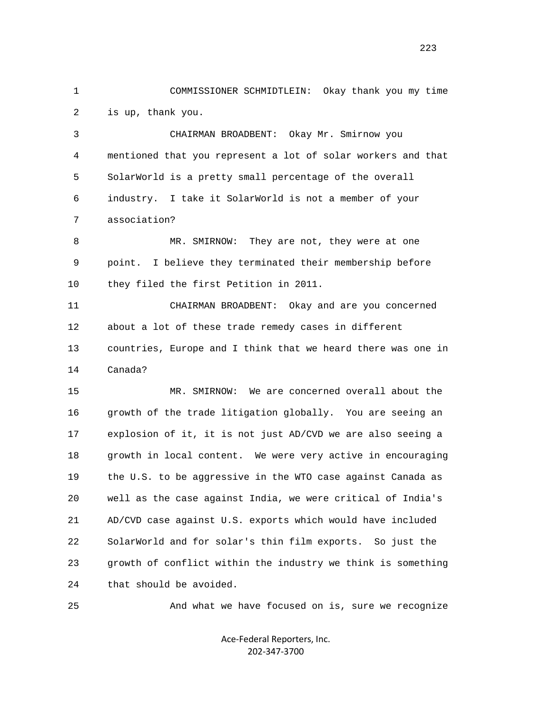1 COMMISSIONER SCHMIDTLEIN: Okay thank you my time 2 is up, thank you.

 3 CHAIRMAN BROADBENT: Okay Mr. Smirnow you 4 mentioned that you represent a lot of solar workers and that 5 SolarWorld is a pretty small percentage of the overall 6 industry. I take it SolarWorld is not a member of your 7 association?

8 MR. SMIRNOW: They are not, they were at one 9 point. I believe they terminated their membership before 10 they filed the first Petition in 2011.

 11 CHAIRMAN BROADBENT: Okay and are you concerned 12 about a lot of these trade remedy cases in different 13 countries, Europe and I think that we heard there was one in 14 Canada?

 15 MR. SMIRNOW: We are concerned overall about the 16 growth of the trade litigation globally. You are seeing an 17 explosion of it, it is not just AD/CVD we are also seeing a 18 growth in local content. We were very active in encouraging 19 the U.S. to be aggressive in the WTO case against Canada as 20 well as the case against India, we were critical of India's 21 AD/CVD case against U.S. exports which would have included 22 SolarWorld and for solar's thin film exports. So just the 23 growth of conflict within the industry we think is something 24 that should be avoided.

25 And what we have focused on is, sure we recognize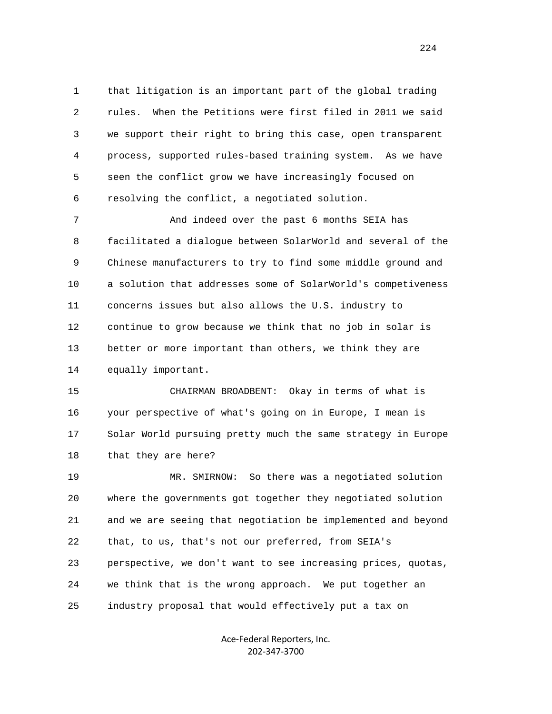1 that litigation is an important part of the global trading 2 rules. When the Petitions were first filed in 2011 we said 3 we support their right to bring this case, open transparent 4 process, supported rules-based training system. As we have 5 seen the conflict grow we have increasingly focused on 6 resolving the conflict, a negotiated solution.

 7 And indeed over the past 6 months SEIA has 8 facilitated a dialogue between SolarWorld and several of the 9 Chinese manufacturers to try to find some middle ground and 10 a solution that addresses some of SolarWorld's competiveness 11 concerns issues but also allows the U.S. industry to 12 continue to grow because we think that no job in solar is 13 better or more important than others, we think they are 14 equally important.

 15 CHAIRMAN BROADBENT: Okay in terms of what is 16 your perspective of what's going on in Europe, I mean is 17 Solar World pursuing pretty much the same strategy in Europe 18 that they are here?

 19 MR. SMIRNOW: So there was a negotiated solution 20 where the governments got together they negotiated solution 21 and we are seeing that negotiation be implemented and beyond 22 that, to us, that's not our preferred, from SEIA's 23 perspective, we don't want to see increasing prices, quotas, 24 we think that is the wrong approach. We put together an 25 industry proposal that would effectively put a tax on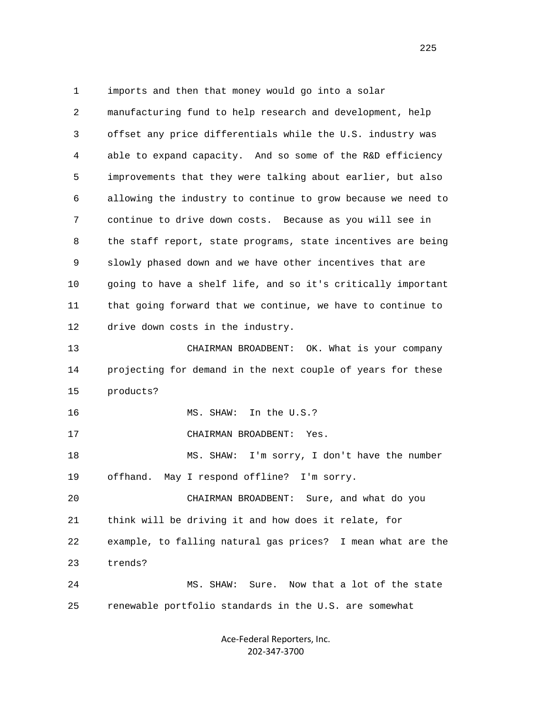1 imports and then that money would go into a solar 2 manufacturing fund to help research and development, help 3 offset any price differentials while the U.S. industry was 4 able to expand capacity. And so some of the R&D efficiency 5 improvements that they were talking about earlier, but also 6 allowing the industry to continue to grow because we need to 7 continue to drive down costs. Because as you will see in 8 the staff report, state programs, state incentives are being 9 slowly phased down and we have other incentives that are 10 going to have a shelf life, and so it's critically important 11 that going forward that we continue, we have to continue to 12 drive down costs in the industry. 13 CHAIRMAN BROADBENT: OK. What is your company 14 projecting for demand in the next couple of years for these 15 products? 16 MS. SHAW: In the U.S.? 17 CHAIRMAN BROADBENT: Yes. 18 MS. SHAW: I'm sorry, I don't have the number 19 offhand. May I respond offline? I'm sorry. 20 CHAIRMAN BROADBENT: Sure, and what do you 21 think will be driving it and how does it relate, for 22 example, to falling natural gas prices? I mean what are the 23 trends? 24 MS. SHAW: Sure. Now that a lot of the state 25 renewable portfolio standards in the U.S. are somewhat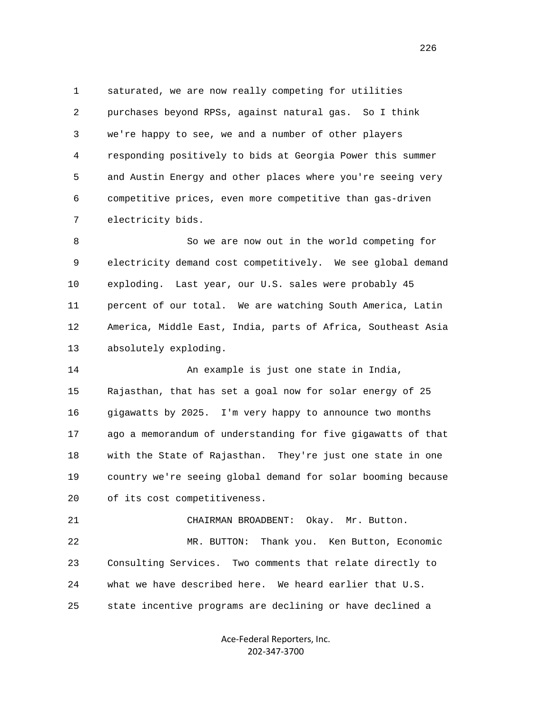1 saturated, we are now really competing for utilities 2 purchases beyond RPSs, against natural gas. So I think 3 we're happy to see, we and a number of other players 4 responding positively to bids at Georgia Power this summer 5 and Austin Energy and other places where you're seeing very 6 competitive prices, even more competitive than gas-driven 7 electricity bids.

 8 So we are now out in the world competing for 9 electricity demand cost competitively. We see global demand 10 exploding. Last year, our U.S. sales were probably 45 11 percent of our total. We are watching South America, Latin 12 America, Middle East, India, parts of Africa, Southeast Asia 13 absolutely exploding.

 14 An example is just one state in India, 15 Rajasthan, that has set a goal now for solar energy of 25 16 gigawatts by 2025. I'm very happy to announce two months 17 ago a memorandum of understanding for five gigawatts of that 18 with the State of Rajasthan. They're just one state in one 19 country we're seeing global demand for solar booming because 20 of its cost competitiveness.

 21 CHAIRMAN BROADBENT: Okay. Mr. Button. 22 MR. BUTTON: Thank you. Ken Button, Economic 23 Consulting Services. Two comments that relate directly to 24 what we have described here. We heard earlier that U.S. 25 state incentive programs are declining or have declined a

> Ace‐Federal Reporters, Inc. 202‐347‐3700

<u>226</u>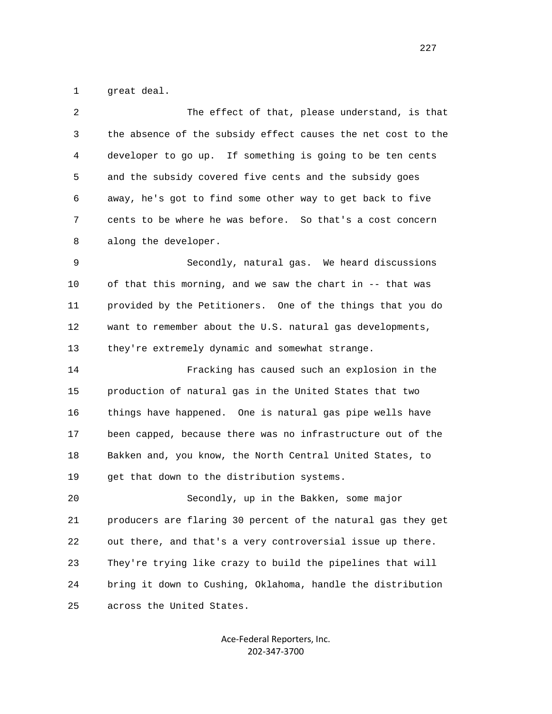1 great deal.

| 2  | The effect of that, please understand, is that               |
|----|--------------------------------------------------------------|
| 3  | the absence of the subsidy effect causes the net cost to the |
| 4  | developer to go up. If something is going to be ten cents    |
| 5  | and the subsidy covered five cents and the subsidy goes      |
| 6  | away, he's got to find some other way to get back to five    |
| 7  | cents to be where he was before. So that's a cost concern    |
| 8  | along the developer.                                         |
| 9  | Secondly, natural gas. We heard discussions                  |
| 10 | of that this morning, and we saw the chart in -- that was    |
| 11 | provided by the Petitioners. One of the things that you do   |
| 12 | want to remember about the U.S. natural gas developments,    |
| 13 | they're extremely dynamic and somewhat strange.              |
| 14 | Fracking has caused such an explosion in the                 |
| 15 | production of natural gas in the United States that two      |
| 16 | things have happened. One is natural gas pipe wells have     |
| 17 | been capped, because there was no infrastructure out of the  |
| 18 | Bakken and, you know, the North Central United States, to    |
| 19 | get that down to the distribution systems.                   |
| 20 | Secondly, up in the Bakken, some major                       |
| 21 | producers are flaring 30 percent of the natural gas they get |
| 22 | out there, and that's a very controversial issue up there.   |
| 23 | They're trying like crazy to build the pipelines that will   |
| 24 | bring it down to Cushing, Oklahoma, handle the distribution  |
| 25 | across the United States.                                    |
|    |                                                              |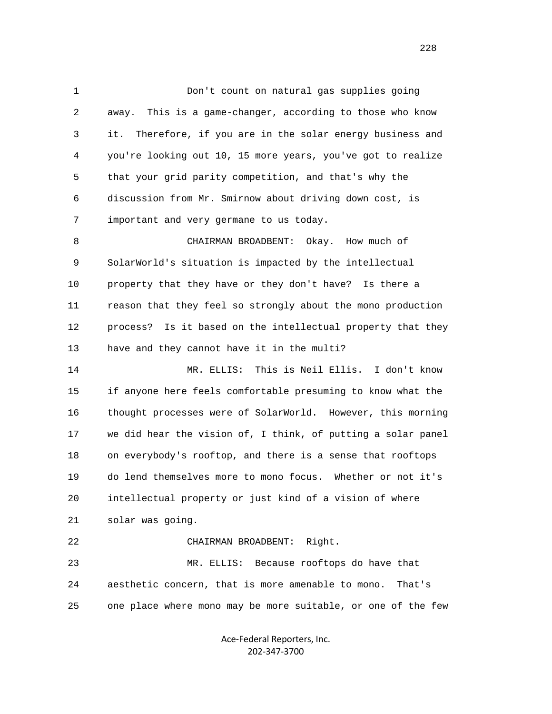1 Don't count on natural gas supplies going 2 away. This is a game-changer, according to those who know 3 it. Therefore, if you are in the solar energy business and 4 you're looking out 10, 15 more years, you've got to realize 5 that your grid parity competition, and that's why the 6 discussion from Mr. Smirnow about driving down cost, is 7 important and very germane to us today. 8 CHAIRMAN BROADBENT: Okay. How much of 9 SolarWorld's situation is impacted by the intellectual 10 property that they have or they don't have? Is there a 11 reason that they feel so strongly about the mono production 12 process? Is it based on the intellectual property that they

 14 MR. ELLIS: This is Neil Ellis. I don't know 15 if anyone here feels comfortable presuming to know what the 16 thought processes were of SolarWorld. However, this morning 17 we did hear the vision of, I think, of putting a solar panel 18 on everybody's rooftop, and there is a sense that rooftops 19 do lend themselves more to mono focus. Whether or not it's 20 intellectual property or just kind of a vision of where 21 solar was going. 22 CHAIRMAN BROADBENT: Right.

13 have and they cannot have it in the multi?

 23 MR. ELLIS: Because rooftops do have that 24 aesthetic concern, that is more amenable to mono. That's 25 one place where mono may be more suitable, or one of the few

> Ace‐Federal Reporters, Inc. 202‐347‐3700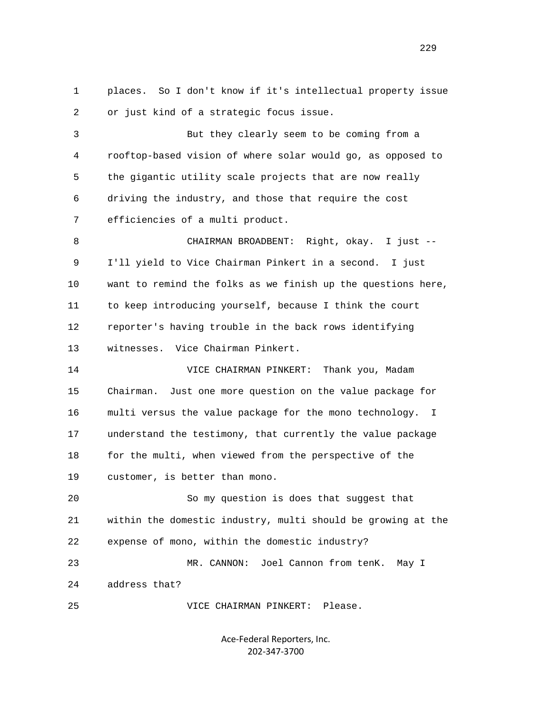1 places. So I don't know if it's intellectual property issue 2 or just kind of a strategic focus issue. 3 But they clearly seem to be coming from a 4 rooftop-based vision of where solar would go, as opposed to 5 the gigantic utility scale projects that are now really 6 driving the industry, and those that require the cost 7 efficiencies of a multi product. 8 CHAIRMAN BROADBENT: Right, okay. I just -- 9 I'll yield to Vice Chairman Pinkert in a second. I just 10 want to remind the folks as we finish up the questions here, 11 to keep introducing yourself, because I think the court 12 reporter's having trouble in the back rows identifying 13 witnesses. Vice Chairman Pinkert. 14 VICE CHAIRMAN PINKERT: Thank you, Madam 15 Chairman. Just one more question on the value package for 16 multi versus the value package for the mono technology. I 17 understand the testimony, that currently the value package 18 for the multi, when viewed from the perspective of the 19 customer, is better than mono. 20 So my question is does that suggest that 21 within the domestic industry, multi should be growing at the 22 expense of mono, within the domestic industry? 23 MR. CANNON: Joel Cannon from tenK. May I 24 address that? 25 VICE CHAIRMAN PINKERT: Please.

> Ace‐Federal Reporters, Inc. 202‐347‐3700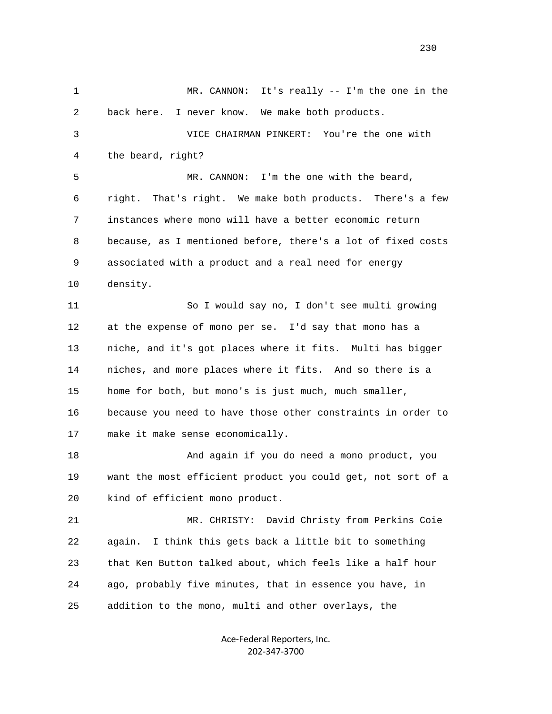1 MR. CANNON: It's really -- I'm the one in the 2 back here. I never know. We make both products. 3 VICE CHAIRMAN PINKERT: You're the one with 4 the beard, right? 5 MR. CANNON: I'm the one with the beard, 6 right. That's right. We make both products. There's a few 7 instances where mono will have a better economic return 8 because, as I mentioned before, there's a lot of fixed costs 9 associated with a product and a real need for energy 10 density. 11 So I would say no, I don't see multi growing 12 at the expense of mono per se. I'd say that mono has a 13 niche, and it's got places where it fits. Multi has bigger 14 niches, and more places where it fits. And so there is a 15 home for both, but mono's is just much, much smaller, 16 because you need to have those other constraints in order to 17 make it make sense economically. 18 And again if you do need a mono product, you 19 want the most efficient product you could get, not sort of a 20 kind of efficient mono product. 21 MR. CHRISTY: David Christy from Perkins Coie 22 again. I think this gets back a little bit to something 23 that Ken Button talked about, which feels like a half hour 24 ago, probably five minutes, that in essence you have, in 25 addition to the mono, multi and other overlays, the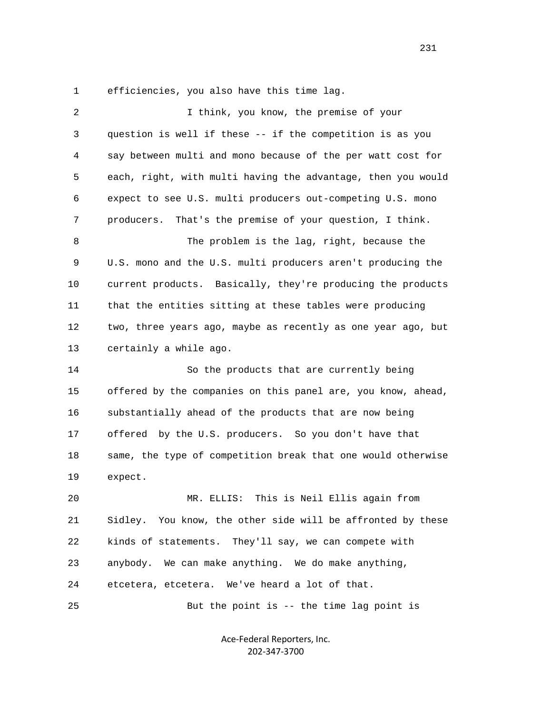1 efficiencies, you also have this time lag.

| $\overline{c}$ | I think, you know, the premise of your                       |
|----------------|--------------------------------------------------------------|
| 3              | question is well if these -- if the competition is as you    |
| 4              | say between multi and mono because of the per watt cost for  |
| 5              | each, right, with multi having the advantage, then you would |
| 6              | expect to see U.S. multi producers out-competing U.S. mono   |
| 7              | producers.<br>That's the premise of your question, I think.  |
| 8              | The problem is the lag, right, because the                   |
| 9              | U.S. mono and the U.S. multi producers aren't producing the  |
| 10             | current products. Basically, they're producing the products  |
| 11             | that the entities sitting at these tables were producing     |
| 12             | two, three years ago, maybe as recently as one year ago, but |
| 13             | certainly a while ago.                                       |
| 14             | So the products that are currently being                     |
| 15             | offered by the companies on this panel are, you know, ahead, |
| 16             |                                                              |
|                | substantially ahead of the products that are now being       |
| 17             | offered by the U.S. producers. So you don't have that        |
| 18             | same, the type of competition break that one would otherwise |
| 19             | expect.                                                      |
| 20             | This is Neil Ellis again from<br>MR. ELLIS:                  |
| 21             | Sidley. You know, the other side will be affronted by these  |
| 22             | kinds of statements. They'll say, we can compete with        |
| 23             | anybody. We can make anything. We do make anything,          |
| 24             | etcetera, etcetera. We've heard a lot of that.               |

Ace‐Federal Reporters, Inc. 202‐347‐3700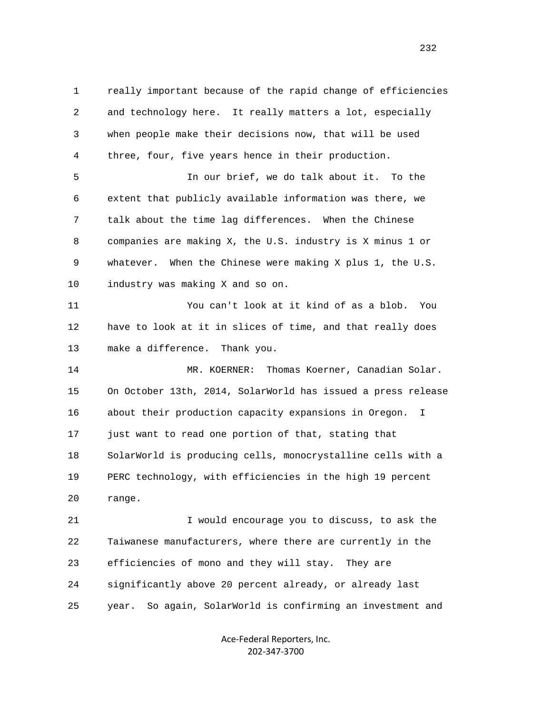1 really important because of the rapid change of efficiencies 2 and technology here. It really matters a lot, especially 3 when people make their decisions now, that will be used 4 three, four, five years hence in their production. 5 In our brief, we do talk about it. To the 6 extent that publicly available information was there, we 7 talk about the time lag differences. When the Chinese 8 companies are making X, the U.S. industry is X minus 1 or 9 whatever. When the Chinese were making X plus 1, the U.S. 10 industry was making X and so on. 11 You can't look at it kind of as a blob. You 12 have to look at it in slices of time, and that really does 13 make a difference. Thank you. 14 MR. KOERNER: Thomas Koerner, Canadian Solar. 15 On October 13th, 2014, SolarWorld has issued a press release 16 about their production capacity expansions in Oregon. I 17 just want to read one portion of that, stating that 18 SolarWorld is producing cells, monocrystalline cells with a 19 PERC technology, with efficiencies in the high 19 percent 20 range. 21 I would encourage you to discuss, to ask the 22 Taiwanese manufacturers, where there are currently in the 23 efficiencies of mono and they will stay. They are 24 significantly above 20 percent already, or already last 25 year. So again, SolarWorld is confirming an investment and

> Ace‐Federal Reporters, Inc. 202‐347‐3700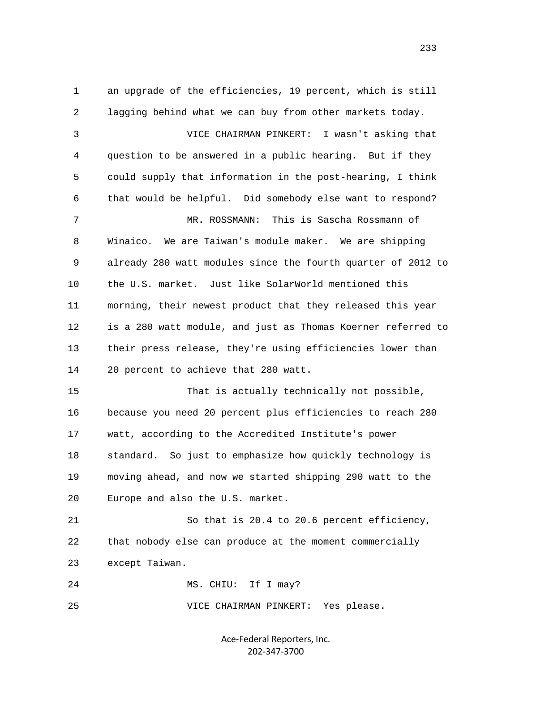1 an upgrade of the efficiencies, 19 percent, which is still 2 lagging behind what we can buy from other markets today. 3 VICE CHAIRMAN PINKERT: I wasn't asking that 4 question to be answered in a public hearing. But if they 5 could supply that information in the post-hearing, I think 6 that would be helpful. Did somebody else want to respond? 7 MR. ROSSMANN: This is Sascha Rossmann of 8 Winaico. We are Taiwan's module maker. We are shipping 9 already 280 watt modules since the fourth quarter of 2012 to 10 the U.S. market. Just like SolarWorld mentioned this 11 morning, their newest product that they released this year 12 is a 280 watt module, and just as Thomas Koerner referred to 13 their press release, they're using efficiencies lower than 14 20 percent to achieve that 280 watt. 15 That is actually technically not possible, 16 because you need 20 percent plus efficiencies to reach 280 17 watt, according to the Accredited Institute's power 18 standard. So just to emphasize how quickly technology is 19 moving ahead, and now we started shipping 290 watt to the 20 Europe and also the U.S. market. 21 So that is 20.4 to 20.6 percent efficiency, 22 that nobody else can produce at the moment commercially 23 except Taiwan. 24 MS. CHIU: If I may? 25 VICE CHAIRMAN PINKERT: Yes please.

> Ace‐Federal Reporters, Inc. 202‐347‐3700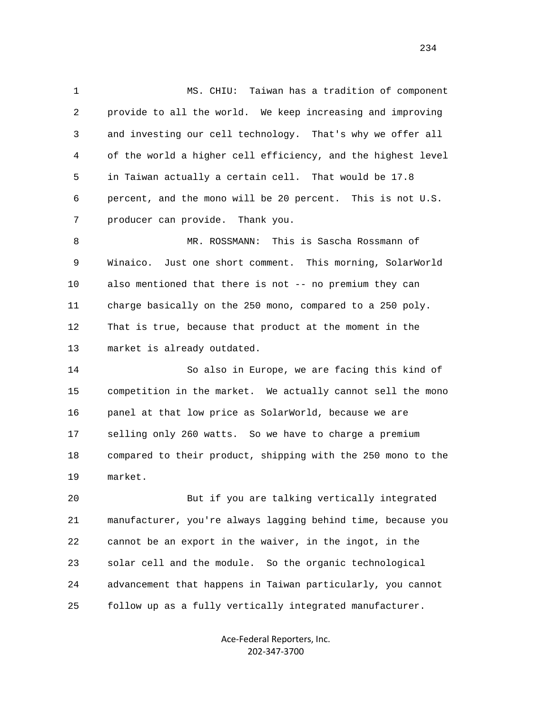1 MS. CHIU: Taiwan has a tradition of component 2 provide to all the world. We keep increasing and improving 3 and investing our cell technology. That's why we offer all 4 of the world a higher cell efficiency, and the highest level 5 in Taiwan actually a certain cell. That would be 17.8 6 percent, and the mono will be 20 percent. This is not U.S. 7 producer can provide. Thank you.

 8 MR. ROSSMANN: This is Sascha Rossmann of 9 Winaico. Just one short comment. This morning, SolarWorld 10 also mentioned that there is not -- no premium they can 11 charge basically on the 250 mono, compared to a 250 poly. 12 That is true, because that product at the moment in the 13 market is already outdated.

 14 So also in Europe, we are facing this kind of 15 competition in the market. We actually cannot sell the mono 16 panel at that low price as SolarWorld, because we are 17 selling only 260 watts. So we have to charge a premium 18 compared to their product, shipping with the 250 mono to the 19 market.

 20 But if you are talking vertically integrated 21 manufacturer, you're always lagging behind time, because you 22 cannot be an export in the waiver, in the ingot, in the 23 solar cell and the module. So the organic technological 24 advancement that happens in Taiwan particularly, you cannot 25 follow up as a fully vertically integrated manufacturer.

> Ace‐Federal Reporters, Inc. 202‐347‐3700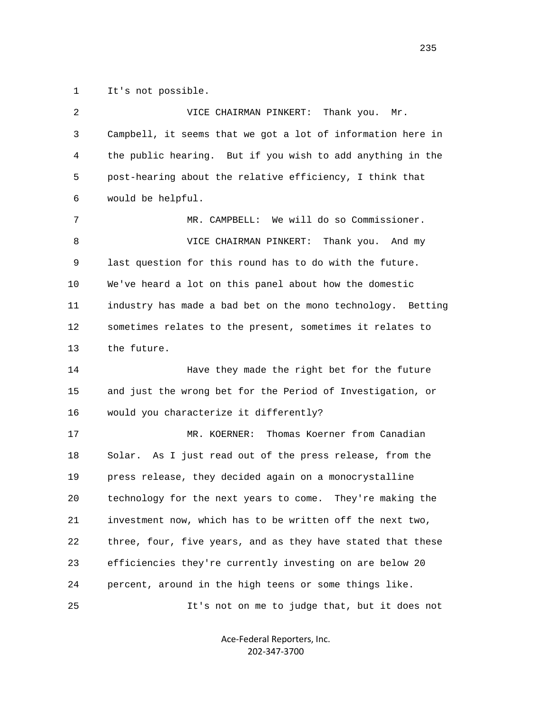1 It's not possible.

| 2            | VICE CHAIRMAN PINKERT:<br>Thank you. Mr.                    |
|--------------|-------------------------------------------------------------|
| $\mathsf{3}$ | Campbell, it seems that we got a lot of information here in |
| 4            | the public hearing. But if you wish to add anything in the  |
| 5            | post-hearing about the relative efficiency, I think that    |
| 6            | would be helpful.                                           |
| 7            | MR. CAMPBELL: We will do so Commissioner.                   |
| 8            | VICE CHAIRMAN PINKERT:<br>Thank you. And my                 |
| 9            | last question for this round has to do with the future.     |
| 10           | We've heard a lot on this panel about how the domestic      |
| 11           | industry has made a bad bet on the mono technology. Betting |
| 12           | sometimes relates to the present, sometimes it relates to   |
| 13           | the future.                                                 |
| 14           | Have they made the right bet for the future                 |
| 15           | and just the wrong bet for the Period of Investigation, or  |
| 16           | would you characterize it differently?                      |
| 17           | Thomas Koerner from Canadian<br>MR. KOERNER:                |
| 18           | As I just read out of the press release, from the<br>Solar. |
| 19           | press release, they decided again on a monocrystalline      |
| 20           | technology for the next years to come. They're making the   |
| 21           | investment now, which has to be written off the next two,   |
| 22           | three, four, five years, and as they have stated that these |
| 23           | efficiencies they're currently investing on are below 20    |
| 24           | percent, around in the high teens or some things like.      |
| 25           | It's not on me to judge that, but it does not               |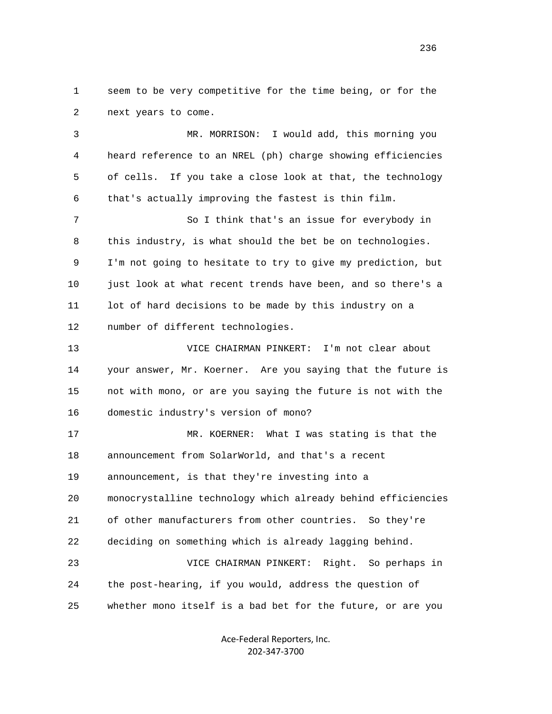1 seem to be very competitive for the time being, or for the 2 next years to come.

 3 MR. MORRISON: I would add, this morning you 4 heard reference to an NREL (ph) charge showing efficiencies 5 of cells. If you take a close look at that, the technology 6 that's actually improving the fastest is thin film.

 7 So I think that's an issue for everybody in 8 this industry, is what should the bet be on technologies. 9 I'm not going to hesitate to try to give my prediction, but 10 just look at what recent trends have been, and so there's a 11 lot of hard decisions to be made by this industry on a 12 number of different technologies.

 13 VICE CHAIRMAN PINKERT: I'm not clear about 14 your answer, Mr. Koerner. Are you saying that the future is 15 not with mono, or are you saying the future is not with the 16 domestic industry's version of mono?

 17 MR. KOERNER: What I was stating is that the 18 announcement from SolarWorld, and that's a recent 19 announcement, is that they're investing into a 20 monocrystalline technology which already behind efficiencies 21 of other manufacturers from other countries. So they're 22 deciding on something which is already lagging behind. 23 VICE CHAIRMAN PINKERT: Right. So perhaps in 24 the post-hearing, if you would, address the question of 25 whether mono itself is a bad bet for the future, or are you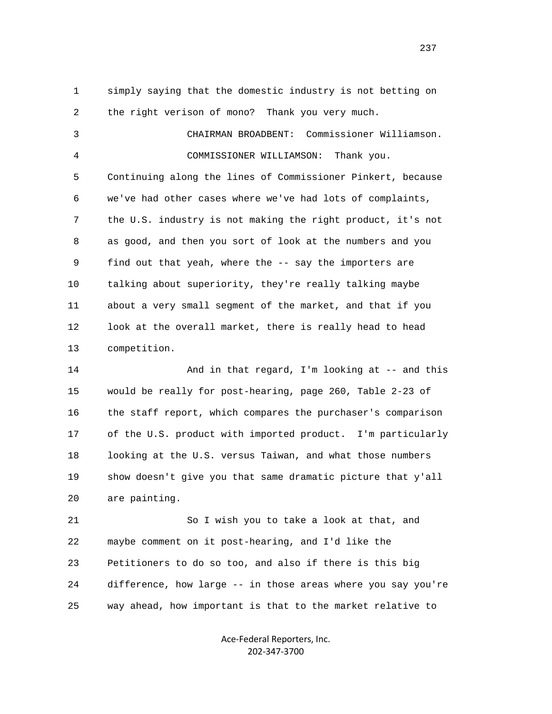1 simply saying that the domestic industry is not betting on 2 the right verison of mono? Thank you very much.

 3 CHAIRMAN BROADBENT: Commissioner Williamson. 4 COMMISSIONER WILLIAMSON: Thank you. 5 Continuing along the lines of Commissioner Pinkert, because 6 we've had other cases where we've had lots of complaints, 7 the U.S. industry is not making the right product, it's not 8 as good, and then you sort of look at the numbers and you 9 find out that yeah, where the -- say the importers are 10 talking about superiority, they're really talking maybe 11 about a very small segment of the market, and that if you 12 look at the overall market, there is really head to head 13 competition.

14 And in that regard, I'm looking at -- and this 15 would be really for post-hearing, page 260, Table 2-23 of 16 the staff report, which compares the purchaser's comparison 17 of the U.S. product with imported product. I'm particularly 18 looking at the U.S. versus Taiwan, and what those numbers 19 show doesn't give you that same dramatic picture that y'all 20 are painting.

 21 So I wish you to take a look at that, and 22 maybe comment on it post-hearing, and I'd like the 23 Petitioners to do so too, and also if there is this big 24 difference, how large -- in those areas where you say you're 25 way ahead, how important is that to the market relative to

> Ace‐Federal Reporters, Inc. 202‐347‐3700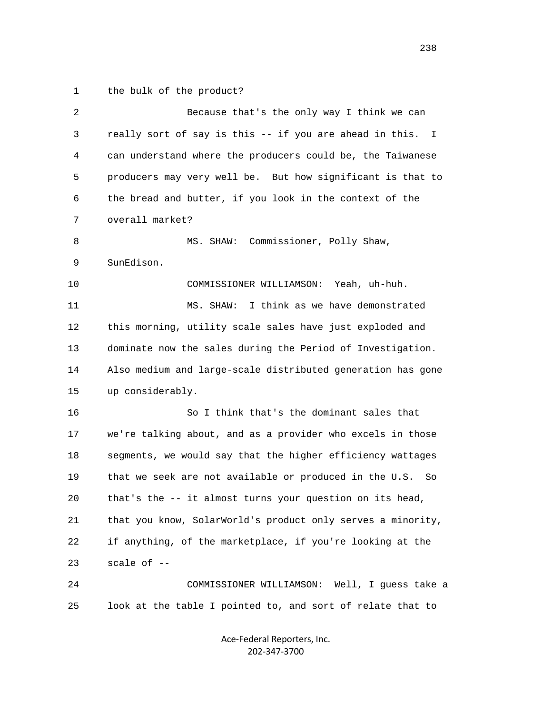1 the bulk of the product?

| $\overline{2}$ | Because that's the only way I think we can                    |
|----------------|---------------------------------------------------------------|
| 3              | really sort of say is this -- if you are ahead in this.<br>I. |
| 4              | can understand where the producers could be, the Taiwanese    |
| 5              | producers may very well be. But how significant is that to    |
| 6              | the bread and butter, if you look in the context of the       |
| 7              | overall market?                                               |
| 8              | Commissioner, Polly Shaw,<br>MS. SHAW:                        |
| 9              | SunEdison.                                                    |
| 10             | COMMISSIONER WILLIAMSON: Yeah, uh-huh.                        |
| 11             | I think as we have demonstrated<br>MS. SHAW:                  |
| 12             | this morning, utility scale sales have just exploded and      |
| 13             | dominate now the sales during the Period of Investigation.    |
| 14             | Also medium and large-scale distributed generation has gone   |
| 15             | up considerably.                                              |
| 16             | So I think that's the dominant sales that                     |
| 17             | we're talking about, and as a provider who excels in those    |
| 18             | segments, we would say that the higher efficiency wattages    |
| 19             | that we seek are not available or produced in the U.S. So     |
| 20             | that's the -- it almost turns your question on its head,      |
| 21             | that you know, SolarWorld's product only serves a minority,   |
| 22             | if anything, of the marketplace, if you're looking at the     |
| 23             | scale of $-$ -                                                |
| 24             | COMMISSIONER WILLIAMSON: Well, I guess take a                 |
| 25             | look at the table I pointed to, and sort of relate that to    |
|                |                                                               |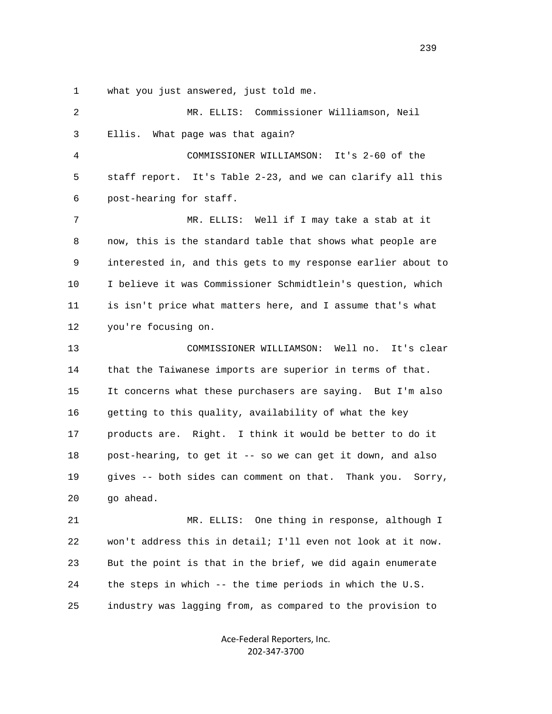1 what you just answered, just told me.

| 2  | MR. ELLIS: Commissioner Williamson, Neil                     |
|----|--------------------------------------------------------------|
| 3  | Ellis.<br>What page was that again?                          |
| 4  | COMMISSIONER WILLIAMSON: It's 2-60 of the                    |
| 5  | staff report. It's Table 2-23, and we can clarify all this   |
| 6  | post-hearing for staff.                                      |
| 7  | MR. ELLIS: Well if I may take a stab at it                   |
| 8  | now, this is the standard table that shows what people are   |
| 9  | interested in, and this gets to my response earlier about to |
| 10 | I believe it was Commissioner Schmidtlein's question, which  |
| 11 | is isn't price what matters here, and I assume that's what   |
| 12 | you're focusing on.                                          |
| 13 | COMMISSIONER WILLIAMSON: Well no. It's clear                 |
| 14 | that the Taiwanese imports are superior in terms of that.    |
| 15 | It concerns what these purchasers are saying. But I'm also   |
| 16 | getting to this quality, availability of what the key        |
| 17 | products are. Right. I think it would be better to do it     |
| 18 | post-hearing, to get it -- so we can get it down, and also   |
| 19 | gives -- both sides can comment on that. Thank you. Sorry,   |
| 20 | go ahead.                                                    |
| 21 | One thing in response, although I<br>MR. ELLIS:              |
| 22 | won't address this in detail; I'll even not look at it now.  |
| 23 | But the point is that in the brief, we did again enumerate   |
| 24 | the steps in which -- the time periods in which the U.S.     |
| 25 | industry was lagging from, as compared to the provision to   |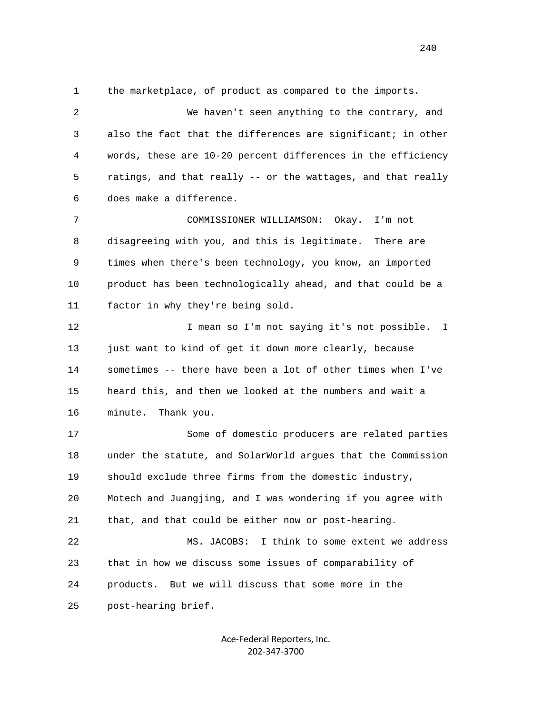1 the marketplace, of product as compared to the imports.

 2 We haven't seen anything to the contrary, and 3 also the fact that the differences are significant; in other 4 words, these are 10-20 percent differences in the efficiency 5 ratings, and that really -- or the wattages, and that really 6 does make a difference.

 7 COMMISSIONER WILLIAMSON: Okay. I'm not 8 disagreeing with you, and this is legitimate. There are 9 times when there's been technology, you know, an imported 10 product has been technologically ahead, and that could be a 11 factor in why they're being sold.

12 12 I mean so I'm not saying it's not possible. I 13 just want to kind of get it down more clearly, because 14 sometimes -- there have been a lot of other times when I've 15 heard this, and then we looked at the numbers and wait a 16 minute. Thank you.

 17 Some of domestic producers are related parties 18 under the statute, and SolarWorld argues that the Commission 19 should exclude three firms from the domestic industry, 20 Motech and Juangjing, and I was wondering if you agree with 21 that, and that could be either now or post-hearing. 22 MS. JACOBS: I think to some extent we address 23 that in how we discuss some issues of comparability of 24 products. But we will discuss that some more in the

25 post-hearing brief.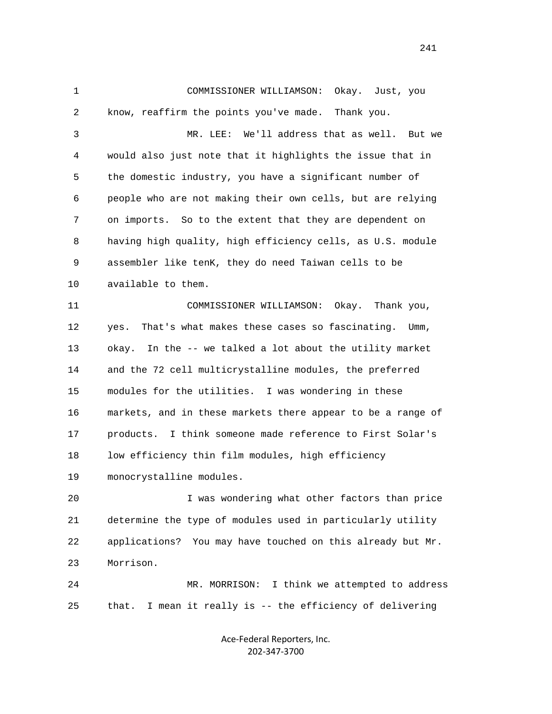1 COMMISSIONER WILLIAMSON: Okay. Just, you 2 know, reaffirm the points you've made. Thank you. 3 MR. LEE: We'll address that as well. But we 4 would also just note that it highlights the issue that in 5 the domestic industry, you have a significant number of 6 people who are not making their own cells, but are relying 7 on imports. So to the extent that they are dependent on 8 having high quality, high efficiency cells, as U.S. module 9 assembler like tenK, they do need Taiwan cells to be 10 available to them. 11 COMMISSIONER WILLIAMSON: Okay. Thank you, 12 yes. That's what makes these cases so fascinating. Umm, 13 okay. In the -- we talked a lot about the utility market 14 and the 72 cell multicrystalline modules, the preferred 15 modules for the utilities. I was wondering in these 16 markets, and in these markets there appear to be a range of 17 products. I think someone made reference to First Solar's 18 low efficiency thin film modules, high efficiency 19 monocrystalline modules. 20 I was wondering what other factors than price 21 determine the type of modules used in particularly utility 22 applications? You may have touched on this already but Mr. 23 Morrison. 24 MR. MORRISON: I think we attempted to address

> Ace‐Federal Reporters, Inc. 202‐347‐3700

25 that. I mean it really is -- the efficiency of delivering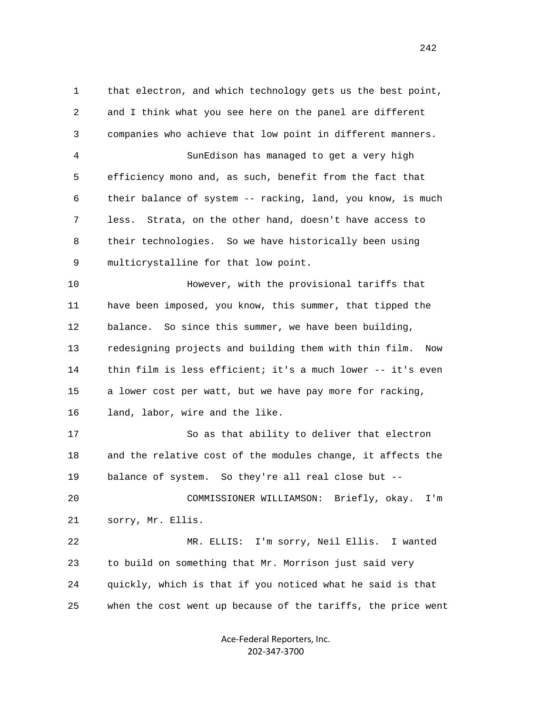1 that electron, and which technology gets us the best point, 2 and I think what you see here on the panel are different 3 companies who achieve that low point in different manners. 4 SunEdison has managed to get a very high 5 efficiency mono and, as such, benefit from the fact that 6 their balance of system -- racking, land, you know, is much 7 less. Strata, on the other hand, doesn't have access to 8 their technologies. So we have historically been using 9 multicrystalline for that low point. 10 However, with the provisional tariffs that 11 have been imposed, you know, this summer, that tipped the 12 balance. So since this summer, we have been building, 13 redesigning projects and building them with thin film. Now 14 thin film is less efficient; it's a much lower -- it's even 15 a lower cost per watt, but we have pay more for racking, 16 land, labor, wire and the like. 17 So as that ability to deliver that electron 18 and the relative cost of the modules change, it affects the 19 balance of system. So they're all real close but -- 20 COMMISSIONER WILLIAMSON: Briefly, okay. I'm 21 sorry, Mr. Ellis. 22 MR. ELLIS: I'm sorry, Neil Ellis. I wanted 23 to build on something that Mr. Morrison just said very 24 quickly, which is that if you noticed what he said is that 25 when the cost went up because of the tariffs, the price went

> Ace‐Federal Reporters, Inc. 202‐347‐3700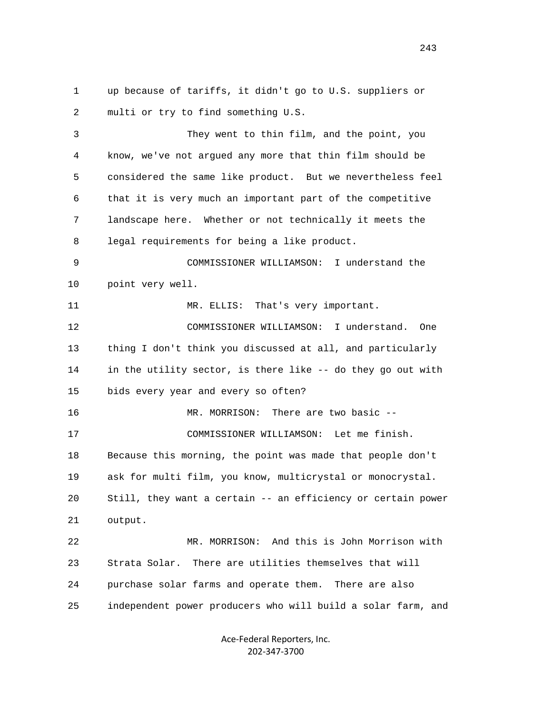1 up because of tariffs, it didn't go to U.S. suppliers or 2 multi or try to find something U.S. 3 They went to thin film, and the point, you 4 know, we've not argued any more that thin film should be 5 considered the same like product. But we nevertheless feel 6 that it is very much an important part of the competitive 7 landscape here. Whether or not technically it meets the 8 legal requirements for being a like product. 9 COMMISSIONER WILLIAMSON: I understand the 10 point very well. 11 MR. ELLIS: That's very important. 12 COMMISSIONER WILLIAMSON: I understand. One 13 thing I don't think you discussed at all, and particularly 14 in the utility sector, is there like -- do they go out with 15 bids every year and every so often? 16 MR. MORRISON: There are two basic -- 17 COMMISSIONER WILLIAMSON: Let me finish. 18 Because this morning, the point was made that people don't 19 ask for multi film, you know, multicrystal or monocrystal. 20 Still, they want a certain -- an efficiency or certain power 21 output. 22 MR. MORRISON: And this is John Morrison with 23 Strata Solar. There are utilities themselves that will 24 purchase solar farms and operate them. There are also 25 independent power producers who will build a solar farm, and

> Ace‐Federal Reporters, Inc. 202‐347‐3700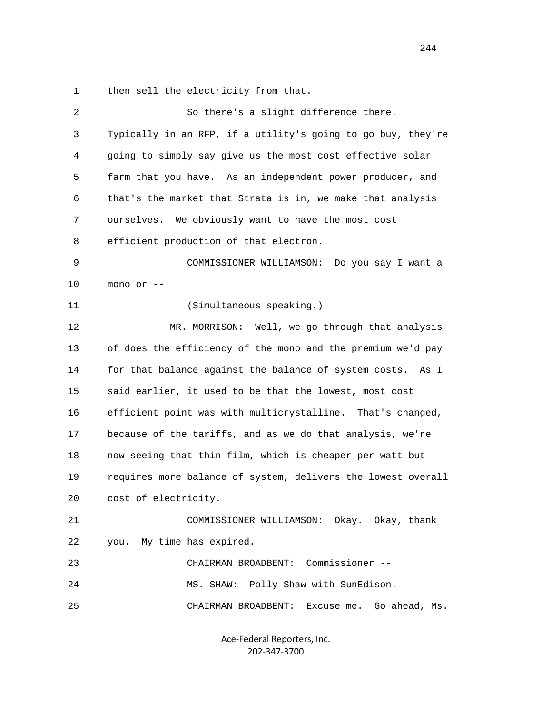1 then sell the electricity from that.

| 2  | So there's a slight difference there.                        |
|----|--------------------------------------------------------------|
| 3  | Typically in an RFP, if a utility's going to go buy, they're |
| 4  | going to simply say give us the most cost effective solar    |
| 5  | farm that you have. As an independent power producer, and    |
| 6  | that's the market that Strata is in, we make that analysis   |
| 7  | ourselves.<br>We obviously want to have the most cost        |
| 8  | efficient production of that electron.                       |
| 9  | COMMISSIONER WILLIAMSON:<br>Do you say I want a              |
| 10 | mono or --                                                   |
| 11 | (Simultaneous speaking.)                                     |
| 12 | MR. MORRISON: Well, we go through that analysis              |
| 13 | of does the efficiency of the mono and the premium we'd pay  |
| 14 | for that balance against the balance of system costs. As I   |
| 15 | said earlier, it used to be that the lowest, most cost       |
| 16 | efficient point was with multicrystalline. That's changed,   |
| 17 | because of the tariffs, and as we do that analysis, we're    |
| 18 | now seeing that thin film, which is cheaper per watt but     |
| 19 | requires more balance of system, delivers the lowest overall |
| 20 | cost of electricity.                                         |
| 21 | COMMISSIONER WILLIAMSON: Okay. Okay, thank                   |
| 22 | My time has expired.<br>you.                                 |
| 23 | Commissioner --<br>CHAIRMAN BROADBENT:                       |
| 24 | MS. SHAW: Polly Shaw with SunEdison.                         |
| 25 | CHAIRMAN BROADBENT:<br>Excuse me.<br>Go ahead, Ms.           |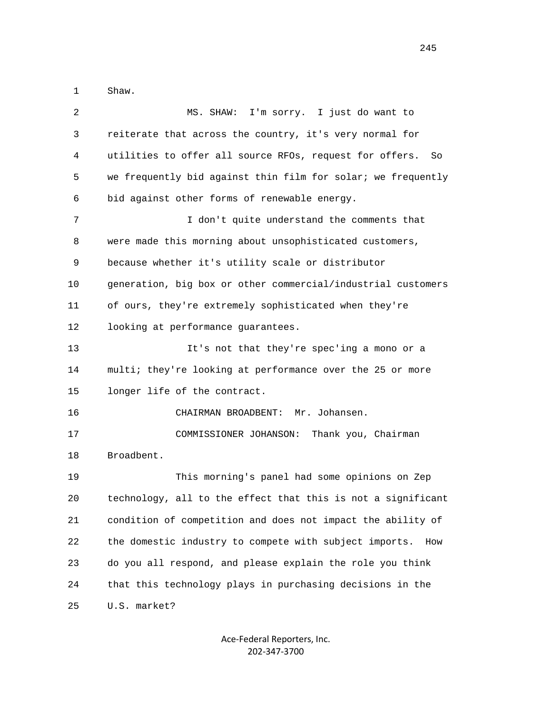1 Shaw.

| 2  | MS. SHAW: I'm sorry. I just do want to                        |
|----|---------------------------------------------------------------|
| 3  | reiterate that across the country, it's very normal for       |
| 4  | utilities to offer all source RFOs, request for offers.<br>So |
| 5  | we frequently bid against thin film for solar; we frequently  |
| 6  | bid against other forms of renewable energy.                  |
| 7  | I don't quite understand the comments that                    |
| 8  | were made this morning about unsophisticated customers,       |
| 9  | because whether it's utility scale or distributor             |
| 10 | generation, big box or other commercial/industrial customers  |
| 11 | of ours, they're extremely sophisticated when they're         |
| 12 | looking at performance guarantees.                            |
| 13 | It's not that they're spec'ing a mono or a                    |
| 14 | multi; they're looking at performance over the 25 or more     |
| 15 | longer life of the contract.                                  |
| 16 | CHAIRMAN BROADBENT:<br>Mr. Johansen.                          |
| 17 | COMMISSIONER JOHANSON: Thank you, Chairman                    |
| 18 | Broadbent.                                                    |
| 19 | This morning's panel had some opinions on Zep                 |
| 20 | technology, all to the effect that this is not a significant  |
| 21 | condition of competition and does not impact the ability of   |
| 22 | the domestic industry to compete with subject imports.<br>How |
| 23 | do you all respond, and please explain the role you think     |
| 24 | that this technology plays in purchasing decisions in the     |
| 25 | U.S. market?                                                  |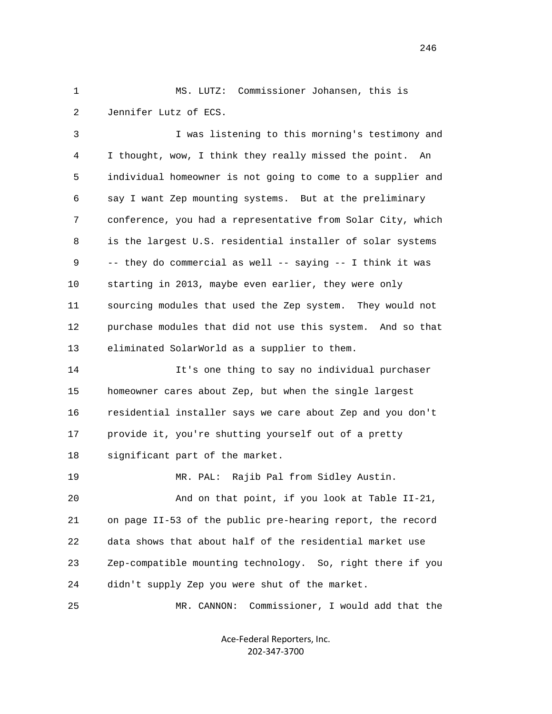1 MS. LUTZ: Commissioner Johansen, this is 2 Jennifer Lutz of ECS.

 3 I was listening to this morning's testimony and 4 I thought, wow, I think they really missed the point. An 5 individual homeowner is not going to come to a supplier and 6 say I want Zep mounting systems. But at the preliminary 7 conference, you had a representative from Solar City, which 8 is the largest U.S. residential installer of solar systems 9 -- they do commercial as well -- saying -- I think it was 10 starting in 2013, maybe even earlier, they were only 11 sourcing modules that used the Zep system. They would not 12 purchase modules that did not use this system. And so that 13 eliminated SolarWorld as a supplier to them.

 14 It's one thing to say no individual purchaser 15 homeowner cares about Zep, but when the single largest 16 residential installer says we care about Zep and you don't 17 provide it, you're shutting yourself out of a pretty 18 significant part of the market.

19 MR. PAL: Rajib Pal from Sidley Austin.

 20 And on that point, if you look at Table II-21, 21 on page II-53 of the public pre-hearing report, the record 22 data shows that about half of the residential market use 23 Zep-compatible mounting technology. So, right there if you 24 didn't supply Zep you were shut of the market.

25 MR. CANNON: Commissioner, I would add that the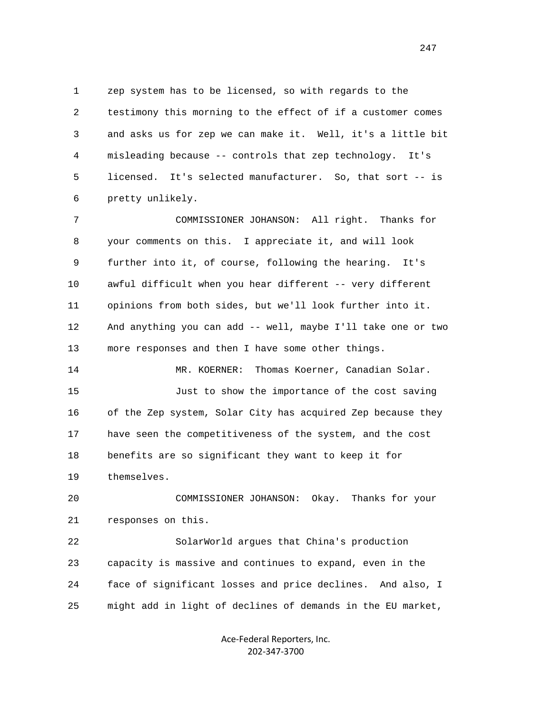1 zep system has to be licensed, so with regards to the 2 testimony this morning to the effect of if a customer comes 3 and asks us for zep we can make it. Well, it's a little bit 4 misleading because -- controls that zep technology. It's 5 licensed. It's selected manufacturer. So, that sort -- is 6 pretty unlikely.

 7 COMMISSIONER JOHANSON: All right. Thanks for 8 your comments on this. I appreciate it, and will look 9 further into it, of course, following the hearing. It's 10 awful difficult when you hear different -- very different 11 opinions from both sides, but we'll look further into it. 12 And anything you can add -- well, maybe I'll take one or two 13 more responses and then I have some other things.

 15 Just to show the importance of the cost saving 16 of the Zep system, Solar City has acquired Zep because they 17 have seen the competitiveness of the system, and the cost 18 benefits are so significant they want to keep it for 19 themselves.

14 MR. KOERNER: Thomas Koerner, Canadian Solar.

 20 COMMISSIONER JOHANSON: Okay. Thanks for your 21 responses on this.

 22 SolarWorld argues that China's production 23 capacity is massive and continues to expand, even in the 24 face of significant losses and price declines. And also, I 25 might add in light of declines of demands in the EU market,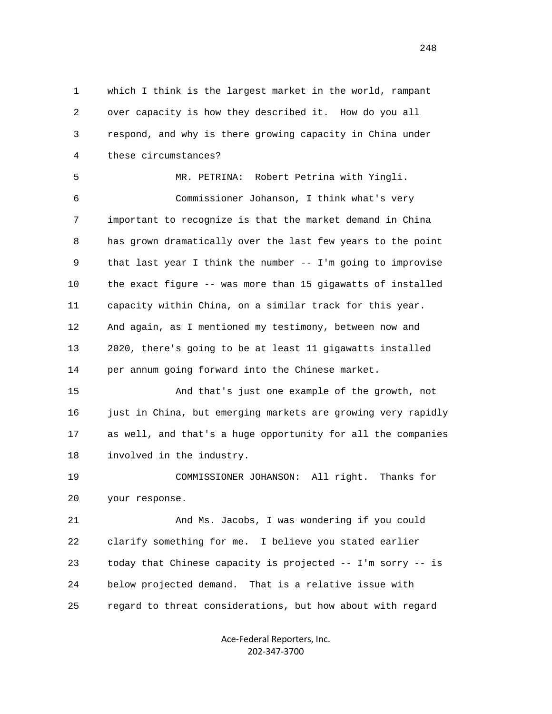1 which I think is the largest market in the world, rampant 2 over capacity is how they described it. How do you all 3 respond, and why is there growing capacity in China under 4 these circumstances? 5 MR. PETRINA: Robert Petrina with Yingli.

 6 Commissioner Johanson, I think what's very 7 important to recognize is that the market demand in China 8 has grown dramatically over the last few years to the point 9 that last year I think the number -- I'm going to improvise 10 the exact figure -- was more than 15 gigawatts of installed 11 capacity within China, on a similar track for this year. 12 And again, as I mentioned my testimony, between now and 13 2020, there's going to be at least 11 gigawatts installed 14 per annum going forward into the Chinese market.

 15 And that's just one example of the growth, not 16 just in China, but emerging markets are growing very rapidly 17 as well, and that's a huge opportunity for all the companies 18 involved in the industry.

 19 COMMISSIONER JOHANSON: All right. Thanks for 20 your response.

 21 And Ms. Jacobs, I was wondering if you could 22 clarify something for me. I believe you stated earlier 23 today that Chinese capacity is projected -- I'm sorry -- is 24 below projected demand. That is a relative issue with 25 regard to threat considerations, but how about with regard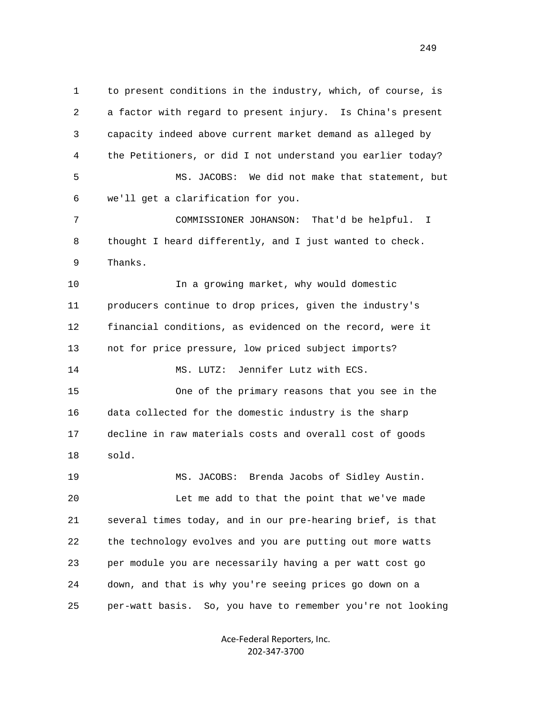1 to present conditions in the industry, which, of course, is 2 a factor with regard to present injury. Is China's present 3 capacity indeed above current market demand as alleged by 4 the Petitioners, or did I not understand you earlier today? 5 MS. JACOBS: We did not make that statement, but 6 we'll get a clarification for you. 7 COMMISSIONER JOHANSON: That'd be helpful. I 8 thought I heard differently, and I just wanted to check. 9 Thanks. 10 In a growing market, why would domestic 11 producers continue to drop prices, given the industry's 12 financial conditions, as evidenced on the record, were it 13 not for price pressure, low priced subject imports? 14 MS. LUTZ: Jennifer Lutz with ECS. 15 One of the primary reasons that you see in the 16 data collected for the domestic industry is the sharp 17 decline in raw materials costs and overall cost of goods 18 sold. 19 MS. JACOBS: Brenda Jacobs of Sidley Austin. 20 Let me add to that the point that we've made 21 several times today, and in our pre-hearing brief, is that 22 the technology evolves and you are putting out more watts 23 per module you are necessarily having a per watt cost go 24 down, and that is why you're seeing prices go down on a 25 per-watt basis. So, you have to remember you're not looking

> Ace‐Federal Reporters, Inc. 202‐347‐3700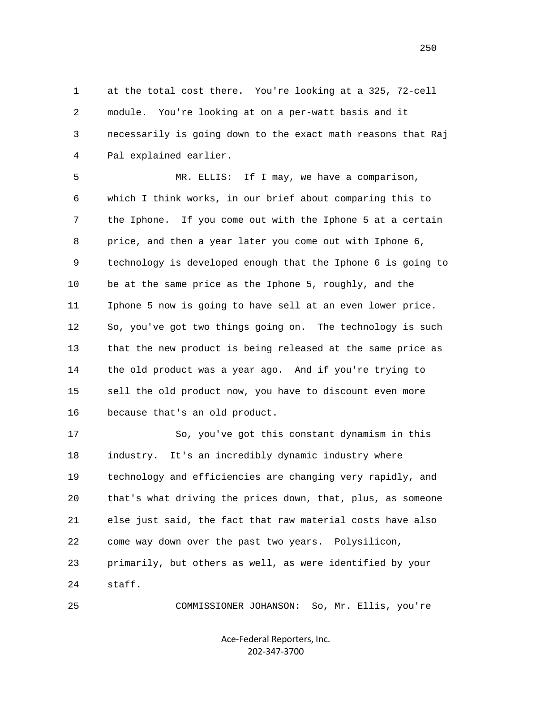1 at the total cost there. You're looking at a 325, 72-cell 2 module. You're looking at on a per-watt basis and it 3 necessarily is going down to the exact math reasons that Raj 4 Pal explained earlier.

 5 MR. ELLIS: If I may, we have a comparison, 6 which I think works, in our brief about comparing this to 7 the Iphone. If you come out with the Iphone 5 at a certain 8 price, and then a year later you come out with Iphone 6, 9 technology is developed enough that the Iphone 6 is going to 10 be at the same price as the Iphone 5, roughly, and the 11 Iphone 5 now is going to have sell at an even lower price. 12 So, you've got two things going on. The technology is such 13 that the new product is being released at the same price as 14 the old product was a year ago. And if you're trying to 15 sell the old product now, you have to discount even more 16 because that's an old product.

 17 So, you've got this constant dynamism in this 18 industry. It's an incredibly dynamic industry where 19 technology and efficiencies are changing very rapidly, and 20 that's what driving the prices down, that, plus, as someone 21 else just said, the fact that raw material costs have also 22 come way down over the past two years. Polysilicon, 23 primarily, but others as well, as were identified by your 24 staff.

25 COMMISSIONER JOHANSON: So, Mr. Ellis, you're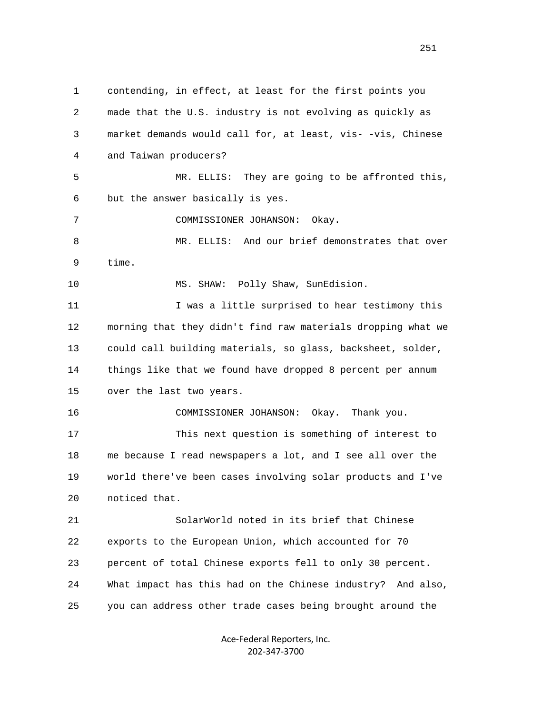1 contending, in effect, at least for the first points you 2 made that the U.S. industry is not evolving as quickly as 3 market demands would call for, at least, vis- -vis, Chinese 4 and Taiwan producers? 5 MR. ELLIS: They are going to be affronted this, 6 but the answer basically is yes. 7 COMMISSIONER JOHANSON: Okay. 8 MR. ELLIS: And our brief demonstrates that over 9 time. 10 MS. SHAW: Polly Shaw, SunEdision. 11 I was a little surprised to hear testimony this 12 morning that they didn't find raw materials dropping what we 13 could call building materials, so glass, backsheet, solder, 14 things like that we found have dropped 8 percent per annum 15 over the last two years. 16 COMMISSIONER JOHANSON: Okay. Thank you. 17 This next question is something of interest to 18 me because I read newspapers a lot, and I see all over the 19 world there've been cases involving solar products and I've 20 noticed that. 21 SolarWorld noted in its brief that Chinese 22 exports to the European Union, which accounted for 70 23 percent of total Chinese exports fell to only 30 percent. 24 What impact has this had on the Chinese industry? And also, 25 you can address other trade cases being brought around the

> Ace‐Federal Reporters, Inc. 202‐347‐3700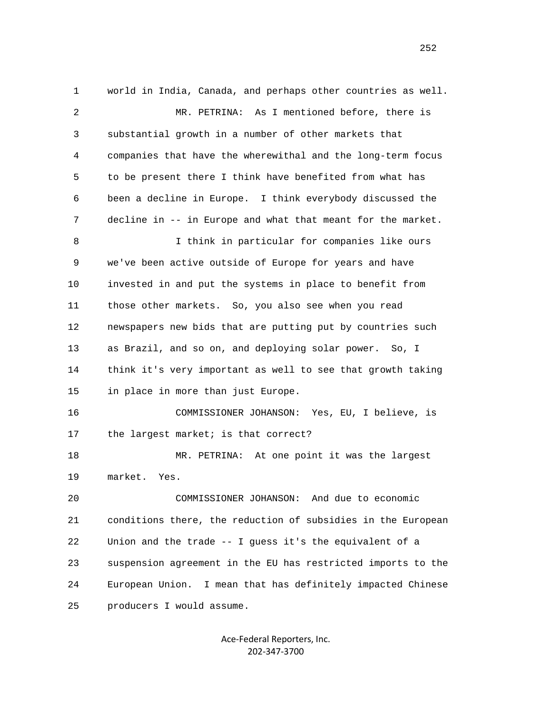1 world in India, Canada, and perhaps other countries as well. 2 MR. PETRINA: As I mentioned before, there is 3 substantial growth in a number of other markets that 4 companies that have the wherewithal and the long-term focus 5 to be present there I think have benefited from what has 6 been a decline in Europe. I think everybody discussed the 7 decline in -- in Europe and what that meant for the market. 8 I think in particular for companies like ours 9 we've been active outside of Europe for years and have 10 invested in and put the systems in place to benefit from 11 those other markets. So, you also see when you read 12 newspapers new bids that are putting put by countries such 13 as Brazil, and so on, and deploying solar power. So, I 14 think it's very important as well to see that growth taking 15 in place in more than just Europe. 16 COMMISSIONER JOHANSON: Yes, EU, I believe, is 17 the largest market; is that correct? 18 MR. PETRINA: At one point it was the largest 19 market. Yes. 20 COMMISSIONER JOHANSON: And due to economic 21 conditions there, the reduction of subsidies in the European 22 Union and the trade -- I guess it's the equivalent of a 23 suspension agreement in the EU has restricted imports to the 24 European Union. I mean that has definitely impacted Chinese 25 producers I would assume.

> Ace‐Federal Reporters, Inc. 202‐347‐3700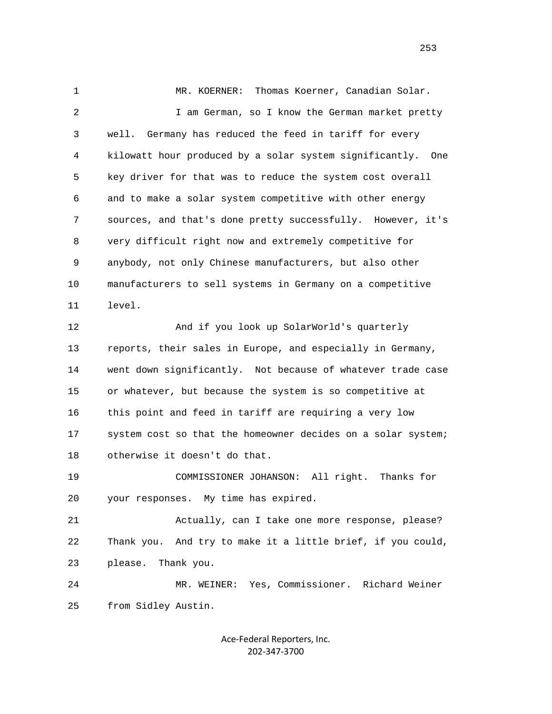1 MR. KOERNER: Thomas Koerner, Canadian Solar. 2 I am German, so I know the German market pretty 3 well. Germany has reduced the feed in tariff for every 4 kilowatt hour produced by a solar system significantly. One 5 key driver for that was to reduce the system cost overall 6 and to make a solar system competitive with other energy 7 sources, and that's done pretty successfully. However, it's 8 very difficult right now and extremely competitive for 9 anybody, not only Chinese manufacturers, but also other 10 manufacturers to sell systems in Germany on a competitive 11 level. 12 And if you look up SolarWorld's quarterly 13 reports, their sales in Europe, and especially in Germany, 14 went down significantly. Not because of whatever trade case 15 or whatever, but because the system is so competitive at 16 this point and feed in tariff are requiring a very low 17 system cost so that the homeowner decides on a solar system; 18 otherwise it doesn't do that. 19 COMMISSIONER JOHANSON: All right. Thanks for 20 your responses. My time has expired. 21 Actually, can I take one more response, please? 22 Thank you. And try to make it a little brief, if you could, 23 please. Thank you. 24 MR. WEINER: Yes, Commissioner. Richard Weiner 25 from Sidley Austin.

> Ace‐Federal Reporters, Inc. 202‐347‐3700

<u>253</u>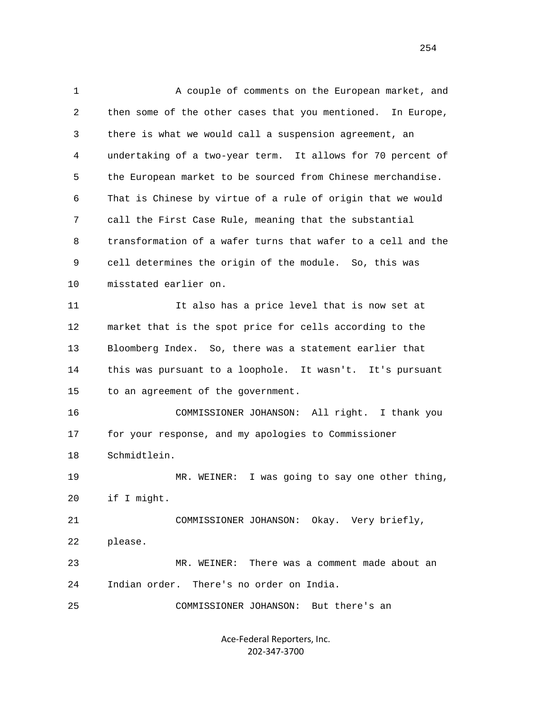1 A couple of comments on the European market, and 2 then some of the other cases that you mentioned. In Europe, 3 there is what we would call a suspension agreement, an 4 undertaking of a two-year term. It allows for 70 percent of 5 the European market to be sourced from Chinese merchandise. 6 That is Chinese by virtue of a rule of origin that we would 7 call the First Case Rule, meaning that the substantial 8 transformation of a wafer turns that wafer to a cell and the 9 cell determines the origin of the module. So, this was 10 misstated earlier on. 11 It also has a price level that is now set at 12 market that is the spot price for cells according to the 13 Bloomberg Index. So, there was a statement earlier that 14 this was pursuant to a loophole. It wasn't. It's pursuant 15 to an agreement of the government. 16 COMMISSIONER JOHANSON: All right. I thank you 17 for your response, and my apologies to Commissioner 18 Schmidtlein. 19 MR. WEINER: I was going to say one other thing, 20 if I might. 21 COMMISSIONER JOHANSON: Okay. Very briefly, 22 please. 23 MR. WEINER: There was a comment made about an 24 Indian order. There's no order on India. 25 COMMISSIONER JOHANSON: But there's an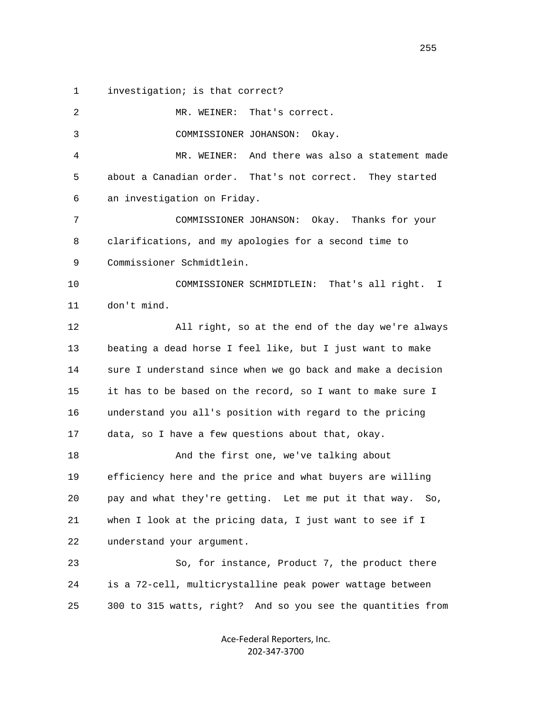1 investigation; is that correct?

 2 MR. WEINER: That's correct. 3 COMMISSIONER JOHANSON: Okay. 4 MR. WEINER: And there was also a statement made 5 about a Canadian order. That's not correct. They started 6 an investigation on Friday. 7 COMMISSIONER JOHANSON: Okay. Thanks for your 8 clarifications, and my apologies for a second time to 9 Commissioner Schmidtlein. 10 COMMISSIONER SCHMIDTLEIN: That's all right. I 11 don't mind. 12 All right, so at the end of the day we're always 13 beating a dead horse I feel like, but I just want to make 14 sure I understand since when we go back and make a decision 15 it has to be based on the record, so I want to make sure I 16 understand you all's position with regard to the pricing 17 data, so I have a few questions about that, okay. 18 And the first one, we've talking about 19 efficiency here and the price and what buyers are willing 20 pay and what they're getting. Let me put it that way. So, 21 when I look at the pricing data, I just want to see if I 22 understand your argument. 23 So, for instance, Product 7, the product there 24 is a 72-cell, multicrystalline peak power wattage between 25 300 to 315 watts, right? And so you see the quantities from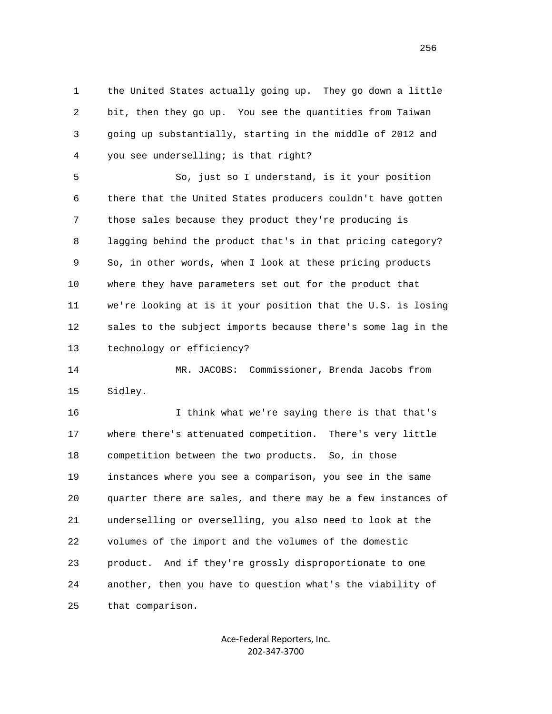1 the United States actually going up. They go down a little 2 bit, then they go up. You see the quantities from Taiwan 3 going up substantially, starting in the middle of 2012 and 4 you see underselling; is that right?

 5 So, just so I understand, is it your position 6 there that the United States producers couldn't have gotten 7 those sales because they product they're producing is 8 lagging behind the product that's in that pricing category? 9 So, in other words, when I look at these pricing products 10 where they have parameters set out for the product that 11 we're looking at is it your position that the U.S. is losing 12 sales to the subject imports because there's some lag in the 13 technology or efficiency?

 14 MR. JACOBS: Commissioner, Brenda Jacobs from 15 Sidley.

 16 I think what we're saying there is that that's 17 where there's attenuated competition. There's very little 18 competition between the two products. So, in those 19 instances where you see a comparison, you see in the same 20 quarter there are sales, and there may be a few instances of 21 underselling or overselling, you also need to look at the 22 volumes of the import and the volumes of the domestic 23 product. And if they're grossly disproportionate to one 24 another, then you have to question what's the viability of 25 that comparison.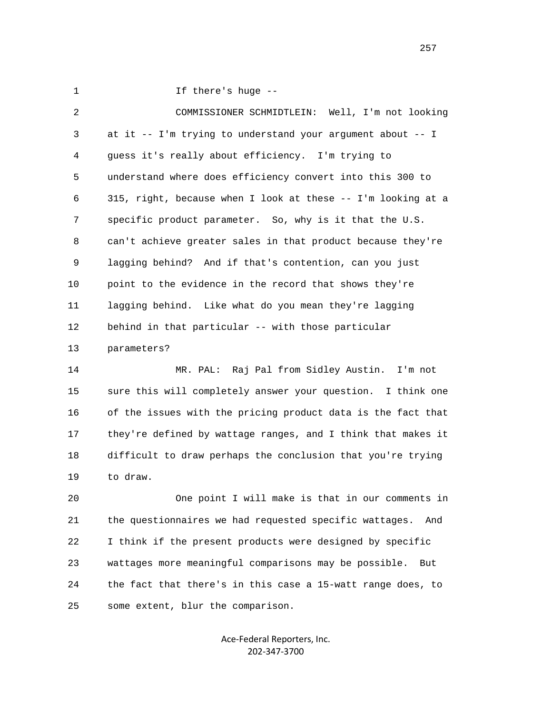1 If there's huge --

 2 COMMISSIONER SCHMIDTLEIN: Well, I'm not looking 3 at it -- I'm trying to understand your argument about -- I 4 guess it's really about efficiency. I'm trying to 5 understand where does efficiency convert into this 300 to 6 315, right, because when I look at these -- I'm looking at a 7 specific product parameter. So, why is it that the U.S. 8 can't achieve greater sales in that product because they're 9 lagging behind? And if that's contention, can you just 10 point to the evidence in the record that shows they're 11 lagging behind. Like what do you mean they're lagging 12 behind in that particular -- with those particular 13 parameters?

 14 MR. PAL: Raj Pal from Sidley Austin. I'm not 15 sure this will completely answer your question. I think one 16 of the issues with the pricing product data is the fact that 17 they're defined by wattage ranges, and I think that makes it 18 difficult to draw perhaps the conclusion that you're trying 19 to draw.

 20 One point I will make is that in our comments in 21 the questionnaires we had requested specific wattages. And 22 I think if the present products were designed by specific 23 wattages more meaningful comparisons may be possible. But 24 the fact that there's in this case a 15-watt range does, to 25 some extent, blur the comparison.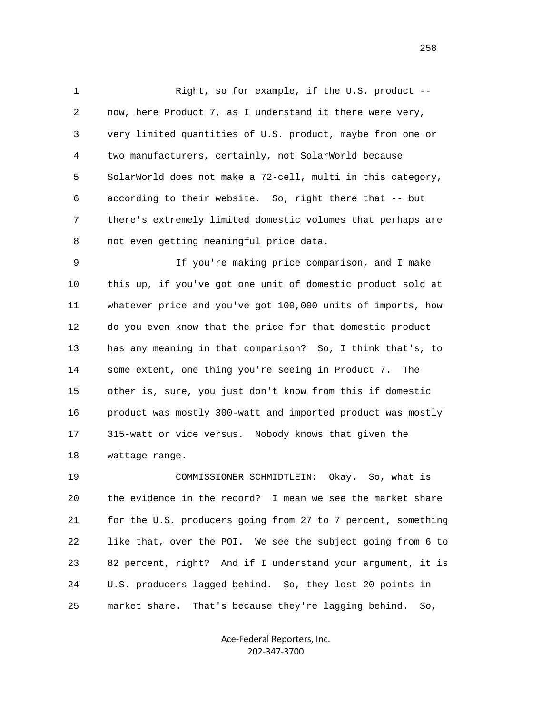1 Right, so for example, if the U.S. product -- 2 now, here Product 7, as I understand it there were very, 3 very limited quantities of U.S. product, maybe from one or 4 two manufacturers, certainly, not SolarWorld because 5 SolarWorld does not make a 72-cell, multi in this category, 6 according to their website. So, right there that -- but 7 there's extremely limited domestic volumes that perhaps are 8 not even getting meaningful price data.

 9 If you're making price comparison, and I make 10 this up, if you've got one unit of domestic product sold at 11 whatever price and you've got 100,000 units of imports, how 12 do you even know that the price for that domestic product 13 has any meaning in that comparison? So, I think that's, to 14 some extent, one thing you're seeing in Product 7. The 15 other is, sure, you just don't know from this if domestic 16 product was mostly 300-watt and imported product was mostly 17 315-watt or vice versus. Nobody knows that given the 18 wattage range.

 19 COMMISSIONER SCHMIDTLEIN: Okay. So, what is 20 the evidence in the record? I mean we see the market share 21 for the U.S. producers going from 27 to 7 percent, something 22 like that, over the POI. We see the subject going from 6 to 23 82 percent, right? And if I understand your argument, it is 24 U.S. producers lagged behind. So, they lost 20 points in 25 market share. That's because they're lagging behind. So,

> Ace‐Federal Reporters, Inc. 202‐347‐3700

<u>258</u>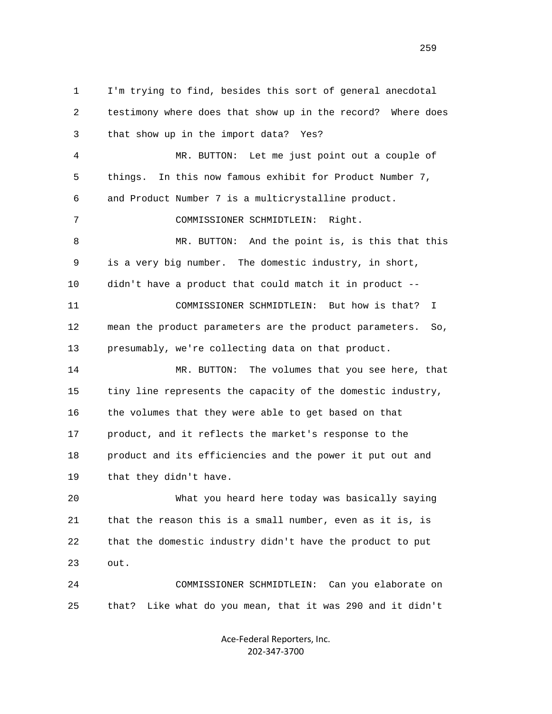1 I'm trying to find, besides this sort of general anecdotal 2 testimony where does that show up in the record? Where does 3 that show up in the import data? Yes? 4 MR. BUTTON: Let me just point out a couple of 5 things. In this now famous exhibit for Product Number 7, 6 and Product Number 7 is a multicrystalline product. 7 COMMISSIONER SCHMIDTLEIN: Right. 8 MR. BUTTON: And the point is, is this that this 9 is a very big number. The domestic industry, in short, 10 didn't have a product that could match it in product -- 11 COMMISSIONER SCHMIDTLEIN: But how is that? I 12 mean the product parameters are the product parameters. So, 13 presumably, we're collecting data on that product. 14 MR. BUTTON: The volumes that you see here, that 15 tiny line represents the capacity of the domestic industry, 16 the volumes that they were able to get based on that 17 product, and it reflects the market's response to the 18 product and its efficiencies and the power it put out and 19 that they didn't have. 20 What you heard here today was basically saying 21 that the reason this is a small number, even as it is, is 22 that the domestic industry didn't have the product to put 23 out. 24 COMMISSIONER SCHMIDTLEIN: Can you elaborate on 25 that? Like what do you mean, that it was 290 and it didn't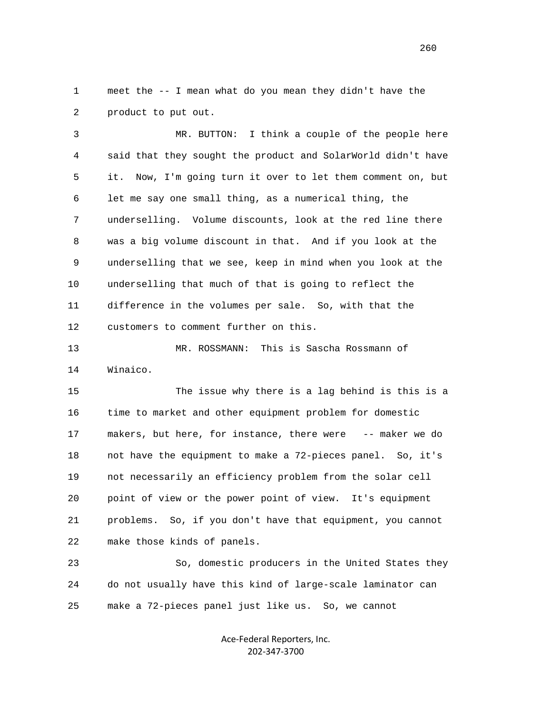1 meet the -- I mean what do you mean they didn't have the 2 product to put out.

 3 MR. BUTTON: I think a couple of the people here 4 said that they sought the product and SolarWorld didn't have 5 it. Now, I'm going turn it over to let them comment on, but 6 let me say one small thing, as a numerical thing, the 7 underselling. Volume discounts, look at the red line there 8 was a big volume discount in that. And if you look at the 9 underselling that we see, keep in mind when you look at the 10 underselling that much of that is going to reflect the 11 difference in the volumes per sale. So, with that the 12 customers to comment further on this.

 13 MR. ROSSMANN: This is Sascha Rossmann of 14 Winaico.

 15 The issue why there is a lag behind is this is a 16 time to market and other equipment problem for domestic 17 makers, but here, for instance, there were -- maker we do 18 not have the equipment to make a 72-pieces panel. So, it's 19 not necessarily an efficiency problem from the solar cell 20 point of view or the power point of view. It's equipment 21 problems. So, if you don't have that equipment, you cannot 22 make those kinds of panels.

 23 So, domestic producers in the United States they 24 do not usually have this kind of large-scale laminator can 25 make a 72-pieces panel just like us. So, we cannot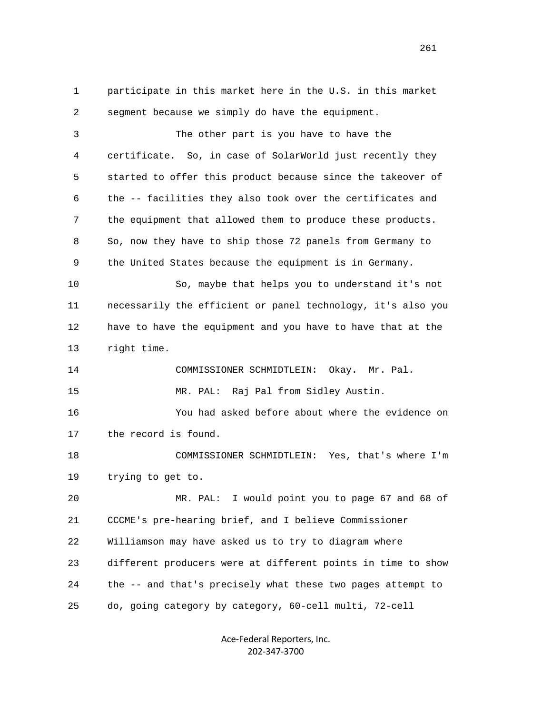1 participate in this market here in the U.S. in this market 2 segment because we simply do have the equipment. 3 The other part is you have to have the 4 certificate. So, in case of SolarWorld just recently they 5 started to offer this product because since the takeover of 6 the -- facilities they also took over the certificates and 7 the equipment that allowed them to produce these products. 8 So, now they have to ship those 72 panels from Germany to 9 the United States because the equipment is in Germany. 10 So, maybe that helps you to understand it's not 11 necessarily the efficient or panel technology, it's also you 12 have to have the equipment and you have to have that at the 13 right time. 14 COMMISSIONER SCHMIDTLEIN: Okay. Mr. Pal. 15 MR. PAL: Raj Pal from Sidley Austin. 16 You had asked before about where the evidence on 17 the record is found. 18 COMMISSIONER SCHMIDTLEIN: Yes, that's where I'm 19 trying to get to. 20 MR. PAL: I would point you to page 67 and 68 of 21 CCCME's pre-hearing brief, and I believe Commissioner 22 Williamson may have asked us to try to diagram where 23 different producers were at different points in time to show 24 the -- and that's precisely what these two pages attempt to 25 do, going category by category, 60-cell multi, 72-cell

> Ace‐Federal Reporters, Inc. 202‐347‐3700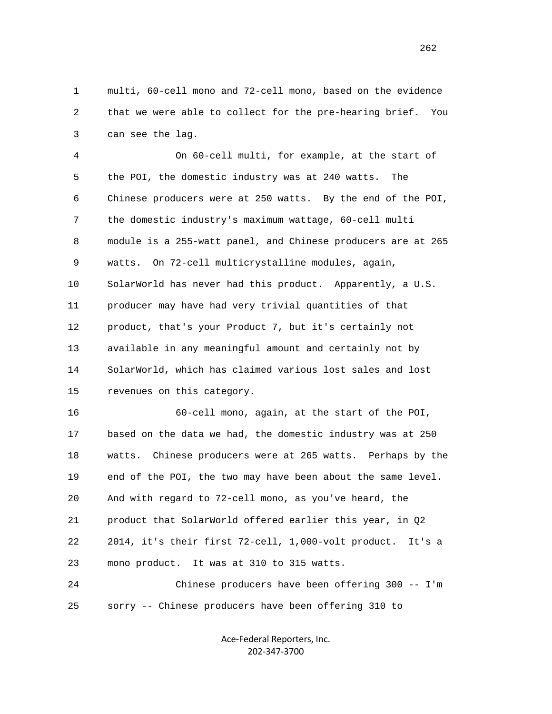1 multi, 60-cell mono and 72-cell mono, based on the evidence 2 that we were able to collect for the pre-hearing brief. You 3 can see the lag.

 4 On 60-cell multi, for example, at the start of 5 the POI, the domestic industry was at 240 watts. The 6 Chinese producers were at 250 watts. By the end of the POI, 7 the domestic industry's maximum wattage, 60-cell multi 8 module is a 255-watt panel, and Chinese producers are at 265 9 watts. On 72-cell multicrystalline modules, again, 10 SolarWorld has never had this product. Apparently, a U.S. 11 producer may have had very trivial quantities of that 12 product, that's your Product 7, but it's certainly not 13 available in any meaningful amount and certainly not by 14 SolarWorld, which has claimed various lost sales and lost 15 revenues on this category.

 16 60-cell mono, again, at the start of the POI, 17 based on the data we had, the domestic industry was at 250 18 watts. Chinese producers were at 265 watts. Perhaps by the 19 end of the POI, the two may have been about the same level. 20 And with regard to 72-cell mono, as you've heard, the 21 product that SolarWorld offered earlier this year, in Q2 22 2014, it's their first 72-cell, 1,000-volt product. It's a 23 mono product. It was at 310 to 315 watts.

 24 Chinese producers have been offering 300 -- I'm 25 sorry -- Chinese producers have been offering 310 to

> Ace‐Federal Reporters, Inc. 202‐347‐3700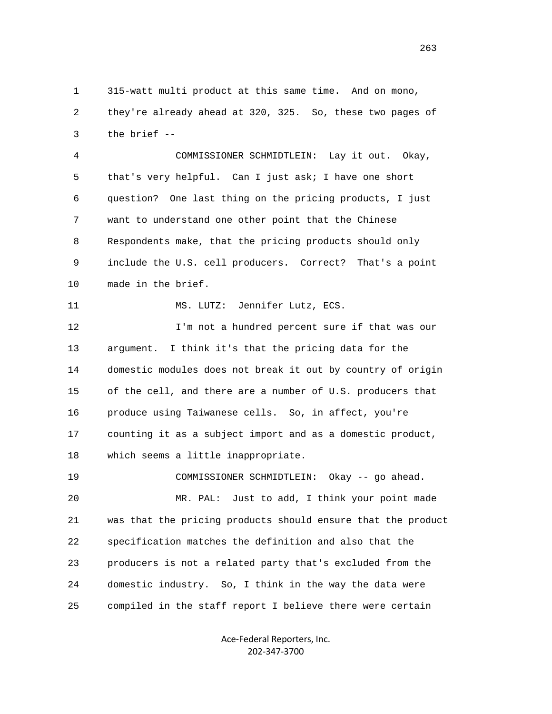1 315-watt multi product at this same time. And on mono, 2 they're already ahead at 320, 325. So, these two pages of 3 the brief --

 4 COMMISSIONER SCHMIDTLEIN: Lay it out. Okay, 5 that's very helpful. Can I just ask; I have one short 6 question? One last thing on the pricing products, I just 7 want to understand one other point that the Chinese 8 Respondents make, that the pricing products should only 9 include the U.S. cell producers. Correct? That's a point 10 made in the brief.

11 MS. LUTZ: Jennifer Lutz, ECS.

 12 I'm not a hundred percent sure if that was our 13 argument. I think it's that the pricing data for the 14 domestic modules does not break it out by country of origin 15 of the cell, and there are a number of U.S. producers that 16 produce using Taiwanese cells. So, in affect, you're 17 counting it as a subject import and as a domestic product, 18 which seems a little inappropriate.

 19 COMMISSIONER SCHMIDTLEIN: Okay -- go ahead. 20 MR. PAL: Just to add, I think your point made 21 was that the pricing products should ensure that the product 22 specification matches the definition and also that the 23 producers is not a related party that's excluded from the 24 domestic industry. So, I think in the way the data were 25 compiled in the staff report I believe there were certain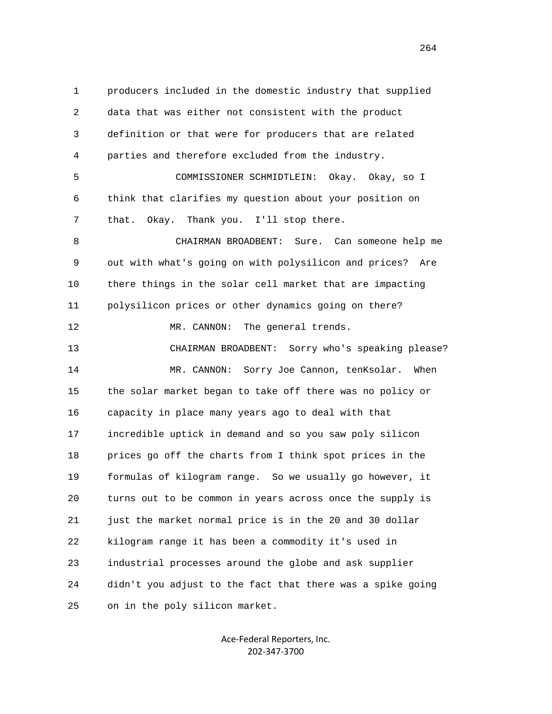1 producers included in the domestic industry that supplied 2 data that was either not consistent with the product 3 definition or that were for producers that are related 4 parties and therefore excluded from the industry. 5 COMMISSIONER SCHMIDTLEIN: Okay. Okay, so I 6 think that clarifies my question about your position on 7 that. Okay. Thank you. I'll stop there. 8 CHAIRMAN BROADBENT: Sure. Can someone help me 9 out with what's going on with polysilicon and prices? Are 10 there things in the solar cell market that are impacting 11 polysilicon prices or other dynamics going on there? 12 MR. CANNON: The general trends. 13 CHAIRMAN BROADBENT: Sorry who's speaking please? 14 MR. CANNON: Sorry Joe Cannon, tenKsolar. When 15 the solar market began to take off there was no policy or 16 capacity in place many years ago to deal with that 17 incredible uptick in demand and so you saw poly silicon 18 prices go off the charts from I think spot prices in the 19 formulas of kilogram range. So we usually go however, it 20 turns out to be common in years across once the supply is 21 just the market normal price is in the 20 and 30 dollar 22 kilogram range it has been a commodity it's used in 23 industrial processes around the globe and ask supplier 24 didn't you adjust to the fact that there was a spike going 25 on in the poly silicon market.

> Ace‐Federal Reporters, Inc. 202‐347‐3700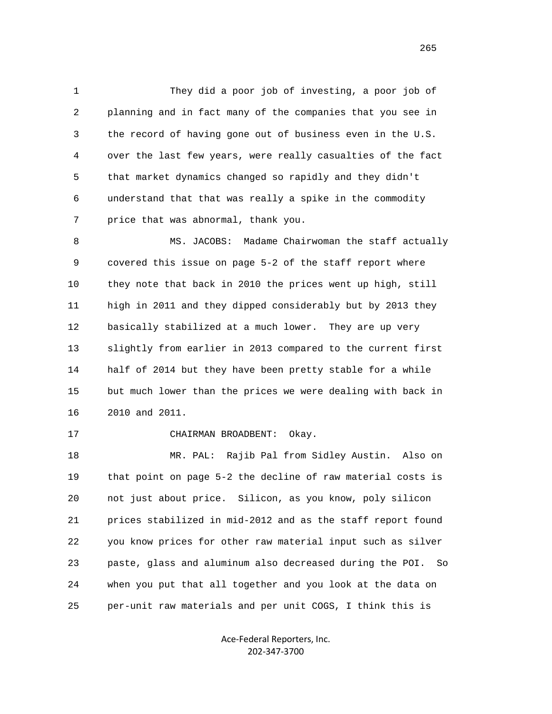1 They did a poor job of investing, a poor job of 2 planning and in fact many of the companies that you see in 3 the record of having gone out of business even in the U.S. 4 over the last few years, were really casualties of the fact 5 that market dynamics changed so rapidly and they didn't 6 understand that that was really a spike in the commodity 7 price that was abnormal, thank you.

8 MS. JACOBS: Madame Chairwoman the staff actually 9 covered this issue on page 5-2 of the staff report where 10 they note that back in 2010 the prices went up high, still 11 high in 2011 and they dipped considerably but by 2013 they 12 basically stabilized at a much lower. They are up very 13 slightly from earlier in 2013 compared to the current first 14 half of 2014 but they have been pretty stable for a while 15 but much lower than the prices we were dealing with back in 16 2010 and 2011.

17 CHAIRMAN BROADBENT: Okay.

 18 MR. PAL: Rajib Pal from Sidley Austin. Also on 19 that point on page 5-2 the decline of raw material costs is 20 not just about price. Silicon, as you know, poly silicon 21 prices stabilized in mid-2012 and as the staff report found 22 you know prices for other raw material input such as silver 23 paste, glass and aluminum also decreased during the POI. So 24 when you put that all together and you look at the data on 25 per-unit raw materials and per unit COGS, I think this is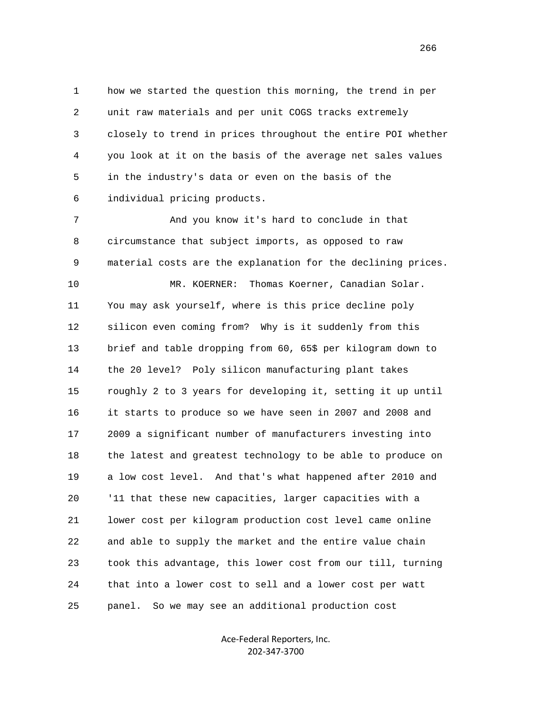1 how we started the question this morning, the trend in per 2 unit raw materials and per unit COGS tracks extremely 3 closely to trend in prices throughout the entire POI whether 4 you look at it on the basis of the average net sales values 5 in the industry's data or even on the basis of the 6 individual pricing products.

 7 And you know it's hard to conclude in that 8 circumstance that subject imports, as opposed to raw 9 material costs are the explanation for the declining prices.

 10 MR. KOERNER: Thomas Koerner, Canadian Solar. 11 You may ask yourself, where is this price decline poly 12 silicon even coming from? Why is it suddenly from this 13 brief and table dropping from 60, 65\$ per kilogram down to 14 the 20 level? Poly silicon manufacturing plant takes 15 roughly 2 to 3 years for developing it, setting it up until 16 it starts to produce so we have seen in 2007 and 2008 and 17 2009 a significant number of manufacturers investing into 18 the latest and greatest technology to be able to produce on 19 a low cost level. And that's what happened after 2010 and 20 '11 that these new capacities, larger capacities with a 21 lower cost per kilogram production cost level came online 22 and able to supply the market and the entire value chain 23 took this advantage, this lower cost from our till, turning 24 that into a lower cost to sell and a lower cost per watt 25 panel. So we may see an additional production cost

> Ace‐Federal Reporters, Inc. 202‐347‐3700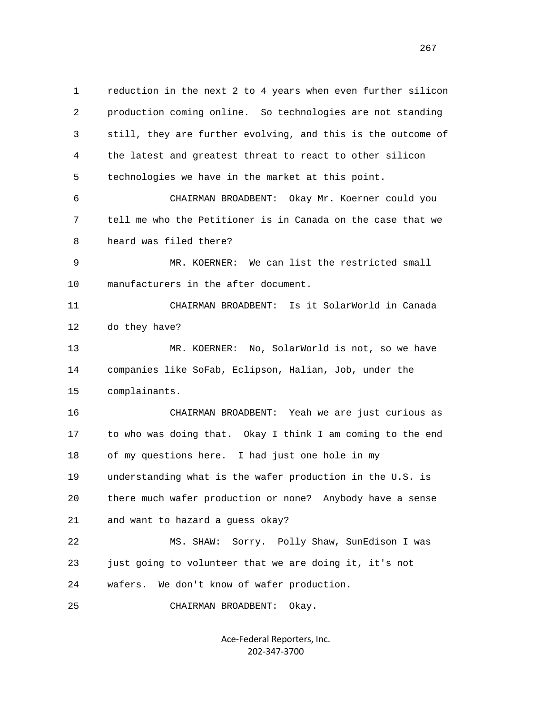1 reduction in the next 2 to 4 years when even further silicon 2 production coming online. So technologies are not standing 3 still, they are further evolving, and this is the outcome of 4 the latest and greatest threat to react to other silicon 5 technologies we have in the market at this point. 6 CHAIRMAN BROADBENT: Okay Mr. Koerner could you 7 tell me who the Petitioner is in Canada on the case that we 8 heard was filed there? 9 MR. KOERNER: We can list the restricted small 10 manufacturers in the after document. 11 CHAIRMAN BROADBENT: Is it SolarWorld in Canada 12 do they have? 13 MR. KOERNER: No, SolarWorld is not, so we have 14 companies like SoFab, Eclipson, Halian, Job, under the 15 complainants. 16 CHAIRMAN BROADBENT: Yeah we are just curious as 17 to who was doing that. Okay I think I am coming to the end 18 of my questions here. I had just one hole in my 19 understanding what is the wafer production in the U.S. is 20 there much wafer production or none? Anybody have a sense 21 and want to hazard a guess okay? 22 MS. SHAW: Sorry. Polly Shaw, SunEdison I was 23 just going to volunteer that we are doing it, it's not 24 wafers. We don't know of wafer production.

25 CHAIRMAN BROADBENT: Okay.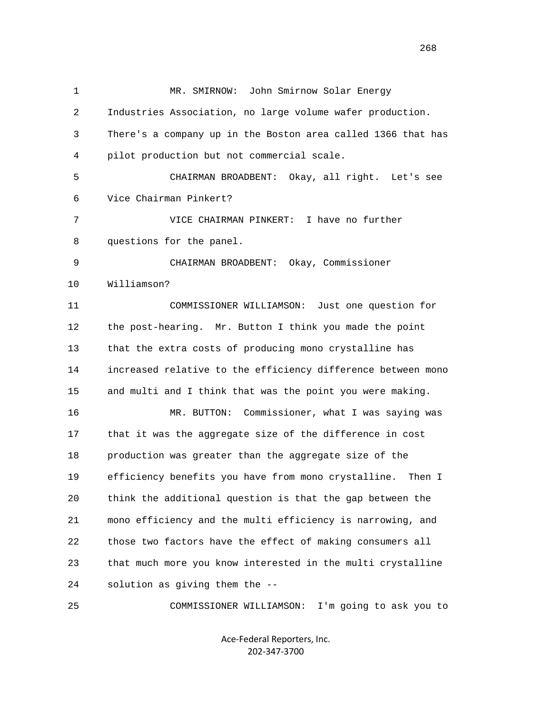| $\mathbf{1}$ | John Smirnow Solar Energy<br>MR. SMIRNOW:                    |
|--------------|--------------------------------------------------------------|
| 2            | Industries Association, no large volume wafer production.    |
| 3            | There's a company up in the Boston area called 1366 that has |
| 4            | pilot production but not commercial scale.                   |
| 5            | CHAIRMAN BROADBENT: Okay, all right. Let's see               |
| 6            | Vice Chairman Pinkert?                                       |
| 7            | I have no further<br>VICE CHAIRMAN PINKERT:                  |
| 8            | questions for the panel.                                     |
| 9            | CHAIRMAN BROADBENT: Okay, Commissioner                       |
| 10           | Williamson?                                                  |
| 11           | COMMISSIONER WILLIAMSON:<br>Just one question for            |
| 12           | the post-hearing. Mr. Button I think you made the point      |
| 13           | that the extra costs of producing mono crystalline has       |
| 14           | increased relative to the efficiency difference between mono |
| 15           | and multi and I think that was the point you were making.    |
| 16           | MR. BUTTON: Commissioner, what I was saying was              |
| 17           | that it was the aggregate size of the difference in cost     |
| 18           | production was greater than the aggregate size of the        |
| 19           | efficiency benefits you have from mono crystalline. Then I   |
| 20           | think the additional question is that the gap between the    |
| 21           | mono efficiency and the multi efficiency is narrowing, and   |
| 22           | those two factors have the effect of making consumers all    |
| 23           | that much more you know interested in the multi crystalline  |
| 24           | solution as giving them the --                               |
| 25           | COMMISSIONER WILLIAMSON:<br>I'm going to ask you to          |

Ace‐Federal Reporters, Inc. 202‐347‐3700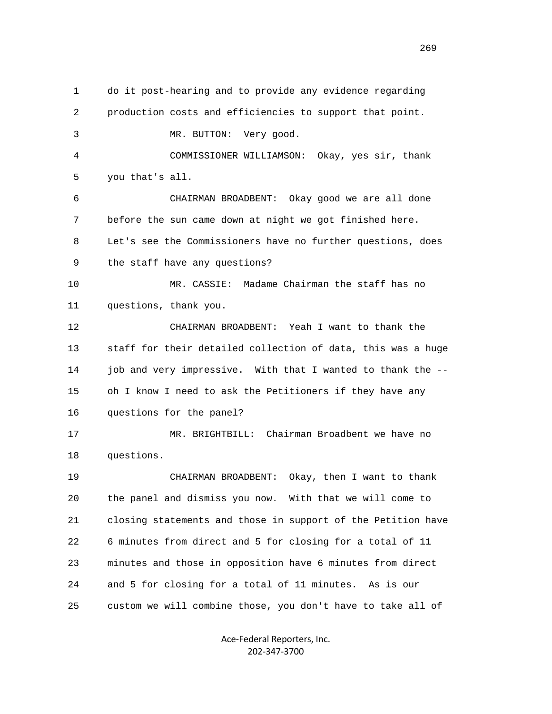1 do it post-hearing and to provide any evidence regarding 2 production costs and efficiencies to support that point. 3 MR. BUTTON: Very good. 4 COMMISSIONER WILLIAMSON: Okay, yes sir, thank 5 you that's all. 6 CHAIRMAN BROADBENT: Okay good we are all done 7 before the sun came down at night we got finished here. 8 Let's see the Commissioners have no further questions, does 9 the staff have any questions? 10 MR. CASSIE: Madame Chairman the staff has no 11 questions, thank you. 12 CHAIRMAN BROADBENT: Yeah I want to thank the 13 staff for their detailed collection of data, this was a huge 14 job and very impressive. With that I wanted to thank the -- 15 oh I know I need to ask the Petitioners if they have any 16 questions for the panel? 17 MR. BRIGHTBILL: Chairman Broadbent we have no 18 questions. 19 CHAIRMAN BROADBENT: Okay, then I want to thank 20 the panel and dismiss you now. With that we will come to 21 closing statements and those in support of the Petition have 22 6 minutes from direct and 5 for closing for a total of 11 23 minutes and those in opposition have 6 minutes from direct 24 and 5 for closing for a total of 11 minutes. As is our 25 custom we will combine those, you don't have to take all of

> Ace‐Federal Reporters, Inc. 202‐347‐3700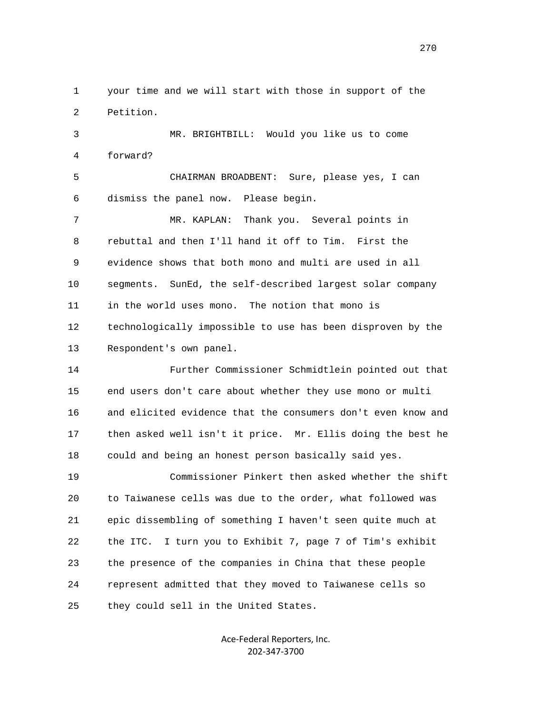1 your time and we will start with those in support of the 2 Petition.

 3 MR. BRIGHTBILL: Would you like us to come 4 forward?

 5 CHAIRMAN BROADBENT: Sure, please yes, I can 6 dismiss the panel now. Please begin.

 7 MR. KAPLAN: Thank you. Several points in 8 rebuttal and then I'll hand it off to Tim. First the 9 evidence shows that both mono and multi are used in all 10 segments. SunEd, the self-described largest solar company 11 in the world uses mono. The notion that mono is 12 technologically impossible to use has been disproven by the 13 Respondent's own panel.

 14 Further Commissioner Schmidtlein pointed out that 15 end users don't care about whether they use mono or multi 16 and elicited evidence that the consumers don't even know and 17 then asked well isn't it price. Mr. Ellis doing the best he 18 could and being an honest person basically said yes.

 19 Commissioner Pinkert then asked whether the shift 20 to Taiwanese cells was due to the order, what followed was 21 epic dissembling of something I haven't seen quite much at 22 the ITC. I turn you to Exhibit 7, page 7 of Tim's exhibit 23 the presence of the companies in China that these people 24 represent admitted that they moved to Taiwanese cells so 25 they could sell in the United States.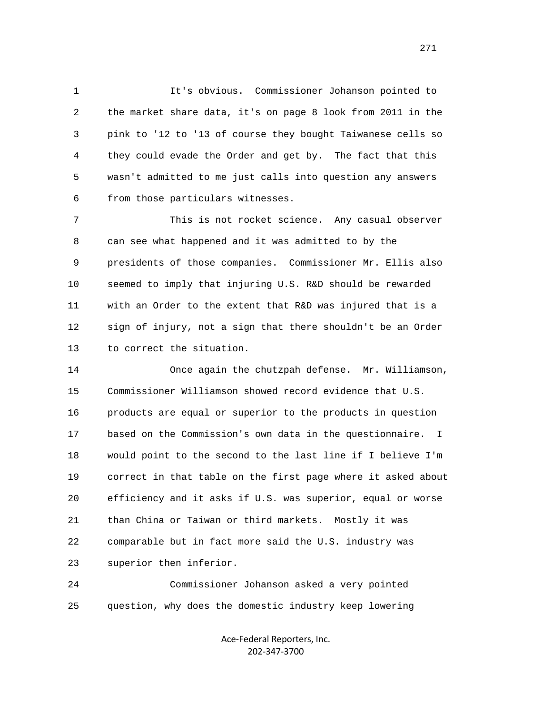1 It's obvious. Commissioner Johanson pointed to 2 the market share data, it's on page 8 look from 2011 in the 3 pink to '12 to '13 of course they bought Taiwanese cells so 4 they could evade the Order and get by. The fact that this 5 wasn't admitted to me just calls into question any answers 6 from those particulars witnesses.

 7 This is not rocket science. Any casual observer 8 can see what happened and it was admitted to by the 9 presidents of those companies. Commissioner Mr. Ellis also 10 seemed to imply that injuring U.S. R&D should be rewarded 11 with an Order to the extent that R&D was injured that is a 12 sign of injury, not a sign that there shouldn't be an Order 13 to correct the situation.

 14 Once again the chutzpah defense. Mr. Williamson, 15 Commissioner Williamson showed record evidence that U.S. 16 products are equal or superior to the products in question 17 based on the Commission's own data in the questionnaire. I 18 would point to the second to the last line if I believe I'm 19 correct in that table on the first page where it asked about 20 efficiency and it asks if U.S. was superior, equal or worse 21 than China or Taiwan or third markets. Mostly it was 22 comparable but in fact more said the U.S. industry was 23 superior then inferior.

 24 Commissioner Johanson asked a very pointed 25 question, why does the domestic industry keep lowering

> Ace‐Federal Reporters, Inc. 202‐347‐3700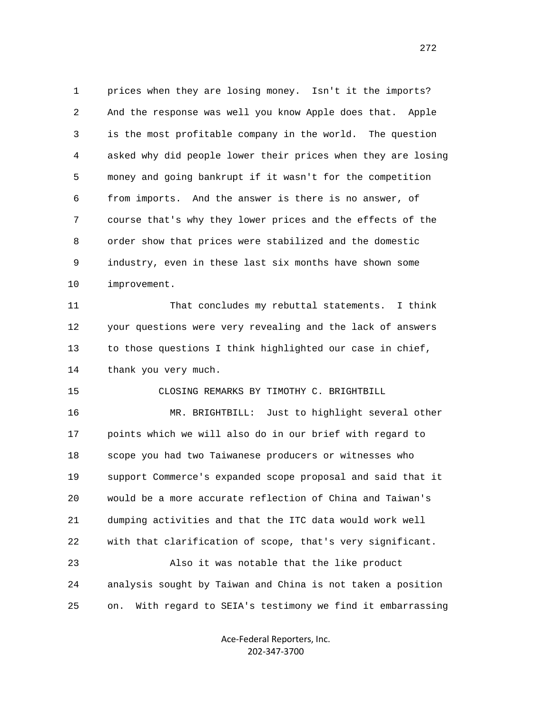1 prices when they are losing money. Isn't it the imports? 2 And the response was well you know Apple does that. Apple 3 is the most profitable company in the world. The question 4 asked why did people lower their prices when they are losing 5 money and going bankrupt if it wasn't for the competition 6 from imports. And the answer is there is no answer, of 7 course that's why they lower prices and the effects of the 8 order show that prices were stabilized and the domestic 9 industry, even in these last six months have shown some 10 improvement.

 11 That concludes my rebuttal statements. I think 12 your questions were very revealing and the lack of answers 13 to those questions I think highlighted our case in chief, 14 thank you very much.

15 CLOSING REMARKS BY TIMOTHY C. BRIGHTBILL

 16 MR. BRIGHTBILL: Just to highlight several other 17 points which we will also do in our brief with regard to 18 scope you had two Taiwanese producers or witnesses who 19 support Commerce's expanded scope proposal and said that it 20 would be a more accurate reflection of China and Taiwan's 21 dumping activities and that the ITC data would work well 22 with that clarification of scope, that's very significant.

 23 Also it was notable that the like product 24 analysis sought by Taiwan and China is not taken a position 25 on. With regard to SEIA's testimony we find it embarrassing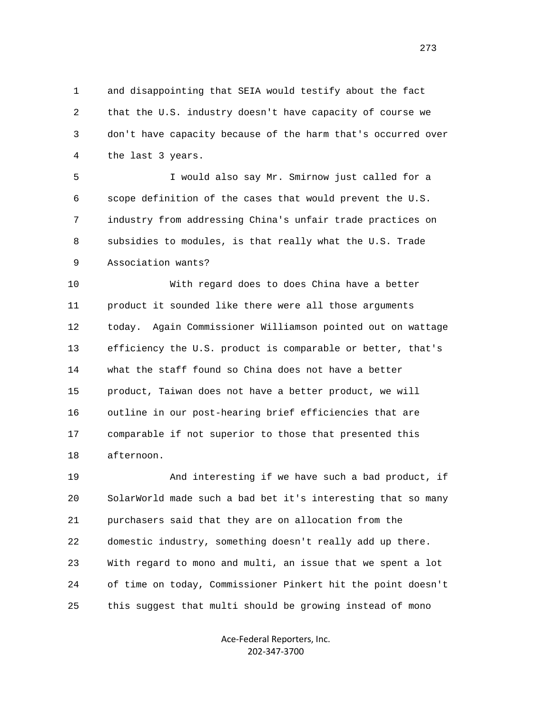1 and disappointing that SEIA would testify about the fact 2 that the U.S. industry doesn't have capacity of course we 3 don't have capacity because of the harm that's occurred over 4 the last 3 years.

 5 I would also say Mr. Smirnow just called for a 6 scope definition of the cases that would prevent the U.S. 7 industry from addressing China's unfair trade practices on 8 subsidies to modules, is that really what the U.S. Trade 9 Association wants?

 10 With regard does to does China have a better 11 product it sounded like there were all those arguments 12 today. Again Commissioner Williamson pointed out on wattage 13 efficiency the U.S. product is comparable or better, that's 14 what the staff found so China does not have a better 15 product, Taiwan does not have a better product, we will 16 outline in our post-hearing brief efficiencies that are 17 comparable if not superior to those that presented this 18 afternoon.

 19 And interesting if we have such a bad product, if 20 SolarWorld made such a bad bet it's interesting that so many 21 purchasers said that they are on allocation from the 22 domestic industry, something doesn't really add up there. 23 With regard to mono and multi, an issue that we spent a lot 24 of time on today, Commissioner Pinkert hit the point doesn't 25 this suggest that multi should be growing instead of mono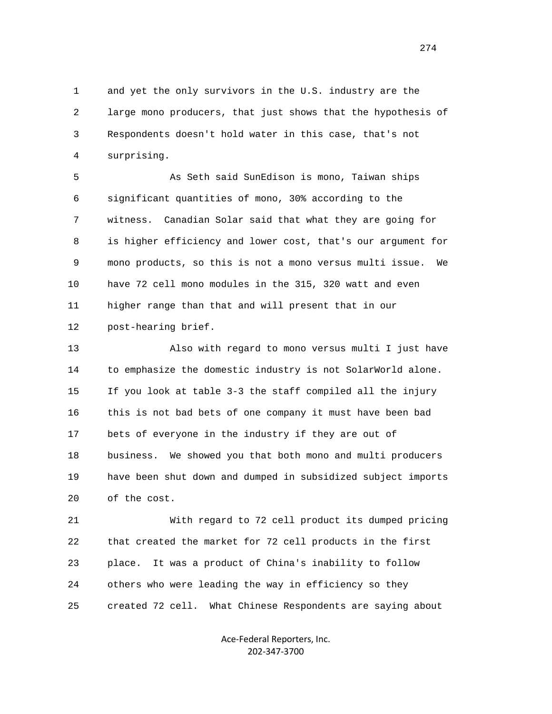1 and yet the only survivors in the U.S. industry are the 2 large mono producers, that just shows that the hypothesis of 3 Respondents doesn't hold water in this case, that's not 4 surprising.

 5 As Seth said SunEdison is mono, Taiwan ships 6 significant quantities of mono, 30% according to the 7 witness. Canadian Solar said that what they are going for 8 is higher efficiency and lower cost, that's our argument for 9 mono products, so this is not a mono versus multi issue. We 10 have 72 cell mono modules in the 315, 320 watt and even 11 higher range than that and will present that in our 12 post-hearing brief.

 13 Also with regard to mono versus multi I just have 14 to emphasize the domestic industry is not SolarWorld alone. 15 If you look at table 3-3 the staff compiled all the injury 16 this is not bad bets of one company it must have been bad 17 bets of everyone in the industry if they are out of 18 business. We showed you that both mono and multi producers 19 have been shut down and dumped in subsidized subject imports 20 of the cost.

 21 With regard to 72 cell product its dumped pricing 22 that created the market for 72 cell products in the first 23 place. It was a product of China's inability to follow 24 others who were leading the way in efficiency so they 25 created 72 cell. What Chinese Respondents are saying about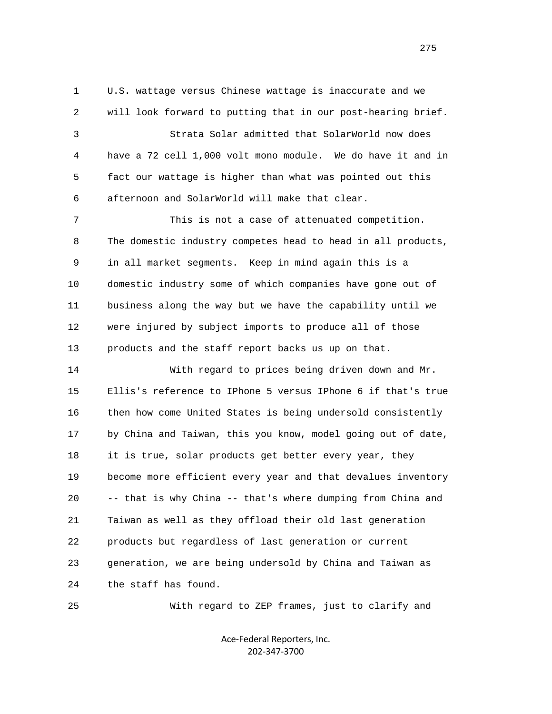1 U.S. wattage versus Chinese wattage is inaccurate and we 2 will look forward to putting that in our post-hearing brief. 3 Strata Solar admitted that SolarWorld now does 4 have a 72 cell 1,000 volt mono module. We do have it and in 5 fact our wattage is higher than what was pointed out this 6 afternoon and SolarWorld will make that clear. 7 This is not a case of attenuated competition. 8 The domestic industry competes head to head in all products, 9 in all market segments. Keep in mind again this is a 10 domestic industry some of which companies have gone out of 11 business along the way but we have the capability until we 12 were injured by subject imports to produce all of those 13 products and the staff report backs us up on that.

 14 With regard to prices being driven down and Mr. 15 Ellis's reference to IPhone 5 versus IPhone 6 if that's true 16 then how come United States is being undersold consistently 17 by China and Taiwan, this you know, model going out of date, 18 it is true, solar products get better every year, they 19 become more efficient every year and that devalues inventory 20 -- that is why China -- that's where dumping from China and 21 Taiwan as well as they offload their old last generation 22 products but regardless of last generation or current 23 generation, we are being undersold by China and Taiwan as 24 the staff has found.

25 With regard to ZEP frames, just to clarify and

Ace‐Federal Reporters, Inc. 202‐347‐3700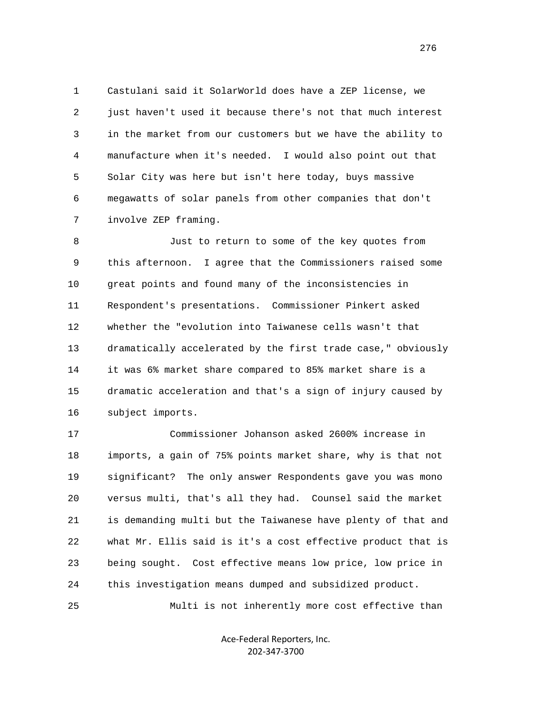1 Castulani said it SolarWorld does have a ZEP license, we 2 just haven't used it because there's not that much interest 3 in the market from our customers but we have the ability to 4 manufacture when it's needed. I would also point out that 5 Solar City was here but isn't here today, buys massive 6 megawatts of solar panels from other companies that don't 7 involve ZEP framing.

 8 Just to return to some of the key quotes from 9 this afternoon. I agree that the Commissioners raised some 10 great points and found many of the inconsistencies in 11 Respondent's presentations. Commissioner Pinkert asked 12 whether the "evolution into Taiwanese cells wasn't that 13 dramatically accelerated by the first trade case," obviously 14 it was 6% market share compared to 85% market share is a 15 dramatic acceleration and that's a sign of injury caused by 16 subject imports.

 17 Commissioner Johanson asked 2600% increase in 18 imports, a gain of 75% points market share, why is that not 19 significant? The only answer Respondents gave you was mono 20 versus multi, that's all they had. Counsel said the market 21 is demanding multi but the Taiwanese have plenty of that and 22 what Mr. Ellis said is it's a cost effective product that is 23 being sought. Cost effective means low price, low price in 24 this investigation means dumped and subsidized product.

25 Multi is not inherently more cost effective than

Ace‐Federal Reporters, Inc. 202‐347‐3700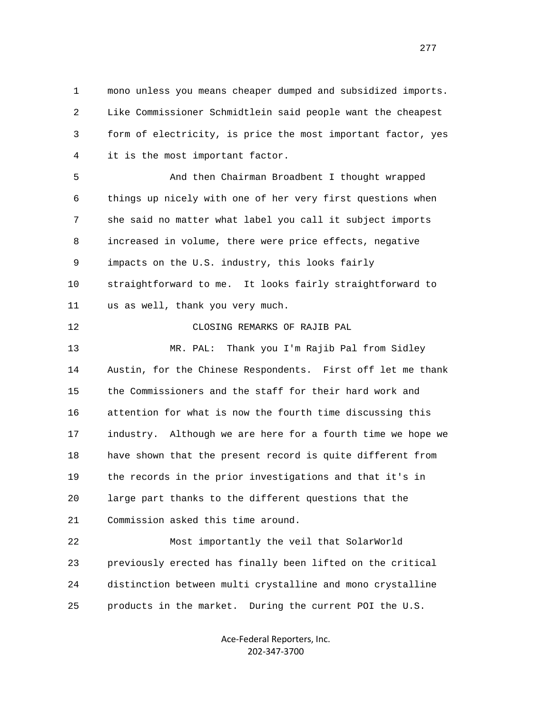1 mono unless you means cheaper dumped and subsidized imports. 2 Like Commissioner Schmidtlein said people want the cheapest 3 form of electricity, is price the most important factor, yes 4 it is the most important factor.

 5 And then Chairman Broadbent I thought wrapped 6 things up nicely with one of her very first questions when 7 she said no matter what label you call it subject imports 8 increased in volume, there were price effects, negative 9 impacts on the U.S. industry, this looks fairly 10 straightforward to me. It looks fairly straightforward to 11 us as well, thank you very much.

12 CLOSING REMARKS OF RAJIB PAL

 13 MR. PAL: Thank you I'm Rajib Pal from Sidley 14 Austin, for the Chinese Respondents. First off let me thank 15 the Commissioners and the staff for their hard work and 16 attention for what is now the fourth time discussing this 17 industry. Although we are here for a fourth time we hope we 18 have shown that the present record is quite different from 19 the records in the prior investigations and that it's in 20 large part thanks to the different questions that the 21 Commission asked this time around.

 22 Most importantly the veil that SolarWorld 23 previously erected has finally been lifted on the critical 24 distinction between multi crystalline and mono crystalline 25 products in the market. During the current POI the U.S.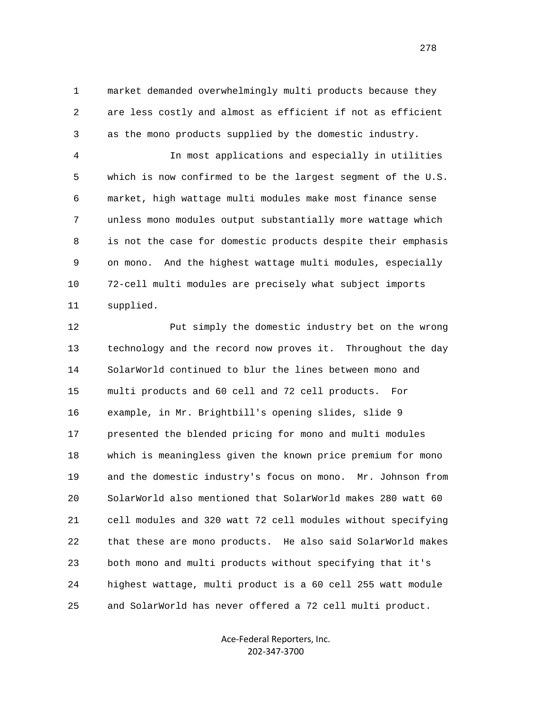1 market demanded overwhelmingly multi products because they 2 are less costly and almost as efficient if not as efficient 3 as the mono products supplied by the domestic industry.

 4 In most applications and especially in utilities 5 which is now confirmed to be the largest segment of the U.S. 6 market, high wattage multi modules make most finance sense 7 unless mono modules output substantially more wattage which 8 is not the case for domestic products despite their emphasis 9 on mono. And the highest wattage multi modules, especially 10 72-cell multi modules are precisely what subject imports 11 supplied.

 12 Put simply the domestic industry bet on the wrong 13 technology and the record now proves it. Throughout the day 14 SolarWorld continued to blur the lines between mono and 15 multi products and 60 cell and 72 cell products. For 16 example, in Mr. Brightbill's opening slides, slide 9 17 presented the blended pricing for mono and multi modules 18 which is meaningless given the known price premium for mono 19 and the domestic industry's focus on mono. Mr. Johnson from 20 SolarWorld also mentioned that SolarWorld makes 280 watt 60 21 cell modules and 320 watt 72 cell modules without specifying 22 that these are mono products. He also said SolarWorld makes 23 both mono and multi products without specifying that it's 24 highest wattage, multi product is a 60 cell 255 watt module 25 and SolarWorld has never offered a 72 cell multi product.

> Ace‐Federal Reporters, Inc. 202‐347‐3700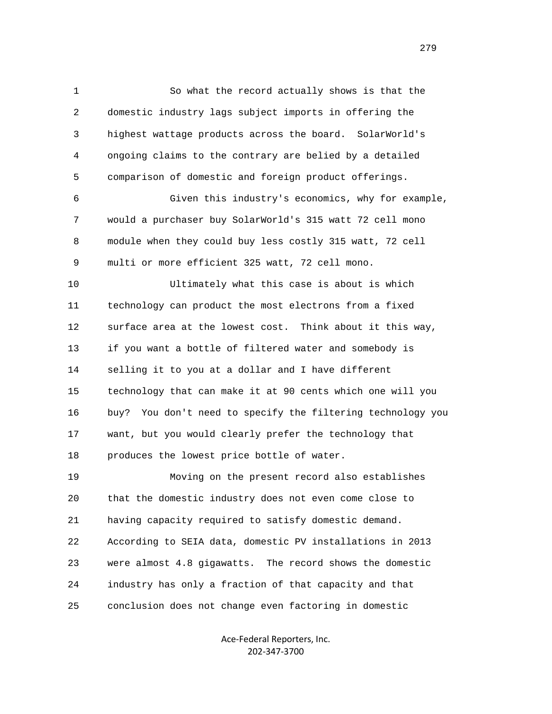1 So what the record actually shows is that the 2 domestic industry lags subject imports in offering the 3 highest wattage products across the board. SolarWorld's 4 ongoing claims to the contrary are belied by a detailed 5 comparison of domestic and foreign product offerings. 6 Given this industry's economics, why for example, 7 would a purchaser buy SolarWorld's 315 watt 72 cell mono 8 module when they could buy less costly 315 watt, 72 cell 9 multi or more efficient 325 watt, 72 cell mono. 10 Ultimately what this case is about is which 11 technology can product the most electrons from a fixed 12 surface area at the lowest cost. Think about it this way, 13 if you want a bottle of filtered water and somebody is 14 selling it to you at a dollar and I have different 15 technology that can make it at 90 cents which one will you 16 buy? You don't need to specify the filtering technology you 17 want, but you would clearly prefer the technology that 18 produces the lowest price bottle of water. 19 Moving on the present record also establishes 20 that the domestic industry does not even come close to 21 having capacity required to satisfy domestic demand. 22 According to SEIA data, domestic PV installations in 2013 23 were almost 4.8 gigawatts. The record shows the domestic 24 industry has only a fraction of that capacity and that 25 conclusion does not change even factoring in domestic

> Ace‐Federal Reporters, Inc. 202‐347‐3700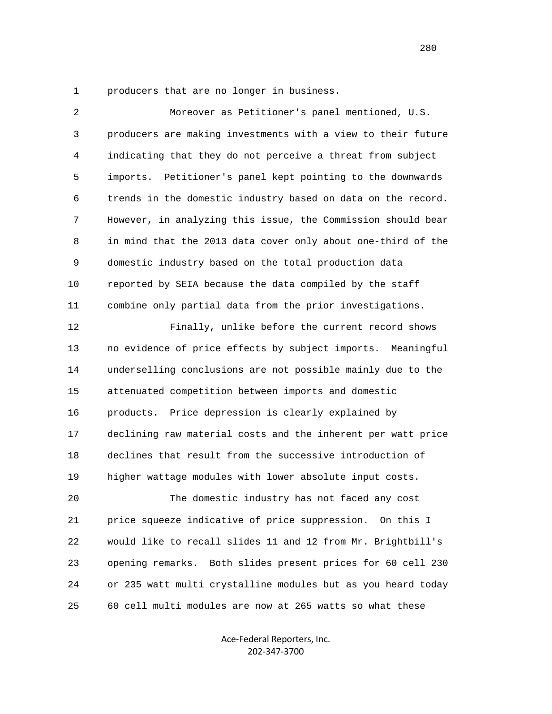1 producers that are no longer in business.

| 2  | Moreover as Petitioner's panel mentioned, U.S.                |
|----|---------------------------------------------------------------|
| 3  | producers are making investments with a view to their future  |
| 4  | indicating that they do not perceive a threat from subject    |
| 5  | Petitioner's panel kept pointing to the downwards<br>imports. |
| 6  | trends in the domestic industry based on data on the record.  |
| 7  | However, in analyzing this issue, the Commission should bear  |
| 8  | in mind that the 2013 data cover only about one-third of the  |
| 9  | domestic industry based on the total production data          |
| 10 | reported by SEIA because the data compiled by the staff       |
| 11 | combine only partial data from the prior investigations.      |
| 12 | Finally, unlike before the current record shows               |
| 13 | no evidence of price effects by subject imports. Meaningful   |
| 14 | underselling conclusions are not possible mainly due to the   |
| 15 | attenuated competition between imports and domestic           |
| 16 | Price depression is clearly explained by<br>products.         |
| 17 | declining raw material costs and the inherent per watt price  |
| 18 | declines that result from the successive introduction of      |
| 19 | higher wattage modules with lower absolute input costs.       |
| 20 | The domestic industry has not faced any cost                  |
| 21 | price squeeze indicative of price suppression. On this I      |
| 22 | would like to recall slides 11 and 12 from Mr. Brightbill's   |
| 23 | opening remarks. Both slides present prices for 60 cell 230   |
| 24 | or 235 watt multi crystalline modules but as you heard today  |
| 25 | 60 cell multi modules are now at 265 watts so what these      |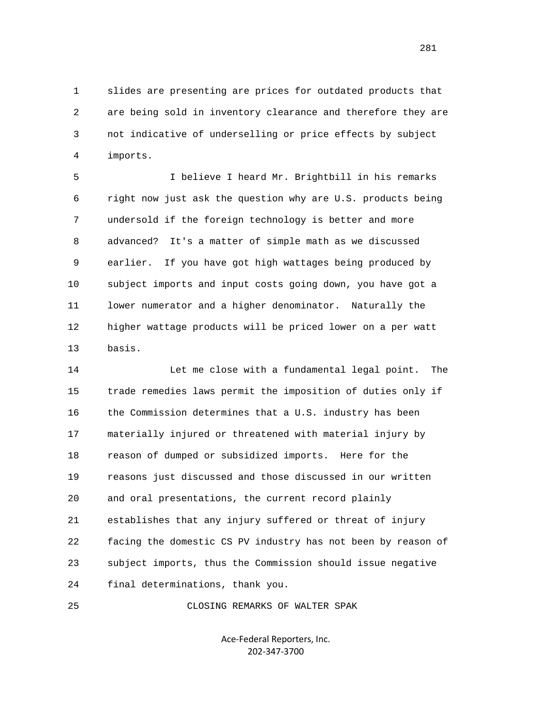1 slides are presenting are prices for outdated products that 2 are being sold in inventory clearance and therefore they are 3 not indicative of underselling or price effects by subject 4 imports.

 5 I believe I heard Mr. Brightbill in his remarks 6 right now just ask the question why are U.S. products being 7 undersold if the foreign technology is better and more 8 advanced? It's a matter of simple math as we discussed 9 earlier. If you have got high wattages being produced by 10 subject imports and input costs going down, you have got a 11 lower numerator and a higher denominator. Naturally the 12 higher wattage products will be priced lower on a per watt 13 basis.

 14 Let me close with a fundamental legal point. The 15 trade remedies laws permit the imposition of duties only if 16 the Commission determines that a U.S. industry has been 17 materially injured or threatened with material injury by 18 reason of dumped or subsidized imports. Here for the 19 reasons just discussed and those discussed in our written 20 and oral presentations, the current record plainly 21 establishes that any injury suffered or threat of injury 22 facing the domestic CS PV industry has not been by reason of 23 subject imports, thus the Commission should issue negative 24 final determinations, thank you.

25 CLOSING REMARKS OF WALTER SPAK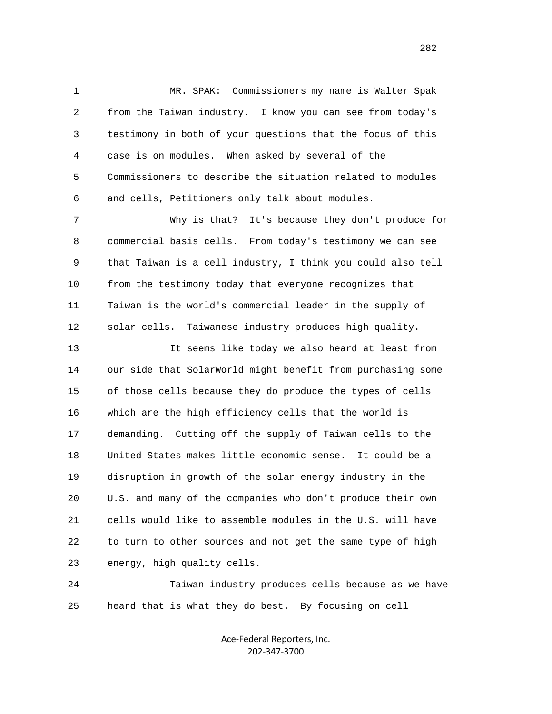1 MR. SPAK: Commissioners my name is Walter Spak 2 from the Taiwan industry. I know you can see from today's 3 testimony in both of your questions that the focus of this 4 case is on modules. When asked by several of the 5 Commissioners to describe the situation related to modules 6 and cells, Petitioners only talk about modules.

 7 Why is that? It's because they don't produce for 8 commercial basis cells. From today's testimony we can see 9 that Taiwan is a cell industry, I think you could also tell 10 from the testimony today that everyone recognizes that 11 Taiwan is the world's commercial leader in the supply of 12 solar cells. Taiwanese industry produces high quality.

 13 It seems like today we also heard at least from 14 our side that SolarWorld might benefit from purchasing some 15 of those cells because they do produce the types of cells 16 which are the high efficiency cells that the world is 17 demanding. Cutting off the supply of Taiwan cells to the 18 United States makes little economic sense. It could be a 19 disruption in growth of the solar energy industry in the 20 U.S. and many of the companies who don't produce their own 21 cells would like to assemble modules in the U.S. will have 22 to turn to other sources and not get the same type of high 23 energy, high quality cells.

 24 Taiwan industry produces cells because as we have 25 heard that is what they do best. By focusing on cell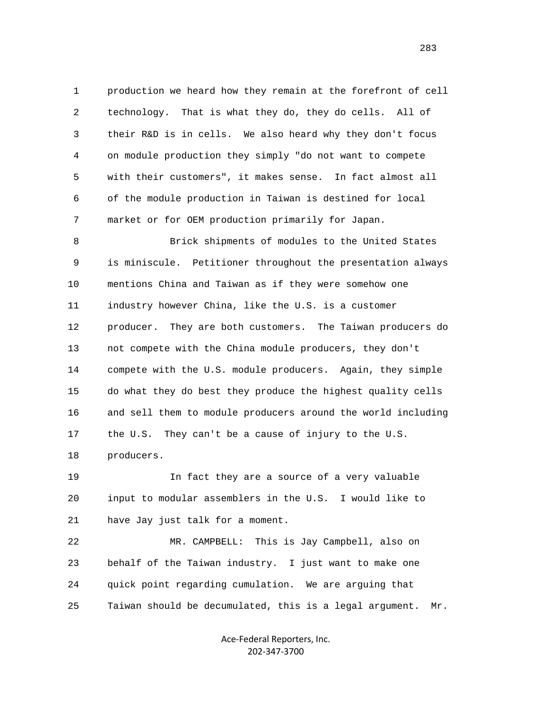1 production we heard how they remain at the forefront of cell 2 technology. That is what they do, they do cells. All of 3 their R&D is in cells. We also heard why they don't focus 4 on module production they simply "do not want to compete 5 with their customers", it makes sense. In fact almost all 6 of the module production in Taiwan is destined for local 7 market or for OEM production primarily for Japan.

 8 Brick shipments of modules to the United States 9 is miniscule. Petitioner throughout the presentation always 10 mentions China and Taiwan as if they were somehow one 11 industry however China, like the U.S. is a customer 12 producer. They are both customers. The Taiwan producers do 13 not compete with the China module producers, they don't 14 compete with the U.S. module producers. Again, they simple 15 do what they do best they produce the highest quality cells 16 and sell them to module producers around the world including 17 the U.S. They can't be a cause of injury to the U.S. 18 producers.

 19 In fact they are a source of a very valuable 20 input to modular assemblers in the U.S. I would like to 21 have Jay just talk for a moment.

 22 MR. CAMPBELL: This is Jay Campbell, also on 23 behalf of the Taiwan industry. I just want to make one 24 quick point regarding cumulation. We are arguing that 25 Taiwan should be decumulated, this is a legal argument. Mr.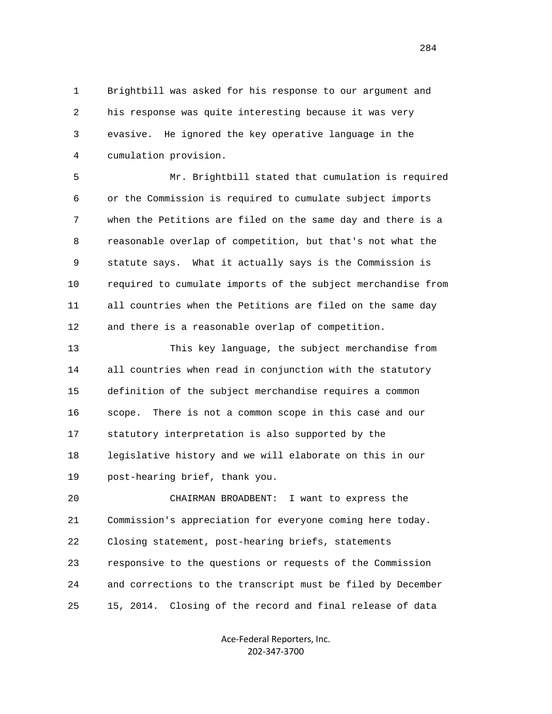1 Brightbill was asked for his response to our argument and 2 his response was quite interesting because it was very 3 evasive. He ignored the key operative language in the 4 cumulation provision.

 5 Mr. Brightbill stated that cumulation is required 6 or the Commission is required to cumulate subject imports 7 when the Petitions are filed on the same day and there is a 8 reasonable overlap of competition, but that's not what the 9 statute says. What it actually says is the Commission is 10 required to cumulate imports of the subject merchandise from 11 all countries when the Petitions are filed on the same day 12 and there is a reasonable overlap of competition.

 13 This key language, the subject merchandise from 14 all countries when read in conjunction with the statutory 15 definition of the subject merchandise requires a common 16 scope. There is not a common scope in this case and our 17 statutory interpretation is also supported by the 18 legislative history and we will elaborate on this in our 19 post-hearing brief, thank you.

 20 CHAIRMAN BROADBENT: I want to express the 21 Commission's appreciation for everyone coming here today. 22 Closing statement, post-hearing briefs, statements 23 responsive to the questions or requests of the Commission 24 and corrections to the transcript must be filed by December 25 15, 2014. Closing of the record and final release of data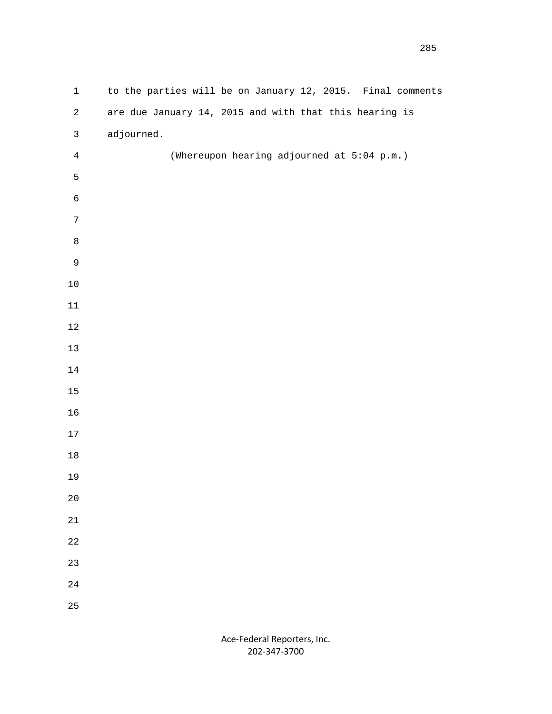| $1\,$          | to the parties will be on January 12, 2015. Final comments |
|----------------|------------------------------------------------------------|
| $\overline{a}$ | are due January 14, 2015 and with that this hearing is     |
| $\mathsf{3}$   | adjourned.                                                 |
| $\overline{4}$ | (Whereupon hearing adjourned at 5:04 p.m.)                 |
| 5              |                                                            |
| $\epsilon$     |                                                            |
| $\overline{7}$ |                                                            |
| $\,8\,$        |                                                            |
| $\mathsf 9$    |                                                            |
| $1\,0$         |                                                            |
| $11\,$         |                                                            |
| $1\sqrt{2}$    |                                                            |
| $13\,$         |                                                            |
| $14\,$         |                                                            |
| $15\,$         |                                                            |
| $16$           |                                                            |
| $17\,$         |                                                            |
| $1\,8$         |                                                            |
| 19             |                                                            |
| $20$           |                                                            |
| $2\sqrt{1}$    |                                                            |
| $2\sqrt{2}$    |                                                            |
| $23\,$         |                                                            |
| $2\sqrt{4}$    |                                                            |
| $2\sqrt{5}$    |                                                            |